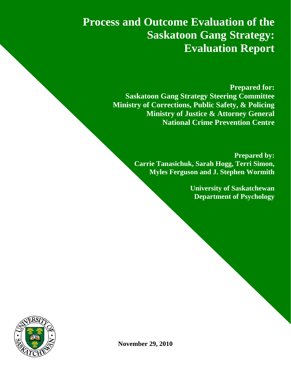**Process and Outcome Evaluation of the Saskatoon Gang Strategy: Evaluation Report**

> **Prepared for: Saskatoon Gang Strategy Steering Committee Ministry of Corrections, Public Safety, & Policing Ministry of Justice & Attorney General National Crime Prevention Centre**

> > **Prepared by: Carrie Tanasichuk, Sarah Hogg, Terri Simon, Myles Ferguson and J. Stephen Wormith**

> > > **University of Saskatchewan Department of Psychology**



**November 29, 2010**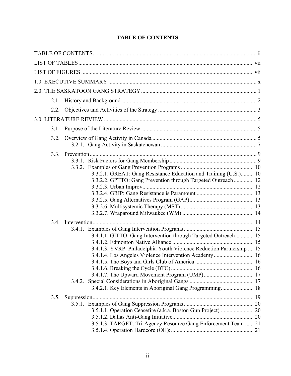<span id="page-1-0"></span>

| 2.1. |                                                                                                                                   |  |
|------|-----------------------------------------------------------------------------------------------------------------------------------|--|
|      |                                                                                                                                   |  |
|      |                                                                                                                                   |  |
| 3.1. |                                                                                                                                   |  |
| 3.2. |                                                                                                                                   |  |
| 3.3. |                                                                                                                                   |  |
|      |                                                                                                                                   |  |
|      |                                                                                                                                   |  |
|      | 3.3.2.1. GREAT: Gang Resistance Education and Training (U.S.) 10<br>3.3.2.2. GPTTO: Gang Prevention through Targeted Outreach  12 |  |
|      |                                                                                                                                   |  |
|      |                                                                                                                                   |  |
|      |                                                                                                                                   |  |
|      |                                                                                                                                   |  |
|      |                                                                                                                                   |  |
| 3.4. |                                                                                                                                   |  |
|      |                                                                                                                                   |  |
|      | 3.4.1.1. GITTO: Gang Intervention through Targeted Outreach 15                                                                    |  |
|      |                                                                                                                                   |  |
|      | 3.4.1.3. YVRP: Philadelphia Youth Violence Reduction Partnership  15                                                              |  |
|      |                                                                                                                                   |  |
|      |                                                                                                                                   |  |
|      |                                                                                                                                   |  |
|      | 3.4.2.                                                                                                                            |  |
|      | 3.4.2.1. Key Elements in Aboriginal Gang Programming 18                                                                           |  |
| 3.5. |                                                                                                                                   |  |
|      |                                                                                                                                   |  |
|      | 3.5.1.1. Operation Ceasefire (a.k.a. Boston Gun Project)  20                                                                      |  |
|      |                                                                                                                                   |  |
|      | 3.5.1.3. TARGET: Tri-Agency Resource Gang Enforcement Team  21                                                                    |  |

# **TABLE OF CONTENTS**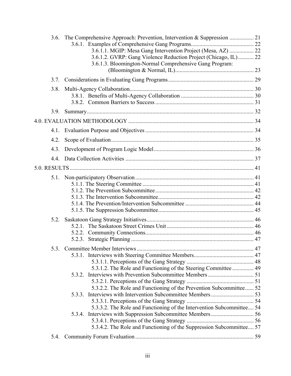|      | 3.6.1.1. MGIP: Mesa Gang Intervention Project (Mesa, AZ)  22<br>3.6.1.2. GVRP: Gang Violence Reduction Project (Chicago, IL) 22<br>3.6.1.3. Bloomington-Normal Comprehensive Gang Program: |  |
|------|--------------------------------------------------------------------------------------------------------------------------------------------------------------------------------------------|--|
|      |                                                                                                                                                                                            |  |
| 3.8. |                                                                                                                                                                                            |  |
|      |                                                                                                                                                                                            |  |
|      |                                                                                                                                                                                            |  |
|      |                                                                                                                                                                                            |  |
| 4.2. |                                                                                                                                                                                            |  |
| 4.3. |                                                                                                                                                                                            |  |
|      |                                                                                                                                                                                            |  |
|      |                                                                                                                                                                                            |  |
|      |                                                                                                                                                                                            |  |
| 5.2. |                                                                                                                                                                                            |  |
|      | 5.3.1.2. The Role and Functioning of the Steering Committee  49                                                                                                                            |  |
|      | 5.3.2.2. The Role and Functioning of the Prevention Subcommittee 52                                                                                                                        |  |
|      | 5.3.3.2. The Role and Functioning of the Intervention Subcommittee 54                                                                                                                      |  |
|      | 5.3.4.2. The Role and Functioning of the Suppression Subcommittee 57                                                                                                                       |  |
| 5.4. |                                                                                                                                                                                            |  |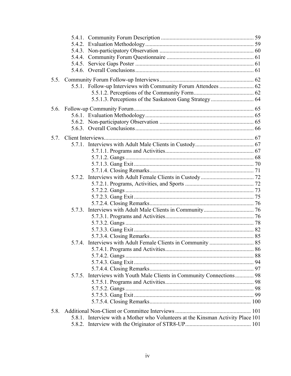| 5.7. |                                                                                 |  |
|------|---------------------------------------------------------------------------------|--|
|      |                                                                                 |  |
|      |                                                                                 |  |
|      |                                                                                 |  |
|      |                                                                                 |  |
|      |                                                                                 |  |
|      |                                                                                 |  |
|      |                                                                                 |  |
|      |                                                                                 |  |
|      |                                                                                 |  |
|      |                                                                                 |  |
|      |                                                                                 |  |
|      |                                                                                 |  |
|      |                                                                                 |  |
|      |                                                                                 |  |
|      |                                                                                 |  |
|      |                                                                                 |  |
|      |                                                                                 |  |
|      |                                                                                 |  |
|      |                                                                                 |  |
|      |                                                                                 |  |
|      | 5.7.5. Interviews with Youth Male Clients in Community Connections 98           |  |
|      |                                                                                 |  |
|      |                                                                                 |  |
|      |                                                                                 |  |
|      |                                                                                 |  |
| 5.8. |                                                                                 |  |
|      | 5.8.1. Interview with a Mother who Volunteers at the Kinsman Activity Place 101 |  |
|      |                                                                                 |  |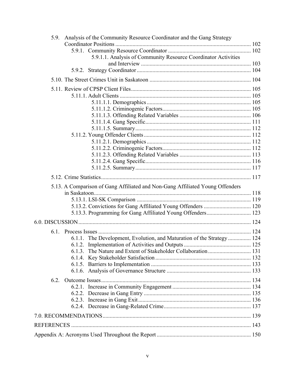| Analysis of the Community Resource Coordinator and the Gang Strategy<br>5.9.  |  |
|-------------------------------------------------------------------------------|--|
|                                                                               |  |
|                                                                               |  |
| 5.9.1.1. Analysis of Community Resource Coordinator Activities                |  |
|                                                                               |  |
|                                                                               |  |
|                                                                               |  |
|                                                                               |  |
|                                                                               |  |
|                                                                               |  |
|                                                                               |  |
|                                                                               |  |
|                                                                               |  |
|                                                                               |  |
|                                                                               |  |
|                                                                               |  |
|                                                                               |  |
|                                                                               |  |
|                                                                               |  |
|                                                                               |  |
|                                                                               |  |
| 5.13. A Comparison of Gang Affiliated and Non-Gang Affiliated Young Offenders |  |
|                                                                               |  |
|                                                                               |  |
|                                                                               |  |
| 5.13.3. Programming for Gang Affiliated Young Offenders 123                   |  |
|                                                                               |  |
|                                                                               |  |
| 6.1.1. The Development, Evolution, and Maturation of the Strategy  124        |  |
|                                                                               |  |
|                                                                               |  |
|                                                                               |  |
|                                                                               |  |
|                                                                               |  |
|                                                                               |  |
|                                                                               |  |
|                                                                               |  |
|                                                                               |  |
|                                                                               |  |
|                                                                               |  |
|                                                                               |  |
|                                                                               |  |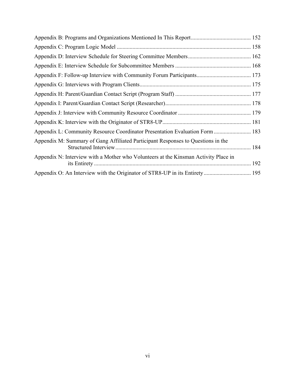| Appendix L: Community Resource Coordinator Presentation Evaluation Form  183        |  |
|-------------------------------------------------------------------------------------|--|
| Appendix M: Summary of Gang Affiliated Participant Responses to Questions in the    |  |
| Appendix N: Interview with a Mother who Volunteers at the Kinsman Activity Place in |  |
|                                                                                     |  |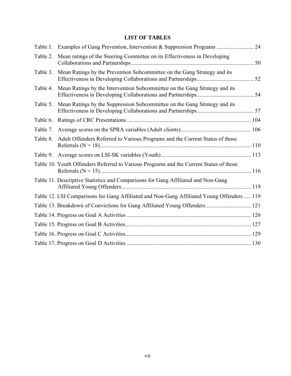# **LIST OF TABLES**

<span id="page-6-0"></span>

| Table 1. |                                                                                            |    |
|----------|--------------------------------------------------------------------------------------------|----|
| Table 2. | Mean ratings of the Steering Committee on its Effectiveness in Developing                  | 50 |
| Table 3. | Mean Ratings by the Prevention Subcommittee on the Gang Strategy and its                   |    |
| Table 4. | Mean Ratings by the Intervention Subcommittee on the Gang Strategy and its                 |    |
| Table 5. | Mean Ratings by the Suppression Subcommittee on the Gang Strategy and its                  |    |
| Table 6. |                                                                                            |    |
| Table 7. |                                                                                            |    |
| Table 8. | Adult Offenders Referred to Various Programs and the Current Status of those               |    |
| Table 9. |                                                                                            |    |
|          | Table 10. Youth Offenders Referred to Various Programs and the Current Status of those     |    |
|          | Table 11. Descriptive Statistics and Comparisons for Gang Affiliated and Non-Gang          |    |
|          | Table 12. LSI Comparisons for Gang Affiliated and Non-Gang Affiliated Young Offenders  119 |    |
|          | Table 13. Breakdown of Convictions for Gang Affiliated Young Offenders 121                 |    |
|          |                                                                                            |    |
|          |                                                                                            |    |
|          |                                                                                            |    |
|          |                                                                                            |    |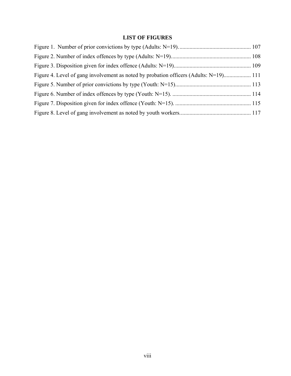# **LIST OF FIGURES**

<span id="page-7-0"></span>

| Figure 4. Level of gang involvement as noted by probation officers (Adults: N=19) 111 |  |
|---------------------------------------------------------------------------------------|--|
|                                                                                       |  |
|                                                                                       |  |
|                                                                                       |  |
|                                                                                       |  |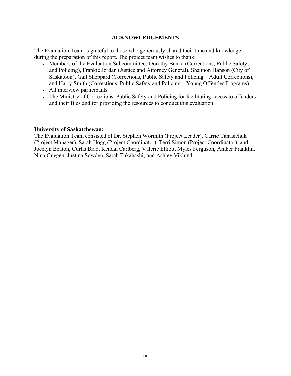#### **ACKNOWLEDGEMENTS**

The Evaluation Team is grateful to those who generously shared their time and knowledge during the preparation of this report. The project team wishes to thank:

- Members of the Evaluation Subcommittee: Dorothy Banka (Corrections, Public Safety and Policing), Frankie Jordan (Justice and Attorney General), Shannon Hanson (City of Saskatoon), Gail Sheppard (Corrections, Public Safety and Policing – Adult Corrections), and Harry Smith (Corrections, Public Safety and Policing – Young Offender Programs)
- All interview participants
- The Ministry of Corrections, Public Safety and Policing for facilitating access to offenders and their files and for providing the resources to conduct this evaluation.

#### **University of Saskatchewan:**

The Evaluation Team consisted of Dr. Stephen Wormith (Project Leader), Carrie Tanasichuk (Project Manager), Sarah Hogg (Project Coordinator), Terri Simon (Project Coordinator), and Jocelyn Beaton, Curtis Brad, Kendal Carlberg, Valerie Elliott, Myles Ferguson, Amber Franklin, Nina Guegen, Justina Sowden, Sarah Takahashi, and Ashley Viklund.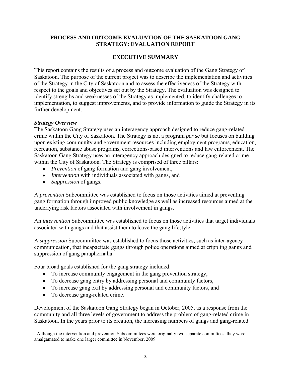### **PROCESS AND OUTCOME EVALUATION OF THE SASKATOON GANG STRATEGY: EVALUATION REPORT**

## **EXECUTIVE SUMMARY**

<span id="page-9-0"></span>This report contains the results of a process and outcome evaluation of the Gang Strategy of Saskatoon. The purpose of the current project was to describe the implementation and activities of the Strategy in the City of Saskatoon and to assess the effectiveness of the Strategy with respect to the goals and objectives set out by the Strategy. The evaluation was designed to identify strengths and weaknesses of the Strategy as implemented, to identify challenges to implementation, to suggest improvements, and to provide information to guide the Strategy in its further development.

#### *Strategy Overview*

The Saskatoon Gang Strategy uses an interagency approach designed to reduce gang-related crime within the City of Saskatoon. The Strategy is not a program *per se* but focuses on building upon existing community and government resources including employment programs, education, recreation, substance abuse programs, corrections-based interventions and law enforcement. The Saskatoon Gang Strategy uses an interagency approach designed to reduce gang-related crime within the City of Saskatoon. The Strategy is comprised of three pillars:

- *Prevention* of gang formation and gang involvement,
- *Intervention* with individuals associated with gangs, and
- *Suppression* of gangs.

A *prevention* Subcommittee was established to focus on those activities aimed at preventing gang formation through improved public knowledge as well as increased resources aimed at the underlying risk factors associated with involvement in gangs.

An *intervention* Subcommittee was established to focus on those activities that target individuals associated with gangs and that assist them to leave the gang lifestyle.

A *suppression* Subcommittee was established to focus those activities, such as inter-agency communication, that incapacitate gangs through police operations aimed at crippling gangs and suppression of gang paraphernalia.<sup>[1](#page-9-1)</sup>

Four broad goals established for the gang strategy included:

- To increase community engagement in the gang prevention strategy,
- To decrease gang entry by addressing personal and community factors,
- To increase gang exit by addressing personal and community factors, and
- To decrease gang-related crime.

 $\overline{a}$ 

Development of the Saskatoon Gang Strategy began in October, 2005, as a response from the community and all three levels of government to address the problem of gang-related crime in Saskatoon. In the years prior to its creation, the increasing numbers of gangs and gang-related

<span id="page-9-1"></span><sup>&</sup>lt;sup>1</sup> Although the intervention and prevention Subcommittees were originally two separate committees, they were amalgamated to make one larger committee in November, 2009.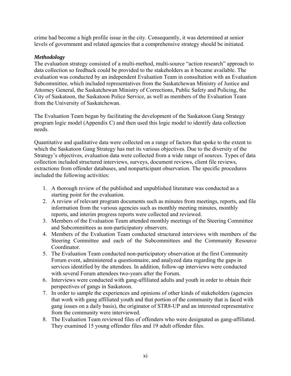crime had become a high profile issue in the city. Consequently, it was determined at senior levels of government and related agencies that a comprehensive strategy should be initiated.

### *Methodology*

The evaluation strategy consisted of a multi-method, multi-source "action research" approach to data collection so feedback could be provided to the stakeholders as it became available. The evaluation was conducted by an independent Evaluation Team in consultation with an Evaluation Subcommittee, which included representatives from the Saskatchewan Ministry of Justice and Attorney General, the Saskatchewan Ministry of Corrections, Public Safety and Policing, the City of Saskatoon, the Saskatoon Police Service, as well as members of the Evaluation Team from the University of Saskatchewan.

The Evaluation Team began by facilitating the development of the Saskatoon Gang Strategy program logic model (Appendix C) and then used this logic model to identify data collection needs.

Quantitative and qualitative data were collected on a range of factors that spoke to the extent to which the Saskatoon Gang Strategy has met its various objectives. Due to the diversity of the Strategy's objectives, evaluation data were collected from a wide range of sources. Types of data collection included structured interviews, surveys, document reviews, client file reviews, extractions from offender databases, and nonparticipant observation. The specific procedures included the following activities:

- 1. A thorough review of the published and unpublished literature was conducted as a starting point for the evaluation.
- 2. A review of relevant program documents such as minutes from meetings, reports, and file information from the various agencies such as monthly meeting minutes, monthly reports, and interim progress reports were collected and reviewed.
- 3. Members of the Evaluation Team attended monthly meetings of the Steering Committee and Subcommittees as non-participatory observers.
- 4. Members of the Evaluation Team conducted structured interviews with members of the Steering Committee and each of the Subcommittees and the Community Resource Coordinator.
- 5. The Evaluation Team conducted non-participatory observation at the first Community Forum event, administered a questionnaire, and analyzed data regarding the gaps in services identified by the attendees. In addition, follow-up interviews were conducted with several Forum attendees two-years after the Forum.
- 6. Interviews were conducted with gang-affiliated adults and youth in order to obtain their perspectives of gangs in Saskatoon.
- 7. In order to sample the experiences and opinions of other kinds of stakeholders (agencies that work with gang affiliated youth and that portion of the community that is faced with gang issues on a daily basis), the originator of STR8-UP and an interested representative from the community were interviewed.
- 8. The Evaluation Team reviewed files of offenders who were designated as gang-affiliated. They examined 15 young offender files and 19 adult offender files.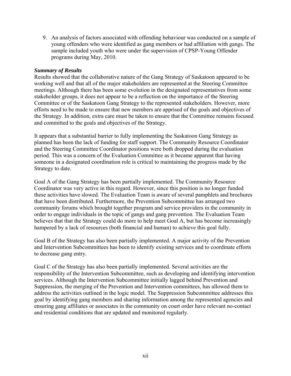9. An analysis of factors associated with offending behaviour was conducted on a sample of young offenders who were identified as gang members or had affiliation with gangs. The sample included youth who were under the supervision of CPSP-Young Offender programs during May, 2010.

#### *Summary of Results*

Results showed that the collaborative nature of the Gang Strategy of Saskatoon appeared to be working well and that all of the major stakeholders are represented at the Steering Committee meetings. Although there has been some evolution in the designated representatives from some stakeholder groups, it does not appear to be a reflection on the importance of the Steering Committee or of the Saskatoon Gang Strategy to the represented stakeholders. However, more efforts need to be made to ensure that new members are apprised of the goals and objectives of the Strategy. In addition, extra care must be taken to ensure that the Committee remains focused and committed to the goals and objectives of the Strategy.

It appears that a substantial barrier to fully implementing the Saskatoon Gang Strategy as planned has been the lack of funding for staff support. The Community Resource Coordinator and the Steering Committee Coordinator positions were both dropped during the evaluation period. This was a concern of the Evaluation Committee as it became apparent that having someone in a designated coordination role is critical to maintaining the progress made by the Strategy to date.

Goal A of the Gang Strategy has been partially implemented. The Community Resource Coordinator was very active in this regard. However, since this position is no longer funded these activities have slowed. The Evaluation Team is aware of several pamphlets and brochures that have been distributed. Furthermore, the Prevention Subcommittee has arranged two community forums which brought together program and service providers in the community in order to engage individuals in the topic of gangs and gang prevention. The Evaluation Team believes that that the Strategy could do more to help meet Goal A, but has become increasingly hampered by a lack of resources (both financial and human) to achieve this goal fully.

Goal B of the Strategy has also been partially implemented. A major activity of the Prevention and Intervention Subcommittees has been to identify existing services and to coordinate efforts to decrease gang entry.

Goal C of the Strategy has also been partially implemented. Several activities are the responsibility of the Intervention Subcommittee, such as developing and identifying intervention services. Although the Intervention Subcommittee initially lagged behind Prevention and Suppression, the merging of the Prevention and Intervention committees, has allowed them to address the activities outlined in the logic model. The Suppression Subcommittee addresses this goal by identifying gang members and sharing information among the represented agencies and ensuring gang affiliates or associates in the community on court order have relevant no-contact and residential conditions that are updated and monitored regularly.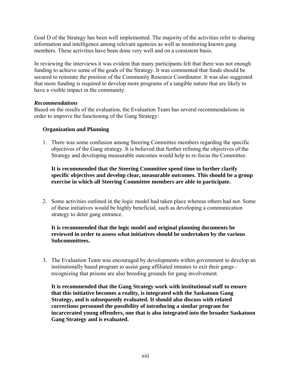Goal D of the Strategy has been well implemented. The majority of the activities refer to sharing information and intelligence among relevant agencies as well as monitoring known gang members. These activities have been done very well and on a consistent basis.

In reviewing the interviews it was evident that many participants felt that there was not enough funding to achieve some of the goals of the Strategy. It was commented that funds should be secured to reinstate the position of the Community Resource Coordinator. It was also suggested that more funding is required to develop more programs of a tangible nature that are likely to have a visible impact in the community.

#### *Recommendations*

Based on the results of the evaluation, the Evaluation Team has several recommendations in order to improve the functioning of the Gang Strategy:

### **Organization and Planning**

1. There was some confusion among Steering Committee members regarding the specific objectives of the Gang strategy. It is believed that further refining the objectives of the Strategy and developing measurable outcomes would help to re-focus the Committee.

## **It is recommended that the Steering Committee spend time to further clarify specific objectives and develop clear, measurable outcomes. This should be a group exercise in which all Steering Committee members are able to participate.**

2. Some activities outlined in the logic model had taken place whereas others had not. Some of these initiatives would be highly beneficial, such as developing a communication strategy to deter gang entrance.

## **It is recommended that the logic model and original planning documents be reviewed in order to assess what initiatives should be undertaken by the various Subcommittees.**

3. The Evaluation Team was encouraged by developments within government to develop an institutionally based program to assist gang affiliated inmates to exit their gangs recognizing that prisons are also breeding grounds for gang involvement.

**It is recommended that the Gang Strategy work with institutional staff to ensure that this initiative becomes a reality, is integrated with the Saskatoon Gang Strategy, and is subsequently evaluated. It should also discuss with related corrections personnel the possibility of introducing a similar program for incarcerated young offenders, one that is also integrated into the broader Saskatoon Gang Strategy and is evaluated.**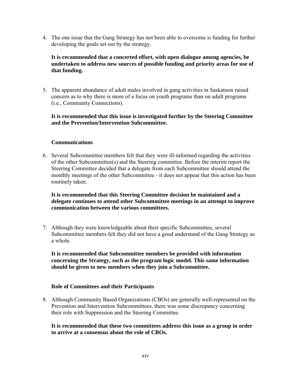4. The one issue that the Gang Strategy has not been able to overcome is funding for further developing the goals set out by the strategy.

**It is recommended that a concerted effort, with open dialogue among agencies, be undertaken to address new sources of possible funding and priority areas for use of that funding.** 

5. The apparent abundance of adult males involved in gang activities in Saskatoon raised concern as to why there is more of a focus on youth programs than on adult programs (i.e., Community Connections).

#### **It is recommended that this issue is investigated further by the Steering Committee and the Prevention/Intervention Subcommittee.**

#### **Communications**

6. Several Subcommittee members felt that they were ill-informed regarding the activities of the other Subcommittee(s) and the Steering committee. Before the interim report the Steering Committee decided that a delegate from each Subcommittee should attend the monthly meetings of the other Subcommittee - it does not appear that this action has been routinely taken.

**It is recommended that this Steering Committee decision be maintained and a delegate continues to attend other Subcommittee meetings in an attempt to improve communication between the various committees.** 

7. Although they were knowledgeable about their specific Subcommittee, several Subcommittee members felt they did not have a good understand of the Gang Strategy as a whole.

**It is recommended that Subcommittee members be provided with information concerning the Strategy, such as the program logic model. This same information should be given to new members when they join a Subcommittee.** 

### **Role of Committees and their Participants**

8. Although Community Based Organizations (CBOs) are generally well-represented on the Prevention and Intervention Subcommittees, there was some discrepancy concerning their role with Suppression and the Steering Committee.

**It is recommended that these two committees address this issue as a group in order to arrive at a consensus about the role of CBOs.**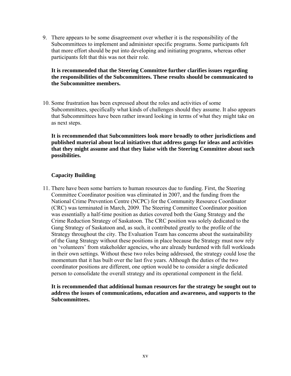9. There appears to be some disagreement over whether it is the responsibility of the Subcommittees to implement and administer specific programs. Some participants felt that more effort should be put into developing and initiating programs, whereas other participants felt that this was not their role.

### **It is recommended that the Steering Committee further clarifies issues regarding the responsibilities of the Subcommittees. These results should be communicated to the Subcommittee members.**

10. Some frustration has been expressed about the roles and activities of some Subcommittees, specifically what kinds of challenges should they assume. It also appears that Subcommittees have been rather inward looking in terms of what they might take on as next steps.

**It is recommended that Subcommittees look more broadly to other jurisdictions and published material about local initiatives that address gangs for ideas and activities that they might assume and that they liaise with the Steering Committee about such possibilities.** 

## **Capacity Building**

11. There have been some barriers to human resources due to funding. First, the Steering Committee Coordinator position was eliminated in 2007, and the funding from the National Crime Prevention Centre (NCPC) for the Community Resource Coordinator (CRC) was terminated in March, 2009. The Steering Committee Coordinator position was essentially a half-time position as duties covered both the Gang Strategy and the Crime Reduction Strategy of Saskatoon. The CRC position was solely dedicated to the Gang Strategy of Saskatoon and, as such, it contributed greatly to the profile of the Strategy throughout the city. The Evaluation Team has concerns about the sustainability of the Gang Strategy without these positions in place because the Strategy must now rely on 'volunteers' from stakeholder agencies, who are already burdened with full workloads in their own settings. Without these two roles being addressed, the strategy could lose the momentum that it has built over the last five years. Although the duties of the two coordinator positions are different, one option would be to consider a single dedicated person to consolidate the overall strategy and its operational component in the field.

**It is recommended that additional human resources for the strategy be sought out to address the issues of communications, education and awareness, and supports to the Subcommittees.**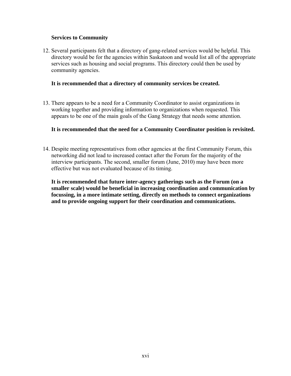### **Services to Community**

12. Several participants felt that a directory of gang-related services would be helpful. This directory would be for the agencies within Saskatoon and would list all of the appropriate services such as housing and social programs. This directory could then be used by community agencies.

#### **It is recommended that a directory of community services be created.**

13. There appears to be a need for a Community Coordinator to assist organizations in working together and providing information to organizations when requested. This appears to be one of the main goals of the Gang Strategy that needs some attention.

#### **It is recommended that the need for a Community Coordinator position is revisited.**

14. Despite meeting representatives from other agencies at the first Community Forum, this networking did not lead to increased contact after the Forum for the majority of the interview participants. The second, smaller forum (June, 2010) may have been more effective but was not evaluated because of its timing.

**It is recommended that future inter-agency gatherings such as the Forum (on a smaller scale) would be beneficial in increasing coordination and communication by focussing, in a more intimate setting, directly on methods to connect organizations and to provide ongoing support for their coordination and communications.**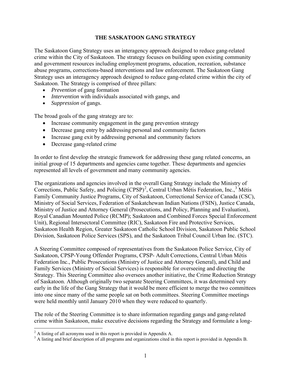### **THE SASKATOON GANG STRATEGY**

<span id="page-16-0"></span>The Saskatoon Gang Strategy uses an interagency approach designed to reduce gang-related crime within the City of Saskatoon. The strategy focuses on building upon existing community and government resources including employment programs, education, recreation, substance abuse programs, corrections-based interventions and law enforcement. The Saskatoon Gang Strategy uses an interagency approach designed to reduce gang-related crime within the city of Saskatoon. The Strategy is comprised of three pillars:

- *Prevention* of gang formation
- *Intervention* with individuals associated with gangs, and
- *Suppression* of gangs.

The broad goals of the gang strategy are to:

- Increase community engagement in the gang prevention strategy
- Decrease gang entry by addressing personal and community factors
- Increase gang exit by addressing personal and community factors
- Decrease gang-related crime

In order to first develop the strategic framework for addressing these gang related concerns, an initial group of 15 departments and agencies came together. These departments and agencies represented all levels of government and many community agencies.

The organizations and agencies involved in the overall Gang Strategy include the Ministry of Corrections, Public Safety, and Policing  $(CPSP)^2$  $(CPSP)^2$ , Central Urban Métis Federation, Inc.,<sup>[3](#page-16-2)</sup> Métis Family Community Justice Programs, City of Saskatoon, Correctional Service of Canada (CSC), Ministry of Social Services, Federation of Saskatchewan Indian Nations (FSIN), Justice Canada, Ministry of Justice and Attorney General (Prosecutions, and Policy, Planning and Evaluation), Royal Canadian Mounted Police (RCMP); Saskatoon and Combined Forces Special Enforcement Unit), Regional Intersectoral Committee (RIC), Saskatoon Fire and Protective Services, Saskatoon Health Region, Greater Saskatoon Catholic School Division, Saskatoon Public School Division, Saskatoon Police Services (SPS), and the Saskatoon Tribal Council Urban Inc. (STC).

A Steering Committee composed of representatives from the Saskatoon Police Service, City of Saskatoon, CPSP-Young Offender Programs, CPSP- Adult Corrections, Central Urban Métis Federation Inc., Public Prosecutions (Ministry of Justice and Attorney General), and Child and Family Services (Ministry of Social Services) is responsible for overseeing and directing the Strategy. This Steering Committee also oversees another initiative, the Crime Reduction Strategy of Saskatoon. Although originally two separate Steering Committees, it was determined very early in the life of the Gang Strategy that it would be more efficient to merge the two committees into one since many of the same people sat on both committees. Steering Committee meetings were held monthly until January 2010 when they were reduced to quarterly.

The role of the Steering Committee is to share information regarding gangs and gang-related crime within Saskatoon, make executive decisions regarding the Strategy and formulate a long-

<sup>&</sup>lt;sup>2</sup> A listing of all acronyms used in this report is provided in Appendix A.

<span id="page-16-2"></span><span id="page-16-1"></span><sup>&</sup>lt;sup>3</sup> A listing and brief description of all programs and organizations cited in this report is provided in Appendix B.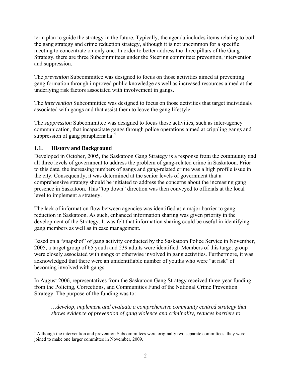term plan to guide the strategy in the future. Typically, the agenda includes items relating to both the gang strategy and crime reduction strategy, although it is not uncommon for a specific meeting to concentrate on only one. In order to better address the three pillars of the Gang Strategy, there are three Subcommittees under the Steering committee: prevention, intervention and suppression.

The *prevention* Subcommittee was designed to focus on those activities aimed at preventing gang formation through improved public knowledge as well as increased resources aimed at the underlying risk factors associated with involvement in gangs.

The *intervention* Subcommittee was designed to focus on those activities that target individuals associated with gangs and that assist them to leave the gang lifestyle.

The *suppression* Subcommittee was designed to focus those activities, such as inter-agency communication, that incapacitate gangs through police operations aimed at crippling gangs and suppression of gang paraphernalia.<sup>[4](#page-17-1)</sup>

## <span id="page-17-0"></span>**1.1. History and Background**

1

Developed in October, 2005, the Saskatoon Gang Strategy is a response from the community and all three levels of government to address the problem of gang-related crime in Saskatoon. Prior to this date, the increasing numbers of gangs and gang-related crime was a high profile issue in the city. Consequently, it was determined at the senior levels of government that a comprehensive strategy should be initiated to address the concerns about the increasing gang presence in Saskatoon. This "top down" direction was then conveyed to officials at the local level to implement a strategy.

The lack of information flow between agencies was identified as a major barrier to gang reduction in Saskatoon. As such, enhanced information sharing was given priority in the development of the Strategy. It was felt that information sharing could be useful in identifying gang members as well as in case management.

Based on a "snapshot" of gang activity conducted by the Saskatoon Police Service in November, 2005, a target group of 65 youth and 239 adults were identified. Members of this target group were closely associated with gangs or otherwise involved in gang activities. Furthermore, it was acknowledged that there were an unidentifiable number of youths who were "at risk" of becoming involved with gangs.

In August 2006, representatives from the Saskatoon Gang Strategy received three-year funding from the Policing, Corrections, and Communities Fund of the National Crime Prevention Strategy. The purpose of the funding was to:

*…develop, implement and evaluate a comprehensive community centred strategy that shows evidence of prevention of gang violence and criminality, reduces barriers to* 

<span id="page-17-1"></span><sup>&</sup>lt;sup>4</sup> Although the intervention and prevention Subcommittees were originally two separate committees, they were joined to make one larger committee in November, 2009.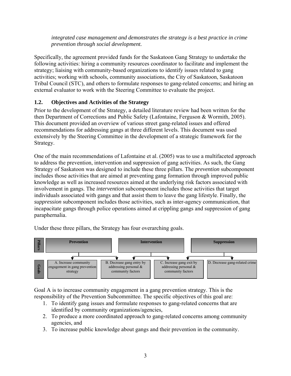*integrated case management and demonstrates the strategy is a best practice in crime prevention through social development.* 

Specifically, the agreement provided funds for the Saskatoon Gang Strategy to undertake the following activities: hiring a community resources coordinator to facilitate and implement the strategy; liaising with community-based organizations to identify issues related to gang activities; working with schools, community associations, the City of Saskatoon, Saskatoon Tribal Council (STC), and others to formulate responses to gang-related concerns; and hiring an external evaluator to work with the Steering Committee to evaluate the project.

# <span id="page-18-0"></span>**1.2. Objectives and Activities of the Strategy**

Prior to the development of the Strategy, a detailed literature review had been written for the then Department of Corrections and Public Safety (Lafontaine, Ferguson & Wormith, 2005). This document provided an overview of various street gang-related issues and offered recommendations for addressing gangs at three different levels. This document was used extensively by the Steering Committee in the development of a strategic framework for the Strategy.

One of the main recommendations of Lafontaine et al. (2005) was to use a multifaceted approach to address the prevention, intervention and suppression of gang activities. As such, the Gang Strategy of Saskatoon was designed to include these three pillars. The *prevention* subcomponent includes those activities that are aimed at preventing gang formation through improved public knowledge as well as increased resources aimed at the underlying risk factors associated with involvement in gangs. The *intervention* subcomponent includes those activities that target individuals associated with gangs and that assist them to leave the gang lifestyle. Finally, the *suppression* subcomponent includes those activities, such as inter-agency communication, that incapacitate gangs through police operations aimed at crippling gangs and suppression of gang paraphernalia.

Under these three pillars, the Strategy has four overarching goals.



Goal A is to increase community engagement in a gang prevention strategy. This is the responsibility of the Prevention Subcommittee. The specific objectives of this goal are:

- 1. To identify gang issues and formulate responses to gang-related concerns that are identified by community organizations/agencies,
- 2. To produce a more coordinated approach to gang-related concerns among community agencies, and
- 3. To increase public knowledge about gangs and their prevention in the community.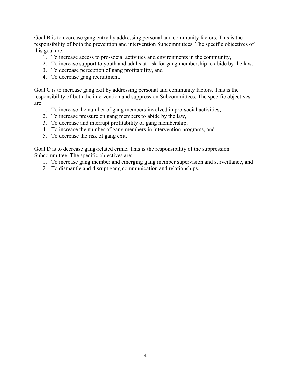Goal B is to decrease gang entry by addressing personal and community factors. This is the responsibility of both the prevention and intervention Subcommittees. The specific objectives of this goal are:

- 1. To increase access to pro-social activities and environments in the community,
- 2. To increase support to youth and adults at risk for gang membership to abide by the law,
- 3. To decrease perception of gang profitability, and
- 4. To decrease gang recruitment.

Goal C is to increase gang exit by addressing personal and community factors. This is the responsibility of both the intervention and suppression Subcommittees. The specific objectives are:

- 1. To increase the number of gang members involved in pro-social activities,
- 2. To increase pressure on gang members to abide by the law,
- 3. To decrease and interrupt profitability of gang membership,
- 4. To increase the number of gang members in intervention programs, and
- 5. To decrease the risk of gang exit.

Goal D is to decrease gang-related crime. This is the responsibility of the suppression Subcommittee. The specific objectives are:

- 1. To increase gang member and emerging gang member supervision and surveillance, and
- 2. To dismantle and disrupt gang communication and relationships.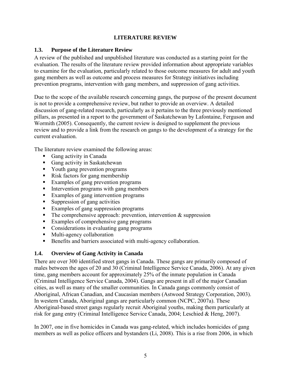### **LITERATURE REVIEW**

#### <span id="page-20-1"></span><span id="page-20-0"></span>**1.3. Purpose of the Literature Review**

A review of the published and unpublished literature was conducted as a starting point for the evaluation. The results of the literature review provided information about appropriate variables to examine for the evaluation, particularly related to those outcome measures for adult and youth gang members as well as outcome and process measures for Strategy initiatives including prevention programs, intervention with gang members, and suppression of gang activities.

Due to the scope of the available research concerning gangs, the purpose of the present document is not to provide a comprehensive review, but rather to provide an overview. A detailed discussion of gang-related research, particularly as it pertains to the three previously mentioned pillars, as presented in a report to the government of Saskatchewan by Lafontaine, Ferguson and Wormith (2005). Consequently, the current review is designed to supplement the previous review and to provide a link from the research on gangs to the development of a strategy for the current evaluation.

The literature review examined the following areas:

- Gang activity in Canada
- Gang activity in Saskatchewan
- Youth gang prevention programs
- Risk factors for gang membership
- Examples of gang prevention programs
- Intervention programs with gang members
- Examples of gang intervention programs
- Suppression of gang activities
- Examples of gang suppression programs
- $\blacksquare$  The comprehensive approach: prevention, intervention & suppression
- Examples of comprehensive gang programs
- Considerations in evaluating gang programs
- **Multi-agency collaboration**
- Benefits and barriers associated with multi-agency collaboration.

### <span id="page-20-2"></span>**1.4. Overview of Gang Activity in Canada**

There are over 300 identified street gangs in Canada. These gangs are primarily composed of males between the ages of 20 and 30 (Criminal Intelligence Service Canada, 2006). At any given time, gang members account for approximately 25% of the inmate population in Canada (Criminal Intelligence Service Canada, 2004). Gangs are present in all of the major Canadian cities, as well as many of the smaller communities. In Canada gangs commonly consist of Aboriginal, African Canadian, and Caucasian members (Astwood Strategy Corporation, 2003). In western Canada, Aboriginal gangs are particularly common (NCPC, 2007a). These Aboriginal-based street gangs regularly recruit Aboriginal youths, making them particularly at risk for gang entry (Criminal Intelligence Service Canada, 2004; Leschied & Heng, 2007).

In 2007, one in five homicides in Canada was gang-related, which includes homicides of gang members as well as police officers and bystanders (Li, 2008). This is a rise from 2006, in which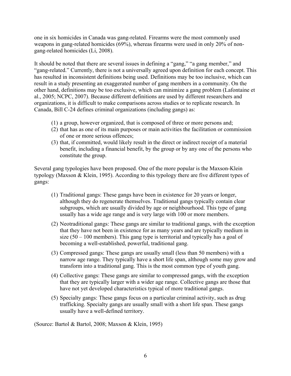one in six homicides in Canada was gang-related. Firearms were the most commonly used weapons in gang-related homicides (69%), whereas firearms were used in only 20% of nongang-related homicides (Li, 2008).

It should be noted that there are several issues in defining a "gang," "a gang member," and "gang-related." Currently, there is not a universally agreed upon definition for each concept. This has resulted in inconsistent definitions being used. Definitions may be too inclusive, which can result in a study presenting an exaggerated number of gang members in a community. On the other hand, definitions may be too exclusive, which can minimize a gang problem (Lafontaine et al., 2005; NCPC, 2007). Because different definitions are used by different researchers and organizations, it is difficult to make comparisons across studies or to replicate research. In Canada, Bill C-24 defines criminal organizations (including gangs) as:

- (1) a group, however organized, that is composed of three or more persons and;
- (2) that has as one of its main purposes or main activities the facilitation or commission of one or more serious offences;
- (3) that, if committed, would likely result in the direct or indirect receipt of a material benefit, including a financial benefit, by the group or by any one of the persons who constitute the group.

Several gang typologies have been proposed. One of the more popular is the Maxson-Klein typology (Maxson & Klein, 1995). According to this typology there are five different types of gangs:

- (1) Traditional gangs: These gangs have been in existence for 20 years or longer, although they do regenerate themselves. Traditional gangs typically contain clear subgroups, which are usually divided by age or neighbourhood. This type of gang usually has a wide age range and is very large with 100 or more members.
- (2) Neotraditional gangs: These gangs are similar to traditional gangs, with the exception that they have not been in existence for as many years and are typically medium in size  $(50 - 100$  members). This gang type is territorial and typically has a goal of becoming a well-established, powerful, traditional gang.
- (3) Compressed gangs: These gangs are usually small (less than 50 members) with a narrow age range. They typically have a short life span, although some may grow and transform into a traditional gang. This is the most common type of youth gang.
- (4) Collective gangs: These gangs are similar to compressed gangs, with the exception that they are typically larger with a wider age range. Collective gangs are those that have not yet developed characteristics typical of more traditional gangs.
- (5) Specialty gangs: These gangs focus on a particular criminal activity, such as drug trafficking. Specialty gangs are usually small with a short life span. These gangs usually have a well-defined territory.

(Source: Bartol & Bartol, 2008; Maxson & Klein, 1995)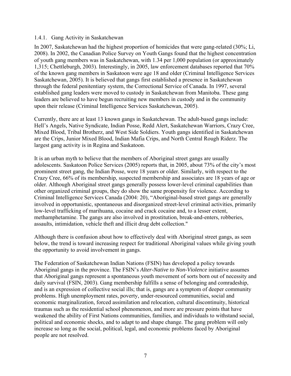#### <span id="page-22-0"></span>1.4.1. Gang Activity in Saskatchewan

In 2007, Saskatchewan had the highest proportion of homicides that were gang-related (30%; Li, 2008). In 2002, the Canadian Police Survey on Youth Gangs found that the highest concentration of youth gang members was in Saskatchewan, with 1.34 per 1,000 population (or approximately 1,315; Chettleburgh, 2003). Interestingly, in 2005, law enforcement databases reported that 70% of the known gang members in Saskatoon were age 18 and older (Criminal Intelligence Services Saskatchewan, 2005). It is believed that gangs first established a presence in Saskatchewan through the federal penitentiary system, the Correctional Service of Canada. In 1997, several established gang leaders were moved to custody in Saskatchewan from Manitoba. These gang leaders are believed to have begun recruiting new members in custody and in the community upon their release (Criminal Intelligence Services Saskatchewan, 2005).

Currently, there are at least 13 known gangs in Saskatchewan. The adult-based gangs include: Hell's Angels, Native Syndicate, Indian Posse, Redd Alert, Saskatchewan Warriors, Crazy Cree, Mixed Blood, Tribal Brotherz, and West Side Soldiers. Youth gangs identified in Saskatchewan are the Crips, Junior Mixed Blood, Indian Mafia Crips, and North Central Rough Riderz. The largest gang activity is in Regina and Saskatoon.

It is an urban myth to believe that the members of Aboriginal street gangs are usually adolescents. Saskatoon Police Services (2005) reports that, in 2005, about 73% of the city's most prominent street gang, the Indian Posse, were 18 years or older. Similarly, with respect to the Crazy Cree, 66% of its membership, suspected membership and associates are 18 years of age or older. Although Aboriginal street gangs generally possess lower-level criminal capabilities than other organized criminal groups, they do show the same propensity for violence. According to Criminal Intelligence Services Canada (2004: 20), "Aboriginal-based street gangs are generally involved in opportunistic, spontaneous and disorganized street-level criminal activities, primarily low-level trafficking of marihuana, cocaine and crack cocaine and, to a lesser extent, methamphetamine. The gangs are also involved in prostitution, break-and-enters, robberies, assaults, intimidation, vehicle theft and illicit drug debt collection."

Although there is confusion about how to effectively deal with Aboriginal street gangs, as seen below, the trend is toward increasing respect for traditional Aboriginal values while giving youth the opportunity to avoid involvement in gangs.

The Federation of Saskatchewan Indian Nations (FSIN) has developed a policy towards Aboriginal gangs in the province. The FSIN's *Alter-Native to Non-Violence* initiative assumes that Aboriginal gangs represent a spontaneous youth movement of sorts born out of necessity and daily survival (FSIN, 2003). Gang membership fulfills a sense of belonging and comradeship, and is an expression of collective social ills; that is, gangs are a symptom of deeper community problems. High unemployment rates, poverty, under-resourced communities, social and economic marginalization, forced assimilation and relocation, cultural discontinuity, historical traumas such as the residential school phenomenon, and more are pressure points that have weakened the ability of First Nations communities, families, and individuals to withstand social, political and economic shocks, and to adapt to and shape change. The gang problem will only increase so long as the social, political, legal, and economic problems faced by Aboriginal people are not resolved.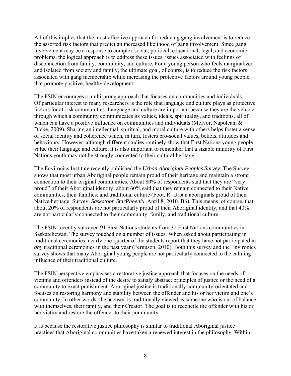All of this implies that the most effective approach for reducing gang involvement is to reduce the assorted risk factors that predict an increased likelihood of gang involvement. Since gang involvement may be a response to complex social, political, educational, legal, and economic problems, the logical approach is to address these issues, issues associated with feelings of disconnection from family, community, and culture. For a young person who feels marginalized and isolated from society and family, the ultimate goal, of course, is to reduce the risk factors associated with gang membership while increasing the protective factors around young people that promote positive, healthy development.

The FSIN encourages a multi-prong approach that focuses on communities and individuals. Of particular interest to many researchers is the role that language and culture plays as protective factors for at-risk communities. Language and culture are important because they are the vehicle through which a community communicates its values, ideals, spirituality, and traditions, all of which can have a positive influence on communities and individuals (McIvor, Napolean, & Dicke, 2009). Sharing an intellectual, spiritual, and moral culture with others helps foster a sense of social identity and coherence which, in turn, fosters pro-social values, beliefs, attitudes and behaviours. However, although different studies routinely show that First Nations young people value their language and culture, it is also important to remember that a sizable minority of First Nations youth may not be strongly connected to their cultural heritage.

The Environics Institute recently published the *Urban Aboriginal Peoples Survey*. The Survey shows that most urban Aboriginal people remain proud of their heritage and maintain a strong connection to their original communities. About 80% of respondents said that they are "very proud" of their Aboriginal identity; about 60% said that they remain connected to their Native communities, their families, and traditional culture (Foot, R. Urban aboriginals proud of their Native heritage: Survey. *Saskatoon StarPhoenix*. April 8, 2010. B6). This means, of course, that about 20% of respondents are not particularly proud of their Aboriginal identity, and that 40% are not particularly connected to their community, family, and traditional culture.

The FSIN recently surveyed 91 First Nations students from 31 First Nations communities in Saskatchewan. The survey touched on a number of issues. When asked about participating in traditional ceremonies, nearly one-quarter of the students report that they have not participated in *any* traditional ceremonies in the past year (Ferguson, 2010). Both this survey and the Environics survey shows that many Aboriginal young people are not particularly connected to the calming influence of their traditional culture.

The FSIN perspective emphasises a restorative justice approach that focuses on the needs of victims and offenders instead of the desire to satisfy abstract principles of justice or the need of a community to exact punishment. Aboriginal justice is traditionally community-orientated and focuses on restoring harmony and stability between the offender and his or her victim and one's community. In other words, the accused is traditionally viewed as someone who is out of balance with themselves, their family, and their Creator. The goal is to reconcile the offender with his or her victim and restore the offender to their community.

It is because the restorative justice philosophy is similar to traditional Aboriginal justice practices that Aboriginal communities have taken a renewed interest in the philosophy. Within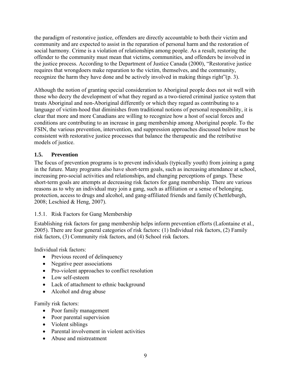the paradigm of restorative justice, offenders are directly accountable to both their victim and community and are expected to assist in the reparation of personal harm and the restoration of social harmony. Crime is a violation of relationships among people. As a result, restoring the offender to the community must mean that victims, communities, and offenders be involved in the justice process. According to the Department of Justice Canada (2000), "Restorative justice requires that wrongdoers make reparation to the victim, themselves, and the community, recognize the harm they have done and be actively involved in making things right"(p. 3).

Although the notion of granting special consideration to Aboriginal people does not sit well with those who decry the development of what they regard as a two-tiered criminal justice system that treats Aboriginal and non-Aboriginal differently or which they regard as contributing to a language of victim-hood that diminishes from traditional notions of personal responsibility, it is clear that more and more Canadians are willing to recognize how a host of social forces and conditions are contributing to an increase in gang membership among Aboriginal people. To the FSIN, the various prevention, intervention, and suppression approaches discussed below must be consistent with restorative justice processes that balance the therapeutic and the retributive models of justice.

## <span id="page-24-0"></span>**1.5. Prevention**

The focus of prevention programs is to prevent individuals (typically youth) from joining a gang in the future. Many programs also have short-term goals, such as increasing attendance at school, increasing pro-social activities and relationships, and changing perceptions of gangs. These short-term goals are attempts at decreasing risk factors for gang membership. There are various reasons as to why an individual may join a gang, such as affiliation or a sense of belonging, protection, access to drugs and alcohol, and gang-affiliated friends and family (Chettleburgh, 2008; Leschied & Heng, 2007).

# <span id="page-24-1"></span>1.5.1. Risk Factors for Gang Membership

Establishing risk factors for gang membership helps inform prevention efforts (Lafontaine et al., 2005). There are four general categories of risk factors: (1) Individual risk factors, (2) Family risk factors, (3) Community risk factors, and (4) School risk factors.

Individual risk factors:

- Previous record of delinquency
- Negative peer associations
- Pro-violent approaches to conflict resolution
- Low self-esteem
- Lack of attachment to ethnic background
- Alcohol and drug abuse

Family risk factors:

- Poor family management
- Poor parental supervision
- Violent siblings
- Parental involvement in violent activities
- Abuse and mistreatment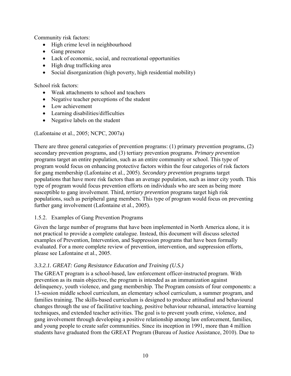Community risk factors:

- High crime level in neighbourhood
- Gang presence
- Lack of economic, social, and recreational opportunities
- High drug trafficking area
- Social disorganization (high poverty, high residential mobility)

School risk factors:

- Weak attachments to school and teachers
- Negative teacher perceptions of the student
- Low achievement
- Learning disabilities/difficulties
- Negative labels on the student

(Lafontaine et al., 2005; NCPC, 2007a)

There are three general categories of prevention programs: (1) primary prevention programs, (2) secondary prevention programs, and (3) tertiary prevention programs. *Primary prevention* programs target an entire population, such as an entire community or school. This type of program would focus on enhancing protective factors within the four categories of risk factors for gang membership (Lafontaine et al., 2005). *Secondary prevention* programs target populations that have more risk factors than an average population, such as inner city youth. This type of program would focus prevention efforts on individuals who are seen as being more susceptible to gang involvement. Third, *tertiary prevention* programs target high risk populations, such as peripheral gang members. This type of program would focus on preventing further gang involvement (Lafontaine et al., 2005).

### <span id="page-25-0"></span>1.5.2. Examples of Gang Prevention Programs

Given the large number of programs that have been implemented in North America alone, it is not practical to provide a complete catalogue. Instead, this document will discuss selected examples of Prevention, Intervention, and Suppression programs that have been formally evaluated. For a more complete review of prevention, intervention, and suppression efforts, please see Lafontaine et al., 2005.

### <span id="page-25-1"></span>*3.3.2.1. GREAT: Gang Resistance Education and Training (U.S.)*

The GREAT program is a school-based, law enforcement officer-instructed program. With prevention as its main objective, the program is intended as an immunization against delinquency, youth violence, and gang membership. The Program consists of four components: a 13-session [middle school curriculum,](http://www.great-online.org/Components/MiddleSchool.Aspx) an [elementary school curriculum,](http://www.great-online.org/Components/ElementarySchool.Aspx) a [summer program](http://www.great-online.org/Components/Summer.Aspx), and [families training](http://www.great-online.org/Components/Families.Aspx). The skills-based curriculum is designed to produce attitudinal and behavioural changes through the use of facilitative teaching, positive behaviour rehearsal, interactive learning techniques, and extended teacher activities. The goal is to prevent youth crime, violence, and gang involvement through developing a positive relationship among law enforcement, families, and young people to create safer communities. Since its inception in 1991, more than 4 million students have graduated from the GREAT Program (Bureau of Justice Assistance, 2010). Due to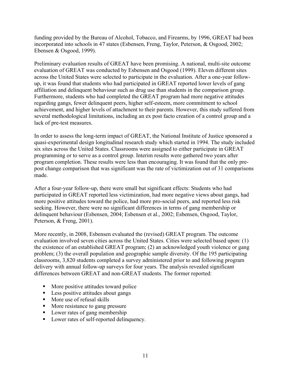funding provided by the Bureau of Alcohol, Tobacco, and Firearms, by 1996, GREAT had been incorporated into schools in 47 states (Esbensen, Freng, Taylor, Peterson, & Osgood, 2002; Ebensen & Osgood, 1999).

Preliminary evaluation results of GREAT have been promising. A national, multi-site outcome evaluation of GREAT was conducted by Esbensen and Osgood (1999). Eleven different sites across the United States were selected to participate in the evaluation. After a one-year followup, it was found that students who had participated in GREAT reported lower levels of gang affiliation and delinquent behaviour such as drug use than students in the comparison group. Furthermore, students who had completed the GREAT program had more negative attitudes regarding gangs, fewer delinquent peers, higher self-esteem, more commitment to school achievement, and higher levels of attachment to their parents. However, this study suffered from several methodological limitations, including an ex post facto creation of a control group and a lack of pre-test measures.

In order to assess the long-term impact of GREAT, the National Institute of Justice sponsored a quasi-experimental design longitudinal research study which started in 1994. The study included six sites across the United States. Classrooms were assigned to either participate in GREAT programming or to serve as a control group. Interim results were gathered two years after program completion. These results were less than encouraging. It was found that the only prepost change comparison that was significant was the rate of victimization out of 31 comparisons made.

After a four-year follow-up, there were small but significant effects: Students who had participated in GREAT reported less victimization, had more negative views about gangs, had more positive attitudes toward the police, had more pro-social peers, and reported less risk seeking. However, there were no significant differences in terms of gang membership or delinquent behaviour (Esbensen, 2004; Esbensen et al., 2002; Esbensen, Osgood, Taylor, Peterson, & Freng, 2001).

More recently, in 2008, Esbensen evaluated the (revised) GREAT program. The outcome evaluation involved seven cities across the United States. Cities were selected based upon: (1) the existence of an established GREAT program; (2) an acknowledged youth violence or gang problem; (3) the overall population and geographic sample diversity. Of the 195 participating classrooms, 3,820 students completed a survey administered prior to and following program delivery with annual follow-up surveys for four years. The analysis revealed significant differences between GREAT and non-GREAT students. The former reported:

- More positive attitudes toward police
- Less positive attitudes about gangs
- More use of refusal skills
- More resistance to gang pressure
- Lower rates of gang membership
- Lower rates of self-reported delinquency.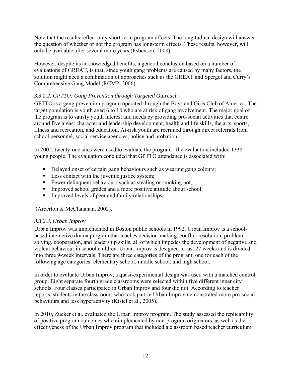Note that the results reflect only short-term program effects. The longitudinal design will answer the question of whether or not the program has long-term effects. These results, however, will only be available after several more years (Esbensen, 2008).

However, despite its acknowledged benefits, a general conclusion based on a number of evaluations of GREAT, is that, since youth gang problems are caused by many factors, the solution might need a combination of approaches such as the GREAT and Spergel and Curry's Comprehensive Gang Model (RCMP, 2006).

# <span id="page-27-0"></span>*3.3.2.2. GPTTO: Gang Prevention through Targeted Outreach*

GPTTO is a gang prevention program operated through the Boys and Girls Club of America. The target population is youth aged 6 to 18 who are at risk of gang involvement. The major goal of the program is to satisfy youth interest and needs by providing pro-social activities that centre around five areas: character and leadership development, health and life skills, the arts, sports, fitness and recreation, and education. At-risk youth are recruited through direct referrals from school personnel, social service agencies, police and probation.

In 2002, twenty-one sites were used to evaluate the program. The evaluation included 1338 young people. The evaluation concluded that GPTTO attendance is associated with:

- Delayed onset of certain gang behaviours such as wearing gang colours;
- Less contact with the juvenile justice system;
- Fewer delinquent behaviours such as stealing or smoking pot;
- Improved school grades and a more positive attitude about school;
- Improved levels of peer and family relationships.

(Arberton & McClanahan, 2002).

# <span id="page-27-1"></span>*3.3.2.3. Urban Improv*

Urban Improv was implemented in Boston public schools in 1992. Urban Improv is a schoolbased interactive drama program that teaches decision-making, conflict resolution, problem solving, cooperation, and leadership skills, all of which impedes the development of negative and violent behaviour in school children. Urban Improv is designed to last 27 weeks and is divided into three 9-week intervals. There are three categories of the program, one for each of the following age categories: elementary school, middle school, and high school.

In order to evaluate Urban Improv, a quasi-experimental design was used with a matched control group. Eight separate fourth grade classrooms were selected within five different inner city schools. Four classes participated in Urban Improv and four did not. According to teacher reports, students in the classrooms who took part in Urban Improv demonstrated more pro-social behaviours and less hyperactivity (Kisiel et al., 2005).

In 2010, Zucker et al. evaluated the Urban Improv program. The study assessed the replicability of positive program outcomes when implemented by non-program originators, as well as the effectiveness of the Urban Improv program that included a classroom based teacher curriculum.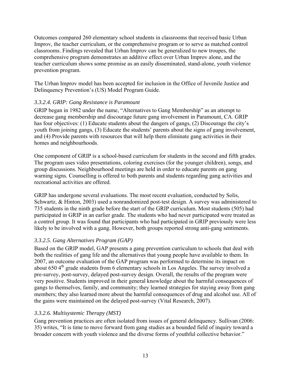Outcomes compared 260 elementary school students in classrooms that received basic Urban Improv, the teacher curriculum, or the comprehensive program or to serve as matched control classrooms. Findings revealed that Urban Improv can be generalized to new troupes, the comprehensive program demonstrates an additive effect over Urban Improv alone, and the teacher curriculum shows some promise as an easily disseminated, stand-alone, youth violence prevention program.

The Urban Improv model has been accepted for inclusion in the Office of Juvenile Justice and Delinquency Prevention's (US) Model Program Guide.

# <span id="page-28-0"></span>*3.3.2.4. GRIP: Gang Resistance is Paramount*

GRIP began in 1982 under the name, "Alternatives to Gang Membership" as an attempt to decrease gang membership and discourage future gang involvement in Paramount, CA. GRIP has four objectives: (1) Educate students about the dangers of gangs, (2) Discourage the city's youth from joining gangs, (3) Educate the students' parents about the signs of gang involvement, and (4) Provide parents with resources that will help them eliminate gang activities in their homes and neighbourhoods.

One component of GRIP is a school-based curriculum for students in the second and fifth grades. The program uses video presentations, coloring exercises (for the younger children), songs, and group discussions. Neighbourhood meetings are held in order to educate parents on gang warning signs. Counselling is offered to both parents and students regarding gang activities and recreational activities are offered.

GRIP has undergone several evaluations. The most recent evaluation, conducted by Solis, Schwartz, & Hinton, 2003) used a nonrandomized post-test design. A survey was administered to 735 students in the ninth grade before the start of the GRIP curriculum. Most students (505) had participated in GRIP in an earlier grade. The students who had never participated were treated as a control group. It was found that participants who had participated in GRIP previously were less likely to be involved with a gang. However, both groups reported strong anti-gang sentiments.

# <span id="page-28-1"></span>*3.3.2.5. Gang Alternatives Program (GAP)*

Based on the GRIP model, GAP presents a gang prevention curriculum to schools that deal with both the realities of gang life and the alternatives that young people have available to them. In 2007, an outcome evaluation of the GAP program was performed to determine its impact on about 650  $4<sup>th</sup>$  grade students from 6 elementary schools in Los Angeles. The survey involved a pre-survey, post-survey, delayed post-survey design. Overall, the results of the program were very positive. Students improved in their general knowledge about the harmful consequences of gangs to themselves, family, and community; they learned strategies for staying away from gang members; they also learned more about the harmful consequences of drug and alcohol use. All of the gains were maintained on the delayed post-survey (Vital Research, 2007).

# <span id="page-28-2"></span>*3.3.2.6. Multisystemic Therapy (MST)*

Gang prevention practices are often isolated from issues of general delinquency. Sullivan (2006: 35) writes, "It is time to move forward from gang studies as a bounded field of inquiry toward a broader concern with youth violence and the diverse forms of youthful collective behavior."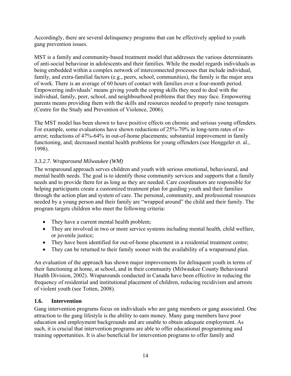Accordingly, there are several delinquency programs that can be effectively applied to youth gang prevention issues.

MST is a family and community-based treatment model that addresses the various determinants of anti-social behaviour in adolescents and their families. While the model regards individuals as being embedded within a complex network of interconnected processes that include individual, family, and extra-familial factors (e.g., peers, school, communities), the family is the major area of work. There is an average of 60 hours of contact with families over a four-month period. Empowering individuals' means giving youth the coping skills they need to deal with the individual, family, peer, school, and neighbourhood problems that they may face. Empowering parents means providing them with the skills and resources needed to properly raise teenagers (Centre for the Study and Prevention of Violence, 2006).

The MST model has been shown to have positive effects on chronic and serious young offenders. For example, some evaluations have shown reductions of 25%-70% in long-term rates of rearrest; reductions of 47%-64% in out-of-home placements; substantial improvement in family functioning, and; decreased mental health problems for young offenders (see Henggeler et. al., 1998).

# <span id="page-29-0"></span>*3.3.2.7. Wraparound Milwaukee (WM)*

The wraparound approach serves children and youth with serious emotional, behavioural, and mental health needs. The goal is to identify those community services and supports that a family needs and to provide them for as long as they are needed. Care coordinators are responsible for helping participants create a customized treatment plan for guiding youth and their families through the action plan and system of care. The personal, community, and professional resources needed by a young person and their family are "wrapped around" the child and their family. The program targets children who meet the following criteria:

- They have a current mental health problem;
- They are involved in two or more service systems including mental health, child welfare, or juvenile justice;
- They have been identified for out-of-home placement in a residential treatment centre;
- They can be returned to their family sooner with the availability of a wraparound plan.

An evaluation of the approach has shown major improvements for delinquent youth in terms of their functioning at home, at school, and in their community (Milwaukee County Behavioural Health Division, 2002). Wraparounds conducted in Canada have been effective in reducing the frequency of residential and institutional placement of children, reducing recidivism and arrests of violent youth (see Totten, 2008).

# <span id="page-29-1"></span>**1.6. Intervention**

Gang intervention programs focus on individuals who are gang members or gang associated. One attraction to the gang lifestyle is the ability to earn money. Many gang members have poor education and employment backgrounds and are unable to obtain adequate employment. As such, it is crucial that intervention programs are able to offer educational programming and training opportunities. It is also beneficial for intervention programs to offer family and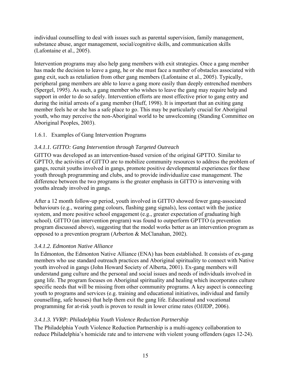individual counselling to deal with issues such as parental supervision, family management, substance abuse, anger management, social/cognitive skills, and communication skills (Lafontaine et al., 2005).

Intervention programs may also help gang members with exit strategies. Once a gang member has made the decision to leave a gang, he or she must face a number of obstacles associated with gang exit, such as retaliation from other gang members (Lafontaine et al., 2005). Typically, peripheral gang members are able to leave a gang more easily than deeply entrenched members (Spergel, 1995). As such, a gang member who wishes to leave the gang may require help and support in order to do so safely. Intervention efforts are most effective prior to gang entry and during the initial arrests of a gang member (Huff, 1998). It is important that an exiting gang member feels he or she has a safe place to go. This may be particularly crucial for Aboriginal youth, who may perceive the non-Aboriginal world to be unwelcoming (Standing Committee on Aboriginal Peoples, 2003).

<span id="page-30-0"></span>1.6.1. Examples of Gang Intervention Programs

# <span id="page-30-1"></span>*3.4.1.1. GITTO: Gang Intervention through Targeted Outreach*

GITTO was developed as an intervention-based version of the original GPTTO. Similar to GPTTO, the activities of GITTO are to mobilize community resources to address the problem of gangs, recruit youths involved in gangs, promote positive developmental experiences for these youth through programming and clubs, and to provide individualize case management. The difference between the two programs is the greater emphasis in GITTO is intervening with youths already involved in gangs.

After a 12 month follow-up period, youth involved in GITTO showed fewer gang-associated behaviours (e.g., wearing gang colours, flashing gang signals), less contact with the justice system, and more positive school engagement (e.g., greater expectation of graduating high school). GITTO (an intervention program) was found to outperform GPTTO (a prevention program discussed above), suggesting that the model works better as an intervention program as opposed to a prevention program (Arberton & McClanahan, 2002).

# <span id="page-30-2"></span>*3.4.1.2. Edmonton Native Alliance*

In Edmonton, the Edmonton Native Alliance (ENA) has been established. It consists of ex-gang members who use standard outreach practices and Aboriginal spirituality to connect with Native youth involved in gangs (John Howard Society of Alberta, 2001). Ex-gang members will understand gang culture and the personal and social issues and needs of individuals involved in gang life. The program focuses on Aboriginal spirituality and healing which incorporates culture specific needs that will be missing from other community programs. A key aspect is connecting youth to programs and services (e.g. training and educational initiatives, individual and family counselling, safe houses) that help them exit the gang life. Educational and vocational programming for at-risk youth is proven to result in lower crime rates (OJJDP, 2006).

# *3.4.1.3. YVRP: Philadelphia Youth Violence Reduction Partnership*

<span id="page-30-3"></span>The Philadelphia Youth Violence Reduction Partnership is a multi-agency collaboration to reduce Philadelphia's homicide rate and to intervene with violent young offenders (ages 12-24).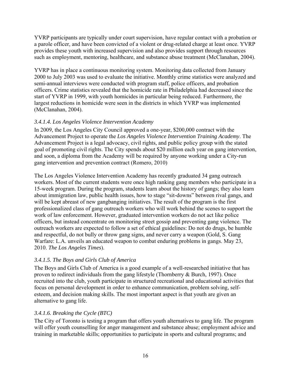YVRP participants are typically under court supervision, have regular contact with a probation or a parole officer, and have been convicted of a violent or drug-related charge at least once. YVRP provides these youth with increased supervision and also provides support through resources such as employment, mentoring, healthcare, and substance abuse treatment (McClanahan, 2004).

YVRP has in place a continuous monitoring system. Monitoring data collected from January 2000 to July 2003 was used to evaluate the initiative. Monthly crime statistics were analyzed and semi-annual interviews were conducted with program staff, police officers, and probation officers. Crime statistics revealed that the homicide rate in Philadelphia had decreased since the start of YVRP in 1999, with youth homicides in particular being reduced. Furthermore, the largest reductions in homicide were seen in the districts in which YVRP was implemented (McClanahan, 2004).

## <span id="page-31-0"></span>*3.4.1.4. Los Angeles Violence Intervention Academy*

In 2009, the Los Angeles City Council approved a one-year, \$200,000 contract with the Advancement Project to operate the *Los Angeles Violence Intervention Training Academy*. The Advancement Project is a legal advocacy, civil rights, and public policy group with the stated goal of promoting civil rights. The City spends about \$20 million each year on gang intervention, and soon, a diploma from the Academy will be required by anyone working under a City-run gang intervention and prevention contract (Romero, 2010)

The Los Angeles Violence Intervention Academy has recently graduated 34 gang outreach workers. Most of the current students were once high ranking gang members who participate in a 15-week program. During the program, students learn about the history of gangs; they also learn about immigration law, public health issues, how to stage "sit-downs" between rival gangs, and will be kept abreast of new gangbanging initiatives. The result of the program is the first professionalized class of gang outreach workers who will work behind the scenes to support the work of law enforcement. However, graduated intervention workers do not act like police officers, but instead concentrate on monitoring street gossip and preventing gang violence. The outreach workers are expected to follow a set of ethical guidelines: Do not do drugs, be humble and respectful, do not bully or throw gang signs, and never carry a weapon (Gold, S. Gang Warfare: L.A. unveils an educated weapon to combat enduring problems in gangs. May 23, 2010. *The Los Angeles Times*).

### <span id="page-31-1"></span>*3.4.1.5. The Boys and Girls Club of America*

The Boys and Girls Club of America is a good example of a well-researched initiative that has proven to redirect individuals from the gang lifestyle (Thornberry & Burch, 1997). Once recruited into the club, youth participate in structured recreational and educational activities that focus on personal development in order to enhance communication, problem solving, selfesteem, and decision making skills. The most important aspect is that youth are given an alternative to gang life.

# <span id="page-31-2"></span>*3.4.1.6. Breaking the Cycle (BTC)*

The City of Toronto is testing a program that offers youth alternatives to gang life. The program will offer youth counselling for anger management and substance abuse; employment advice and training in marketable skills; opportunities to participate in sports and cultural programs; and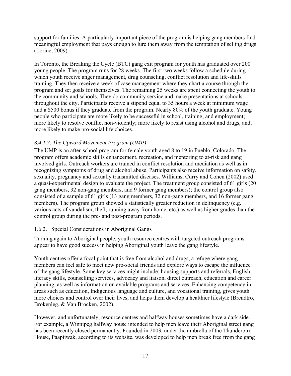support for families. A particularly important piece of the program is helping gang members find meaningful employment that pays enough to lure them away from the temptation of selling drugs (Lorinc, 2009).

In Toronto, the Breaking the Cycle (BTC) gang exit program for youth has graduated over 200 young people. The program runs for 28 weeks. The first two weeks follow a schedule during which youth receive anger management, drug counseling, conflict resolution and life-skills training. They then receive a week of case management where they chart a course through the program and set goals for themselves. The remaining 25 weeks are spent connecting the youth to the community and schools. They do community service and make presentations at schools throughout the city. Participants receive a stipend equal to 35 hours a week at minimum wage and a \$500 bonus if they graduate from the program. Nearly 80% of the youth graduate. Young people who participate are more likely to be successful in school, training, and employment; more likely to resolve conflict non-violently; more likely to resist using alcohol and drugs, and; more likely to make pro-social life choices.

# *3.4.1.7. The Upward Movement Program (UMP)*

<span id="page-32-0"></span>The UMP is an after-school program for female youth aged 8 to 19 in Pueblo, Colorado. The program offers academic skills enhancement, recreation, and mentoring to at-risk and gang involved girls. Outreach workers are trained in conflict resolution and mediation as well as in recognizing symptoms of drug and alcohol abuse. Participants also receive information on safety, sexuality, pregnancy and sexually transmitted diseases. Williams, Curry and Cohen (2002) used a quasi-experimental design to evaluate the project. The treatment group consisted of 61 girls (20 gang members, 32 non-gang members, and 9 former gang members); the control group also consisted of a sample of 61 girls (13 gang members, 32 non-gang members, and 16 former gang members). The program group showed a statistically greater reduction in delinquency (e.g. various acts of vandalism, theft, running away from home, etc.) as well as higher grades than the control group during the pre- and post-program periods.

# <span id="page-32-1"></span>1.6.2. Special Considerations in Aboriginal Gangs

Turning again to Aboriginal people, youth resource centres with targeted outreach programs appear to have good success in helping Aboriginal youth leave the gang lifestyle.

Youth centres offer a focal point that is free from alcohol and drugs, a refuge where gang members can feel safe to meet new pro-social friends and explore ways to escape the influence of the gang lifestyle. Some key services might include: housing supports and referrals, English literacy skills, counselling services, advocacy and liaison, direct outreach, education and career planning, as well as information on available programs and services. Enhancing competency in areas such as education, Indigenous language and culture, and vocational training, gives youth more choices and control over their lives, and helps them develop a healthier lifestyle (Brendtro, Brokenleg, & Van Brocken, 2002).

However, and unfortunately, resource centres and halfway houses sometimes have a dark side. For example, a Winnipeg halfway house intended to help men leave their Aboriginal street gang has been recently closed permanently. Founded in 2003, under the umbrella of the Thunderbird House, Paapiiwak, according to its website, was developed to help men break free from the gang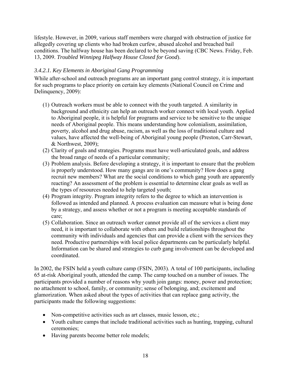lifestyle. However, in 2009, various staff members were charged with obstruction of justice for allegedly covering up clients who had broken curfew, abused alcohol and breached bail conditions. The halfway house has been declared to be beyond saving (CBC News. Friday, Feb. 13, 2009. *Troubled Winnipeg Halfway House Closed for Good*).

## *3.4.2.1. Key Elements in Aboriginal Gang Programming*

<span id="page-33-0"></span>While after-school and outreach programs are an important gang control strategy, it is important for such programs to place priority on certain key elements (National Council on Crime and Delinquency, 2009):

- (1) Outreach workers must be able to connect with the youth targeted. A similarity in background and ethnicity can help an outreach worker connect with local youth. Applied to Aboriginal people, it is helpful for programs and service to be sensitive to the unique needs of Aboriginal people. This means understanding how colonialism, assimilation, poverty, alcohol and drug abuse, racism, as well as the loss of traditional culture and values, have affected the well-being of Aboriginal young people (Preston, Carr-Stewart, & Northwest, 2009);
- (2) Clarity of goals and strategies. Programs must have well-articulated goals, and address the broad range of needs of a particular community;
- (3) Problem analysis. Before developing a strategy, it is important to ensure that the problem is properly understood. How many gangs are in one's community? How does a gang recruit new members? What are the social conditions to which gang youth are apparently reacting? An assessment of the problem is essential to determine clear goals as well as the types of resources needed to help targeted youth;
- (4) Program integrity. Program integrity refers to the degree to which an intervention is followed as intended and planned. A process evaluation can measure what is being done by a strategy, and assess whether or not a program is meeting acceptable standards of care;
- (5) Collaboration. Since an outreach worker cannot provide all of the services a client may need, it is important to collaborate with others and build relationships throughout the community with individuals and agencies that can provide a client with the services they need. Productive partnerships with local police departments can be particularly helpful. Information can be shared and strategies to curb gang involvement can be developed and coordinated.

In 2002, the FSIN held a youth culture camp (FSIN, 2003). A total of 100 participants, including 65 at-risk Aboriginal youth, attended the camp. The camp touched on a number of issues. The participants provided a number of reasons why youth join gangs: money, power and protection; no attachment to school, family, or community; sense of belonging, and; excitement and glamorization. When asked about the types of activities that can replace gang activity, the participants made the following suggestions:

- Non-competitive activities such as art classes, music lesson, etc.;
- Youth culture camps that include traditional activities such as hunting, trapping, cultural ceremonies;
- Having parents become better role models;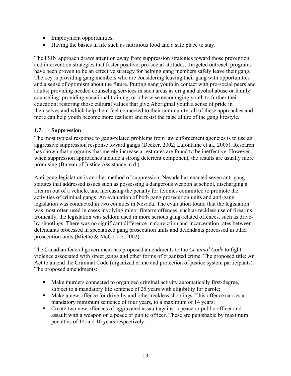- Employment opportunities;
- Having the basics in life such as nutritious food and a safe place to stay.

The FSIN approach draws attention away from suppression strategies toward those prevention and intervention strategies that foster positive, pro-social attitudes. Targeted outreach programs have been proven to be an effective strategy for helping gang members safely leave their gang. The key is providing gang members who are considering leaving their gang with opportunities and a sense of optimism about the future. Putting gang youth in contact with pro-social peers and adults; providing needed counseling services in such areas as drug and alcohol abuse or family counseling; providing vocational training, or otherwise encouraging youth to further their education; restoring those cultural values that give Aboriginal youth a sense of pride in themselves and which help them feel connected to their community, all of these approaches and more can help youth become more resilient and resist the false allure of the gang lifestyle.

### **1.7. Suppression**

<span id="page-34-0"></span>The most typical response to gang-related problems from law enforcement agencies is to use an aggressive suppression response toward gangs (Decker, 2002; Lafontaine et al., 2005). Research has shown that programs that merely increase arrest rates are found to be ineffective. However, when suppression approaches include a strong deterrent component, the results are usually more promising (Bureau of Justice Assistance, n.d.).

Anti-gang legislation is another method of suppression. Nevada has enacted seven anti-gang statutes that addressed issues such as possessing a dangerous weapon at school, discharging a firearm out of a vehicle, and increasing the penalty for felonies committed to promote the activities of criminal gangs. An evaluation of both gang prosecution units and anti-gang legislation was conducted in two counties in Nevada. The evaluation found that the legislation was most often used in cases involving minor firearm offences, such as reckless use of firearms. Ironically, the legislation was seldom used in more serious gang-related offences, such as driveby shootings. There was no significant difference in conviction and incarceration rates between defendants processed in specialized gang prosecution units and defendants processed in other prosecution units (Miethe & McCorkle, 2002).

The Canadian federal government has proposed amendments to the *Criminal Code* to fight violence associated with street gangs and other forms of organized crime. The proposed title: An Act to amend the Criminal Code (organized crime and protection of justice system participants). The proposed amendments:

- Make murders connected to organized criminal activity automatically first-degree, subject to a mandatory life sentence of 25 years with eligibility for parole;
- Make a new offence for drive-by and other reckless shootings. This offence carries a mandatory minimum sentence of four years, to a maximum of 14 years;
- Create two new offences of aggravated assault against a peace or public officer and assault with a weapon on a peace or public officer. These are punishable by maximum penalties of 14 and 10 years respectively.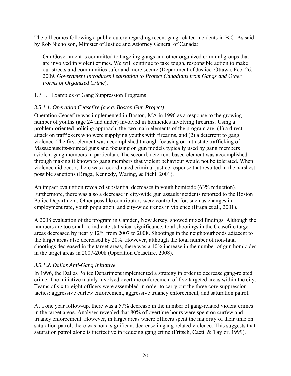The bill comes following a public outcry regarding recent gang-related incidents in B.C. As said by Rob Nicholson, Minister of Justice and Attorney General of Canada:

Our Government is committed to targeting gangs and other organized criminal groups that are involved in violent crimes. We will continue to take tough, responsible action to make our streets and communities safer and more secure (Department of Justice. Ottawa. Feb. 26, 2009. *Government Introduces Legislation to Protect Canadians from Gangs and Other Forms of Organized Crime*).

### <span id="page-35-0"></span>1.7.1. Examples of Gang Suppression Programs

### <span id="page-35-1"></span>*3.5.1.1. Operation Ceasefire (a.k.a. Boston Gun Project)*

Operation Ceasefire was implemented in Boston, MA in 1996 as a response to the growing number of youths (age 24 and under) involved in homicides involving firearms. Using a problem-oriented policing approach, the two main elements of the program are: (1) a direct attack on traffickers who were supplying youths with firearms, and (2) a deterrent to gang violence. The first element was accomplished through focusing on intrastate trafficking of Massachusetts-sourced guns and focusing on gun models typically used by gang members (violent gang members in particular). The second, deterrent-based element was accomplished through making it known to gang members that violent behaviour would not be tolerated. When violence did occur, there was a coordinated criminal justice response that resulted in the harshest possible sanctions (Braga, Kennedy, Waring, & Piehl, 2001).

An impact evaluation revealed substantial decreases in youth homicide (63% reduction). Furthermore, there was also a decrease in city-wide gun assault incidents reported to the Boston Police Department. Other possible contributors were controlled for, such as changes in employment rate, youth population, and city-wide trends in violence (Braga et al., 2001).

A 2008 evaluation of the program in Camden, New Jersey, showed mixed findings. Although the numbers are too small to indicate statistical significance, total shootings in the Ceasefire target areas decreased by nearly 12% from 2007 to 2008. Shootings in the neighbourhoods adjacent to the target areas also decreased by 20%. However, although the total number of non-fatal shootings decreased in the target areas, there was a 10% increase in the number of gun homicides in the target areas in 2007-2008 (Operation Ceasefire, 2008).

#### <span id="page-35-2"></span>*3.5.1.2. Dallas Anti-Gang Initiative*

In 1996, the Dallas Police Department implemented a strategy in order to decrease gang-related crime. The initiative mainly involved overtime enforcement of five targeted areas within the city. Teams of six to eight officers were assembled in order to carry out the three core suppression tactics: aggressive curfew enforcement, aggressive truancy enforcement, and saturation patrol.

At a one year follow-up, there was a 57% decrease in the number of gang-related violent crimes in the target areas. Analyses revealed that 80% of overtime hours were spent on curfew and truancy enforcement. However, in target areas where officers spent the majority of their time on saturation patrol, there was not a significant decrease in gang-related violence. This suggests that saturation patrol alone is ineffective in reducing gang crime (Fritsch, Caeti, & Taylor, 1999).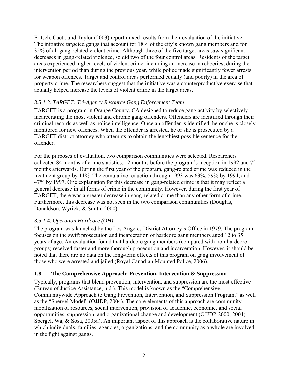Fritsch, Caeti, and Taylor (2003) report mixed results from their evaluation of the initiative. The initiative targeted gangs that account for 18% of the city's known gang members and for 35% of all gang-related violent crime. Although three of the five target areas saw significant decreases in gang-related violence, so did two of the four control areas. Residents of the target areas experienced higher levels of violent crime, including an increase in robberies, during the intervention period than during the previous year, while police made significantly fewer arrests for weapon offences. Target and control areas performed equally (and poorly) in the area of property crime. The researchers suggest that the initiative was a counterproductive exercise that actually helped increase the levels of violent crime in the target areas.

# *3.5.1.3. TARGET: Tri-Agency Resource Gang Enforcement Team*

TARGET is a program in Orange County, CA designed to reduce gang activity by selectively incarcerating the most violent and chronic gang offenders. Offenders are identified through their criminal records as well as police intelligence. Once an offender is identified, he or she is closely monitored for new offences. When the offender is arrested, he or she is prosecuted by a TARGET district attorney who attempts to obtain the lengthiest possible sentence for the offender.

For the purposes of evaluation, two comparison communities were selected. Researchers collected 84 months of crime statistics, 12 months before the program's inception in 1992 and 72 months afterwards. During the first year of the program, gang-related crime was reduced in the treatment group by 11%. The cumulative reduction through 1993 was 63%, 59% by 1994, and 47% by 1997. One explanation for this decrease in gang-related crime is that it may reflect a general decrease in all forms of crime in the community. However, during the first year of TARGET, there was a greater decrease in gang-related crime than any other form of crime. Furthermore, this decrease was not seen in the two comparison communities (Douglas, Donaldson, Wyrick, & Smith, 2000).

### *3.5.1.4. Operation Hardcore (OH):*

The program was launched by the Los Angeles District Attorney's Office in 1979. The program focuses on the swift prosecution and incarceration of hardcore gang members aged 12 to 35 years of age. An evaluation found that hardcore gang members (compared with non-hardcore groups) received faster and more thorough prosecution and incarceration. However, it should be noted that there are no data on the long-term effects of this program on gang involvement of those who were arrested and jailed (Royal Canadian Mounted Police, 2006).

### **1.8. The Comprehensive Approach: Prevention, Intervention & Suppression**

Typically, programs that blend prevention, intervention, and suppression are the most effective (Bureau of Justice Assistance, n.d.). This model is known as the "Comprehensive, Communitywide Approach to Gang Prevention, Intervention, and Suppression Program," as well as the "Spergel Model" (OJJDP, 2004). The core elements of this approach are community mobilization of resources, social intervention, provision of academic, economic, and social opportunities, suppression, and organizational change and development (OJJDP 2000, 2004; Spergel, Wa, & Sosa, 2005a). An important aspect of this approach is the collaborative nature in which individuals, families, agencies, organizations, and the community as a whole are involved in the fight against gangs.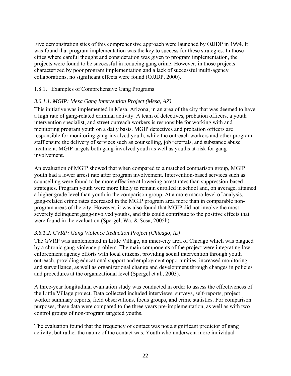Five demonstration sites of this comprehensive approach were launched by OJJDP in 1994. It was found that program implementation was the key to success for these strategies. In those cities where careful thought and consideration was given to program implementation, the projects were found to be successful in reducing gang crime. However, in those projects characterized by poor program implementation and a lack of successful multi-agency collaborations, no significant effects were found (OJJDP, 2000).

## 1.8.1. Examples of Comprehensive Gang Programs

# *3.6.1.1. MGIP: Mesa Gang Intervention Project (Mesa, AZ)*

This initiative was implemented in Mesa, Arizona, in an area of the city that was deemed to have a high rate of gang-related criminal activity. A team of detectives, probation officers, a youth intervention specialist, and street outreach workers is responsible for working with and monitoring program youth on a daily basis. MGIP detectives and probation officers are responsible for monitoring gang-involved youth, while the outreach workers and other program staff ensure the delivery of services such as counselling, job referrals, and substance abuse treatment. MGIP targets both gang-involved youth as well as youths at-risk for gang involvement.

An evaluation of MGIP showed that when compared to a matched comparison group, MGIP youth had a lower arrest rate after program involvement. Intervention-based services such as counselling were found to be more effective at lowering arrest rates than suppression-based strategies. Program youth were more likely to remain enrolled in school and, on average, attained a higher grade level than youth in the comparison group. At a more macro level of analysis, gang-related crime rates decreased in the MGIP program area more than in comparable nonprogram areas of the city. However, it was also found that MGIP did not involve the most severely delinquent gang-involved youths, and this could contribute to the positive effects that were found in the evaluation (Spergel, Wa, & Sosa, 2005b).

# *3.6.1.2. GVRP: Gang Violence Reduction Project (Chicago, IL)*

The GVRP was implemented in Little Village, an inner-city area of Chicago which was plagued by a chronic gang-violence problem. The main components of the project were integrating law enforcement agency efforts with local citizens, providing social intervention through youth outreach, providing educational support and employment opportunities, increased monitoring and surveillance, as well as organizational change and development through changes in policies and procedures at the organizational level (Spergel et al., 2003).

A three-year longitudinal evaluation study was conducted in order to assess the effectiveness of the Little Village project. Data collected included interviews, surveys, self-reports, project worker summary reports, field observations, focus groups, and crime statistics. For comparison purposes, these data were compared to the three years pre-implementation, as well as with two control groups of non-program targeted youths.

The evaluation found that the frequency of contact was not a significant predictor of gang activity, but rather the nature of the contact was. Youth who underwent more individual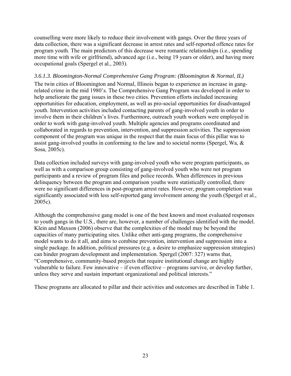counselling were more likely to reduce their involvement with gangs. Over the three years of data collection, there was a significant decrease in arrest rates and self-reported offence rates for program youth. The main predictors of this decrease were romantic relationships (i.e., spending more time with wife or girlfriend), advanced age (i.e., being 19 years or older), and having more occupational goals (Spergel et al., 2003).

#### *3.6.1.3. Bloomington-Normal Comprehensive Gang Program: (Bloomington & Normal, IL)*

The twin cities of Bloomington and Normal, Illinois began to experience an increase in gangrelated crime in the mid 1980's. The Comprehensive Gang Program was developed in order to help ameliorate the gang issues in these two cities. Prevention efforts included increasing opportunities for education, employment, as well as pro-social opportunities for disadvantaged youth. Intervention activities included contacting parents of gang-involved youth in order to involve them in their children's lives. Furthermore, outreach youth workers were employed in order to work with gang-involved youth. Multiple agencies and programs coordinated and collaborated in regards to prevention, intervention, and suppression activities. The suppression component of the program was unique in the respect that the main focus of this pillar was to assist gang-involved youths in conforming to the law and to societal norms (Spergel, Wa, & Sosa, 2005c).

Data collection included surveys with gang-involved youth who were program participants, as well as with a comparison group consisting of gang-involved youth who were not program participants and a review of program files and police records. When differences in previous delinquency between the program and comparison youths were statistically controlled, there were no significant differences in post-program arrest rates. However, program completion was significantly associated with less self-reported gang involvement among the youth (Spergel et al., 2005c).

Although the comprehensive gang model is one of the best known and most evaluated responses to youth gangs in the U.S., there are, however, a number of challenges identified with the model. Klein and Maxson (2006) observe that the complexities of the model may be beyond the capacities of many participating sites. Unlike other anti-gang programs, the comprehensive model wants to do it all, and aims to combine prevention, intervention and suppression into a single package. In addition, political pressures (e.g. a desire to emphasize suppression strategies) can hinder program development and implementation. Spergel (2007: 327) warns that, "Comprehensive, community-based projects that require institutional change are highly vulnerable to failure. Few innovative – if even effective – programs survive, or develop further, unless they serve and sustain important organizational and political interests."

These programs are allocated to pillar and their activities and outcomes are described in Table 1.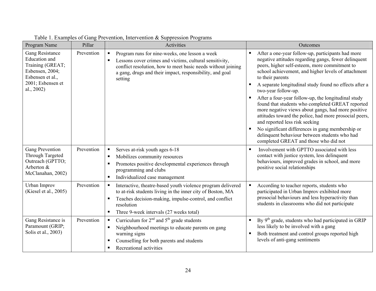| Program Name                                                                                                                          | Pillar     | Activities                                                                                                                                                                                                                                                                            | Outcomes                                                                                                                                                                                                                                                                                                                                                                                                                                                                                                                                                                                                                                                                                                                                                                        |
|---------------------------------------------------------------------------------------------------------------------------------------|------------|---------------------------------------------------------------------------------------------------------------------------------------------------------------------------------------------------------------------------------------------------------------------------------------|---------------------------------------------------------------------------------------------------------------------------------------------------------------------------------------------------------------------------------------------------------------------------------------------------------------------------------------------------------------------------------------------------------------------------------------------------------------------------------------------------------------------------------------------------------------------------------------------------------------------------------------------------------------------------------------------------------------------------------------------------------------------------------|
| Gang Resistance<br><b>Education</b> and<br>Training (GREAT;<br>Esbensen, 2004;<br>Esbensen et al.,<br>2001; Esbensen et<br>al., 2002) | Prevention | Program runs for nine-weeks, one lesson a week<br>$\blacksquare$<br>Lessons cover crimes and victims, cultural sensitivity,<br>$\blacksquare$<br>conflict resolution, how to meet basic needs without joining<br>a gang, drugs and their impact, responsibility, and goal<br>setting  | After a one-year follow-up, participants had more<br>$\blacksquare$<br>negative attitudes regarding gangs, fewer delinquent<br>peers, higher self-esteem, more commitment to<br>school achievement, and higher levels of attachment<br>to their parents<br>A separate longitudinal study found no effects after a<br>$\blacksquare$<br>two-year follow-up.<br>After a four-year follow-up, the longitudinal study<br>п<br>found that students who completed GREAT reported<br>more negative views about gangs, had more positive<br>attitudes toward the police, had more prosocial peers,<br>and reported less risk seeking<br>No significant differences in gang membership or<br>Е<br>delinquent behaviour between students who had<br>completed GREAT and those who did not |
| Gang Prevention<br>Through Targeted<br>Outreach (GPTTO;<br>Arberton &<br>McClanahan, 2002)                                            | Prevention | Serves at-risk youth ages 6-18<br>$\blacksquare$<br>Mobilizes community resources<br>п<br>Promotes positive developmental experiences through<br>٠<br>programming and clubs<br>Individualized case management<br>ш                                                                    | Involvement with GPTTO associated with less<br>п<br>contact with justice system, less delinquent<br>behaviours, improved grades in school, and more<br>positive social relationships                                                                                                                                                                                                                                                                                                                                                                                                                                                                                                                                                                                            |
| Urban Improv<br>(Kiesel et al., 2005)                                                                                                 | Prevention | Interactive, theatre-based youth violence program delivered<br>$\blacksquare$<br>to at-risk students living in the inner city of Boston, MA<br>Teaches decision-making, impulse-control, and conflict<br>$\blacksquare$<br>resolution<br>Three 9-week intervals (27 weeks total)<br>п | According to teacher reports, students who<br>participated in Urban Improv exhibited more<br>prosocial behaviours and less hyperactivity than<br>students in classrooms who did not participate                                                                                                                                                                                                                                                                                                                                                                                                                                                                                                                                                                                 |
| Gang Resistance is<br>Paramount (GRIP;<br>Solis et al., 2003)                                                                         | Prevention | Curriculum for $2nd$ and $5th$ grade students<br>п<br>Neighbourhood meetings to educate parents on gang<br>$\blacksquare$<br>warning signs<br>Counselling for both parents and students<br>п.<br>Recreational activities<br>٠                                                         | By $9th$ grade, students who had participated in GRIP<br>$\blacksquare$<br>less likely to be involved with a gang<br>Both treatment and control groups reported high<br>л<br>levels of anti-gang sentiments                                                                                                                                                                                                                                                                                                                                                                                                                                                                                                                                                                     |

Table 1. Examples of Gang Prevention, Intervention & Suppression Programs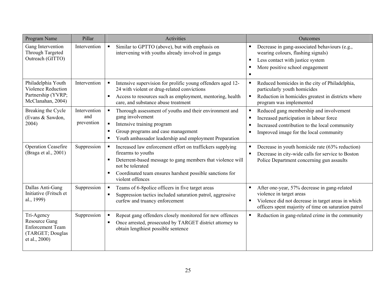| Program Name                                                                                       | Pillar                            | <b>Activities</b>                                                                                                                                                                                                                                                             | Outcomes                                                                                                                                                                                                       |
|----------------------------------------------------------------------------------------------------|-----------------------------------|-------------------------------------------------------------------------------------------------------------------------------------------------------------------------------------------------------------------------------------------------------------------------------|----------------------------------------------------------------------------------------------------------------------------------------------------------------------------------------------------------------|
| Gang Intervention<br><b>Through Targeted</b><br>Outreach (GITTO)                                   | Intervention                      | Similar to GPTTO (above), but with emphasis on<br>$\blacksquare$<br>intervening with youths already involved in gangs                                                                                                                                                         | Decrease in gang-associated behaviours (e.g.,<br>wearing colours, flashing signals)<br>Less contact with justice system<br>$\blacksquare$<br>More positive school engagement<br>٠<br>$\blacksquare$            |
| Philadelphia Youth<br>Violence Reduction<br>Partnership (YVRP;<br>McClanahan, 2004)                | Intervention                      | Intensive supervision for prolific young offenders aged 12-<br>$\blacksquare$<br>24 with violent or drug-related convictions<br>Access to resources such as employment, mentoring, health<br>٠<br>care, and substance abuse treatment                                         | Reduced homicides in the city of Philadelphia,<br>$\blacksquare$<br>particularly youth homicides<br>Reduction in homicides greatest in districts where<br>$\blacksquare$<br>program was implemented            |
| Breaking the Cycle<br>(Evans & Sawdon,<br>2004)                                                    | Intervention<br>and<br>prevention | Thorough assessment of youths and their environment and<br>$\blacksquare$<br>gang involvement<br>$\blacksquare$<br>Intensive training program<br>Group programs and case management<br>٠<br>Youth ambassador leadership and employment Preparation<br>٠                       | Reduced gang membership and involvement<br>п<br>Increased participation in labour force<br>$\blacksquare$<br>Increased contribution to the local community<br>п<br>Improved image for the local community<br>п |
| <b>Operation Ceasefire</b><br>(Braga et al., 2001)                                                 | Suppression                       | Increased law enforcement effort on traffickers supplying<br>$\blacksquare$<br>firearms to youths<br>Deterrent-based message to gang members that violence will<br>٠<br>not be tolerated<br>Coordinated team ensures harshest possible sanctions for<br>٠<br>violent offences | Decrease in youth homicide rate (63% reduction)<br>$\blacksquare$<br>Decrease in city-wide calls for service to Boston<br>$\blacksquare$<br>Police Department concerning gun assaults                          |
| Dallas Anti-Gang<br>Initiative (Fritsch et<br>al., 1999)                                           | Suppression                       | Teams of 6-8police officers in five target areas<br>п<br>Suppression tactics included saturation patrol, aggressive<br>$\blacksquare$<br>curfew and truancy enforcement                                                                                                       | After one-year, 57% decrease in gang-related<br>violence in target areas<br>Violence did not decrease in target areas in which<br>officers spent majority of time on saturation patrol                         |
| Tri-Agency<br><b>Resource Gang</b><br><b>Enforcement Team</b><br>(TARGET; Douglas<br>et al., 2000) | Suppression                       | Repeat gang offenders closely monitored for new offences<br>$\blacksquare$<br>Once arrested, prosecuted by TARGET district attorney to<br>٠<br>obtain lengthiest possible sentence                                                                                            | Reduction in gang-related crime in the community<br>$\blacksquare$                                                                                                                                             |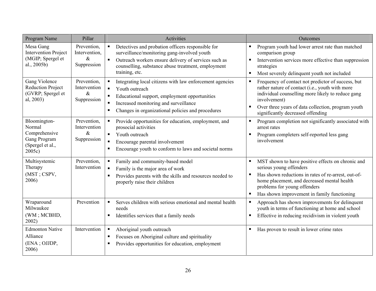| Program Name                                                                             | Pillar                                              | <b>Activities</b>                                                                                                                                                                                                                                                                                      | Outcomes                                                                                                                                                                                                                                                                        |
|------------------------------------------------------------------------------------------|-----------------------------------------------------|--------------------------------------------------------------------------------------------------------------------------------------------------------------------------------------------------------------------------------------------------------------------------------------------------------|---------------------------------------------------------------------------------------------------------------------------------------------------------------------------------------------------------------------------------------------------------------------------------|
| Mesa Gang<br><b>Intervention Project</b><br>(MGIP; Spergel et<br>al., 2005b)             | Prevention,<br>Intervention,<br>$\&$<br>Suppression | Detectives and probation officers responsible for<br>$\blacksquare$<br>surveillance/monitoring gang-involved youth<br>Outreach workers ensure delivery of services such as<br>$\blacksquare$<br>counselling, substance abuse treatment, employment<br>training, etc.                                   | Program youth had lower arrest rate than matched<br>comparison group<br>Intervention services more effective than suppression<br>٠<br>strategies<br>Most severely delinquent youth not included<br>$\blacksquare$                                                               |
| Gang Violence<br><b>Reduction Project</b><br>(GVRP; Spergel et<br>al, 2003)              | Prevention,<br>Intervention<br>$\&$<br>Suppression  | Integrating local citizens with law enforcement agencies<br>$\blacksquare$<br>Youth outreach<br>$\blacksquare$<br>Educational support, employment opportunities<br>$\blacksquare$<br>Increased monitoring and surveillance<br>$\blacksquare$<br>Changes in organizational policies and procedures<br>٠ | Frequency of contact not predictor of success, but<br>п<br>rather nature of contact (i.e., youth with more<br>individual counselling more likely to reduce gang<br>involvement)<br>Over three years of data collection, program youth<br>п<br>significantly decreased offending |
| Bloomington-<br>Normal<br>Comprehensive<br>Gang Program<br>(Spergel et al.,<br>$2005c$ ) | Prevention,<br>Intervention<br>$\&$<br>Suppression  | Provide opportunities for education, employment, and<br>$\blacksquare$<br>prosocial activities<br>Youth outreach<br>$\blacksquare$<br>Encourage parental involvement<br>$\blacksquare$<br>Encourage youth to conform to laws and societal norms<br>п                                                   | Program completion not significantly associated with<br>٠<br>arrest rates<br>Program completers self-reported less gang<br>ш<br>involvement                                                                                                                                     |
| Multisystemic<br>Therapy<br>(MST; CSPV,<br>2006)                                         | Prevention,<br>Intervention                         | Family and community-based model<br>$\blacksquare$<br>Family is the major area of work<br>$\blacksquare$<br>Provides parents with the skills and resources needed to<br>п<br>properly raise their children                                                                                             | MST shown to have positive effects on chronic and<br>serious young offenders<br>Has shown reductions in rates of re-arrest, out-of-<br>٠<br>home placement, and decreased mental health<br>problems for young offenders<br>Has shown improvement in family functioning<br>٠     |
| Wraparound<br>Milwaukee<br>(WM; MCBHD,<br>2002)                                          | Prevention                                          | Serves children with serious emotional and mental health<br>$\blacksquare$<br>needs<br>Identifies services that a family needs<br>п.                                                                                                                                                                   | Approach has shown improvements for delinquent<br>٠<br>youth in terms of functioning at home and school<br>Effective in reducing recidivism in violent youth<br>٠                                                                                                               |
| <b>Edmonton Native</b><br>Alliance<br>(ENA; OJJDP,<br>2006)                              | Intervention                                        | Aboriginal youth outreach<br>$\blacksquare$<br>Focuses on Aboriginal culture and spirituality<br>п<br>Provides opportunities for education, employment<br>п                                                                                                                                            | Has proven to result in lower crime rates<br>ш                                                                                                                                                                                                                                  |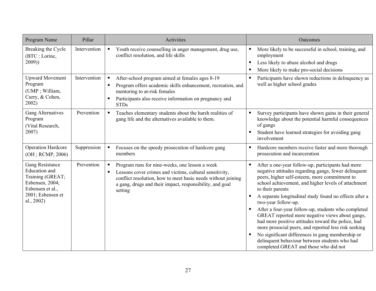| Program Name                                                                                                                                 | Pillar       | <b>Activities</b>                                                                                                                                                                                                                                     | Outcomes                                                                                                                                                                                                                                                                                                                                                                                                                                                                                                                                                                                                                                                                                                                                   |
|----------------------------------------------------------------------------------------------------------------------------------------------|--------------|-------------------------------------------------------------------------------------------------------------------------------------------------------------------------------------------------------------------------------------------------------|--------------------------------------------------------------------------------------------------------------------------------------------------------------------------------------------------------------------------------------------------------------------------------------------------------------------------------------------------------------------------------------------------------------------------------------------------------------------------------------------------------------------------------------------------------------------------------------------------------------------------------------------------------------------------------------------------------------------------------------------|
| Breaking the Cycle<br>(BTC : Lorinc,<br>2009)                                                                                                | Intervention | Youth receive counselling in anger management, drug use,<br>$\blacksquare$<br>conflict resolution, and life skills                                                                                                                                    | More likely to be successful in school, training, and<br>$\blacksquare$<br>employment<br>Less likely to abuse alcohol and drugs<br>п<br>More likely to make pro-social decisions<br>п                                                                                                                                                                                                                                                                                                                                                                                                                                                                                                                                                      |
| <b>Upward Movement</b><br>Program<br>(UMP ; William,<br>Curry, & Cohen,<br>2002)                                                             | Intervention | After-school program aimed at females ages 8-19<br>Program offers academic skills enhancement, recreation, and<br>$\blacksquare$<br>mentoring to at-risk females<br>Participants also receive information on pregnancy and<br><b>STDs</b>             | Participants have shown reductions in delinquency as<br>$\blacksquare$<br>well as higher school grades                                                                                                                                                                                                                                                                                                                                                                                                                                                                                                                                                                                                                                     |
| <b>Gang Alternatives</b><br>Program<br>(Vital Research,<br>2007)                                                                             | Prevention   | Teaches elementary students about the harsh realities of<br>$\blacksquare$<br>gang life and the alternatives available to them.                                                                                                                       | Survey participants have shown gains in their general<br>$\blacksquare$<br>knowledge about the potential harmful consequences<br>of gangs<br>Student have learned strategies for avoiding gang<br>п<br>involvement                                                                                                                                                                                                                                                                                                                                                                                                                                                                                                                         |
| <b>Operation Hardcore</b><br>(OH; RCMP, 2006)                                                                                                | Suppression  | Focuses on the speedy prosecution of hardcore gang<br>$\blacksquare$<br>members                                                                                                                                                                       | Hardcore members receive faster and more thorough<br>п<br>prosecution and incarceration                                                                                                                                                                                                                                                                                                                                                                                                                                                                                                                                                                                                                                                    |
| <b>Gang Resistance</b><br><b>Education</b> and<br>Training (GREAT;<br>Esbensen, 2004;<br>Esbensen et al.,<br>2001; Esbensen et<br>al., 2002) | Prevention   | Program runs for nine-weeks, one lesson a week<br>Lessons cover crimes and victims, cultural sensitivity,<br>п<br>conflict resolution, how to meet basic needs without joining<br>a gang, drugs and their impact, responsibility, and goal<br>setting | After a one-year follow-up, participants had more<br>$\blacksquare$<br>negative attitudes regarding gangs, fewer delinquent<br>peers, higher self-esteem, more commitment to<br>school achievement, and higher levels of attachment<br>to their parents<br>A separate longitudinal study found no effects after a<br>п<br>two-year follow-up.<br>After a four-year follow-up, students who completed<br>$\blacksquare$<br>GREAT reported more negative views about gangs,<br>had more positive attitudes toward the police, had<br>more prosocial peers, and reported less risk seeking<br>No significant differences in gang membership or<br>л<br>delinquent behaviour between students who had<br>completed GREAT and those who did not |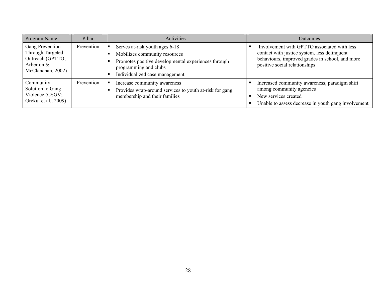| Program Name                                                                               | Pillar     | Activities                                                                                                                                                                        | <b>Outcomes</b>                                                                                                                                                                 |
|--------------------------------------------------------------------------------------------|------------|-----------------------------------------------------------------------------------------------------------------------------------------------------------------------------------|---------------------------------------------------------------------------------------------------------------------------------------------------------------------------------|
| Gang Prevention<br>Through Targeted<br>Outreach (GPTTO;<br>Arberton &<br>McClanahan, 2002) | Prevention | Serves at-risk youth ages 6-18<br>Mobilizes community resources<br>Promotes positive developmental experiences through<br>programming and clubs<br>Individualized case management | Involvement with GPTTO associated with less<br>contact with justice system, less delinquent<br>behaviours, improved grades in school, and more<br>positive social relationships |
| Community<br>Solution to Gang<br>Violence (CSGV;<br>Grekul et al., 2009)                   | Prevention | Increase community awareness<br>Provides wrap-around services to youth at-risk for gang<br>membership and their families                                                          | Increased community awareness; paradigm shift<br>among community agencies<br>New services created<br>Unable to assess decrease in youth gang involvement                        |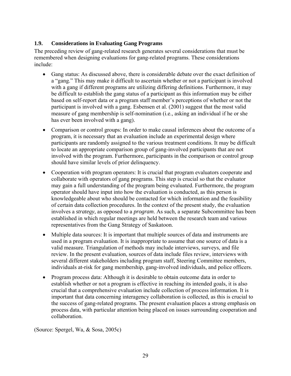# **1.9. Considerations in Evaluating Gang Programs**

The preceding review of gang-related research generates several considerations that must be remembered when designing evaluations for gang-related programs. These considerations include:

- Gang status: As discussed above, there is considerable debate over the exact definition of a "gang." This may make it difficult to ascertain whether or not a participant is involved with a gang if different programs are utilizing differing definitions. Furthermore, it may be difficult to establish the gang status of a participant as this information may be either based on self-report data or a program staff member's perceptions of whether or not the participant is involved with a gang. Esbensen et al. (2001) suggest that the most valid measure of gang membership is self-nomination (i.e., asking an individual if he or she has ever been involved with a gang).
- Comparison or control groups: In order to make causal inferences about the outcome of a program, it is necessary that an evaluation include an experimental design where participants are randomly assigned to the various treatment conditions. It may be difficult to locate an appropriate comparison group of gang-involved participants that are not involved with the program. Furthermore, participants in the comparison or control group should have similar levels of prior delinquency.
- Cooperation with program operators: It is crucial that program evaluators cooperate and collaborate with operators of gang programs. This step is crucial so that the evaluator may gain a full understanding of the program being evaluated. Furthermore, the program operator should have input into how the evaluation is conducted, as this person is knowledgeable about who should be contacted for which information and the feasibility of certain data collection procedures. In the context of the present study, the evaluation involves a *strategy*, as opposed to a *program*. As such, a separate Subcommittee has been established in which regular meetings are held between the research team and various representatives from the Gang Strategy of Saskatoon.
- Multiple data sources: It is important that multiple sources of data and instruments are used in a program evaluation. It is inappropriate to assume that one source of data is a valid measure. Triangulation of methods may include interviews, surveys, and file review. In the present evaluation, sources of data include files review, interviews with several different stakeholders including program staff, Steering Committee members, individuals at-risk for gang membership, gang-involved individuals, and police officers.
- Program process data: Although it is desirable to obtain outcome data in order to establish whether or not a program is effective in reaching its intended goals, it is also crucial that a comprehensive evaluation include collection of process information. It is important that data concerning interagency collaboration is collected, as this is crucial to the success of gang-related programs. The present evaluation places a strong emphasis on process data, with particular attention being placed on issues surrounding cooperation and collaboration.

(Source: Spergel, Wa, & Sosa, 2005c)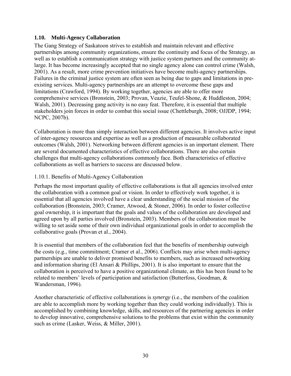## **1.10. Multi-Agency Collaboration**

The Gang Strategy of Saskatoon strives to establish and maintain relevant and effective partnerships among community organizations, ensure the continuity and focus of the Strategy, as well as to establish a communication strategy with justice system partners and the community atlarge. It has become increasingly accepted that no single agency alone can control crime (Walsh, 2001). As a result, more crime prevention initiatives have become multi-agency partnerships. Failures in the criminal justice system are often seen as being due to gaps and limitations in preexisting services. Multi-agency partnerships are an attempt to overcome these gaps and limitations (Crawford, 1994). By working together, agencies are able to offer more comprehensive services (Bronstein, 2003; Provan, Veazie, Teufel-Shone, & Huddleston, 2004; Walsh, 2001). Decreasing gang activity is no easy feat. Therefore, it is essential that multiple stakeholders join forces in order to combat this social issue (Chettleburgh, 2008; OJJDP, 1994; NCPC, 2007b).

Collaboration is more than simply interaction between different agencies. It involves active input of inter-agency resources and expertise as well as a production of measurable collaborated outcomes (Walsh, 2001). Networking between different agencies is an important element. There are several documented characteristics of effective collaborations. There are also certain challenges that multi-agency collaborations commonly face. Both characteristics of effective collaborations as well as barriers to success are discussed below.

# 1.10.1. Benefits of Multi-Agency Collaboration

Perhaps the most important quality of effective collaborations is that all agencies involved enter the collaboration with a common goal or vision. In order to effectively work together, it is essential that all agencies involved have a clear understanding of the social mission of the collaboration (Bronstein, 2003; Cramer, Atwood, & Stoner, 2006). In order to foster collective goal ownership, it is important that the goals and values of the collaboration are developed and agreed upon by all parties involved (Bronstein, 2003). Members of the collaboration must be willing to set aside some of their own individual organizational goals in order to accomplish the collaborative goals (Provan et al., 2004).

It is essential that members of the collaboration feel that the benefits of membership outweigh the costs (e.g., time commitment; Cramer et al., 2006). Conflicts may arise when multi-agency partnerships are unable to deliver promised benefits to members, such as increased networking and information sharing (El Ansari & Phillips, 2001). It is also important to ensure that the collaboration is perceived to have a positive organizational climate, as this has been found to be related to members' levels of participation and satisfaction (Butterfoss, Goodman, & Wandersman, 1996).

Another characteristic of effective collaborations is *synergy* (i.e., the members of the coalition are able to accomplish more by working together than they could working individually). This is accomplished by combining knowledge, skills, and resources of the partnering agencies in order to develop innovative, comprehensive solutions to the problems that exist within the community such as crime (Lasker, Weiss, & Miller, 2001).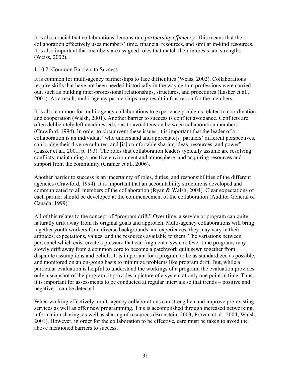It is also crucial that collaborations demonstrate *partnership efficiency*. This means that the collaboration effectively uses members' time, financial resources, and similar in-kind resources. It is also important that members are assigned roles that match their interests and strengths (Weiss, 2002).

#### 1.10.2. Common Barriers to Success

It is common for multi-agency partnerships to face difficulties (Weiss, 2002). Collaborations require skills that have not been needed historically in the way certain professions were carried out, such as building inter-professional relationships, structures, and procedures (Lasker et al., 2001). As a result, multi-agency partnerships may result in frustration for the members.

It is also common for multi-agency collaborations to experience problems related to coordination and cooperation (Walsh, 2001). Another barrier to success is conflict avoidance. Conflicts are often deliberately left unaddressed so as to avoid tension between collaboration members (Crawford, 1994). In order to circumvent these issues, it is important that the leader of a collaboration is an individual "who understand and appreciate[s] partners' different perspectives, can bridge their diverse cultures, and [is] comfortable sharing ideas, resources, and power" (Lasker et al., 2001, p. 193). The roles that collaboration leaders typically assume are resolving conflicts, maintaining a positive environment and atmosphere, and acquiring resources and support from the community (Cramer et al., 2006).

Another barrier to success is an uncertainty of roles, duties, and responsibilities of the different agencies (Crawford, 1994). It is important that an accountability structure is developed and communicated to all members of the collaboration (Ryan & Walsh, 2004). Clear expectations of each partner should be developed at the commencement of the collaboration (Auditor General of Canada, 1999).

All of this relates to the concept of "program drift." Over time, a service or program can quite naturally drift away from its original goals and approach. Multi-agency collaborations will bring together youth workers from diverse backgrounds and experiences; they may vary in their attitudes, expectations, values, and the resources available to them. The variations between personnel which exist create a pressure that can fragment a system. Over time programs may slowly drift away from a common core to become a patchwork quilt sewn together from disparate assumptions and beliefs. It is important for a program to be as standardized as possible, and monitored on an on-going basis to minimize problems like program drift. But, while a particular evaluation is helpful to understand the workings of a program, the evaluation provides only a snapshot of the program; it provides a picture of a system at only one point in time. Thus, it is important for assessments to be conducted at regular intervals so that trends – positive and negative – can be detected.

When working effectively, multi-agency collaborations can strengthen and improve pre-existing services as well as offer new programming. This is accomplished through increased networking, information sharing, as well as sharing of resources (Bronstein, 2003; Provan et al., 2004; Walsh, 2001). However, in order for the collaboration to be effective, care must be taken to avoid the above mentioned barriers to success.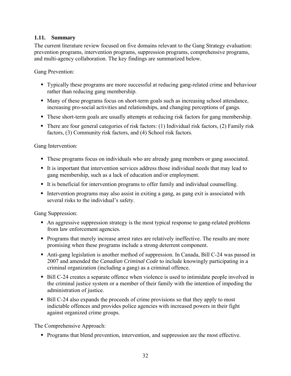## **1.11. Summary**

The current literature review focused on five domains relevant to the Gang Strategy evaluation: prevention programs, intervention programs, suppression programs, comprehensive programs, and multi-agency collaboration. The key findings are summarized below.

Gang Prevention:

- Typically these programs are more successful at reducing gang-related crime and behaviour rather than reducing gang membership.
- Many of these programs focus on short-term goals such as increasing school attendance, increasing pro-social activities and relationships, and changing perceptions of gangs.
- These short-term goals are usually attempts at reducing risk factors for gang membership.
- There are four general categories of risk factors: (1) Individual risk factors, (2) Family risk factors, (3) Community risk factors, and (4) School risk factors.

Gang Intervention:

- These programs focus on individuals who are already gang members or gang associated.
- It is important that intervention services address those individual needs that may lead to gang membership, such as a lack of education and/or employment.
- It is beneficial for intervention programs to offer family and individual counselling.
- Intervention programs may also assist in exiting a gang, as gang exit is associated with several risks to the individual's safety.

Gang Suppression:

- An aggressive suppression strategy is the most typical response to gang-related problems from law enforcement agencies.
- Programs that merely increase arrest rates are relatively ineffective. The results are more promising when these programs include a strong deterrent component.
- Anti-gang legislation is another method of suppression. In Canada, Bill C-24 was passed in 2007 and amended the *Canadian Criminal Code* to include knowingly participating in a criminal organization (including a gang) as a criminal offence.
- Bill C-24 creates a separate offence when violence is used to intimidate people involved in the criminal justice system or a member of their family with the intention of impeding the administration of justice.
- Bill C-24 also expands the proceeds of crime provisions so that they apply to most indictable offences and provides police agencies with increased powers in their fight against organized crime groups.

The Comprehensive Approach:

**Programs that blend prevention, intervention, and suppression are the most effective.**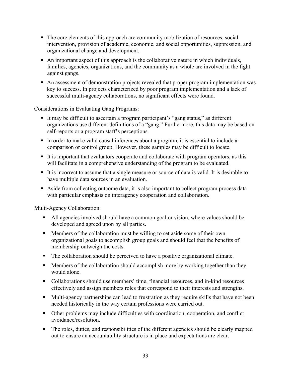- The core elements of this approach are community mobilization of resources, social intervention, provision of academic, economic, and social opportunities, suppression, and organizational change and development.
- An important aspect of this approach is the collaborative nature in which individuals, families, agencies, organizations, and the community as a whole are involved in the fight against gangs.
- An assessment of demonstration projects revealed that proper program implementation was key to success. In projects characterized by poor program implementation and a lack of successful multi-agency collaborations, no significant effects were found.

Considerations in Evaluating Gang Programs:

- It may be difficult to ascertain a program participant's "gang status," as different organizations use different definitions of a "gang." Furthermore, this data may be based on self-reports or a program staff's perceptions.
- In order to make valid causal inferences about a program, it is essential to include a comparison or control group. However, these samples may be difficult to locate.
- It is important that evaluators cooperate and collaborate with program operators, as this will facilitate in a comprehensive understanding of the program to be evaluated.
- It is incorrect to assume that a single measure or source of data is valid. It is desirable to have multiple data sources in an evaluation.
- Aside from collecting outcome data, it is also important to collect program process data with particular emphasis on interagency cooperation and collaboration.

Multi-Agency Collaboration:

- All agencies involved should have a common goal or vision, where values should be developed and agreed upon by all parties.
- Members of the collaboration must be willing to set aside some of their own organizational goals to accomplish group goals and should feel that the benefits of membership outweigh the costs.
- The collaboration should be perceived to have a positive organizational climate.
- **Members of the collaboration should accomplish more by working together than they** would alone.
- Collaborations should use members' time, financial resources, and in-kind resources effectively and assign members roles that correspond to their interests and strengths.
- Multi-agency partnerships can lead to frustration as they require skills that have not been needed historically in the way certain professions were carried out.
- Other problems may include difficulties with coordination, cooperation, and conflict avoidance/resolution.
- The roles, duties, and responsibilities of the different agencies should be clearly mapped out to ensure an accountability structure is in place and expectations are clear.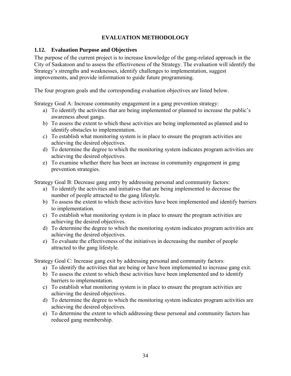# **EVALUATION METHODOLOGY**

### **1.12. Evaluation Purpose and Objectives**

The purpose of the current project is to increase knowledge of the gang-related approach in the City of Saskatoon and to assess the effectiveness of the Strategy. The evaluation will identify the Strategy's strengths and weaknesses, identify challenges to implementation, suggest improvements, and provide information to guide future programming.

The four program goals and the corresponding evaluation objectives are listed below.

Strategy Goal A: Increase community engagement in a gang prevention strategy:

- a) To identify the activities that are being implemented or planned to increase the public's awareness about gangs.
- b) To assess the extent to which these activities are being implemented as planned and to identify obstacles to implementation.
- c) To establish what monitoring system is in place to ensure the program activities are achieving the desired objectives.
- d) To determine the degree to which the monitoring system indicates program activities are achieving the desired objectives.
- e) To examine whether there has been an increase in community engagement in gang prevention strategies.

Strategy Goal B: Decrease gang entry by addressing personal and community factors:

- a) To identify the activities and initiatives that are being implemented to decrease the number of people attracted to the gang lifestyle.
- b) To assess the extent to which these activities have been implemented and identify barriers to implementation.
- c) To establish what monitoring system is in place to ensure the program activities are achieving the desired objectives.
- d) To determine the degree to which the monitoring system indicates program activities are achieving the desired objectives.
- e) To evaluate the effectiveness of the initiatives in decreasing the number of people attracted to the gang lifestyle.

Strategy Goal C: Increase gang exit by addressing personal and community factors:

- a) To identify the activities that are being or have been implemented to increase gang exit.
- b) To assess the extent to which these activities have been implemented and to identify barriers to implementation.
- c) To establish what monitoring system is in place to ensure the program activities are achieving the desired objectives.
- d) To determine the degree to which the monitoring system indicates program activities are achieving the desired objectives.
- e) To determine the extent to which addressing these personal and community factors has reduced gang membership.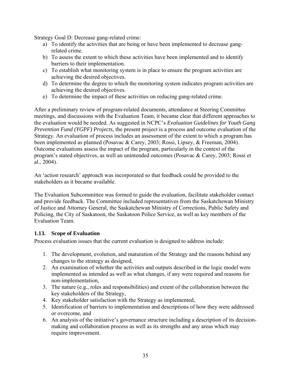Strategy Goal D: Decrease gang-related crime:

- a) To identify the activities that are being or have been implemented to decrease gangrelated crime.
- b) To assess the extent to which these activities have been implemented and to identify barriers to their implementation.
- c) To establish what monitoring system is in place to ensure the program activities are achieving the desired objectives.
- d) To determine the degree to which the monitoring system indicates program activities are achieving the desired objectives.
- e) To determine the impact of these activities on reducing gang-related crime.

After a preliminary review of program-related documents, attendance at Steering Committee meetings, and discussions with the Evaluation Team, it became clear that different approaches to the evaluation would be needed. As suggested in NCPC's *Evaluation Guidelines for Youth Gang Prevention Fund (YGPF) Projects*, the present project is a process and outcome evaluation of the Strategy. An evaluation of process includes an assessment of the extent to which a program has been implemented as planned (Posavac & Carey, 2003; Rossi, Lipsey, & Freeman, 2004). Outcome evaluations assess the impact of the program, particularly in the context of the program's stated objectives, as well an unintended outcomes (Posavac & Carey, 2003; Rossi et al., 2004).

An 'action research' approach was incorporated so that feedback could be provided to the stakeholders as it became available.

The Evaluation Subcommittee was formed to guide the evaluation, facilitate stakeholder contact and provide feedback. The Committee included representatives from the Saskatchewan Ministry of Justice and Attorney General, the Saskatchewan Ministry of Corrections, Public Safety and Policing, the City of Saskatoon, the Saskatoon Police Service, as well as key members of the Evaluation Team.

### **1.13. Scope of Evaluation**

Process evaluation issues that the current evaluation is designed to address include:

- 1. The development, evolution, and maturation of the Strategy and the reasons behind any changes to the strategy as designed,
- 2. An examination of whether the activities and outputs described in the logic model were implemented as intended as well as what changes, if any were required and reasons for non-implementation,
- 3. The nature (e.g., roles and responsibilities) and extent of the collaboration between the key stakeholders of the Strategy,
- 4. Key stakeholder satisfaction with the Strategy as implemented,
- 5. Identification of barriers to implementation and descriptions of how they were addressed or overcome, and
- 6. An analysis of the initiative's governance structure including a description of its decisionmaking and collaboration process as well as its strengths and any areas which may require improvement.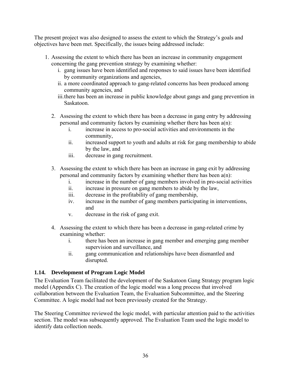The present project was also designed to assess the extent to which the Strategy's goals and objectives have been met. Specifically, the issues being addressed include:

- 1. Assessing the extent to which there has been an increase in community engagement concerning the gang prevention strategy by examining whether:
	- i. gang issues have been identified and responses to said issues have been identified by community organizations and agencies,
	- ii. a more coordinated approach to gang-related concerns has been produced among community agencies, and
	- iii.there has been an increase in public knowledge about gangs and gang prevention in Saskatoon.
	- 2. Assessing the extent to which there has been a decrease in gang entry by addressing personal and community factors by examining whether there has been a(n):
		- i. increase in access to pro-social activities and environments in the community,
		- ii. increased support to youth and adults at risk for gang membership to abide by the law, and
		- iii. decrease in gang recruitment.
	- 3. Assessing the extent to which there has been an increase in gang exit by addressing personal and community factors by examining whether there has been a(n):
		- i. increase in the number of gang members involved in pro-social activities
		- ii. increase in pressure on gang members to abide by the law,
		- iii. decrease in the profitability of gang membership,
		- iv. increase in the number of gang members participating in interventions, and
		- v. decrease in the risk of gang exit.
	- 4. Assessing the extent to which there has been a decrease in gang-related crime by examining whether:
		- i. there has been an increase in gang member and emerging gang member supervision and surveillance, and
		- ii. gang communication and relationships have been dismantled and disrupted.

### **1.14. Development of Program Logic Model**

The Evaluation Team facilitated the development of the Saskatoon Gang Strategy program logic model (Appendix C). The creation of the logic model was a long process that involved collaboration between the Evaluation Team, the Evaluation Subcommittee, and the Steering Committee. A logic model had not been previously created for the Strategy.

The Steering Committee reviewed the logic model, with particular attention paid to the activities section. The model was subsequently approved. The Evaluation Team used the logic model to identify data collection needs.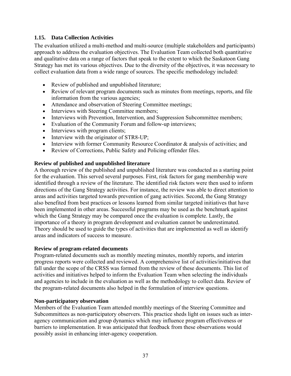## **1.15. Data Collection Activities**

The evaluation utilized a multi-method and multi-source (multiple stakeholders and participants) approach to address the evaluation objectives. The Evaluation Team collected both quantitative and qualitative data on a range of factors that speak to the extent to which the Saskatoon Gang Strategy has met its various objectives. Due to the diversity of the objectives, it was necessary to collect evaluation data from a wide range of sources. The specific methodology included:

- Review of published and unpublished literature;
- Review of relevant program documents such as minutes from meetings, reports, and file information from the various agencies;
- Attendance and observation of Steering Committee meetings;
- Interviews with Steering Committee members;
- Interviews with Prevention, Intervention, and Suppression Subcommittee members;
- Evaluation of the Community Forum and follow-up interviews;
- Interviews with program clients;
- Interview with the originator of STR8-UP;
- Interview with former Community Resource Coordinator & analysis of activities; and
- Review of Corrections, Public Safety and Policing offender files.

### **Review of published and unpublished literature**

A thorough review of the published and unpublished literature was conducted as a starting point for the evaluation. This served several purposes. First, risk factors for gang membership were identified through a review of the literature. The identified risk factors were then used to inform directions of the Gang Strategy activities. For instance, the review was able to direct attention to areas and activities targeted towards prevention of gang activities. Second, the Gang Strategy also benefited from best practices or lessons learned from similar targeted initiatives that have been implemented in other areas. Successful programs may be used as the benchmark against which the Gang Strategy may be compared once the evaluation is complete. Lastly, the importance of a theory in program development and evaluation cannot be underestimated. Theory should be used to guide the types of activities that are implemented as well as identify areas and indicators of success to measure.

### **Review of program-related documents**

Program-related documents such as monthly meeting minutes, monthly reports, and interim progress reports were collected and reviewed. A comprehensive list of activities/initiatives that fall under the scope of the CRSS was formed from the review of these documents. This list of activities and initiatives helped to inform the Evaluation Team when selecting the individuals and agencies to include in the evaluation as well as the methodology to collect data. Review of the program-related documents also helped in the formulation of interview questions.

### **Non-participatory observation**

Members of the Evaluation Team attended monthly meetings of the Steering Committee and Subcommittees as non-participatory observers. This practice sheds light on issues such as interagency communication and group dynamics which may influence program effectiveness or barriers to implementation. It was anticipated that feedback from these observations would possibly assist in enhancing inter-agency cooperation.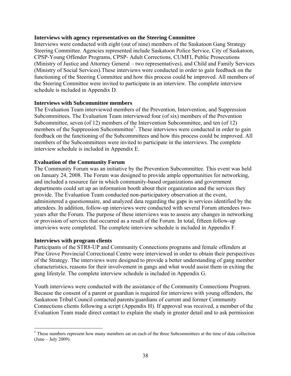#### **Interviews with agency representatives on the Steering Committee**

Interviews were conducted with eight (out of nine) members of the Saskatoon Gang Strategy Steering Committee. Agencies represented include Saskatoon Police Service, City of Saskatoon, CPSP-Young Offender Programs, CPSP- Adult Corrections, CUMFI, Public Prosecutions (Ministry of Justice and Attorney General – two representatives), and Child and Family Services (Ministry of Social Services).These interviews were conducted in order to gain feedback on the functioning of the Steering Committee and how this process could be improved. All members of the Steering Committee were invited to participate in an interview. The complete interview schedule is included in Appendix D.

#### **Interviews with Subcommittee members**

The Evaluation Team interviewed members of the Prevention, Intervention, and Suppression Subcommittees. The Evaluation Team interviewed four (of six) members of the Prevention Subcommittee, seven (of 12) members of the Intervention Subcommittee, and ten (of 12) members of the Suppression Subcommittee<sup>[5](#page-53-0)</sup>. These interviews were conducted in order to gain feedback on the functioning of the Subcommittees and how this process could be improved. All members of the Subcommittees were invited to participate in the interviews. The complete interview schedule is included in Appendix E.

#### **Evaluation of the Community Forum**

The Community Forum was an initiative by the Prevention Subcommittee. This event was held on January 24, 2008. The Forum was designed to provide ample opportunities for networking, and included a resource fair in which community-based organizations and government departments could set up an information booth about their organization and the services they provide. The Evaluation Team conducted non-participatory observation at the event, administered a questionnaire, and analyzed data regarding the gaps in services identified by the attendees. In addition, follow-up interviews were conducted with several Forum attendees twoyears after the Forum. The purpose of these interviews was to assess any changes in networking or provision of services that occurred as a result of the Forum. In total, fifteen follow-up interviews were completed. The complete interview schedule is included in Appendix F.

#### **Interviews with program clients**

Participants of the STR8-UP and Community Connections programs and female offenders at Pine Grove Provincial Correctional Centre were interviewed in order to obtain their perspectives of the Strategy. The interviews were designed to provide a better understanding of gang member characteristics, reasons for their involvement in gangs and what would assist them in exiting the gang lifestyle. The complete interview schedule is included in Appendix G.

Youth interviews were conducted with the assistance of the Community Connections Program. Because the consent of a parent or guardian is required for interviews with young offenders, the Saskatoon Tribal Council contacted parents/guardians of current and former Community Connections clients following a script (Appendix H). If approval was received, a member of the Evaluation Team made direct contact to explain the study in greater detail and to ask permission

<span id="page-53-0"></span><sup>&</sup>lt;sup>5</sup> These numbers represent how many members sat on each of the three Subcommittees at the time of data collection (June – July 2009).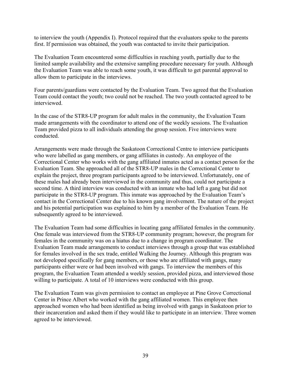to interview the youth (Appendix I). Protocol required that the evaluators spoke to the parents first. If permission was obtained, the youth was contacted to invite their participation.

The Evaluation Team encountered some difficulties in reaching youth, partially due to the limited sample availability and the extensive sampling procedure necessary for youth. Although the Evaluation Team was able to reach some youth, it was difficult to get parental approval to allow them to participate in the interviews.

Four parents/guardians were contacted by the Evaluation Team. Two agreed that the Evaluation Team could contact the youth; two could not be reached. The two youth contacted agreed to be interviewed.

In the case of the STR8-UP program for adult males in the community, the Evaluation Team made arrangements with the coordinator to attend one of the weekly sessions. The Evaluation Team provided pizza to all individuals attending the group session. Five interviews were conducted.

Arrangements were made through the Saskatoon Correctional Centre to interview participants who were labelled as gang members, or gang affiliates in custody. An employee of the Correctional Center who works with the gang affiliated inmates acted as a contact person for the Evaluation Team. She approached all of the STR8-UP males in the Correctional Center to explain the project, three program participants agreed to be interviewed. Unfortunately, one of these males had already been interviewed in the community and thus, could not participate a second time. A third interview was conducted with an inmate who had left a gang but did not participate in the STR8-UP program. This inmate was approached by the Evaluation Team's contact in the Correctional Center due to his known gang involvement. The nature of the project and his potential participation was explained to him by a member of the Evaluation Team. He subsequently agreed to be interviewed.

The Evaluation Team had some difficulties in locating gang affiliated females in the community. One female was interviewed from the STR8-UP community program; however, the program for females in the community was on a hiatus due to a change in program coordinator. The Evaluation Team made arrangements to conduct interviews through a group that was established for females involved in the sex trade, entitled Walking the Journey. Although this program was not developed specifically for gang members, or those who are affiliated with gangs, many participants either were or had been involved with gangs. To interview the members of this program, the Evaluation Team attended a weekly session, provided pizza, and interviewed those willing to participate. A total of 10 interviews were conducted with this group.

The Evaluation Team was given permission to contact an employee at Pine Grove Correctional Center in Prince Albert who worked with the gang affiliated women. This employee then approached women who had been identified as being involved with gangs in Saskatoon prior to their incarceration and asked them if they would like to participate in an interview. Three women agreed to be interviewed.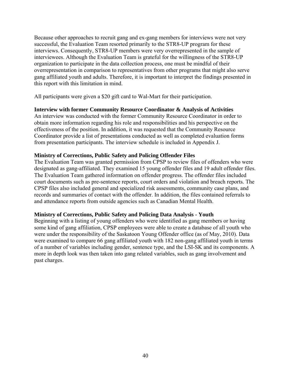Because other approaches to recruit gang and ex-gang members for interviews were not very successful, the Evaluation Team resorted primarily to the STR8-UP program for these interviews. Consequently, STR8-UP members were very overrepresented in the sample of interviewees. Although the Evaluation Team is grateful for the willingness of the STR8-UP organization to participate in the data collection process, one must be mindful of their overrepresentation in comparison to representatives from other programs that might also serve gang affiliated youth and adults. Therefore, it is important to interpret the findings presented in this report with this limitation in mind.

All participants were given a \$20 gift card to Wal-Mart for their participation.

#### **Interview with former Community Resource Coordinator & Analysis of Activities**

An interview was conducted with the former Community Resource Coordinator in order to obtain more information regarding his role and responsibilities and his perspective on the effectiveness of the position. In addition, it was requested that the Community Resource Coordinator provide a list of presentations conducted as well as completed evaluation forms from presentation participants. The interview schedule is included in Appendix J.

#### **Ministry of Corrections, Public Safety and Policing Offender Files**

The Evaluation Team was granted permission from CPSP to review files of offenders who were designated as gang-affiliated. They examined 15 young offender files and 19 adult offender files. The Evaluation Team gathered information on offender progress. The offender files included court documents such as pre-sentence reports, court orders and violation and breach reports. The CPSP files also included general and specialized risk assessments, community case plans, and records and summaries of contact with the offender. In addition, the files contained referrals to and attendance reports from outside agencies such as Canadian Mental Health.

#### **Ministry of Corrections, Public Safety and Policing Data Analysis - Youth**

Beginning with a listing of young offenders who were identified as gang members or having some kind of gang affiliation, CPSP employees were able to create a database of all youth who were under the responsibility of the Saskatoon Young Offender office (as of May, 2010). Data were examined to compare 66 gang affiliated youth with 182 non-gang affiliated youth in terms of a number of variables including gender, sentence type, and the LSI-SK and its components. A more in depth look was then taken into gang related variables, such as gang involvement and past charges.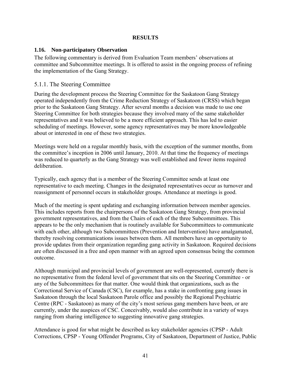### **RESULTS**

#### **1.16. Non-participatory Observation**

The following commentary is derived from Evaluation Team members' observations at committee and Subcommittee meetings. It is offered to assist in the ongoing process of refining the implementation of the Gang Strategy.

### 5.1.1. The Steering Committee

During the development process the Steering Committee for the Saskatoon Gang Strategy operated independently from the Crime Reduction Strategy of Saskatoon (CRSS) which began prior to the Saskatoon Gang Strategy. After several months a decision was made to use one Steering Committee for both strategies because they involved many of the same stakeholder representatives and it was believed to be a more efficient approach. This has led to easier scheduling of meetings. However, some agency representatives may be more knowledgeable about or interested in one of these two strategies.

Meetings were held on a regular monthly basis, with the exception of the summer months, from the committee's inception in 2006 until January, 2010. At that time the frequency of meetings was reduced to quarterly as the Gang Strategy was well established and fewer items required deliberation.

Typically, each agency that is a member of the Steering Committee sends at least one representative to each meeting. Changes in the designated representatives occur as turnover and reassignment of personnel occurs in stakeholder groups. Attendance at meetings is good.

Much of the meeting is spent updating and exchanging information between member agencies. This includes reports from the chairpersons of the Saskatoon Gang Strategy, from provincial government representatives, and from the Chairs of each of the three Subcommittees. This appears to be the only mechanism that is routinely available for Subcommittees to communicate with each other, although two Subcommittees (Prevention and Intervention) have amalgamated, thereby resolving communications issues between them. All members have an opportunity to provide updates from their organization regarding gang activity in Saskatoon. Required decisions are often discussed in a free and open manner with an agreed upon consensus being the common outcome.

Although municipal and provincial levels of government are well-represented, currently there is no representative from the federal level of government that sits on the Steering Committee - or any of the Subcommittees for that matter. One would think that organizations, such as the Correctional Service of Canada (CSC), for example, has a stake in confronting gang issues in Saskatoon through the local Saskatoon Parole office and possibly the Regional Psychiatric Centre (RPC - Saskatoon) as many of the city's most serious gang members have been, or are currently, under the auspices of CSC. Conceivably, would also contribute in a variety of ways ranging from sharing intelligence to suggesting innovative gang strategies.

Attendance is good for what might be described as key stakeholder agencies (CPSP - Adult Corrections, CPSP - Young Offender Programs, City of Saskatoon, Department of Justice, Public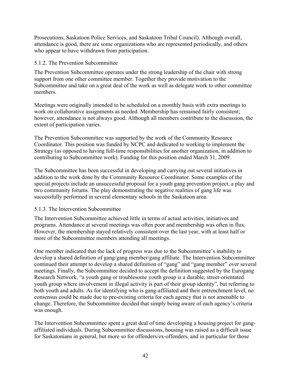Prosecutions, Saskatoon Police Services, and Saskatoon Tribal Council). Although overall, attendance is good, there are some organizations who are represented periodically, and others who appear to have withdrawn from participation.

#### 5.1.2. The Prevention Subcommittee

The Prevention Subcommittee operates under the strong leadership of the chair with strong support from one other committee member. Together they provide motivation to the Subcommittee and take on a great deal of the work as well as delegate work to other committee members.

Meetings were originally intended to be scheduled on a monthly basis with extra meetings to work on collaborative assignments as needed. Membership has remained fairly consistent; however, attendance is not always good. Although all members contribute to the discussion, the extent of participation varies.

The Prevention Subcommittee was supported by the work of the Community Resource Coordinator. This position was funded by NCPC and dedicated to working to implement the Strategy (as opposed to having full-time responsibilities for another organization, in addition to contributing to Subcommittee work). Funding for this position ended March 31, 2009.

The Subcommittee has been successful in developing and carrying out several initiatives in addition to the work done by the Community Resource Coordinator. Some examples of the special projects include an unsuccessful proposal for a youth gang prevention project, a play and two community forums. The play demonstrating the negative realities of gang life was successfully performed in several elementary schools in the Saskatoon area.

### 5.1.3. The Intervention Subcommittee

The Intervention Subcommittee achieved little in terms of actual activities, initiatives and programs. Attendance at several meetings was often poor and membership was often in flux. However, the membership stayed relatively consistent over the last year, with at least half or more of the Subcommittee members attending all meetings.

One member indicated that the lack of progress was due to the Subcommittee's inability to develop a shared definition of gang/gang member/gang affiliate. The Intervention Subcommittee continued their attempt to develop a shared definition of "gang" and "gang member" over several meetings. Finally, the Subcommittee decided to accept the definition suggested by the Eurogang Research Network, "a youth gang or troublesome youth group is a durable, street-orientated youth group where involvement in illegal activity is part of their group identity", but referring to both youth and adults. As for identifying who is gang-affiliated and their entrenchment level, no consensus could be made due to pre-existing criteria for each agency that is not amenable to change. Therefore, the Subcommittee decided that simply being aware of each agency's criteria was enough.

The Intervention Subcommittee spent a great deal of time developing a housing project for gangaffiliated individuals. During Subcommittee discussions, housing was raised as a difficult issue for Saskatonians in general, but more so for offenders/ex-offenders, and in particular for those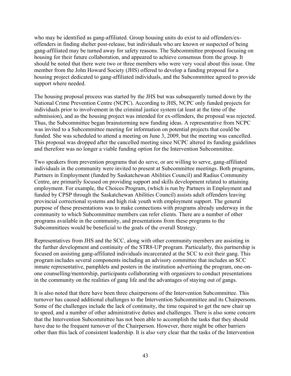who may be identified as gang-affiliated. Group housing units do exist to aid offenders/exoffenders in finding shelter post-release, but individuals who are known or suspected of being gang-affiliated may be turned away for safety reasons. The Subcommittee proposed focusing on housing for their future collaboration, and appeared to achieve consensus from the group. It should be noted that there were two or three members who were very vocal about this issue. One member from the John Howard Society (JHS) offered to develop a funding proposal for a housing project dedicated to gang-affiliated individuals, and the Subcommittee agreed to provide support where needed.

The housing proposal process was started by the JHS but was subsequently turned down by the National Crime Prevention Centre (NCPC). According to JHS, NCPC only funded projects for individuals prior to involvement in the criminal justice system (at least at the time of the submission), and as the housing project was intended for ex-offenders, the proposal was rejected. Thus, the Subcommittee began brainstorming new funding ideas. A representative from NCPC was invited to a Subcommittee meeting for information on potential projects that could be funded. She was scheduled to attend a meeting on June 3, 2009, but the meeting was cancelled. This proposal was dropped after the cancelled meeting since NCPC altered its funding guidelines and therefore was no longer a viable funding option for the Intervention Subcommittee.

Two speakers from prevention programs that do serve, or are willing to serve, gang-affiliated individuals in the community were invited to present at Subcommittee meetings. Both programs, Partners in Employment (funded by Saskatchewan Abilities Council) and Radius Community Centre, are primarily focused on providing support and skills development related to attaining employment. For example, the Choices Program, (which is run by Partners in Employment and funded by CPSP through the Saskatchewan Abilities Council) assists adult offenders leaving provincial correctional systems and high risk youth with employment support. The general purpose of these presentations was to make connections with programs already underway in the community to which Subcommittee members can refer clients. There are a number of other programs available in the community, and presentations from these programs to the Subcommittees would be beneficial to the goals of the overall Strategy.

Representatives from JHS and the SCC, along with other community members are assisting in the further development and continuity of the STR8-UP program. Particularly, this partnership is focused on assisting gang-affiliated individuals incarcerated at the SCC to exit their gang. This program includes several components including an advisory committee that includes an SCC inmate representative, pamphlets and posters in the institution advertising the program, one-onone counselling/mentorship, participants collaborating with organizers to conduct presentations in the community on the realities of gang life and the advantages of staying out of gangs.

It is also noted that there have been three chairpersons of the Intervention Subcommittee. This turnover has caused additional challenges to the Intervention Subcommittee and its Chairpersons. Some of the challenges include the lack of continuity, the time required to get the new chair up to speed, and a number of other administrative duties and challenges. There is also some concern that the Intervention Subcommittee has not been able to accomplish the tasks that they should have due to the frequent turnover of the Chairperson. However, there might be other barriers other than this lack of consistent leadership. It is also very clear that the tasks of the Intervention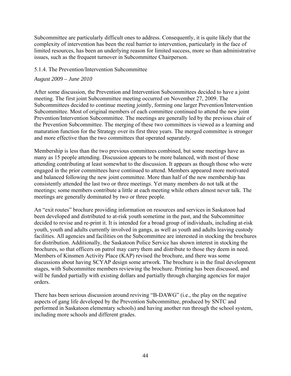Subcommittee are particularly difficult ones to address. Consequently, it is quite likely that the complexity of intervention has been the real barrier to intervention, particularly in the face of limited resources, has been an underlying reason for limited success, more so than administrative issues, such as the frequent turnover in Subcommittee Chairperson.

#### 5.1.4. The Prevention/Intervention Subcommittee

#### *August 2009 – June 2010*

After some discussion, the Prevention and Intervention Subcommittees decided to have a joint meeting. The first joint Subcommittee meeting occurred on November 27, 2009. The Subcommittees decided to continue meeting jointly, forming one larger Prevention/Intervention Subcommittee. Most of original members of each committee continued to attend the new joint Prevention/Intervention Subcommittee. The meetings are generally led by the previous chair of the Prevention Subcommittee. The merging of these two committees is viewed as a learning and maturation function for the Strategy over its first three years. The merged committee is stronger and more effective than the two committees that operated separately.

Membership is less than the two previous committees combined, but some meetings have as many as 15 people attending. Discussion appears to be more balanced, with most of those attending contributing at least somewhat to the discussion. It appears as though those who were engaged in the prior committees have continued to attend. Members appeared more motivated and balanced following the new joint committee. More than half of the new membership has consistently attended the last two or three meetings. Yet many members do not talk at the meetings; some members contribute a little at each meeting while others almost never talk. The meetings are generally dominated by two or three people.

An "exit routes" brochure providing information on resources and services in Saskatoon had been developed and distributed to at-risk youth sometime in the past, and the Subcommittee decided to revise and re-print it. It is intended for a broad group of individuals, including at-risk youth, youth and adults currently involved in gangs, as well as youth and adults leaving custody facilities. All agencies and facilities on the Subcommittee are interested in stocking the brochures for distribution. Additionally, the Saskatoon Police Service has shown interest in stocking the brochures, so that officers on patrol may carry them and distribute to those they deem in need. Members of Kinsmen Activity Place (KAP) revised the brochure, and there was some discussions about having SCYAP design some artwork. The brochure is in the final development stages, with Subcommittee members reviewing the brochure. Printing has been discussed, and will be funded partially with existing dollars and partially through charging agencies for major orders.

There has been serious discussion around reviving "B-DAWG" (i.e., the play on the negative aspects of gang life developed by the Prevention Subcommittee, produced by SNTC and performed in Saskatoon elementary schools) and having another run through the school system, including more schools and different grades.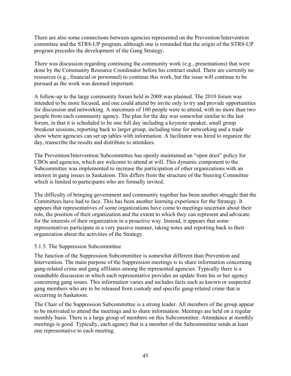There are also some connections between agencies represented on the Prevention/Intervention committee and the STR8-UP program, although one is reminded that the origin of the STR8-UP program precedes the development of the Gang Strategy.

There was discussion regarding continuing the community work (e.g., presentations) that were done by the Community Resource Coordinator before his contract ended. There are currently no resources (e.g., financial or personnel) to continue this work, but the issue will continue to be pursued as the work was deemed important.

A follow-up to the large community forum held in 2008 was planned. The 2010 forum was intended to be more focused, and one could attend by invite only to try and provide opportunities for discussion and networking. A maximum of 100 people were to attend, with no more than two people from each community agency. The plan for the day was somewhat similar to the last forum, in that it is scheduled to be one full day including a keynote speaker, small group breakout sessions, reporting back to larger group, including time for networking and a trade show where agencies can set up tables with information. A facilitator was hired to organize the day, transcribe the results and distribute to attendees.

The Prevention/Intervention Subcommittee has openly maintained an "open door" policy for CBOs and agencies, which are welcome to attend at will. This dynamic component to the Subcommittee was implemented to increase the participation of other organizations with an interest in gang issues in Saskatoon. This differs from the structure of the Steering Committee which is limited to participants who are formally invited.

The difficulty of bringing government and community together has been another struggle that the Committees have had to face. This has been another learning experience for the Strategy. It appears that representatives of some organizations have come to meetings uncertain about their role, the position of their organization and the extent to which they can represent and advocate for the interests of their organization in a proactive way. Instead, it appears that some representatives participate in a very passive manner, taking notes and reporting back to their organization about the activities of the Strategy.

### 5.1.5. The Suppression Subcommittee

The function of the Suppression Subcommittee is somewhat different than Prevention and Intervention. The main purpose of the Suppression meetings is to share information concerning gang-related crime and gang affiliates among the represented agencies. Typically there is a roundtable discussion in which each representative provides an update from his or her agency concerning gang issues. This information varies and includes facts such as known or suspected gang members who are to be released from custody and specific gang-related crime that is occurring in Saskatoon.

The Chair of the Suppression Subcommittee is a strong leader. All members of the group appear to be motivated to attend the meetings and to share information. Meetings are held on a regular monthly basis. There is a large group of members on this Subcommittee. Attendance at monthly meetings is good. Typically, each agency that is a member of the Subcommittee sends at least one representative to each meeting.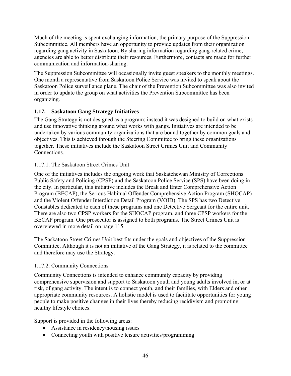Much of the meeting is spent exchanging information, the primary purpose of the Suppression Subcommittee. All members have an opportunity to provide updates from their organization regarding gang activity in Saskatoon. By sharing information regarding gang-related crime, agencies are able to better distribute their resources. Furthermore, contacts are made for further communication and information-sharing.

The Suppression Subcommittee will occasionally invite guest speakers to the monthly meetings. One month a representative from Saskatoon Police Service was invited to speak about the Saskatoon Police surveillance plane. The chair of the Prevention Subcommittee was also invited in order to update the group on what activities the Prevention Subcommittee has been organizing.

# **1.17. Saskatoon Gang Strategy Initiatives**

The Gang Strategy is not designed as a program; instead it was designed to build on what exists and use innovative thinking around what works with gangs. Initiatives are intended to be undertaken by various community organizations that are bound together by common goals and objectives. This is achieved through the Steering Committee to bring these organizations together. These initiatives include the Saskatoon Street Crimes Unit and Community **Connections** 

# 1.17.1. The Saskatoon Street Crimes Unit

One of the initiatives includes the ongoing work that Saskatchewan Ministry of Corrections Public Safety and Policing (CPSP) and the Saskatoon Police Service (SPS) have been doing in the city. In particular, this initiative includes the Break and Enter Comprehensive Action Program (BECAP), the Serious Habitual Offender Comprehensive Action Program (SHOCAP) and the Violent Offender Interdiction Detail Program (VOID). The SPS has two Detective Constables dedicated to each of these programs and one Detective Sergeant for the entire unit. There are also two CPSP workers for the SHOCAP program, and three CPSP workers for the BECAP program. One prosecutor is assigned to both programs. The Street Crimes Unit is overviewed in more detail on page 115.

The Saskatoon Street Crimes Unit best fits under the goals and objectives of the Suppression Committee. Although it is not an initiative of the Gang Strategy, it is related to the committee and therefore may use the Strategy.

### 1.17.2. Community Connections

Community Connections is intended to enhance community capacity by providing comprehensive supervision and support to Saskatoon youth and young adults involved in, or at risk, of gang activity. The intent is to connect youth, and their families, with Elders and other appropriate community resources. A holistic model is used to facilitate opportunities for young people to make positive changes in their lives thereby reducing recidivism and promoting healthy lifestyle choices.

Support is provided in the following areas:

- Assistance in residency/housing issues
- Connecting youth with positive leisure activities/programming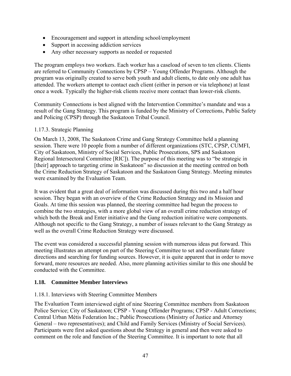- Encouragement and support in attending school/employment
- Support in accessing addiction services
- Any other necessary supports as needed or requested

The program employs two workers. Each worker has a caseload of seven to ten clients. Clients are referred to Community Connections by CPSP – Young Offender Programs. Although the program was originally created to serve both youth and adult clients, to date only one adult has attended. The workers attempt to contact each client (either in person or via telephone) at least once a week. Typically the higher-risk clients receive more contact than lower-risk clients.

Community Connections is best aligned with the Intervention Committee's mandate and was a result of the Gang Strategy. This program is funded by the Ministry of Corrections, Public Safety and Policing (CPSP) through the Saskatoon Tribal Council.

### 1.17.3. Strategic Planning

On March 13, 2008, The Saskatoon Crime and Gang Strategy Committee held a planning session. There were 10 people from a number of different organizations (STC, CPSP, CUMFI, City of Saskatoon, Ministry of Social Services, Public Prosecutions, SPS and Saskatoon Regional Intersectoral Committee [RIC]). The purpose of this meeting was to "be strategic in [their] approach to targeting crime in Saskatoon" so discussion at the meeting centred on both the Crime Reduction Strategy of Saskatoon and the Saskatoon Gang Strategy. Meeting minutes were examined by the Evaluation Team.

It was evident that a great deal of information was discussed during this two and a half hour session. They began with an overview of the Crime Reduction Strategy and its Mission and Goals. At time this session was planned, the steering committee had begun the process to combine the two strategies, with a more global view of an overall crime reduction strategy of which both the Break and Enter initiative and the Gang reduction initiative were components. Although not specific to the Gang Strategy, a number of issues relevant to the Gang Strategy as well as the overall Crime Reduction Strategy were discussed.

The event was considered a successful planning session with numerous ideas put forward. This meeting illustrates an attempt on part of the Steering Committee to set and coordinate future directions and searching for funding sources. However, it is quite apparent that in order to move forward, more resources are needed. Also, more planning activities similar to this one should be conducted with the Committee.

### **1.18. Committee Member Interviews**

### 1.18.1. Interviews with Steering Committee Members

The Evaluation Team interviewed eight of nine Steering Committee members from Saskatoon Police Service; City of Saskatoon; CPSP - Young Offender Programs; CPSP - Adult Corrections; Central Urban Métis Federation Inc.; Public Prosecutions (Ministry of Justice and Attorney General – two representatives); and Child and Family Services (Ministry of Social Services). Participants were first asked questions about the Strategy in general and then were asked to comment on the role and function of the Steering Committee. It is important to note that all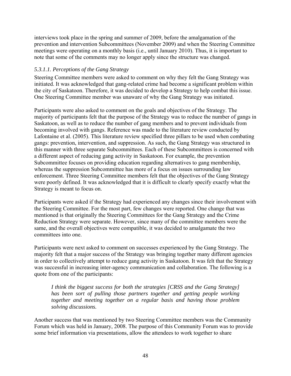interviews took place in the spring and summer of 2009, before the amalgamation of the prevention and intervention Subcommittees (November 2009) and when the Steering Committee meetings were operating on a monthly basis (i.e., until January 2010). Thus, it is important to note that some of the comments may no longer apply since the structure was changed.

# *5.3.1.1. Perceptions of the Gang Strategy*

Steering Committee members were asked to comment on why they felt the Gang Strategy was initiated. It was acknowledged that gang-related crime had become a significant problem within the city of Saskatoon. Therefore, it was decided to develop a Strategy to help combat this issue. One Steering Committee member was unaware of why the Gang Strategy was initiated.

Participants were also asked to comment on the goals and objectives of the Strategy. The majority of participants felt that the purpose of the Strategy was to reduce the number of gangs in Saskatoon, as well as to reduce the number of gang members and to prevent individuals from becoming involved with gangs. Reference was made to the literature review conducted by Lafontaine et al. (2005). This literature review specified three pillars to be used when combating gangs: prevention, intervention, and suppression. As such, the Gang Strategy was structured in this manner with three separate Subcommittees. Each of these Subcommittees is concerned with a different aspect of reducing gang activity in Saskatoon. For example, the prevention Subcommittee focuses on providing education regarding alternatives to gang membership, whereas the suppression Subcommittee has more of a focus on issues surrounding law enforcement. Three Steering Committee members felt that the objectives of the Gang Strategy were poorly defined. It was acknowledged that it is difficult to clearly specify exactly what the Strategy is meant to focus on.

Participants were asked if the Strategy had experienced any changes since their involvement with the Steering Committee. For the most part, few changes were reported. One change that was mentioned is that originally the Steering Committees for the Gang Strategy and the Crime Reduction Strategy were separate. However, since many of the committee members were the same, and the overall objectives were compatible, it was decided to amalgamate the two committees into one.

Participants were next asked to comment on successes experienced by the Gang Strategy. The majority felt that a major success of the Strategy was bringing together many different agencies in order to collectively attempt to reduce gang activity in Saskatoon. It was felt that the Strategy was successful in increasing inter-agency communication and collaboration. The following is a quote from one of the participants:

*I think the biggest success for both the strategies [CRSS and the Gang Strategy] has been sort of pulling those partners together and getting people working together and meeting together on a regular basis and having those problem solving discussions.* 

Another success that was mentioned by two Steering Committee members was the Community Forum which was held in January, 2008. The purpose of this Community Forum was to provide some brief information via presentations, allow the attendees to work together to share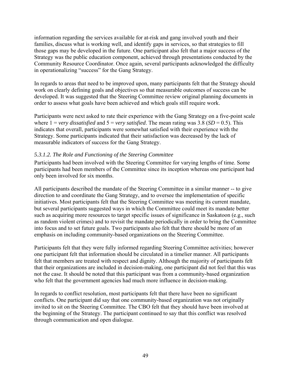information regarding the services available for at-risk and gang involved youth and their families, discuss what is working well, and identify gaps in services, so that strategies to fill those gaps may be developed in the future. One participant also felt that a major success of the Strategy was the public education component, achieved through presentations conducted by the Community Resource Coordinator. Once again, several participants acknowledged the difficulty in operationalizing "success" for the Gang Strategy.

In regards to areas that need to be improved upon, many participants felt that the Strategy should work on clearly defining goals and objectives so that measurable outcomes of success can be developed. It was suggested that the Steering Committee review original planning documents in order to assess what goals have been achieved and which goals still require work.

Participants were next asked to rate their experience with the Gang Strategy on a five-point scale where  $1 = \text{very dissatisfied}$  and  $5 = \text{very satisfied}$ . The mean rating was 3.8 (*SD* = 0.5). This indicates that overall, participants were somewhat satisfied with their experience with the Strategy. Some participants indicated that their satisfaction was decreased by the lack of measurable indicators of success for the Gang Strategy.

#### *5.3.1.2. The Role and Functioning of the Steering Committee*

Participants had been involved with the Steering Committee for varying lengths of time. Some participants had been members of the Committee since its inception whereas one participant had only been involved for six months.

All participants described the mandate of the Steering Committee in a similar manner -- to give direction to and coordinate the Gang Strategy, and to oversee the implementation of specific initiatives. Most participants felt that the Steering Committee was meeting its current mandate, but several participants suggested ways in which the Committee could meet its mandate better such as acquiring more resources to target specific issues of significance in Saskatoon (e.g., such as random violent crimes) and to revisit the mandate periodically in order to bring the Committee into focus and to set future goals. Two participants also felt that there should be more of an emphasis on including community-based organizations on the Steering Committee.

Participants felt that they were fully informed regarding Steering Committee activities; however one participant felt that information should be circulated in a timelier manner. All participants felt that members are treated with respect and dignity. Although the majority of participants felt that their organizations are included in decision-making, one participant did not feel that this was not the case. It should be noted that this participant was from a community-based organization who felt that the government agencies had much more influence in decision-making.

In regards to conflict resolution, most participants felt that there have been no significant conflicts. One participant did say that one community-based organization was not originally invited to sit on the Steering Committee. The CBO felt that they should have been involved at the beginning of the Strategy. The participant continued to say that this conflict was resolved through communication and open dialogue.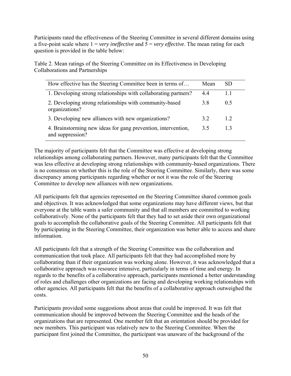Participants rated the effectiveness of the Steering Committee in several different domains using a five-point scale where 1 = *very ineffective* and 5 = *very effective*. The mean rating for each question is provided in the table below:

Table 2. Mean ratings of the Steering Committee on its Effectiveness in Developing Collaborations and Partnerships

| How effective has the Steering Committee been in terms of                         | Mean | SD.            |
|-----------------------------------------------------------------------------------|------|----------------|
| 1. Developing strong relationships with collaborating partners?                   | 44   |                |
| 2. Developing strong relationships with community-based<br>organizations?         | 3.8  | 0 <sup>5</sup> |
| 3. Developing new alliances with new organizations?                               | 32   | 12             |
| 4. Brainstorming new ideas for gang prevention, intervention,<br>and suppression? | 3.5  | 13             |

The majority of participants felt that the Committee was effective at developing strong relationships among collaborating partners. However, many participants felt that the Committee was less effective at developing strong relationships with community-based organizations. There is no consensus on whether this is the role of the Steering Committee. Similarly, there was some discrepancy among participants regarding whether or not it was the role of the Steering Committee to develop new alliances with new organizations.

All participants felt that agencies represented on the Steering Committee shared common goals and objectives. It was acknowledged that some organizations may have different views, but that everyone at the table wants a safer community and that all members are committed to working collaboratively. None of the participants felt that they had to set aside their own organizational goals to accomplish the collaborative goals of the Steering Committee. All participants felt that by participating in the Steering Committee, their organization was better able to access and share information.

All participants felt that a strength of the Steering Committee was the collaboration and communication that took place. All participants felt that they had accomplished more by collaborating than if their organization was working alone. However, it was acknowledged that a collaborative approach was resource intensive, particularly in terms of time and energy. In regards to the benefits of a collaborative approach, participants mentioned a better understanding of roles and challenges other organizations are facing and developing working relationships with other agencies. All participants felt that the benefits of a collaborative approach outweighed the costs.

Participants provided some suggestions about areas that could be improved. It was felt that communication should be improved between the Steering Committee and the heads of the organizations that are represented. One member felt that an orientation should be provided for new members. This participant was relatively new to the Steering Committee. When the participant first joined the Committee, the participant was unaware of the background of the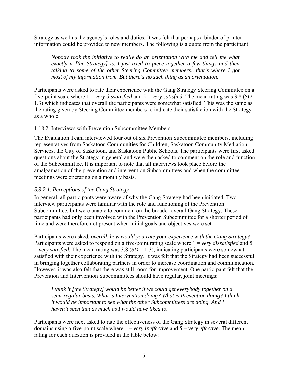Strategy as well as the agency's roles and duties. It was felt that perhaps a binder of printed information could be provided to new members. The following is a quote from the participant:

*Nobody took the initiative to really do an orientation with me and tell me what exactly it [the Strategy] is. I just tried to piece together a few things and then talking to some of the other Steering Committee members…that's where I got most of my information from. But there's no such thing as an orientation.* 

Participants were asked to rate their experience with the Gang Strategy Steering Committee on a five-point scale where  $1 = \text{very dissatisfied}$  and  $5 = \text{very satisfied}$ . The mean rating was 3.8 (*SD* = 1.3) which indicates that overall the participants were somewhat satisfied. This was the same as the rating given by Steering Committee members to indicate their satisfaction with the Strategy as a whole.

### 1.18.2. Interviews with Prevention Subcommittee Members

The Evaluation Team interviewed four out of six Prevention Subcommittee members, including representatives from Saskatoon Communities for Children, Saskatoon Community Mediation Services, the City of Saskatoon, and Saskatoon Public Schools. The participants were first asked questions about the Strategy in general and were then asked to comment on the role and function of the Subcommittee. It is important to note that all interviews took place before the amalgamation of the prevention and intervention Subcommittees and when the committee meetings were operating on a monthly basis.

# *5.3.2.1. Perceptions of the Gang Strategy*

In general, all participants were aware of why the Gang Strategy had been initiated. Two interview participants were familiar with the role and functioning of the Prevention Subcommittee, but were unable to comment on the broader overall Gang Strategy. These participants had only been involved with the Prevention Subcommittee for a shorter period of time and were therefore not present when initial goals and objectives were set.

Participants were asked, *overall, how would you rate your experience with the Gang Strategy?* Participants were asked to respond on a five-point rating scale where 1 = *very dissatisfied* and 5  $=$  *very satisfied*. The mean rating was 3.8 (*SD* = 1.3), indicating participants were somewhat satisfied with their experience with the Strategy. It was felt that the Strategy had been successful in bringing together collaborating partners in order to increase coordination and communication. However, it was also felt that there was still room for improvement. One participant felt that the Prevention and Intervention Subcommittees should have regular, joint meetings:

*I think it [the Strategy] would be better if we could get everybody together on a semi-regular basis. What is Intervention doing? What is Prevention doing? I think it would be important to see what the other Subcommittees are doing. And I haven't seen that as much as I would have liked to.* 

Participants were next asked to rate the effectiveness of the Gang Strategy in several different domains using a five-point scale where 1 = *very ineffective* and 5 = *very effective*. The mean rating for each question is provided in the table below: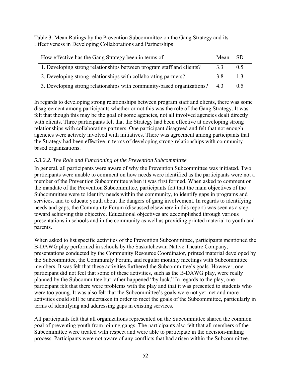Table 3. Mean Ratings by the Prevention Subcommittee on the Gang Strategy and its Effectiveness in Developing Collaborations and Partnerships

| How effective has the Gang Strategy been in terms of                   | Mean | SD  |
|------------------------------------------------------------------------|------|-----|
| 1. Developing strong relationships between program staff and clients?  | 33   | 05  |
| 2. Developing strong relationships with collaborating partners?        | 38   | 13  |
| 3. Developing strong relationships with community-based organizations? | 43   | 0.5 |

In regards to developing strong relationships between program staff and clients, there was some disagreement among participants whether or not this was the role of the Gang Strategy. It was felt that though this may be the goal of some agencies, not all involved agencies dealt directly with clients. Three participants felt that the Strategy had been effective at developing strong relationships with collaborating partners. One participant disagreed and felt that not enough agencies were actively involved with initiatives. There was agreement among participants that the Strategy had been effective in terms of developing strong relationships with communitybased organizations.

# *5.3.2.2. The Role and Functioning of the Prevention Subcommittee*

In general, all participants were aware of why the Prevention Subcommittee was initiated. Two participants were unable to comment on how needs were identified as the participants were not a member of the Prevention Subcommittee when it was first formed. When asked to comment on the mandate of the Prevention Subcommittee, participants felt that the main objectives of the Subcommittee were to identify needs within the community, to identify gaps in programs and services, and to educate youth about the dangers of gang involvement. In regards to identifying needs and gaps, the Community Forum (discussed elsewhere in this report) was seen as a step toward achieving this objective. Educational objectives are accomplished through various presentations in schools and in the community as well as providing printed material to youth and parents.

When asked to list specific activities of the Prevention Subcommittee, participants mentioned the B-DAWG play performed in schools by the Saskatchewan Native Theatre Company, presentations conducted by the Community Resource Coordinator, printed material developed by the Subcommittee, the Community Forum, and regular monthly meetings with Subcommittee members. It was felt that these activities furthered the Subcommittee's goals. However, one participant did not feel that some of these activities, such as the B-DAWG play, were really planned by the Subcommittee but rather happened "by luck." In regards to the play, one participant felt that there were problems with the play and that it was presented to students who were too young. It was also felt that the Subcommittee's goals were not yet met and more activities could still be undertaken in order to meet the goals of the Subcommittee, particularly in terms of identifying and addressing gaps in existing services.

All participants felt that all organizations represented on the Subcommittee shared the common goal of preventing youth from joining gangs. The participants also felt that all members of the Subcommittee were treated with respect and were able to participate in the decision-making process. Participants were not aware of any conflicts that had arisen within the Subcommittee.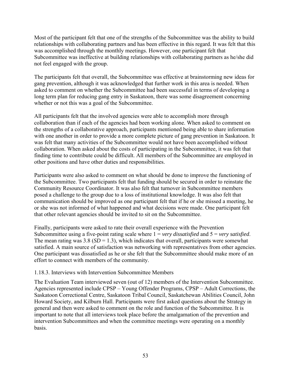Most of the participant felt that one of the strengths of the Subcommittee was the ability to build relationships with collaborating partners and has been effective in this regard. It was felt that this was accomplished through the monthly meetings. However, one participant felt that Subcommittee was ineffective at building relationships with collaborating partners as he/she did not feel engaged with the group.

The participants felt that overall, the Subcommittee was effective at brainstorming new ideas for gang prevention, although it was acknowledged that further work in this area is needed. When asked to comment on whether the Subcommittee had been successful in terms of developing a long term plan for reducing gang entry in Saskatoon, there was some disagreement concerning whether or not this was a goal of the Subcommittee.

All participants felt that the involved agencies were able to accomplish more through collaboration than if each of the agencies had been working alone. When asked to comment on the strengths of a collaborative approach, participants mentioned being able to share information with one another in order to provide a more complete picture of gang prevention in Saskatoon. It was felt that many activities of the Subcommittee would not have been accomplished without collaboration. When asked about the costs of participating in the Subcommittee, it was felt that finding time to contribute could be difficult. All members of the Subcommittee are employed in other positions and have other duties and responsibilities.

Participants were also asked to comment on what should be done to improve the functioning of the Subcommittee. Two participants felt that funding should be secured in order to reinstate the Community Resource Coordinator. It was also felt that turnover in Subcommittee members posed a challenge to the group due to a loss of institutional knowledge. It was also felt that communication should be improved as one participant felt that if he or she missed a meeting, he or she was not informed of what happened and what decisions were made. One participant felt that other relevant agencies should be invited to sit on the Subcommittee.

Finally, participants were asked to rate their overall experience with the Prevention Subcommittee using a five-point rating scale where 1 = *very dissatisfied* and 5 = *very satisfied*. The mean rating was  $3.8$  (*SD* = 1.3), which indicates that overall, participants were somewhat satisfied. A main source of satisfaction was networking with representatives from other agencies. One participant was dissatisfied as he or she felt that the Subcommittee should make more of an effort to connect with members of the community.

### 1.18.3. Interviews with Intervention Subcommittee Members

The Evaluation Team interviewed seven (out of 12) members of the Intervention Subcommittee. Agencies represented include CPSP – Young Offender Programs, CPSP – Adult Corrections, the Saskatoon Correctional Centre, Saskatoon Tribal Council, Saskatchewan Abilities Council, John Howard Society, and Kilburn Hall. Participants were first asked questions about the Strategy in general and then were asked to comment on the role and function of the Subcommittee. It is important to note that all interviews took place before the amalgamation of the prevention and intervention Subcommittees and when the committee meetings were operating on a monthly basis.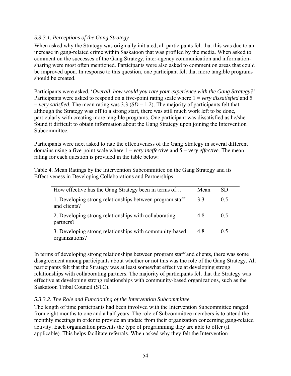### *5.3.3.1. Perceptions of the Gang Strategy*

When asked why the Strategy was originally initiated, all participants felt that this was due to an increase in gang-related crime within Saskatoon that was profiled by the media. When asked to comment on the successes of the Gang Strategy, inter-agency communication and informationsharing were most often mentioned. Participants were also asked to comment on areas that could be improved upon. In response to this question, one participant felt that more tangible programs should be created.

Participants were asked, '*Overall, how would you rate your experience with the Gang Strategy?*' Participants were asked to respond on a five-point rating scale where 1 = *very dissatisfied* and 5 = *very satisfied*. The mean rating was 3.3 (*SD* = 1.2). The majority of participants felt that although the Strategy was off to a strong start, there was still much work left to be done, particularly with creating more tangible programs. One participant was dissatisfied as he/she found it difficult to obtain information about the Gang Strategy upon joining the Intervention Subcommittee.

Participants were next asked to rate the effectiveness of the Gang Strategy in several different domains using a five-point scale where 1 = *very ineffective* and 5 = *very effective*. The mean rating for each question is provided in the table below:

Table 4. Mean Ratings by the Intervention Subcommittee on the Gang Strategy and its Effectiveness in Developing Collaborations and Partnerships

| How effective has the Gang Strategy been in terms of                      | Mean | SD |
|---------------------------------------------------------------------------|------|----|
| 1. Developing strong relationships between program staff<br>and clients?  | 33   | 05 |
| 2. Developing strong relationships with collaborating<br>partners?        | 48   | 05 |
| 3. Developing strong relationships with community-based<br>organizations? | 48   | 05 |

In terms of developing strong relationships between program staff and clients, there was some disagreement among participants about whether or not this was the role of the Gang Strategy. All participants felt that the Strategy was at least somewhat effective at developing strong relationships with collaborating partners. The majority of participants felt that the Strategy was effective at developing strong relationships with community-based organizations, such as the Saskatoon Tribal Council (STC).

### *5.3.3.2. The Role and Functioning of the Intervention Subcommittee*

The length of time participants had been involved with the Intervention Subcommittee ranged from eight months to one and a half years. The role of Subcommittee members is to attend the monthly meetings in order to provide an update from their organization concerning gang-related activity. Each organization presents the type of programming they are able to offer (if applicable). This helps facilitate referrals. When asked why they felt the Intervention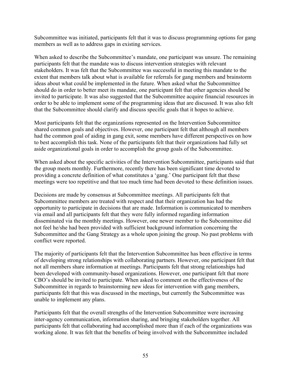Subcommittee was initiated, participants felt that it was to discuss programming options for gang members as well as to address gaps in existing services.

When asked to describe the Subcommittee's mandate, one participant was unsure. The remaining participants felt that the mandate was to discuss intervention strategies with relevant stakeholders. It was felt that the Subcommittee was successful in meeting this mandate to the extent that members talk about what is available for referrals for gang members and brainstorm ideas about what could be implemented in the future. When asked what the Subcommittee should do in order to better meet its mandate, one participant felt that other agencies should be invited to participate. It was also suggested that the Subcommittee acquire financial resources in order to be able to implement some of the programming ideas that are discussed. It was also felt that the Subcommittee should clarify and discuss specific goals that it hopes to achieve.

Most participants felt that the organizations represented on the Intervention Subcommittee shared common goals and objectives. However, one participant felt that although all members had the common goal of aiding in gang exit, some members have different perspectives on how to best accomplish this task. None of the participants felt that their organizations had fully set aside organizational goals in order to accomplish the group goals of the Subcommittee.

When asked about the specific activities of the Intervention Subcommittee, participants said that the group meets monthly. Furthermore, recently there has been significant time devoted to providing a concrete definition of what constitutes a 'gang.' One participant felt that these meetings were too repetitive and that too much time had been devoted to these definition issues.

Decisions are made by consensus at Subcommittee meetings. All participants felt that Subcommittee members are treated with respect and that their organization has had the opportunity to participate in decisions that are made. Information is communicated to members via email and all participants felt that they were fully informed regarding information disseminated via the monthly meetings. However, one newer member to the Subcommittee did not feel he/she had been provided with sufficient background information concerning the Subcommittee and the Gang Strategy as a whole upon joining the group. No past problems with conflict were reported.

The majority of participants felt that the Intervention Subcommittee has been effective in terms of developing strong relationships with collaborating partners. However, one participant felt that not all members share information at meetings. Participants felt that strong relationships had been developed with community-based organizations. However, one participant felt that more CBO's should be invited to participate. When asked to comment on the effectiveness of the Subcommittee in regards to brainstorming new ideas for intervention with gang members, participants felt that this was discussed in the meetings, but currently the Subcommittee was unable to implement any plans.

Participants felt that the overall strengths of the Intervention Subcommittee were increasing inter-agency communication, information sharing, and bringing stakeholders together. All participants felt that collaborating had accomplished more than if each of the organizations was working alone. It was felt that the benefits of being involved with the Subcommittee included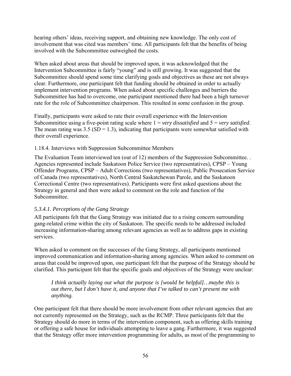hearing others' ideas, receiving support, and obtaining new knowledge. The only cost of involvement that was cited was members' time. All participants felt that the benefits of being involved with the Subcommittee outweighed the costs.

When asked about areas that should be improved upon, it was acknowledged that the Intervention Subcommittee is fairly "young" and is still growing. It was suggested that the Subcommittee should spend some time clarifying goals and objectives as these are not always clear. Furthermore, one participant felt that funding should be obtained in order to actually implement intervention programs. When asked about specific challenges and barriers the Subcommittee has had to overcome, one participant mentioned there had been a high turnover rate for the role of Subcommittee chairperson. This resulted in some confusion in the group.

Finally, participants were asked to rate their overall experience with the Intervention Subcommittee using a five-point rating scale where 1 = *very dissatisfied* and 5 = *very satisfied*. The mean rating was  $3.5$  ( $SD = 1.3$ ), indicating that participants were somewhat satisfied with their overall experience.

#### 1.18.4. Interviews with Suppression Subcommittee Members

The Evaluation Team interviewed ten (out of 12) members of the Suppression Subcommittee. . Agencies represented include Saskatoon Police Service (two representatives), CPSP – Young Offender Programs, CPSP – Adult Corrections (two representatives), Public Prosecution Service of Canada (two representatives), North Central Saskatchewan Parole, and the Saskatoon Correctional Centre (two representatives). Participants were first asked questions about the Strategy in general and then were asked to comment on the role and function of the Subcommittee.

### *5.3.4.1. Perceptions of the Gang Strategy*

All participants felt that the Gang Strategy was initiated due to a rising concern surrounding gang-related crime within the city of Saskatoon. The specific needs to be addressed included increasing information-sharing among relevant agencies as well as to address gaps in existing services.

When asked to comment on the successes of the Gang Strategy, all participants mentioned improved communication and information-sharing among agencies. When asked to comment on areas that could be improved upon, one participant felt that the purpose of the Strategy should be clarified. This participant felt that the specific goals and objectives of the Strategy were unclear:

*I think actually laying out what the purpose is [would be helpful]…maybe this is out there, but I don't have it, and anyone that I've talked to can't present me with anything.* 

One participant felt that there should be more involvement from other relevant agencies that are not currently represented on the Strategy, such as the RCMP. Three participants felt that the Strategy should do more in terms of the intervention component, such as offering skills training or offering a safe house for individuals attempting to leave a gang. Furthermore, it was suggested that the Strategy offer more intervention programming for adults, as most of the programming to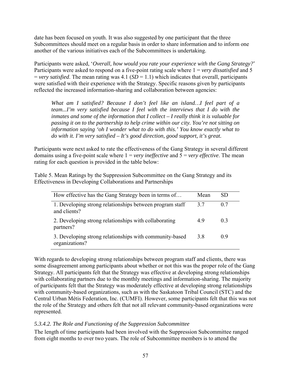date has been focused on youth. It was also suggested by one participant that the three Subcommittees should meet on a regular basis in order to share information and to inform one another of the various initiatives each of the Subcommittees is undertaking.

Participants were asked, '*Overall, how would you rate your experience with the Gang Strategy?*' Participants were asked to respond on a five-point rating scale where 1 = *very dissatisfied* and 5  $=$  *very satisfied*. The mean rating was 4.1 (*SD*  $=$  1.1) which indicates that overall, participants were satisfied with their experience with the Strategy. Specific reasons given by participants reflected the increased information-sharing and collaboration between agencies:

*What am I satisfied? Because I don't feel like an island…I feel part of a team...I'm very satisfied because I feel with the interviews that I do with the inmates and some of the information that I collect – I really think it is valuable for passing it on to the partnership to help crime within our city. You're not sitting on information saying 'oh I wonder what to do with this.' You know exactly what to do with it. I'm very satisfied – It's good direction, good support, it's great.* 

Participants were next asked to rate the effectiveness of the Gang Strategy in several different domains using a five-point scale where 1 = *very ineffective* and 5 = *very effective*. The mean rating for each question is provided in the table below:

Table 5. Mean Ratings by the Suppression Subcommittee on the Gang Strategy and its Effectiveness in Developing Collaborations and Partnerships

| How effective has the Gang Strategy been in terms of                      | Mean | SD     |
|---------------------------------------------------------------------------|------|--------|
| 1. Developing strong relationships between program staff<br>and clients?  | 37   | 0.7    |
| 2. Developing strong relationships with collaborating<br>partners?        | 49   | 03     |
| 3. Developing strong relationships with community-based<br>organizations? | 3.8  | $()$ 9 |

With regards to developing strong relationships between program staff and clients, there was some disagreement among participants about whether or not this was the proper role of the Gang Strategy. All participants felt that the Strategy was effective at developing strong relationships with collaborating partners due to the monthly meetings and information-sharing. The majority of participants felt that the Strategy was moderately effective at developing strong relationships with community-based organizations, such as with the Saskatoon Tribal Council (STC) and the Central Urban Métis Federation, Inc. (CUMFI). However, some participants felt that this was not the role of the Strategy and others felt that not all relevant community-based organizations were represented.

## *5.3.4.2. The Role and Functioning of the Suppression Subcommittee*

The length of time participants had been involved with the Suppression Subcommittee ranged from eight months to over two years. The role of Subcommittee members is to attend the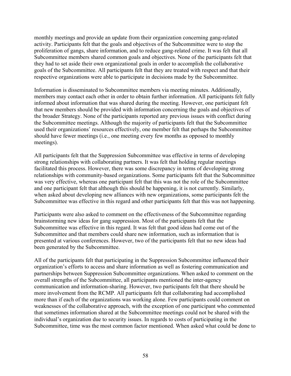monthly meetings and provide an update from their organization concerning gang-related activity. Participants felt that the goals and objectives of the Subcommittee were to stop the proliferation of gangs, share information, and to reduce gang-related crime. It was felt that all Subcommittee members shared common goals and objectives. None of the participants felt that they had to set aside their own organizational goals in order to accomplish the collaborative goals of the Subcommittee. All participants felt that they are treated with respect and that their respective organizations were able to participate in decisions made by the Subcommittee.

Information is disseminated to Subcommittee members via meeting minutes. Additionally, members may contact each other in order to obtain further information. All participants felt fully informed about information that was shared during the meeting. However, one participant felt that new members should be provided with information concerning the goals and objectives of the broader Strategy. None of the participants reported any previous issues with conflict during the Subcommittee meetings. Although the majority of participants felt that the Subcommittee used their organizations' resources effectively, one member felt that perhaps the Subcommittee should have fewer meetings (i.e., one meeting every few months as opposed to monthly meetings).

All participants felt that the Suppression Subcommittee was effective in terms of developing strong relationships with collaborating partners. It was felt that holding regular meetings facilitated this process. However, there was some discrepancy in terms of developing strong relationships with community-based organizations. Some participants felt that the Subcommittee was very effective, whereas one participant felt that this was not the role of the Subcommittee and one participant felt that although this should be happening, it is not currently. Similarly, when asked about developing new alliances with new organizations, some participants felt the Subcommittee was effective in this regard and other participants felt that this was not happening.

Participants were also asked to comment on the effectiveness of the Subcommittee regarding brainstorming new ideas for gang suppression. Most of the participants felt that the Subcommittee was effective in this regard. It was felt that good ideas had come out of the Subcommittee and that members could share new information, such as information that is presented at various conferences. However, two of the participants felt that no new ideas had been generated by the Subcommittee.

All of the participants felt that participating in the Suppression Subcommittee influenced their organization's efforts to access and share information as well as fostering communication and partnerships between Suppression Subcommittee organizations. When asked to comment on the overall strengths of the Subcommittee, all participants mentioned the inter-agency communication and information-sharing. However, two participants felt that there should be more involvement from the RCMP. All participants felt that collaborating had accomplished more than if each of the organizations was working alone. Few participants could comment on weaknesses of the collaborative approach, with the exception of one participant who commented that sometimes information shared at the Subcommittee meetings could not be shared with the individual's organization due to security issues. In regards to costs of participating in the Subcommittee, time was the most common factor mentioned. When asked what could be done to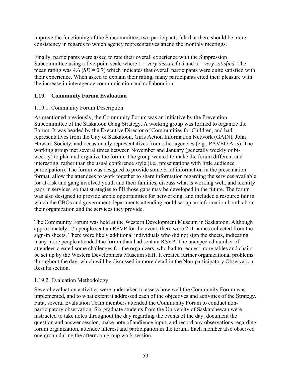improve the functioning of the Subcommittee, two participants felt that there should be more consistency in regards to which agency representatives attend the monthly meetings.

Finally, participants were asked to rate their overall experience with the Suppression Subcommittee using a five-point scale where 1 = *very dissatisfied* and 5 = *very satisfied*. The mean rating was  $4.6$  ( $SD = 0.7$ ) which indicates that overall participants were quite satisfied with their experience. When asked to explain their rating, many participants cited their pleasure with the increase in interagency communication and collaboration.

# **1.19. Community Forum Evaluation**

# 1.19.1. Community Forum Description

As mentioned previously, the Community Forum was an initiative by the Prevention Subcommittee of the Saskatoon Gang Strategy. A working group was formed to organize the Forum. It was headed by the Executive Director of Communities for Children, and had representatives from the City of Saskatoon, Girls Action Information Network (GAIN), John Howard Society, and occasionally representatives from other agencies (e.g., PAVED Arts). The working group met several times between November and January (generally weekly or biweekly) to plan and organize the forum. The group wanted to make the forum different and interesting, rather than the usual conference style (i.e., presentations with little audience participation). The forum was designed to provide some brief information in the presentation format, allow the attendees to work together to share information regarding the services available for at-risk and gang involved youth and their families, discuss what is working well, and identify gaps in services, so that strategies to fill those gaps may be developed in the future. The forum was also designed to provide ample opportunities for networking, and included a resource fair in which the CBOs and government departments attending could set up an information booth about their organization and the services they provide.

The Community Forum was held at the Western Development Museum in Saskatoon. Although approximately 175 people sent an RSVP for the event, there were 251 names collected from the sign-in sheets. There were likely additional individuals who did not sign the sheets, indicating many more people attended the forum than had sent an RSVP. The unexpected number of attendees created some challenges for the organizers, who had to request more tables and chairs be set up by the Western Development Museum staff. It created further organizational problems throughout the day, which will be discussed in more detail in the Non-participatory Observation Results section.

# 1.19.2. Evaluation Methodology

Several evaluation activities were undertaken to assess how well the Community Forum was implemented, and to what extent it addressed each of the objectives and activities of the Strategy. First, several Evaluation Team members attended the Community Forum to conduct nonparticipatory observation. Six graduate students from the University of Saskatchewan were instructed to take notes throughout the day regarding the events of the day, document the question and answer session, make note of audience input, and record any observations regarding forum organization, attendee interest and participation in the forum. Each member also observed one group during the afternoon group work session.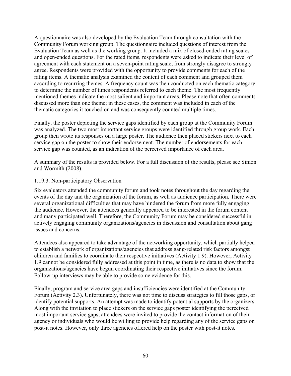A questionnaire was also developed by the Evaluation Team through consultation with the Community Forum working group. The questionnaire included questions of interest from the Evaluation Team as well as the working group. It included a mix of closed-ended rating scales and open-ended questions. For the rated items, respondents were asked to indicate their level of agreement with each statement on a seven-point rating scale, from strongly disagree to strongly agree. Respondents were provided with the opportunity to provide comments for each of the rating items. A thematic analysis examined the content of each comment and grouped them according to recurring themes. A frequency count was then conducted on each thematic category to determine the number of times respondents referred to each theme. The most frequently mentioned themes indicate the most salient and important areas. Please note that often comments discussed more than one theme; in these cases, the comment was included in each of the thematic categories it touched on and was consequently counted multiple times.

Finally, the poster depicting the service gaps identified by each group at the Community Forum was analyzed. The two most important service groups were identified through group work. Each group then wrote its responses on a large poster. The audience then placed stickers next to each service gap on the poster to show their endorsement. The number of endorsements for each service gap was counted, as an indication of the perceived importance of each area.

A summary of the results is provided below. For a full discussion of the results, please see Simon and Wormith (2008).

#### 1.19.3. Non-participatory Observation

Six evaluators attended the community forum and took notes throughout the day regarding the events of the day and the organization of the forum, as well as audience participation. There were several organizational difficulties that may have hindered the forum from more fully engaging the audience. However, the attendees generally appeared to be interested in the forum content and many participated well. Therefore, the Community Forum may be considered successful in actively engaging community organizations/agencies in discussion and consultation about gang issues and concerns.

Attendees also appeared to take advantage of the networking opportunity, which partially helped to establish a network of organizations/agencies that address gang-related risk factors amongst children and families to coordinate their respective initiatives (Activity 1.9). However, Activity 1.9 cannot be considered fully addressed at this point in time, as there is no data to show that the organizations/agencies have begun coordinating their respective initiatives since the forum. Follow-up interviews may be able to provide some evidence for this.

Finally, program and service area gaps and insufficiencies were identified at the Community Forum (Activity 2.3). Unfortunately, there was not time to discuss strategies to fill those gaps, or identify potential supports. An attempt was made to identify potential supports by the organizers. Along with the invitation to place stickers on the service gaps poster identifying the perceived most important service gaps, attendees were invited to provide the contact information of their agency or individuals who would be willing to provide help regarding any of the service gaps on post-it notes. However, only three agencies offered help on the poster with post-it notes.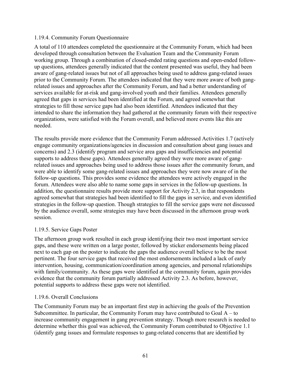#### 1.19.4. Community Forum Questionnaire

A total of 110 attendees completed the questionnaire at the Community Forum, which had been developed through consultation between the Evaluation Team and the Community Forum working group. Through a combination of closed-ended rating questions and open-ended followup questions, attendees generally indicated that the content presented was useful, they had been aware of gang-related issues but not of all approaches being used to address gang-related issues prior to the Community Forum. The attendees indicated that they were more aware of both gangrelated issues and approaches after the Community Forum, and had a better understanding of services available for at-risk and gang-involved youth and their families. Attendees generally agreed that gaps in services had been identified at the Forum, and agreed somewhat that strategies to fill those service gaps had also been identified. Attendees indicated that they intended to share the information they had gathered at the community forum with their respective organizations, were satisfied with the Forum overall, and believed more events like this are needed.

The results provide more evidence that the Community Forum addressed Activities 1.7 (actively engage community organizations/agencies in discussion and consultation about gang issues and concerns) and 2.3 (identify program and service area gaps and insufficiencies and potential supports to address these gaps). Attendees generally agreed they were more aware of gangrelated issues and approaches being used to address those issues after the community forum, and were able to identify some gang-related issues and approaches they were now aware of in the follow-up questions. This provides some evidence the attendees were actively engaged in the forum. Attendees were also able to name some gaps in services in the follow-up questions. In addition, the questionnaire results provide more support for Activity 2.3, in that respondents agreed somewhat that strategies had been identified to fill the gaps in service, and even identified strategies in the follow-up question. Though strategies to fill the service gaps were not discussed by the audience overall, some strategies may have been discussed in the afternoon group work session.

## 1.19.5. Service Gaps Poster

The afternoon group work resulted in each group identifying their two most important service gaps, and these were written on a large poster, followed by sticker endorsements being placed next to each gap on the poster to indicate the gaps the audience overall believe to be the most pertinent. The four service gaps that received the most endorsements included a lack of early intervention, housing, communication/coordination among agencies, and personal relationships with family/community. As these gaps were identified at the community forum, again provides evidence that the community forum partially addressed Activity 2.3. As before, however, potential supports to address these gaps were not identified.

## 1.19.6. Overall Conclusions

The Community Forum may be an important first step in achieving the goals of the Prevention Subcommittee. In particular, the Community Forum may have contributed to Goal A – to increase community engagement in gang prevention strategy. Though more research is needed to determine whether this goal was achieved, the Community Forum contributed to Objective 1.1 (identify gang issues and formulate responses to gang-related concerns that are identified by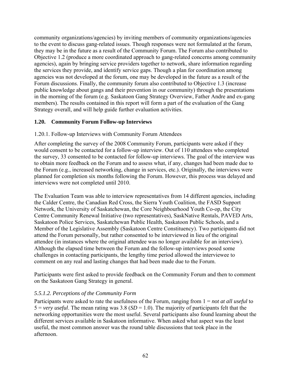community organizations/agencies) by inviting members of community organizations/agencies to the event to discuss gang-related issues. Though responses were not formulated at the forum, they may be in the future as a result of the Community Forum. The Forum also contributed to Objective 1.2 (produce a more coordinated approach to gang-related concerns among community agencies), again by bringing service providers together to network, share information regarding the services they provide, and identify service gaps. Though a plan for coordination among agencies was not developed at the forum, one may be developed in the future as a result of the Forum discussions. Finally, the community forum also contributed to Objective 1.3 (increase public knowledge about gangs and their prevention in our community) through the presentations in the morning of the forum (e.g. Saskatoon Gang Strategy Overview, Father Andre and ex-gang members). The results contained in this report will form a part of the evaluation of the Gang Strategy overall, and will help guide further evaluation activities.

## **1.20. Community Forum Follow-up Interviews**

#### 1.20.1. Follow-up Interviews with Community Forum Attendees

After completing the survey of the 2008 Community Forum, participants were asked if they would consent to be contacted for a follow-up interview. Out of 110 attendees who completed the survey, 33 consented to be contacted for follow-up interviews. The goal of the interview was to obtain more feedback on the Forum and to assess what, if any, changes had been made due to the Forum (e.g., increased networking, change in services, etc.). Originally, the interviews were planned for completion six months following the Forum. However, this process was delayed and interviews were not completed until 2010.

The Evaluation Team was able to interview representatives from 14 different agencies, including the Calder Centre, the Canadian Red Cross, the Sierra Youth Coalition, the FASD Support Network, the University of Saskatchewan, the Core Neighbourhood Youth Co-op, the City Centre Community Renewal Initiative (two representatives), SaskNative Rentals, PAVED Arts, Saskatoon Police Services, Saskatchewan Public Health, Saskatoon Public Schools, and a Member of the Legislative Assembly (Saskatoon Centre Constituency). Two participants did not attend the Forum personally, but rather consented to be interviewed in lieu of the original attendee (in instances where the original attendee was no longer available for an interview). Although the elapsed time between the Forum and the follow-up interviews posed some challenges in contacting participants, the lengthy time period allowed the interviewee to comment on any real and lasting changes that had been made due to the Forum.

Participants were first asked to provide feedback on the Community Forum and then to comment on the Saskatoon Gang Strategy in general.

#### *5.5.1.2. Perceptions of the Community Form*

Participants were asked to rate the usefulness of the Forum, ranging from 1 = *not at all useful* to  $5 = \text{very useful}$ . The mean rating was 3.8 ( $SD = 1.0$ ). The majority of participants felt that the networking opportunities were the most useful. Several participants also found learning about the different services available in Saskatoon informative. When asked what aspect was the least useful, the most common answer was the round table discussions that took place in the afternoon.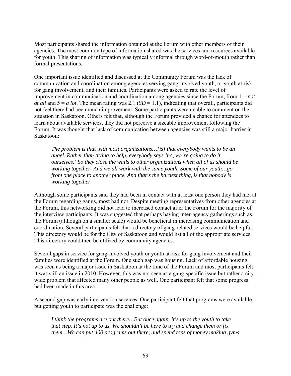Most participants shared the information obtained at the Forum with other members of their agencies. The most common type of information shared was the services and resources available for youth. This sharing of information was typically informal through word-of-mouth rather than formal presentations.

One important issue identified and discussed at the Community Forum was the lack of communication and coordination among agencies serving gang-involved youth, or youth at risk for gang involvement, and their families. Participants were asked to rate the level of improvement in communication and coordination among agencies since the Forum, from 1 = *not at all* and  $5 = a$  *lot*. The mean rating was 2.1 (*SD* = 1.1), indicating that overall, participants did not feel there had been much improvement. Some participants were unable to comment on the situation in Saskatoon. Others felt that, although the Forum provided a chance for attendees to learn about available services, they did not perceive a sizeable improvement following the Forum. It was thought that lack of communication between agencies was still a major barrier in Saskatoon:

*The problem is that with most organizations…[is] that everybody wants to be an angel. Rather than trying to help, everybody says 'no, we're going to do it ourselves.' So they close the walls to other organizations when all of us should be working together. And we all work with the same youth. Some of our youth…go from one place to another place. And that's the hardest thing, is that nobody is working together.* 

Although some participants said they had been in contact with at least one person they had met at the Forum regarding gangs, most had not. Despite meeting representatives from other agencies at the Forum, this networking did not lead to increased contact after the Forum for the majority of the interview participants. It was suggested that perhaps having inter-agency gatherings such as the Forum (although on a smaller scale) would be beneficial in increasing communication and coordination. Several participants felt that a directory of gang-related services would be helpful. This directory would be for the City of Saskatoon and would list all of the appropriate services. This directory could then be utilized by community agencies.

Several gaps in service for gang-involved youth or youth at-risk for gang involvement and their families were identified at the Forum. One such gap was housing. Lack of affordable housing was seen as being a major issue in Saskatoon at the time of the Forum and most participants felt it was still an issue in 2010. However, this was not seen as a gang-specific issue but rather a citywide problem that affected many other people as well. One participant felt that some progress had been made in this area.

A second gap was early intervention services. One participant felt that programs were available, but getting youth to participate was the challenge:

*I think the programs are out there…But once again, it's up to the youth to take that step. It's not up to us. We shouldn't be here to try and change them or fix them…We can put 400 programs out there, and spend tons of money making gyms*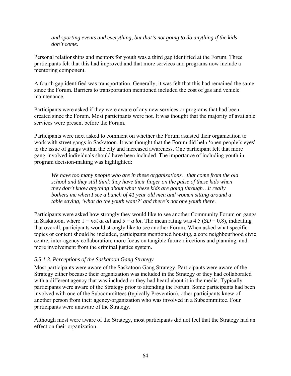*and sporting events and everything, but that's not going to do anything if the kids don't come.* 

Personal relationships and mentors for youth was a third gap identified at the Forum. Three participants felt that this had improved and that more services and programs now include a mentoring component.

A fourth gap identified was transportation. Generally, it was felt that this had remained the same since the Forum. Barriers to transportation mentioned included the cost of gas and vehicle maintenance.

Participants were asked if they were aware of any new services or programs that had been created since the Forum. Most participants were not. It was thought that the majority of available services were present before the Forum.

Participants were next asked to comment on whether the Forum assisted their organization to work with street gangs in Saskatoon. It was thought that the Forum did help 'open people's eyes' to the issue of gangs within the city and increased awareness. One participant felt that more gang-involved individuals should have been included. The importance of including youth in program decision-making was highlighted:

*We have too many people who are in these organizations…that come from the old school and they still think they have their finger on the pulse of these kids when they don't know anything about what these kids are going through…it really bothers me when I see a bunch of 41 year old men and women sitting around a table saying, 'what do the youth want?' and there's not one youth there.* 

Participants were asked how strongly they would like to see another Community Forum on gangs in Saskatoon, where  $1 = not$  *at all* and  $5 = a$  *lot*. The mean rating was 4.5 (*SD* = 0.8), indicating that overall, participants would strongly like to see another Forum. When asked what specific topics or content should be included, participants mentioned housing, a core neighbourhood civic centre, inter-agency collaboration, more focus on tangible future directions and planning, and more involvement from the criminal justice system.

## *5.5.1.3. Perceptions of the Saskatoon Gang Strategy*

Most participants were aware of the Saskatoon Gang Strategy. Participants were aware of the Strategy either because their organization was included in the Strategy or they had collaborated with a different agency that was included or they had heard about it in the media. Typically participants were aware of the Strategy prior to attending the Forum. Some participants had been involved with one of the Subcommittees (typically Prevention), other participants knew of another person from their agency/organization who was involved in a Subcommittee. Four participants were unaware of the Strategy.

Although most were aware of the Strategy, most participants did not feel that the Strategy had an effect on their organization.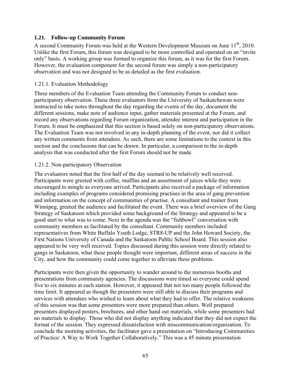## **1.21. Follow-up Community Forum**

A second Community Forum was held at the Western Development Museum on June  $11<sup>th</sup>$ , 2010. Unlike the first Forum, this forum was designed to be more controlled and operated on an "invite only" basis. A working group was formed to organize this forum, as it was for the first Forum. However, the evaluation component for the second forum was simply a non-participatory observation and was not designed to be as detailed as the first evaluation.

#### 1.21.1. Evaluation Methodology

Three members of the Evaluation Team attending the Community Forum to conduct nonparticipatory observation. These three evaluators from the University of Saskatchewan were instructed to take notes throughout the day regarding the events of the day, document the different sessions, make note of audience input, gather materials presented at the Forum, and record any observations regarding Forum organization, attendee interest and participation in the Forum. It must be emphasized that this section is based solely on non-participatory observations. The Evaluation Team was not involved in any in-depth planning of the event, nor did it collect any written comments from attendees. As such, there are some limitations to the context in this section and the conclusions that can be drawn. In particular, a comparison to the in-depth analysis that was conducted after the first Forum should not be made.

#### 1.21.2. Non-participatory Observation

The evaluators noted that the first half of the day seemed to be relatively well received. Participants were greeted with coffee, muffins and an assortment of juices while they were encouraged to mingle as everyone arrived. Participants also received a package of information including examples of programs considered promising practises in the area of gang prevention and information on the concept of communities of practise. A consultant and trainer from Winnipeg, greeted the audience and facilitated the event. There was a brief overview of the Gang Strategy of Saskatoon which provided some background of the Strategy and appeared to be a good start to what was to come. Next in the agenda was the "fishbowl" conversation with community members as facilitated by the consultant. Community members included representatives from White Buffalo Youth Lodge, STR8-UP and the John Howard Society, the First Nations University of Canada and the Saskatoon Public School Board. This session also appeared to be very well received. Topics discussed during this session were directly related to gangs in Saskatoon, what these people thought were important, different areas of success in the City, and how the community could come together to alleviate these problems.

Participants were then given the opportunity to wander around to the numerous booths and presentations from community agencies. The discussions were timed so everyone could spend five to six minutes at each station. However, it appeared that not too many people followed the time limit. It appeared as though the presenters were still able to discuss their programs and services with attendees who wished to learn about what they had to offer. The relative weakness of this session was that some presenters were more prepared than others. Well prepared presenters displayed posters, brochures, and other hand out materials, while some presenters had no materials to display. Those who did not display anything indicated that they did not expect the format of the session. They expressed dissatisfaction with miscommunication/organization. To conclude the morning activities, the facilitator gave a presentation on "Introducing Communities of Practice: A Way to Work Together Collaboratively." This was a 45 minute presentation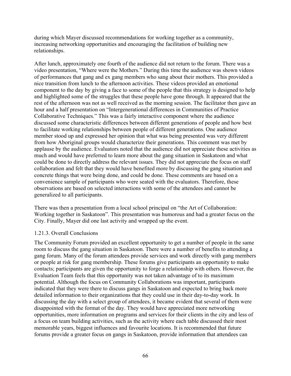during which Mayer discussed recommendations for working together as a community, increasing networking opportunities and encouraging the facilitation of building new relationships.

After lunch, approximately one fourth of the audience did not return to the forum. There was a video presentation, "Where were the Mothers." During this time the audience was shown videos of performances that gang and ex gang members who sang about their mothers. This provided a nice transition from lunch to the afternoon activities. These videos provided an emotional component to the day by giving a face to some of the people that this strategy is designed to help and highlighted some of the struggles that these people have gone through. It appeared that the rest of the afternoon was not as well received as the morning session. The facilitator then gave an hour and a half presentation on "Intergenerational differences in Communities of Practice Collaborative Techniques." This was a fairly interactive component where the audience discussed some characteristic differences between different generations of people and how best to facilitate working relationships between people of different generations. One audience member stood up and expressed her opinion that what was being presented was very different from how Aboriginal groups would characterize their generations. This comment was met by applause by the audience. Evaluators noted that the audience did not appreciate these activities as much and would have preferred to learn more about the gang situation in Saskatoon and what could be done to directly address the relevant issues. They did not appreciate the focus on staff collaboration and felt that they would have benefited more by discussing the gang situation and concrete things that were being done, and could be done. These comments are based on a convenience sample of participants who were seated with the evaluators. Therefore, these observations are based on selected interactions with some of the attendees and cannot be generalized to all participants.

There was then a presentation from a local school principal on "the Art of Collaboration: Working together in Saskatoon". This presentation was humorous and had a greater focus on the City. Finally, Mayer did one last activity and wrapped up the event.

#### 1.21.3. Overall Conclusions

The Community Forum provided an excellent opportunity to get a number of people in the same room to discuss the gang situation in Saskatoon. There were a number of benefits to attending a gang forum. Many of the forum attendees provide services and work directly with gang members or people at risk for gang membership. These forums give participants an opportunity to make contacts; participants are given the opportunity to forge a relationship with others. However, the Evaluation Team feels that this opportunity was not taken advantage of to its maximum potential. Although the focus on Community Collaborations was important, participants indicated that they were there to discuss gangs in Saskatoon and expected to bring back more detailed information to their organizations that they could use in their day-to-day work. In discussing the day with a select group of attendees, it became evident that several of them were disappointed with the format of the day. They would have appreciated more networking opportunities, more information on programs and services for their clients in the city and less of a focus on team building activities, such as the activity where each table discussed their most memorable years, biggest influences and favourite locations. It is recommended that future forums provide a greater focus on gangs in Saskatoon, provide information that attendees can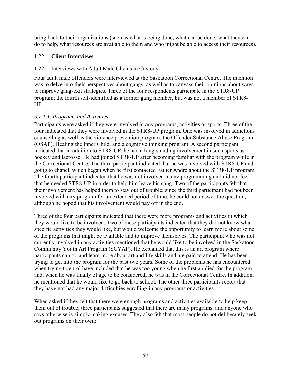bring back to their organizations (such as what is being done, what can be done, what they can do to help, what resources are available to them and who might be able to access their resources).

## 1.22. **Client Interviews**

## 1.22.1. Interviews with Adult Male Clients in Custody

Four adult male offenders were interviewed at the Saskatoon Correctional Centre. The intention was to delve into their perspectives about gangs, as well as to canvass their opinions about ways to improve gang-exit strategies. Three of the four respondents participate in the STR8-UP program; the fourth self-identified as a former gang member, but was not a member of STR8- UP.

# *5.7.1.1. Programs and Activities*

Participants were asked if they were involved in any programs, activities or sports. Three of the four indicated that they were involved in the STR8-UP program. One was involved in addictions counselling as well as the violence prevention program, the Offender Substance Abuse Program (OSAP), Healing the Inner Child, and a cognitive thinking program. A second participant indicated that in addition to STR8-UP, he had a long-standing involvement in such sports as hockey and lacrosse. He had joined STR8-UP after becoming familiar with the program while in the Correctional Centre. The third participant indicated that he was involved with STR8-UP and going to chapel, which began when he first contacted Father Andre about the STR8-UP program. The fourth participant indicated that he was not involved in any programming and did not feel that he needed STR8-UP in order to help him leave his gang. Two of the participants felt that their involvement has helped them to stay out of trouble; since the third participant had not been involved with any program for an extended period of time, he could not answer the question, although he hoped that his involvement would pay off in the end.

Three of the four participants indicated that there were more programs and activities in which they would like to be involved. Two of these participants indicated that they did not know what specific activities they would like, but would welcome the opportunity to learn more about some of the programs that might be available and to improve themselves. The participant who was not currently involved in any activities mentioned that he would like to be involved in the Saskatoon Community Youth Art Program (SCYAP). He explained that this is an art program where participants can go and learn more about art and life skills and are paid to attend. He has been trying to get into the program for the past two years. Some of the problems he has encountered when trying to enrol have included that he was too young when he first applied for the program and, when he was finally of age to be considered, he was in the Correctional Centre. In addition, he mentioned that he would like to go back to school. The other three participants report that they have not had any major difficulties enrolling in any programs or activities.

When asked if they felt that there were enough programs and activities available to help keep them out of trouble, three participants suggested that there are many programs, and anyone who says otherwise is simply making excuses. They also felt that most people do not deliberately seek out programs on their own: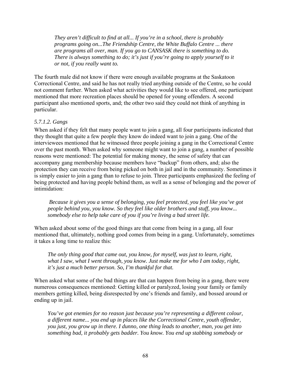*They aren't difficult to find at all... If you're in a school, there is probably programs going on...The Friendship Centre, the White Buffalo Centre ... there are programs all over, man. If you go to CANSASK there is something to do. There is always something to do; it's just if you're going to apply yourself to it or not, if you really want to.* 

The fourth male did not know if there were enough available programs at the Saskatoon Correctional Centre, and said he has not really tried anything outside of the Centre, so he could not comment further. When asked what activities they would like to see offered, one participant mentioned that more recreation places should be opened for young offenders. A second participant also mentioned sports, and; the other two said they could not think of anything in particular.

## *5.7.1.2. Gangs*

When asked if they felt that many people want to join a gang, all four participants indicated that they thought that quite a few people they know do indeed want to join a gang. One of the interviewees mentioned that he witnessed three people joining a gang in the Correctional Centre over the past month. When asked why someone might want to join a gang, a number of possible reasons were mentioned: The potential for making money, the sense of safety that can accompany gang membership because members have "backup" from others, and; also the protection they can receive from being picked on both in jail and in the community. Sometimes it is simply easier to join a gang than to refuse to join. Three participants emphasized the feeling of being protected and having people behind them, as well as a sense of belonging and the power of intimidation:

 *Because it gives you a sense of belonging, you feel protected, you feel like you've got people behind you, you know. So they feel like older brothers and stuff, you know... somebody else to help take care of you if you're living a bad street life.* 

When asked about some of the good things are that come from being in a gang, all four mentioned that, ultimately, nothing good comes from being in a gang. Unfortunately, sometimes it takes a long time to realize this:

*The only thing good that came out, you know, for myself, was just to learn, right, what I saw, what I went through, you know. Just make me for who I am today, right, it's just a much better person. So, I'm thankful for that.* 

When asked what some of the bad things are that can happen from being in a gang, there were numerous consequences mentioned: Getting killed or paralyzed, losing your family or family members getting killed, being disrespected by one's friends and family, and bossed around or ending up in jail.

*You've got enemies for no reason just because you're representing a different colour, a different name... you end up in places like the Correctional Centre, youth offender, you just, you grow up in there. I dunno, one thing leads to another, man, you get into something bad, it probably gets badder. You know. You end up stabbing somebody or*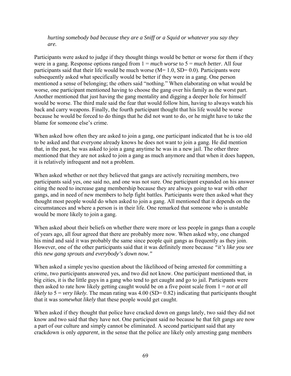*hurting somebody bad because they are a Sniff or a Squid or whatever you say they are.* 

Participants were asked to judge if they thought things would be better or worse for them if they were in a gang. Response options ranged from 1 = *much worse* to 5 = *much better*. All four participants said that their life would be much worse  $(M= 1.0, SD= 0.0)$ . Participants were subsequently asked what specifically would be better if they were in a gang. One person mentioned a sense of belonging; the others said "nothing." When elaborating on what would be worse, one participant mentioned having to choose the gang over his family as the worst part. Another mentioned that just having the gang mentality and digging a deeper hole for himself would be worse. The third male said the fear that would follow him, having to always watch his back and carry weapons. Finally, the fourth participant thought that his life would be worse because he would be forced to do things that he did not want to do, or he might have to take the blame for someone else's crime.

When asked how often they are asked to join a gang, one participant indicated that he is too old to be asked and that everyone already knows he does not want to join a gang. He did mention that, in the past, he was asked to join a gang anytime he was in a new jail. The other three mentioned that they are not asked to join a gang as much anymore and that when it does happen, it is relatively infrequent and not a problem.

When asked whether or not they believed that gangs are actively recruiting members, two participants said yes, one said no, and one was not sure. One participant expanded on his answer citing the need to increase gang membership because they are always going to war with other gangs, and in need of new members to help fight battles. Participants were then asked what they thought most people would do when asked to join a gang. All mentioned that it depends on the circumstances and where a person is in their life. One remarked that someone who is unstable would be more likely to join a gang.

When asked about their beliefs on whether there were more or less people in gangs than a couple of years ago, all four agreed that there are probably more now. When asked why, one changed his mind and said it was probably the same since people quit gangs as frequently as they join. However, one of the other participants said that it was definitely more because *"it's like you see this new gang sprouts and everybody's down now."* 

When asked a simple yes/no question about the likelihood of being arrested for committing a crime, two participants answered yes, and two did not know. One participant mentioned that, in big cities, it is the little guys in a gang who tend to get caught and go to jail. Participants were then asked to rate how likely getting caught would be on a five point scale from 1 = *not at all likely* to 5 = *very likely*. The mean rating was 4.00 (SD= 0.82) indicating that participants thought that it was *somewhat likely* that these people would get caught.

When asked if they thought that police have cracked down on gangs lately, two said they did not know and two said that they have not. One participant said no because he that felt gangs are now a part of our culture and simply cannot be eliminated. A second participant said that any crackdown is only *apparent*, in the sense that the police are likely only arresting gang members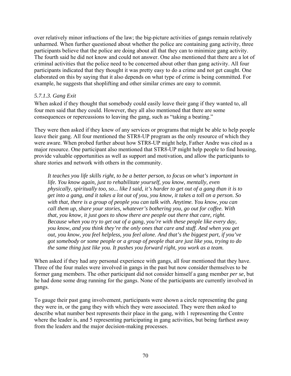over relatively minor infractions of the law; the big-picture activities of gangs remain relatively unharmed. When further questioned about whether the police are containing gang activity, three participants believe that the police are doing about all that they can to minimize gang activity. The fourth said he did not know and could not answer. One also mentioned that there are a lot of criminal activities that the police need to be concerned about other than gang activity. All four participants indicated that they thought it was pretty easy to do a crime and not get caught. One elaborated on this by saying that it also depends on what type of crime is being committed. For example, he suggests that shoplifting and other similar crimes are easy to commit.

## *5.7.1.3. Gang Exit*

When asked if they thought that somebody could easily leave their gang if they wanted to, all four men said that they could. However, they all also mentioned that there are some consequences or repercussions to leaving the gang, such as "taking a beating."

They were then asked if they knew of any services or programs that might be able to help people leave their gang. All four mentioned the STR8-UP program as the only resource of which they were aware. When probed further about how STR8-UP might help, Father Andre was cited as a major resource. One participant also mentioned that STR8-UP might help people to find housing, provide valuable opportunities as well as support and motivation, and allow the participants to share stories and network with others in the community.

*It teaches you life skills right, to be a better person, to focus on what's important in life. You know again, just to rehabilitate yourself, you know, mentally, even physically, spiritually too, so... like I said, it's harder to get out of a gang than it is to get into a gang, and it takes a lot out of you, you know, it takes a toll on a person. So with that, there is a group of people you can talk with. Anytime. You know, you can call them up, share your stories, whatever's bothering you, go out for coffee. With that, you know, it just goes to show there are people out there that care, right. Because when you try to get out of a gang, you're with these people like every day, you know, and you think they're the only ones that care and stuff. And when you get out, you know, you feel helpless, you feel alone. And that's the biggest part, if you've got somebody or some people or a group of people that are just like you, trying to do the same thing just like you. It pushes you forward right, you work as a team.* 

When asked if they had any personal experience with gangs, all four mentioned that they have. Three of the four males were involved in gangs in the past but now consider themselves to be former gang members. The other participant did not consider himself a gang member *per se*, but he had done some drug running for the gangs. None of the participants are currently involved in gangs.

To gauge their past gang involvement, participants were shown a circle representing the gang they were in, or the gang they with which they were associated. They were then asked to describe what number best represents their place in the gang, with 1 representing the Centre where the leader is, and 5 representing participating in gang activities, but being farthest away from the leaders and the major decision-making processes.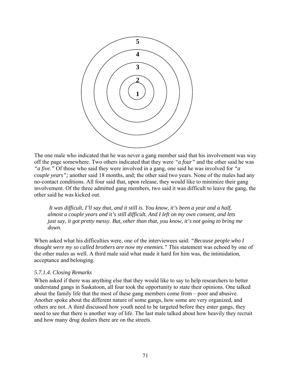

The one male who indicated that he was never a gang member said that his involvement was way off the page somewhere. Two others indicated that they were *"a four"* and the other said he was *"a five."* Of those who said they were involved in a gang, one said he was involved for *"a couple years";* another said 18 months, and; the other said two years. None of the males had any no-contact conditions. All four said that, upon release, they would like to minimize their gang involvement. Of the three admitted gang members, two said it was difficult to leave the gang, the other said he was kicked out.

 *It was difficult, I'll say that, and it still is. You know, it's been a year and a half, almost a couple years and it's still difficult. And I left on my own consent, and lets just say, it got pretty messy. But, other than that, you know, it's not going to bring me down.* 

When asked what his difficulties were, one of the interviewees said: *"Because people who I thought were my so called brothers are now my enemies."* This statement was echoed by one of the other males as well. A third male said what made it hard for him was, the intimidation, acceptance and belonging.

#### *5.7.1.4. Closing Remarks*

When asked if there was anything else that they would like to say to help researchers to better understand gangs in Saskatoon, all four took the opportunity to state their opinions. One talked about the family life that the most of these gang members come from – poor and abusive. Another spoke about the different nature of some gangs, how some are very organized, and others are not. A third discussed how youth need to be targeted before they enter gangs, they need to see that there is another way of life. The last male talked about how heavily they recruit and how many drug dealers there are on the streets.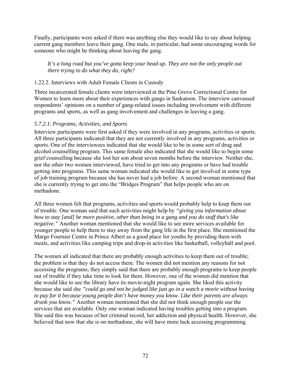Finally, participants were asked if there was anything else they would like to say about helping current gang members leave their gang. One male, in particular, had some encouraging words for someone who might be thinking about leaving the gang.

*It's a long road but you've gotta keep your head up. They are not the only people out there trying to do what they do, right?* 

# 1.22.2. Interviews with Adult Female Clients in Custody

Three incarcerated female clients were interviewed at the Pine Grove Correctional Centre for Women to learn more about their experiences with gangs in Saskatoon. The interview canvassed respondents' opinions on a number of gang-related issues including involvement with different programs and sports, as well as gang involvement and challenges in leaving a gang.

# *5.7.2.1. Programs, Activities, and Sports*

Interview participants were first asked if they were involved in any programs, activities or sports. All three participants indicated that they are not currently involved in any programs, activities or sports. One of the interviewees indicated that she would like to be in some sort of drug and alcohol counselling program. This same female also indicated that she would like to begin some grief counselling because she lost her son about seven months before the interview. Neither she, nor the other two women interviewed, have tried to get into any programs or have had trouble getting into programs. This same woman indicated she would like to get involved in some type of job training program because she has never had a job before. A second woman mentioned that she is currently trying to get into the "Bridges Program" that helps people who are on methadone.

All three women felt that programs, activities and sports would probably help to keep them out of trouble. One woman said that such activities might help by *"giving you information about how to stay [and] be more positive, other than being in a gang and you do stuff that's like negative."* Another woman mentioned that she would like to see more services available for younger people to help them to stay away from the gang life in the first place. She mentioned the Margo Fournier Centre in Prince Albert as a good place for youths by providing them with meals, and activities like camping trips and drop-in activities like basketball, volleyball and pool.

The women all indicated that there are probably enough activities to keep them out of trouble; the problem is that they do not access them. The women did not mention any reasons for not accessing the programs; they simply said that there are probably enough programs to keep people out of trouble if they take time to look for them. However, one of the women did mention that she would like to see the library have its movie-night program again. She liked this activity because she said she *"could go and not be judged like just go in a watch a movie without having to pay for it because young people don't have money you know. Like their parents are always drunk you know."* Another woman mentioned that she did not think enough people use the services that are available. Only one woman indicated having troubles getting into a program. She said this was because of her criminal record, her addiction and physical health. However, she believed that now that she is on methadone, she will have more luck accessing programming.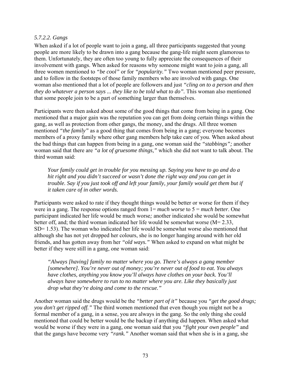## *5.7.2.2. Gangs*

When asked if a lot of people want to join a gang, all three participants suggested that young people are more likely to be drawn into a gang because the gang-life might seem glamorous to them. Unfortunately, they are often too young to fully appreciate the consequences of their involvement with gangs. When asked for reasons why someone might want to join a gang, all three women mentioned to *"be cool"* or for *"popularity."* Two woman mentioned peer pressure, and to follow in the footsteps of those family members who are involved with gangs*.* One woman also mentioned that a lot of people are followers and just *"cling on to a person and then they do whatever a person says ... they like to be told what to do".* This woman also mentioned that some people join to be a part of something larger than themselves.

Participants were then asked about some of the good things that come from being in a gang. One mentioned that a major gain was the reputation you can get from doing certain things within the gang, as well as protection from other gangs, the money, and the drugs. All three women mentioned *"the family"* as a good thing that comes from being in a gang; everyone becomes members of a proxy family where other gang members help take care of you. When asked about the bad things that can happen from being in a gang, one woman said the *"stabbings";* another woman said that there are *"a lot of gruesome things,"* which she did not want to talk about. The third woman said:

*Your family could get in trouble for you messing up. Saying you have to go and do a hit right and you didn't succeed or wasn't done the right way and you can get in trouble. Say if you just took off and left your family, your family would get them but if it taken care of in other words.* 

Participants were asked to rate if they thought things would be better or worse for them if they were in a gang. The response options ranged from 1= *much worse* to 5 = *much better*. One participant indicated her life would be much worse*;* another indicated she would be somewhat better off, and; the third woman indicated her life would be somewhat worse (M= 2.33, SD= 1.53). The woman who indicated her life would be somewhat worse also mentioned that although she has not yet dropped her colours, she is no longer hanging around with her old friends, and has gotten away from her *"old ways."* When asked to expand on what might be better if they were still in a gang, one woman said:

*"Always [having] family no matter where you go. There's always a gang member [somewhere]. You're never out of money; you're never out of food to eat. You always have clothes, anything you know you'll always have clothes on your back. You'll always have somewhere to run to no matter where you are. Like they basically just drop what they're doing and come to the rescue."* 

Another woman said the drugs would be the *"better part of it"* because you *"get the good drugs; you don't get ripped off."* The third women mentioned that even though you might not be a formal member of a gang, in a sense, you are always in the gang. So the only thing she could mentioned that could be better would be the backup if anything did happen. When asked what would be worse if they were in a gang, one woman said that you *"fight your own people"* and that the gangs have become very *"rank."* Another woman said that when she is in a gang, she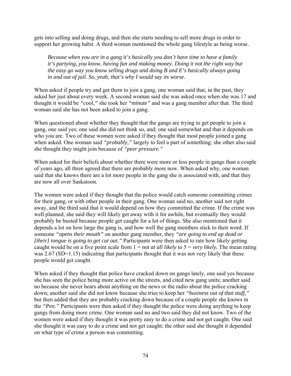gets into selling and doing drugs, and then she starts needing to sell more drugs in order to support her growing habit. A third woman mentioned the whole gang lifestyle as being worse.

*Because when you are in a gang it's basically you don't have time to have a family it's partying, you know, having fun and making money. Doing it not the right way but the easy go way you know selling drugs and doing B and E's basically always going in and out of jail. So, yeah, that's why I would say its worse.* 

When asked if people try and get them to join a gang, one woman said that, in the past, they asked her just about every week. A second woman said she was asked once when she was 17 and thought it would be *"cool,"* she took her *"minute"* and was a gang member after that. The third woman said she has not been asked to join a gang.

When questioned about whether they thought that the gangs are trying to get people to join a gang, one said yes; one said she did not think so, and; one said somewhat and that it depends on who you are. Two of these women were asked if they thought that most people joined a gang when asked. One woman said *"probably,"* largely to feel a part of something; she other also said she thought they might join because of *"peer pressure."*

When asked for their beliefs about whether there were more or less people in gangs than a couple of years ago, all three agreed that there are probably more now. When asked why, one woman said that she knows there are a lot more people in the gang she is associated with, and that they are now all over Saskatoon.

The women were asked if they thought that the police would catch someone committing crimes for their gang, or with other people in their gang. One woman said no, another said not right away, and the third said that it would depend on how they committed the crime. If the crime was well planned, she said they will likely get away with it for awhile, but eventually they would probably be busted because people get caught for a lot of things. She also mentioned that it depends a lot on how large the gang is, and how well the gang members stick to their word. If someone *"opens their mouth"* on another gang member, they *"are going to end up dead or [their] tongue is going to get cut out."* Participants were then asked to rate how likely getting caught would be on a five point scale from 1 = *not at all likely* to 5 = *very likely.* The mean rating was 2.67 (SD=1.15) indicating that participants thought that it was not very likely that these people would get caught.

When asked if they thought that police have cracked down on gangs lately, one said yes because she has seen the police being more active on the streets, and cited new gang units; another said no because she never hears about anything on the news or the radio about the police cracking down; another said she did not know because she tries to keep her *"business out of that stuff,"*  but then added that they are probably cracking down because of a couple people she knows in the *"Pen."* Participants were then asked if they thought the police were doing anything to keep gangs from doing more crime. One woman said no and two said they did not know. Two of the women were asked if they thought it was pretty easy to do a crime and not get caught. One said she thought it was easy to do a crime and not get caught; the other said she thought it depended on what type of crime a person was committing.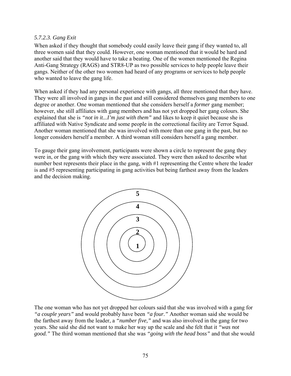#### *5.7.2.3. Gang Exit*

When asked if they thought that somebody could easily leave their gang if they wanted to, all three women said that they could. However, one woman mentioned that it would be hard and another said that they would have to take a beating. One of the women mentioned the Regina Anti-Gang Strategy (RAGS) and STR8-UP as two possible services to help people leave their gangs. Neither of the other two women had heard of any programs or services to help people who wanted to leave the gang life.

When asked if they had any personal experience with gangs, all three mentioned that they have. They were all involved in gangs in the past and still considered themselves gang members to one degree or another. One woman mentioned that she considers herself a *former* gang member; however, she still affiliates with gang members and has not yet dropped her gang colours. She explained that she is *"not in it...I'm just with them"* and likes to keep it quiet because she is affiliated with Native Syndicate and some people in the correctional facility are Terror Squad. Another woman mentioned that she was involved with more than one gang in the past, but no longer considers herself a member. A third woman still considers herself a gang member.

To gauge their gang involvement, participants were shown a circle to represent the gang they were in, or the gang with which they were associated. They were then asked to describe what number best represents their place in the gang, with #1 representing the Centre where the leader is and #5 representing participating in gang activities but being farthest away from the leaders and the decision making.



The one woman who has not yet dropped her colours said that she was involved with a gang for *"a couple years"* and would probably have been *"a four."* Another woman said she would be the farthest away from the leader, a *"number five,"* and was also involved in the gang for two years. She said she did not want to make her way up the scale and she felt that it *"was not good."* The third woman mentioned that she was *"going with the head boss"* and that she would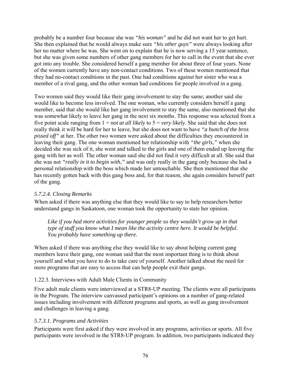probably be a number four because she was *"his woman"* and he did not want her to get hurt. She then explained that he would always make sure *"his other guys"* were always looking after her no matter where he was. She went on to explain that he is now serving a 15 year sentence, but she was given some numbers of other gang members for her to call in the event that she ever got into any trouble. She considered herself a gang member for about three of four years. None of the women currently have any non-contact conditions. Two of these women mentioned that they had no-contact conditions in the past. One had conditions against her sister who was a member of a rival gang, and the other woman had conditions for people involved in a gang.

Two women said they would like their gang involvement to stay the same; another said she would like to become less involved. The one woman, who currently considers herself a gang member, said that she would like her gang involvement to stay the same, also mentioned that she was somewhat likely to leave her gang in the next six months. This response was selected from a five point scale ranging from 1 = *not at all likely* to 5 = *very likely*. She said that she does not really think it will be hard for her to leave, but she does not want to have *"a bunch of the bros pissed off"* at her. The other two women were asked about the difficulties they encountered in leaving their gang. The one woman mentioned her relationship with *"the girls,"* when she decided she was sick of it, she went and talked to the girls and one of them ended up leaving the gang with her as well. The other woman said she did not find it very difficult at all. She said that she was not *"really in it to begin with,"* and was only really in the gang only because she had a personal relationship with the boss which made her untouchable. She then mentioned that she has recently gotten back with this gang boss and, for that reason, she again considers herself part of the gang.

## *5.7.2.4. Closing Remarks*

When asked if there was anything else that they would like to say to help researchers better understand gangs in Saskatoon, one woman took the opportunity to state her opinion.

*Like if you had more activities for younger people so they wouldn't grow up in that type of stuff you know what I mean like the activity centre here. It would be helpful. You probably have something up there.* 

When asked if there was anything else they would like to say about helping current gang members leave their gang, one woman said that the most important thing is to think about yourself and what you have to do to take care of yourself. Another talked about the need for more programs that are easy to access that can help people exit their gangs.

## 1.22.3. Interviews with Adult Male Clients in Community

Five adult male clients were interviewed at a STR8-UP meeting. The clients were all participants in the Program. The interview canvassed participant's opinions on a number of gang-related issues including involvement with different programs and sports, as well as gang involvement and challenges in leaving a gang.

## *5.7.3.1. Programs and Activities*

Participants were first asked if they were involved in any programs, activities or sports. All five participants were involved in the STR8-UP program. In addition, two participants indicated they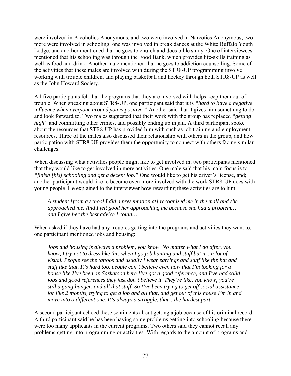were involved in Alcoholics Anonymous, and two were involved in Narcotics Anonymous; two more were involved in schooling; one was involved in break dances at the White Buffalo Youth Lodge, and another mentioned that he goes to church and does bible study. One of interviewees mentioned that his schooling was through the Food Bank, which provides life-skills training as well as food and drink. Another male mentioned that he goes to addiction counselling. Some of the activities that these males are involved with during the STR8-UP programming involve working with trouble children, and playing basketball and hockey through both STR8-UP as well as the John Howard Society.

All five participants felt that the programs that they are involved with helps keep them out of trouble. When speaking about STR8-UP, one participant said that it is *"hard to have a negative influence when everyone around you is positive."* Another said that it gives him something to do and look forward to. Two males suggested that their work with the group has replaced *"getting high*" and committing other crimes, and possibly ending up in jail. A third participant spoke about the resources that STR8-UP has provided him with such as job training and employment resources. Three of the males also discussed their relationship with others in the group, and how participation with STR8-UP provides them the opportunity to connect with others facing similar challenges.

When discussing what activities people might like to get involved in, two participants mentioned that they would like to get involved in more activities. One male said that his main focus is to *"finish [his] schooling and get a decent job."* One would like to get his driver's license, and; another participant would like to become even more involved with the work STR8-UP does with young people. He explained to the interviewer how rewarding these activities are to him:

*A student [from a school I did a presentation at] recognized me in the mall and she approached me. And I felt good her approaching me because she had a problem… and I give her the best advice I could…* 

When asked if they have had any troubles getting into the programs and activities they want to, one participant mentioned jobs and housing:

*Jobs and housing is always a problem, you know. No matter what I do after, you know, I try not to dress like this when I go job hunting and stuff but it's a lot of visual. People see the tattoos and usually I wear earrings and stuff like the hat and stuff like that. It's hard too, people can't believe even now that I'm looking for a house like I've been, in Saskatoon here I've got a good reference, and I've had solid jobs and good references they just don't believe it. They're like, you know, you're still a gang banger, and all that stuff. So I've been trying to get off social assistance for like 2 months, trying to get a job and all that, and get out of this house I'm in and move into a different one. It's always a struggle, that's the hardest part.* 

A second participant echoed these sentiments about getting a job because of his criminal record. A third participant said he has been having some problems getting into schooling because there were too many applicants in the current programs. Two others said they cannot recall any problems getting into programming or activities. With regards to the amount of programs and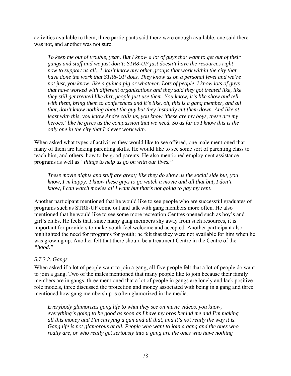activities available to them, three participants said there were enough available, one said there was not, and another was not sure.

*To keep me out of trouble, yeah. But I know a lot of guys that want to get out of their gangs and stuff and we just don't; STR8-UP just doesn't have the resources right now to support us all...I don't know any other groups that work within the city that have done the work that STR8-UP does. They know us on a personal level and we're not just, you know, like a guinea pig or whatever. Lots of people, I know lots of guys that have worked with different organizations and they said they got treated like, like they still get treated like dirt, people just use them. You know, it's like show and tell with them, bring them to conferences and it's like, oh, this is a gang member, and all that, don't know nothing about the guy but they instantly cut them down. And like at least with this, you know Andre calls us, you know 'these are my boys, these are my heroes,' like he gives us the compassion that we need. So as far as I know this is the only one in the city that I'd ever work with.* 

When asked what types of activities they would like to see offered, one male mentioned that many of them are lacking parenting skills. He would like to see some sort of parenting class to teach him, and others, how to be good parents. He also mentioned employment assistance programs as well as *"things to help us go on with our lives."*

*These movie nights and stuff are great; like they do show us the social side but, you know, I'm happy; I know these guys to go watch a movie and all that but, I don't know, I can watch movies all I want but that's not going to pay my rent.* 

Another participant mentioned that he would like to see people who are successful graduates of programs such as STR8-UP come out and talk with gang members more often. He also mentioned that he would like to see some more recreation Centres opened such as boy's and girl's clubs. He feels that, since many gang members shy away from such resources, it is important for providers to make youth feel welcome and accepted. Another participant also highlighted the need for programs for youth; he felt that they were not available for him when he was growing up. Another felt that there should be a treatment Centre in the Centre of the *"hood."*

## *5.7.3.2. Gangs*

When asked if a lot of people want to join a gang, all five people felt that a lot of people do want to join a gang. Two of the males mentioned that many people like to join because their family members are in gangs, three mentioned that a lot of people in gangs are lonely and lack positive role models, three discussed the protection and money associated with being in a gang and three mentioned how gang membership is often glamorized in the media.

*Everybody glamorizes gang life to what they see on music videos, you know, everything's going to be good as soon as I have my bros behind me and I'm making all this money and I'm carrying a gun and all that, and it's not really the way it is. Gang life is not glamorous at all. People who want to join a gang and the ones who really are, or who really get seriously into a gang are the ones who have nothing*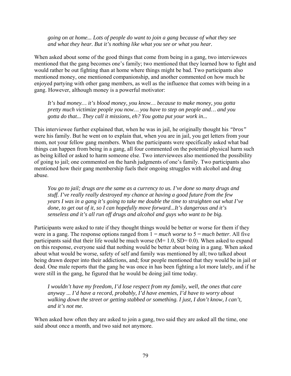*going on at home... Lots of people do want to join a gang because of what they see and what they hear. But it's nothing like what you see or what you hear.*

When asked about some of the good things that come from being in a gang, two interviewees mentioned that the gang becomes one's family; two mentioned that they learned how to fight and would rather be out fighting than at home where things might be bad. Two participants also mentioned money, one mentioned companionship, and another commented on how much he enjoyed partying with other gang members, as well as the influence that comes with being in a gang. However, although money is a powerful motivator:

*It's bad money… it's blood money, you know… because to make money, you gotta pretty much victimize people you now… you have to step on people and… and you gotta do that... They call it missions, eh? You gotta put your work in...* 

This interviewee further explained that, when he was in jail, he originally thought his *"bros"*  were his family. But he went on to explain that, when you are in jail, you get letters from your mom, not your fellow gang members. When the participants were specifically asked what bad things can happen from being in a gang, all four commented on the potential physical harm such as being killed or asked to harm someone else. Two interviewees also mentioned the possibility of going to jail; one commented on the harsh judgments of one's family. Two participants also mentioned how their gang membership fuels their ongoing struggles with alcohol and drug abuse.

*You go to jail; drugs are the same as a currency to us. I've done so many drugs and stuff. I've really really destroyed my chance at having a good future from the few years I was in a gang it's going to take me double the time to straighten out what I've done, to get out of it, so I can hopefully move forward...It's dangerous and it's senseless and it's all run off drugs and alcohol and guys who want to be big.* 

Participants were asked to rate if they thought things would be better or worse for them if they were in a gang. The response options ranged from  $1 = much$  *worse* to  $5 = much$  *better*. All five participants said that their life would be much worse  $(M= 1.0, SD= 0.0)$ . When asked to expand on this response, everyone said that nothing would be better about being in a gang. When asked about what would be worse, safety of self and family was mentioned by all; two talked about being drawn deeper into their addictions, and; four people mentioned that they would be in jail or dead. One male reports that the gang he was once in has been fighting a lot more lately, and if he were still in the gang, he figured that he would be doing jail time today.

*I wouldn't have my freedom, I'd lose respect from my family, well, the ones that care anyway ... I'd have a record, probably, I'd have enemies, I'd have to worry about walking down the street or getting stabbed or something. I just, I don't know, I can't, and it's not me.* 

When asked how often they are asked to join a gang, two said they are asked all the time, one said about once a month, and two said not anymore.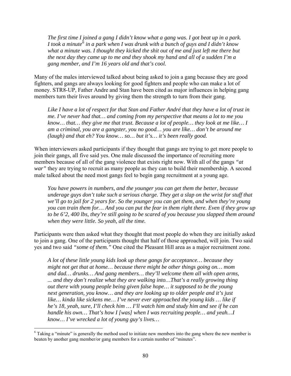*The first time I joined a gang I didn't know what a gang was. I got beat up in a park. I took a minute[6](#page-95-0) in a park when I was drunk with a bunch of guys and I didn't know what a minute was. I thought they kicked the shit out of me and just left me there but the next day they came up to me and they shook my hand and all of a sudden I'm a gang member, and I'm 16 years old and that's cool.* 

Many of the males interviewed talked about being asked to join a gang because they are good fighters, and gangs are always looking for good fighters and people who can make a lot of money. STR8-UP, Father Andre and Stan have been cited as major influences in helping gang members turn their lives around by giving them the strength to turn from their gang.

*Like I have a lot of respect for that Stan and Father André that they have a lot of trust in me. I've never had that… and coming from my perspective that means a lot to me you know… that… they give me that trust. Because a lot of people… they look at me like… I am a criminal, you are a gangster, you no good… you are like… don't be around me (laugh) and that eh? You know… so… but it's… it's been really good.* 

When interviewers asked participants if they thought that gangs are trying to get more people to join their gangs, all five said yes. One male discussed the importance of recruiting more members because of all of the gang violence that exists right now. With all of the gangs *"at war"* they are trying to recruit as many people as they can to build their membership. A second male talked about the need most gangs feel to begin gang recruitment at a young age.

*You have powers in numbers, and the younger you can get them the better, because underage guys don't take such a serious charge. They get a slap on the wrist for stuff that we'll go to jail for 2 years for. So the younger you can get them, and when they're young you can train them for… And you can put the fear in them right there. Even if they grow up to be 6'2, 400 lbs, they're still going to be scared of you because you slapped them around when they were little. So yeah, all the time.* 

Participants were then asked what they thought that most people do when they are initially asked to join a gang. One of the participants thought that half of those approached, will join. Two said yes and two said *"some of them."* One cited the Pleasant Hill area as a major recruitment zone.

*A lot of these little young kids look up these gangs for acceptance… because they might not get that at home… because there might be other things going on… mom and dad… drunks… And gang members… they'll welcome them all with open arms, ... and they don't realize what they are walking into…That's a really growing thing out there with young people being given false hope… it supposed to be the young next generation, you know… and they are looking up to older people and it's just like… kinda like sickens me… I've never ever approached the young kids … like if he's 18, yeah, sure, I'll check him … I'll watch him and study him and see if he can handle his own… That's how I [was] when I was recruiting people… and yeah…I know… I've wrecked a lot of young guy's lives…*

<span id="page-95-0"></span><sup>&</sup>lt;sup>6</sup> Taking a "minute" is generally the method used to initiate new members into the gang where the new member is beaten by another gang member/or gang members for a certain number of "minutes".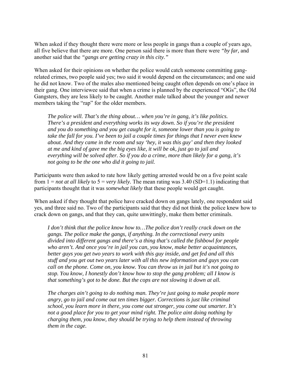When asked if they thought there were more or less people in gangs than a couple of years ago, all five believe that there are more. One person said there is more than there were *"by far,* and another said that the *"gangs are getting crazy in this city."*

When asked for their opinions on whether the police would catch someone committing gangrelated crimes, two people said yes; two said it would depend on the circumstances; and one said he did not know. Two of the males also mentioned being caught often depends on one's place in their gang. One interviewee said that when a crime is planned by the experienced "OGs", the Old Gangsters, they are less likely to be caught. Another male talked about the younger and newer members taking the "rap" for the older members.

*The police will. That's the thing about… when you're in gang, it's like politics. There's a president and everything works its way down. So if you're the president and you do something and you get caught for it, someone lower than you is going to take the fall for you. I've been to jail a couple times for things that I never even knew about. And they came in the room and say 'hey, it was this guy' and then they looked at me and kind of gave me the big eyes like, it will be ok, just go to jail and everything will be solved after. So if you do a crime, more than likely for a gang, it's not going to be the one who did it going to jail.* 

Participants were then asked to rate how likely getting arrested would be on a five point scale from 1 = *not at all likely* to 5 = *very likely.* The mean rating was 3.40 (SD=1.1) indicating that participants thought that it was *somewhat likely* that these people would get caught.

When asked if they thought that police have cracked down on gangs lately, one respondent said yes, and three said no. Two of the participants said that they did not think the police knew how to crack down on gangs, and that they can, quite unwittingly, make them better criminals.

*I don't think that the police know how to…The police don't really crack down on the gangs. The police make the gangs, if anything. In the correctional every units divided into different gangs and there's a thing that's called the fishbowl for people who aren't. And once you're in jail you can, you know, make better acquaintances, better guys you get two years to work with this guy inside, and get fed and all this stuff and you get out two years later with all this new information and guys you can call on the phone. Come on, you know. You can throw us in jail but it's not going to stop. You know, I honestly don't know how to stop the gang problem; all I know is that something's got to be done. But the cops are not slowing it down at all.* 

*The charges ain't going to do nothing man. They're just going to make people more angry, go to jail and come out ten times bigger. Corrections is just like criminal school, you learn more in there, you come out stronger, you come out smarter. It's not a good place for you to get your mind right. The police aint doing nothing by charging them, you know, they should be trying to help them instead of throwing them in the cage.*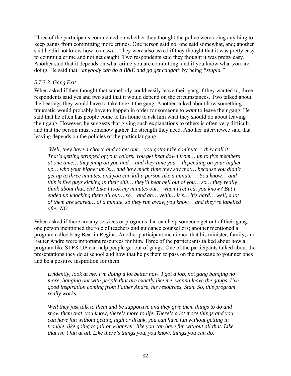Three of the participants commented on whether they thought the police were doing anything to keep gangs from committing more crimes. One person said no; one said somewhat, and; another said he did not know how to answer. They were also asked if they thought that it was pretty easy to commit a crime and not get caught. Two respondents said they thought it was pretty easy. Another said that it depends on what crime you are committing, and if you know what you are doing. He said that *"anybody can do a B&E and go get caught"* by being *"stupid."* 

#### *5.7.3.3. Gang Exit*

When asked if they thought that somebody could easily leave their gang if they wanted to, three respondents said yes and two said that it would depend on the circumstances. Two talked about the beatings they would have to take to exit the gang. Another talked about how something traumatic would probably have to happen in order for someone to *want* to leave their gang. He said that he often has people come to his home to ask him what they should do about leaving their gang. However, he suggests that giving such explanations to others is often very difficult, and that the person must somehow gather the strength they need. Another interviewee said that leaving depends on the policies of the particular gang.

 *Well, they have a choice and to get out… you gotta take a minute… they call it. That's getting stripped of your colors. You get beat down from… up to five members at one time… they jump on you and… and they time you… depending on your higher up… who your higher up is… and how much time they say that… because you didn't get up to three minutes, and you can kill a person like a minute…. You know… and this is five guys kicking in their shit… they'll beat hell out of you… so… they really think about that, eh? Like I took my minutes out… when I retired, you know? But I ended up knocking them all out… so… and ah… yeah… it's… it's hard… well, a lot of them are scared… of a minute, so they run away, you know… and they're labelled after NG…* 

When asked if there are any services or programs that can help someone get out of their gang, one person mentioned the role of teachers and guidance counsellors; another mentioned a program called Flag Bear in Regina. Another participant mentioned that his minister, family, and Father Andre were important resources for him. Three of the participants talked about how a program like STR8-UP can help people get out of gangs. One of the participants talked about the presentations they do at school and how that helps them to pass on the message to younger ones and be a positive inspiration for them.

*Evidently, look at me. I'm doing a lot better now. I got a job, not gang banging no more, hanging out with people that are exactly like me, wanna leave the gangs. I've good inspiration coming from Father Andre, his resources, Stan. So, this program really works.* 

*Well they just talk to them and be supportive and they give them things to do and show them that, you know, there's more to life. There's a lot more things and you can have fun without getting high or drunk, you can have fun without getting in trouble, like going to jail or whatever, like you can have fun without all that. Like that isn't fun at all. Like there's things you, you know, things you can do.*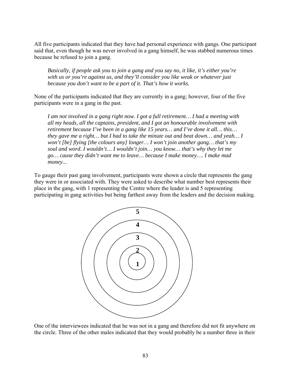All five participants indicated that they have had personal experience with gangs. One participant said that, even though he was never involved in a gang himself, he was stabbed numerous times because he refused to join a gang.

*Basically, if people ask you to join a gang and you say no, it like, it's either you're with us or you're against us, and they'll consider you like weak or whatever just because you don't want to be a part of it. That's how it works.* 

None of the participants indicated that they are currently in a gang; however, four of the five participants were in a gang in the past.

*I am not involved in a gang right now. I got a full retirement… I had a meeting with all my heads, all the captains, president, and I got an honourable involvement with retirement because I've been in a gang like 15 years… and I've done it all… this… they gave me a right… but I had to take the minute out and beat down… and yeah… I won't [be] flying [the colours any] longer… I won't join another gang… that's my soul and word. I wouldn't… I wouldn't join… you know… that's why they let me go… cause they didn't want me to leave… because I make money…. I make mad money...* 

To gauge their past gang involvement, participants were shown a circle that represents the gang they were in or associated with. They were asked to describe what number best represents their place in the gang, with 1 representing the Centre where the leader is and 5 representing participating in gang activities but being farthest away from the leaders and the decision making.



One of the interviewees indicated that he was not in a gang and therefore did not fit anywhere on the circle. Three of the other males indicated that they would probably be a number three in their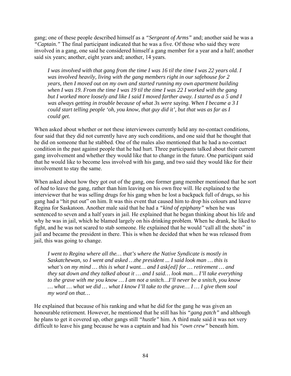gang; one of these people described himself as a *"Sergeant of Arms"* and; another said he was a *"Captain."* The final participant indicated that he was a five. Of those who said they were involved in a gang, one said he considered himself a gang member for a year and a half; another said six years; another, eight years and; another, 14 years.

*I was involved with that gang from the time I was 16 til the time I was 22 years old. I was involved heavily, living with the gang members right in our safehouse for 2 years, then I moved out on my own and started running my own apartment building when I was 19. From the time I was 19 til the time I was 22 I worked with the gang but I worked more loosely and like I said I moved farther away. I started as a 5 and I was always getting in trouble because of what 3s were saying. When I became a 3 I could start telling people 'oh, you know, that guy did it', but that was as far as I could get.* 

When asked about whether or not these interviewees currently held any no-contact conditions, four said that they did not currently have any such conditions, and one said that he thought that he did on someone that he stabbed. One of the males also mentioned that he had a no-contact condition in the past against people that he had hurt. Three participants talked about their current gang involvement and whether they would like that to change in the future. One participant said that he would like to become less involved with his gang, and two said they would like for their involvement to stay the same.

When asked about how they got out of the gang, one former gang member mentioned that he sort of *had* to leave the gang, rather than him leaving on his own free will. He explained to the interviewer that he was selling drugs for his gang when he lost a backpack full of drugs, so his gang had a "hit put out" on him. It was this event that caused him to drop his colours and leave Regina for Saskatoon. Another male said that he had a *"kind of epiphany"* when he was sentenced to seven and a half years in jail. He explained that he began thinking about his life and why he was in jail, which he blamed largely on his drinking problem. When he drank, he liked to fight, and he was not scared to stab someone. He explained that he would "call all the shots" in jail and became the president in there. This is when he decided that when he was released from jail, this was going to change.

*I went to Regina where all the… that's where the Native Syndicate is mostly in Saskatchewan, so I went and asked …the president ... I said look man … this is what's on my mind … this is what I want… and I ask[ed] for … retirement … and they sat down and they talked about it … and I said… look man… I'll take everything to the grave with me you know … I am not a snitch…I'll never be a snitch, you know … what … what we did … what I know I'll take to the grave… I … I give them soul my word on that…* 

He explained that because of his ranking and what he did for the gang he was given an honourable retirement. However, he mentioned that he still has his *"gang patch"* and although he plans to get it covered up, other gangs still *"hustle"* him. A third male said it was not very difficult to leave his gang because he was a captain and had his *"own crew"* beneath him.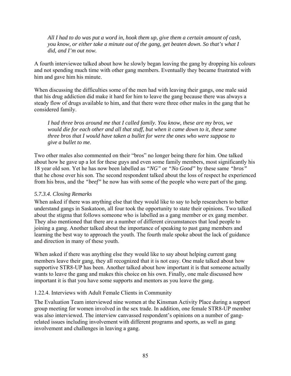*All I had to do was put a word in, hook them up, give them a certain amount of cash, you know, or either take a minute out of the gang, get beaten down. So that's what I did, and I'm out now.* 

A fourth interviewee talked about how he slowly began leaving the gang by dropping his colours and not spending much time with other gang members. Eventually they became frustrated with him and gave him his minute.

When discussing the difficulties some of the men had with leaving their gangs, one male said that his drug addiction did make it hard for him to leave the gang because there was always a steady flow of drugs available to him, and that there were three other males in the gang that he considered family.

*I had three bros around me that I called family. You know, these are my bros, we would die for each other and all that stuff, but when it came down to it, these same three bros that I would have taken a bullet for were the ones who were suppose to give a bullet to me.* 

Two other males also commented on their "bros" no longer being there for him. One talked about how he gave up a lot for these guys and even some family members, most significantly his 18 year old son. Yet he has now been labelled as *"NG"* or *"No Good"* by these same *"bros"* that he chose over his son. The second respondent talked about the loss of respect he experienced from his bros, and the *"beef"* he now has with some of the people who were part of the gang.

## *5.7.3.4. Closing Remarks*

When asked if there was anything else that they would like to say to help researchers to better understand gangs in Saskatoon, all four took the opportunity to state their opinions. Two talked about the stigma that follows someone who is labelled as a gang member or ex gang member. They also mentioned that there are a number of different circumstances that lead people to joining a gang. Another talked about the importance of speaking to past gang members and learning the best way to approach the youth. The fourth male spoke about the lack of guidance and direction in many of these youth.

When asked if there was anything else they would like to say about helping current gang members leave their gang, they all recognized that it is not easy. One male talked about how supportive STR8-UP has been. Another talked about how important it is that someone actually wants to leave the gang and makes this choice on his own. Finally, one male discussed how important it is that you have some supports and mentors as you leave the gang.

## 1.22.4. Interviews with Adult Female Clients in Community

The Evaluation Team interviewed nine women at the Kinsman Activity Place during a support group meeting for women involved in the sex trade. In addition, one female STR8-UP member was also interviewed. The interview canvassed respondent's opinions on a number of gangrelated issues including involvement with different programs and sports, as well as gang involvement and challenges in leaving a gang.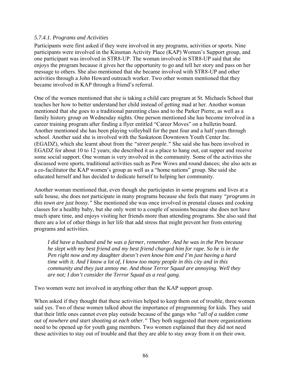## *5.7.4.1. Programs and Activities*

Participants were first asked if they were involved in any programs, activities or sports. Nine participants were involved in the Kinsman Activity Place (KAP) Women's Support group, and one participant was involved in STR8-UP. The woman involved in STR8-UP said that she enjoys the program because it gives her the opportunity to go and tell her story and pass on her message to others. She also mentioned that she became involved with STR8-UP and other activities through a John Howard outreach worker. Two other women mentioned that they became involved in KAP through a friend's referral.

One of the women mentioned that she is taking a child care program at St. Michaels School that teaches her how to better understand her child instead of getting mad at her. Another woman mentioned that she goes to a traditional parenting class and to the Parker Pierre, as well as a family history group on Wednesday nights. One person mentioned she has become involved in a career training program after finding a flyer entitled "Career Moves" on a bulletin board. Another mentioned she has been playing volleyball for the past four and a half years through school. Another said she is involved with the Saskatoon Downtown Youth Center Inc. (EGADZ), which she learnt about from the *"street people."* She said she has been involved in EGADZ for about 10 to 12 years; she described it as a place to hang out, eat supper and receive some social support. One woman is very involved in the community. Some of the activities she discussed were sports, traditional activities such as Pow Wows and round dances; she also acts as a co-facilitator the KAP women's group as well as a "home nations" group. She said she educated herself and has decided to dedicate herself to helping her community.

Another woman mentioned that, even though she participates in some programs and lives at a safe house, she does not participate in many programs because she feels that many *"programs in this town are just bossy."* She mentioned she was once involved in prenatal classes and cooking classes for a healthy baby, but she only went to a couple of sessions because she does not have much spare time, and enjoys visiting her friends more than attending programs. She also said that there are a lot of other things in her life that add stress that might prevent her from entering programs and activities.

*I did have a husband and he was a farmer, remember. And he was in the Pen because he slept with my best friend and my best friend charged him for rape. So he is in the Pen right now and my daughter doesn't even know him and I'm just having a hard time with it. And I know a lot of, I know too many people in this city and in this community and they just annoy me. And those Terror Squad are annoying. Well they are not; I don't consider the Terror Squad as a real gang.* 

Two women were not involved in anything other than the KAP support group.

When asked if they thought that these activities helped to keep them out of trouble, three women said yes. Two of these women talked about the importance of programming for kids. They said that their little ones cannot even play outside because of the gangs who *"all of a sudden come out of nowhere and start shooting at each other."* They both suggested that more organizations need to be opened up for youth gang members. Two women explained that they did not need these activities to stay out of trouble and that they are able to stay away from it on their own.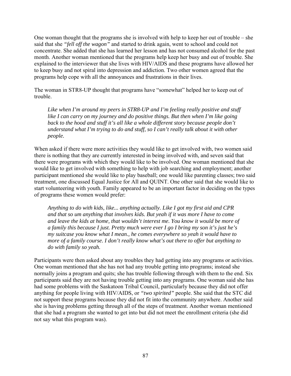One woman thought that the programs she is involved with help to keep her out of trouble – she said that she *"fell off the wagon"* and started to drink again, went to school and could not concentrate. She added that she has learned her lesson and has not consumed alcohol for the past month. Another woman mentioned that the programs help keep her busy and out of trouble. She explained to the interviewer that she lives with HIV/AIDS and these programs have allowed her to keep busy and not spiral into depression and addiction. Two other women agreed that the programs help cope with all the annoyances and frustrations in their lives.

The woman in STR8-UP thought that programs have "somewhat" helped her to keep out of trouble.

*Like when I'm around my peers in STR8-UP and I'm feeling really positive and stuff like I can carry on my journey and do positive things. But then when I'm like going back to the hood and stuff it's all like a whole different story because people don't understand what I'm trying to do and stuff, so I can't really talk about it with other people.* 

When asked if there were more activities they would like to get involved with, two women said there is nothing that they are currently interested in being involved with, and seven said that there were programs with which they would like to be involved. One woman mentioned that she would like to get involved with something to help with job searching and employment; another participant mentioned she would like to play baseball; one would like parenting classes; two said treatment, one discussed Equal Justice for All and QUINT. One other said that she would like to start volunteering with youth. Family appeared to be an important factor in deciding on the types of programs these women would prefer:

*Anything to do with kids, like... anything actually. Like I got my first aid and CPR and that so um anything that involves kids. But yeah if it was more I have to come and leave the kids at home, that wouldn't interest me. You know it would be more of a family this because I just. Pretty much were ever I go I bring my son it's just he's my suitcase you know what I mean., he comes everywhere so yeah it would have to more of a family course. I don't really know what's out there to offer but anything to do with family so yeah.* 

Participants were then asked about any troubles they had getting into any programs or activities. One woman mentioned that she has not had any trouble getting into programs; instead she normally joins a program and quits; she has trouble following through with them to the end. Six participants said they are not having trouble getting into any programs. One woman said she has had some problems with the Saskatoon Tribal Council, particularly because they did not offer anything for people living with HIV/AIDS, or *"two spirited"* people. She said that the STC did not support these programs because they did not fit into the community anywhere. Another said she is having problems getting through all of the steps of treatment. Another woman mentioned that she had a program she wanted to get into but did not meet the enrollment criteria (she did not say what this program was).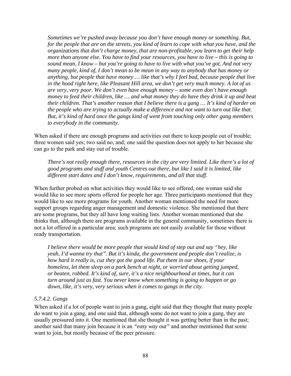*Sometimes we're pushed away because you don't have enough money or something. But, for the people that are on the streets, you kind of learn to cope with what you have, and the organizations that don't charge money, that are non-profitable, you learn to get their help more than anyone else. You have to find your resources, you have to live – this is going to sound mean, I know – but you're going to have to live with what you've got. And not very many people, kind of, I don't mean to be mean in any way to anybody that has money or anything, but people that have money … like that's why I feel bad, because people that live in the hood right here, like Pleasant Hill area, we don't get very much money. A lot of us are very, very poor. We don't even have enough money – some even don't have enough money to feed their children, like … and what money they do have they drink it up and beat their children. That's another reason that I believe there is a gang … It's kind of harder on the people who are trying to actually make a difference and not want to turn out like that. But, it's kind of hard once the gangs kind of went from touching only other gang members to everybody in the community.* 

When asked if there are enough programs and activities out there to keep people out of trouble; three women said yes; two said no, and; one said the question does not apply to her because she can go to the park and stay out of trouble.

*There's not really enough there, resources in the city are very limited. Like there's a lot of good programs and stuff and youth Centres out there, but like I said it is limited, like different start dates and I don't know, requirements, and all that stuff.* 

When further probed on what activities they would like to see offered, one woman said she would like to see more sports offered for people her age. Three participants mentioned that they would like to see more programs for youth. Another woman mentioned the need for more support groups regarding anger management and domestic violence. She mentioned that there are some programs, but they all have long waiting lists. Another woman mentioned that she thinks that, although there are programs available in the general community, sometimes there is not a lot offered in a particular area; such programs are not easily available for those without ready transportation.

*I believe there would be more people that would kind of step out and say "hey, like yeah, I'd wanna try that". But it's kinda, the government and people don't realize, is how hard it really is, cuz they got the good life. Put them in our shoes, if your homeless, let them sleep on a park bench at night, or worried about getting jumped, or beaten, robbed. It's kind of, sure, it's a nice neighbourhood at times, but it can turn around just as fast. You never know when something is going to happen or go down, like, it's very, very serious when it comes to gangs in the city.* 

## *5.7.4.2. Gangs*

When asked if a lot of people want to join a gang, eight said that they thought that many people do want to join a gang, and one said that, although some do not want to join a gang, they are usually pressured into it. One mentioned that she thought it was getting better than in the past; another said that many join because it is an *"easy way out"* and another mentioned that some want to join, but mostly because of the peer pressure.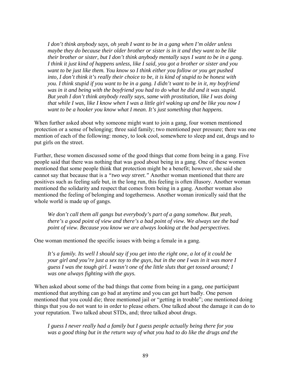*I don't think anybody says, oh yeah I want to be in a gang when I'm older unless maybe they do because their older brother or sister is in it and they want to be like their brother or sister, but I don't think anybody mentally says I want to be in a gang. I think it just kind of happens unless, like I said, you got a brother or sister and you want to be just like them. You know so I think either you follow or you get pushed into, I don't think it's really their choice to be, it is kind of stupid to be honest with you. I think stupid if you want to be in a gang. I didn't want to be in it, my boyfriend was in it and being with the boyfriend you had to do what he did and it was stupid. But yeah I don't think anybody really says, same with prostitution, like I was doing that while I was, like I know when I was a little girl waking up and be like you now I want to be a hooker you know what I mean. It's just something that happens.* 

When further asked about why someone might want to join a gang, four women mentioned protection or a sense of belonging; three said family; two mentioned peer pressure; there was one mention of each of the following: money, to look cool, somewhere to sleep and eat, drugs and to put girls on the street.

Further, these women discussed some of the good things that come from being in a gang. Five people said that there was nothing that was good about being in a gang. One of these women mentioned that some people think that protection might be a benefit; however, she said she cannot say that because that is a *"two way street."* Another woman mentioned that there are positives such as feeling safe but, in the long run, this feeling is often illusory. Another woman mentioned the solidarity and respect that comes from being in a gang. Another woman also mentioned the feeling of belonging and togetherness. Another woman ironically said that the whole world is made up of gangs.

*We don't call them all gangs but everybody's part of a gang somehow. But yeah, there's a good point of view and there's a bad point of view. We always see the bad point of view. Because you know we are always looking at the bad perspectives.* 

One woman mentioned the specific issues with being a female in a gang.

*It's a family. Its well I should say if you get into the right one, a lot of it could be your girl and you're just a sex toy to the guys, but in the one I was in it was more I guess I was the tough girl. I wasn't one of the little sluts that get tossed around; I was one always fighting with the guys.* 

When asked about some of the bad things that come from being in a gang, one participant mentioned that anything can go bad at anytime and you can get hurt badly. One person mentioned that you could die; three mentioned jail or "getting in trouble"; one mentioned doing things that you do not want to in order to please others. One talked about the damage it can do to your reputation. Two talked about STDs, and; three talked about drugs.

*I guess I never really had a family but I guess people actually being there for you was a good thing but in the return way of what you had to do like the drugs and the*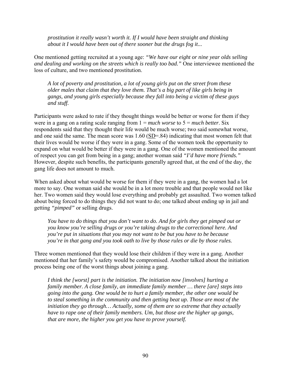*prostitution it really wasn't worth it. If I would have been straight and thinking about it I would have been out of there sooner but the drugs fog it...* 

One mentioned getting recruited at a young age: *"We have our eight or nine year olds selling and dealing and working on the streets which is really too bad."* One interviewee mentioned the loss of culture, and two mentioned prostitution.

*A lot of poverty and prostitution, a lot of young girls put on the street from these older males that claim that they love them. That's a big part of like girls being in gangs, and young girls especially because they fall into being a victim of these guys and stuff.* 

Participants were asked to rate if they thought things would be better or worse for them if they were in a gang on a rating scale ranging from 1 = *much worse* to 5 = *much better*. Six respondents said that they thought their life would be much worse; two said somewhat worse, and one said the same. The mean score was 1.60 (SD=.84) indicating that most women felt that their lives would be worse if they were in a gang. Some of the women took the opportunity to expand on what would be better if they were in a gang. One of the women mentioned the amount of respect you can get from being in a gang; another woman said *"I'd have more friends."*  However, despite such benefits, the participants generally agreed that, at the end of the day, the gang life does not amount to much.

When asked about what would be worse for them if they were in a gang, the women had a lot more to say. One woman said she would be in a lot more trouble and that people would not like her. Two women said they would lose everything and probably get assaulted. Two women talked about being forced to do things they did not want to do; one talked about ending up in jail and getting *"pimped"* or selling drugs.

*You have to do things that you don't want to do. And for girls they get pimped out or you know you're selling drugs or you're taking drugs to the correctional here. And you're put in situations that you may not want to be but you have to be because you're in that gang and you took oath to live by those rules or die by those rules.* 

Three women mentioned that they would lose their children if they were in a gang. Another mentioned that her family's safety would be compromised. Another talked about the initiation process being one of the worst things about joining a gang.

*I think the [worst] part is the initiation. The initiation now [involves] hurting a family member. A close family, an immediate family member … there [are] steps into going into the gang. One would be to hurt a family member, the other one would be to steal something in the community and then getting beat up. Those are most of the initiation they go through… Actually, some of them are so extreme that they actually have to rape one of their family members. Um, but those are the higher up gangs, that are more, the higher you get you have to prove yourself.*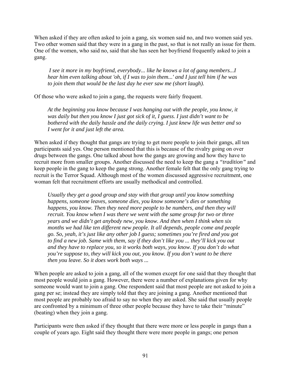When asked if they are often asked to join a gang, six women said no, and two women said yes. Two other women said that they were in a gang in the past, so that is not really an issue for them. One of the women, who said no, said that she has seen her boyfriend frequently asked to join a gang.

 *I see it more in my boyfriend, everybody... like he knows a lot of gang members...I hear him even talking about 'oh, if I was to join them...' and I just tell him if he was to join them that would be the last day he ever saw me (short laugh).* 

Of those who were asked to join a gang, the requests were fairly frequent.

*At the beginning you know because I was hanging out with the people, you know, it was daily but then you know I just got sick of it, I guess. I just didn't want to be bothered with the daily hassle and the daily crying. I just knew life was better and so I went for it and just left the area.* 

When asked if they thought that gangs are trying to get more people to join their gangs, all ten participants said yes. One person mentioned that this is because of the rivalry going on over drugs between the gangs. One talked about how the gangs are growing and how they have to recruit more from smaller groups. Another discussed the need to keep the gang a *"tradition"* and keep people in the gang to keep the gang strong. Another female felt that the only gang trying to recruit is the Terror Squad. Although most of the women discussed aggressive recruitment, one woman felt that recruitment efforts are usually methodical and controlled.

*Usually they get a good group and stay with that group until you know something happens, someone leaves, someone dies, you know someone's dies or something happens, you know. Then they need more people to be numbers, and then they will recruit. You know when I was there we went with the same group for two or three years and we didn't get anybody new, you know. And then when I think when six months we had like ten different new people. It all depends, people come and people go. So, yeah, it's just like any other job I guess; sometimes you're fired and you got to find a new job. Same with them, say if they don't like you ... they'll kick you out and they have to replace you, so it works both ways, you know. If you don't do what you're suppose to, they will kick you out, you know. If you don't want to be there then you leave. So it does work both ways ...* 

When people are asked to join a gang, all of the women except for one said that they thought that most people would join a gang. However, there were a number of explanations given for why someone would want to join a gang. One respondent said that most people are not asked to join a gang per se; instead they are simply told that they are joining a gang. Another mentioned that most people are probably too afraid to say no when they are asked. She said that usually people are confronted by a minimum of three other people because they have to take their "minute" (beating) when they join a gang.

Participants were then asked if they thought that there were more or less people in gangs than a couple of years ago. Eight said they thought there were more people in gangs; one person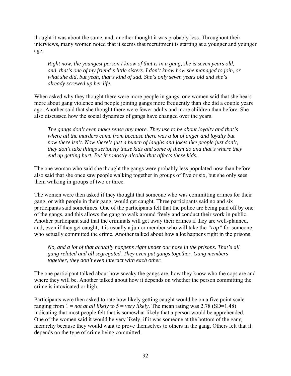thought it was about the same, and; another thought it was probably less. Throughout their interviews, many women noted that it seems that recruitment is starting at a younger and younger age.

*Right now, the youngest person I know of that is in a gang, she is seven years old, and, that's one of my friend's little sisters. I don't know how she managed to join, or what she did, but yeah, that's kind of sad. She's only seven years old and she's already screwed up her life.* 

When asked why they thought there were more people in gangs, one women said that she hears more about gang violence and people joining gangs more frequently than she did a couple years ago. Another said that she thought there were fewer adults and more children than before. She also discussed how the social dynamics of gangs have changed over the years.

*The gangs don't even make sense any more. They use to be about loyalty and that's where all the murders came from because there was a lot of anger and loyalty but now there isn't. Now there's just a bunch of laughs and jokes like people just don't, they don't take things seriously these kids and some of them do and that's where they end up getting hurt. But it's mostly alcohol that affects these kids.* 

The one woman who said she thought the gangs were probably less populated now than before also said that she once saw people walking together in groups of five or six, but she only sees them walking in groups of two or three.

The women were then asked if they thought that someone who was committing crimes for their gang, or with people in their gang, would get caught. Three participants said no and six participants said sometimes. One of the participants felt that the police are being paid off by one of the gangs, and this allows the gang to walk around freely and conduct their work in public. Another participant said that the criminals will get away their crimes if they are well-planned, and; even if they get caught, it is usually a junior member who will take the *"rap"* for someone who actually committed the crime. Another talked about how a lot happens right in the prisons.

*No, and a lot of that actually happens right under our nose in the prisons. That's all gang related and all segregated. They even put gangs together. Gang members together, they don't even interact with each other.* 

The one participant talked about how sneaky the gangs are, how they know who the cops are and where they will be. Another talked about how it depends on whether the person committing the crime is intoxicated or high.

Participants were then asked to rate how likely getting caught would be on a five point scale ranging from  $1 = not$  *at all likely* to  $5 = very$  *likely*. The mean rating was 2.78 (SD=1.48) indicating that most people felt that is somewhat likely that a person would be apprehended. One of the women said it would be very likely, if it was someone at the bottom of the gang hierarchy because they would want to prove themselves to others in the gang. Others felt that it depends on the type of crime being committed.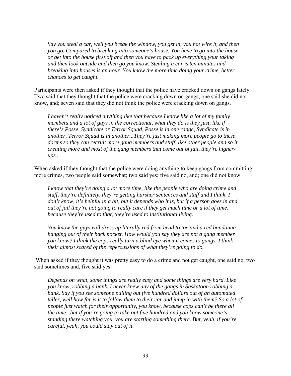*Say you steal a car, well you break the window, you get in, you hot wire it, and then you go. Compared to breaking into someone's house. You have to go into the house or get into the house first off and then you have to pack up everything your taking and then look outside and then go you know. Stealing a car is ten minutes and breaking into houses is an hour. You know the more time doing your crime, better chances to get caught.* 

Participants were then asked if they thought that the police have cracked down on gangs lately. Two said that they thought that the police were cracking down on gangs; one said she did not know, and; seven said that they did not think the police were cracking down on gangs.

*I haven't really noticed anything like that because I know like a lot of my family members and a lot of guys in the correctional, what they do is they just, like if there's Posse, Syndicate or Terror Squad, Posse is in one range, Syndicate is in another, Terror Squad is in another...They're just making more people go to these dorms so they can recruit more gang members and stuff, like other people and so it creating more and most of the gang members that come out of jail, they're higherups...* 

When asked if they thought that the police were doing anything to keep gangs from committing more crimes, two people said somewhat; two said yes; five said no, and; one did not know.

*I know that they're doing a lot more time, like the people who are doing crime and stuff, they're definitely, they're getting harsher sentences and stuff and I think, I don't know, it's helpful in a bit, but it depends who it is, but if a person goes in and out of jail they're not going to really care if they get much time or a lot of time, because they're used to that, they're used to institutional living.* 

*You know the guys will dress up literally red from head to toe and a red bandanna hanging out of their back pocket. How would you say they are not a gang member you know? I think the cops really turn a blind eye when it comes to gangs. I think their almost scared of the repercussions of what they're going to do.* 

When asked if they thought it was pretty easy to do a crime and not get caught, one said no, two said sometimes and, five said yes.

*Depends on what, some things are really easy and some things are very hard. Like you know, robbing a bank. I never knew any of the gangs in Saskatoon robbing a bank. Say if you see someone pulling out five hundred dollars out of an automated teller, well how far is it to follow them to their car and jump in with them? So a lot of people just watch for their opportunity, you know, because cops can't be there all the time...but if you're going to take out five hundred and you know someone's standing there watching you, you are starting something there. But, yeah, if you're careful, yeah, you could stay out of it.*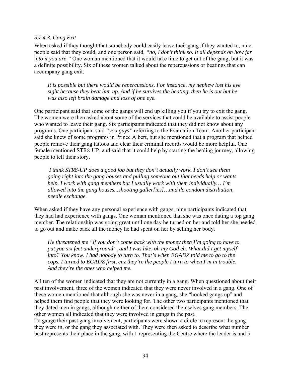#### *5.7.4.3. Gang Exit*

When asked if they thought that somebody could easily leave their gang if they wanted to, nine people said that they could, and one person said, *"no, I don't think so. It all depends on how far into it you are."* One woman mentioned that it would take time to get out of the gang, but it was a definite possibility. Six of these women talked about the repercussions or beatings that can accompany gang exit.

*It is possible but there would be repercussions. For instance, my nephew lost his eye sight because they beat him up. And if he survives the beating, then he is out but he was also left brain damage and loss of one eye.* 

One participant said that some of the gangs will end up killing you if you try to exit the gang. The women were then asked about some of the services that could be available to assist people who wanted to leave their gang. Six participants indicated that they did not know about any programs. One participant said *"you guys"* referring to the Evaluation Team. Another participant said she knew of some programs in Prince Albert, but she mentioned that a program that helped people remove their gang tattoos and clear their criminal records would be more helpful. One female mentioned STR8-UP, and said that it could help by starting the healing journey, allowing people to tell their story.

 *I think STR8-UP does a good job but they don't actually work. I don't see them going right into the gang houses and pulling someone out that needs help or wants help. I work with gang members but I usually work with them individually… I'm allowed into the gang houses...shooting galler[ies]…and do condom distribution, needle exchange.* 

When asked if they have any personal experience with gangs, nine participants indicated that they had had experience with gangs. One woman mentioned that she was once dating a top gang member. The relationship was going great until one day he turned on her and told her she needed to go out and make back all the money he had spent on her by selling her body.

*He threatened me "if you don't come back with the money then I'm going to have to put you six feet underground", and I was like, oh my God eh. What did I get myself into? You know. I had nobody to turn to. That's when EGADZ told me to go to the cops. I turned to EGADZ first, cuz they're the people I turn to when I'm in trouble. And they're the ones who helped me.* 

All ten of the women indicated that they are not currently in a gang. When questioned about their past involvement, three of the women indicated that they were never involved in a gang. One of these women mentioned that although she was never in a gang, she "hooked gangs up" and helped them find people that they were looking for. The other two participants mentioned that they dated men in gangs, although neither of them considered themselves gang members. The other women all indicated that they were involved in gangs in the past.

To gauge their past gang involvement, participants were shown a circle to represent the gang they were in, or the gang they associated with. They were then asked to describe what number best represents their place in the gang, with 1 representing the Centre where the leader is and 5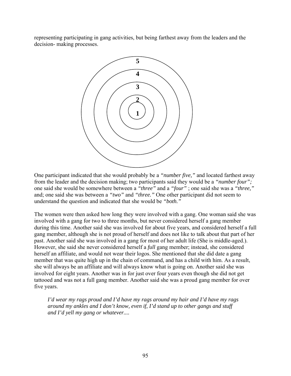representing participating in gang activities, but being farthest away from the leaders and the decision- making processes.



One participant indicated that she would probably be a *"number five,"* and located farthest away from the leader and the decision making; two participants said they would be a *"number four";* one said she would be somewhere between a *"three"* and a *"four"* ; one said she was a *"three,"* and; one said she was between a *"two"* and *"three."* One other participant did not seem to understand the question and indicated that she would be *"both."* 

The women were then asked how long they were involved with a gang. One woman said she was involved with a gang for two to three months, but never considered herself a gang member during this time. Another said she was involved for about five years, and considered herself a full gang member, although she is not proud of herself and does not like to talk about that part of her past. Another said she was involved in a gang for most of her adult life (She is middle-aged.). However, she said she never considered herself a *full* gang member; instead, she considered herself an affiliate, and would not wear their logos. She mentioned that she did date a gang member that was quite high up in the chain of command, and has a child with him. As a result, she will always be an affiliate and will always know what is going on. Another said she was involved for eight years. Another was in for just over four years even though she did not get tattooed and was not a full gang member. Another said she was a proud gang member for over five years.

*I'd wear my rags proud and I'd have my rags around my hair and I'd have my rags around my ankles and I don't know, even if, I'd stand up to other gangs and stuff and I'd yell my gang or whatever....*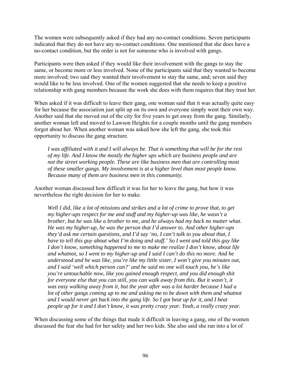The women were subsequently asked if they had any no-contact conditions. Seven participants indicated that they do not have any no-contact conditions. One mentioned that she does have a no-contact condition, but the order is not for someone who is involved with gangs.

Participants were then asked if they would like their involvement with the gangs to stay the same, or become more or less involved. None of the participants said that they wanted to become more involved; two said they wanted their involvement to stay the same, and; seven said they would like to be less involved. One of the women suggested that she needs to keep a positive relationship with gang members because the work she does with them requires that they trust her.

When asked if it was difficult to leave their gang, one woman said that it was actually quite easy for her because the association just split up on its own and everyone simply went their own way. Another said that she moved out of the city for five years to get away from the gang. Similarly, another woman left and moved to Lawson Heights for a couple months until the gang members forgot about her. When another woman was asked how she left the gang, she took this opportunity to discuss the gang structure.

*I was affiliated with it and I will always be. That is something that will be for the rest of my life. And I know the mostly the higher ups which are business people and are not the street working people. These are like business men that are controlling most of these smaller gangs. My involvement is at a higher level than most people know. Because many of them are business men in this community.* 

Another woman discussed how difficult it was for her to leave the gang, but how it was nevertheless the right decision for her to make.

*Well I did, like a lot of missions and strikes and a lot of crime to prove that, to get my higher-ups respect for me and stuff and my higher-up was like, he wasn't a brother, but he was like a brother to me, and he always had my back no matter what. He was my higher-up, he was the person that I'd answer to. And other higher-ups they'd ask me certain questions, and I'd say 'no, I can't talk to you about that, I have to tell this guy about what I'm doing and stuff.' So I went and told this guy like I don't know, something happened to me to make me realize I don't know, about life and whatnot, so I went to my higher-up and I said I can't do this no more. And he understood and he was like, you're like my little sister, I won't give you minutes out, and I said 'well which person can?' and he said no one will touch you, he's like you're untouchable now, like you gained enough respect, and you did enough shit for everyone else that you can still, you can walk away from this. But it wasn't, it was easy walking away from it, but the year after was a lot harder because I had a*  lot of other gangs coming up to me and asking me to be down with them and whatnot *and I would never get back into the gang life. So I got beat up for it, and I beat people up for it and I don't know, it was pretty crazy year. Yeah, a really crazy year.* 

When discussing some of the things that made it difficult in leaving a gang, one of the women discussed the fear she had for her safety and her two kids. She also said she ran into a lot of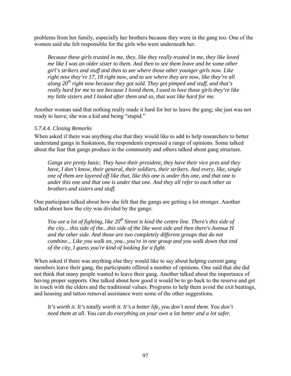problems from her family, especially her brothers because they were in the gang too. One of the women said she felt responsible for the girls who were underneath her.

*Because these girls trusted in me, they, like they really trusted in me, they like loved me like I was an older sister to them. And then to see them leave and be some other girl's strikers and stuff and then to see where those other younger girls now. Like right now they're 17, 18 right now, and to see where they are now, like they're all along 20th right now because they got sold. They got pimped and stuff, and that's really hard for me to see because I loved them, I used to love those girls they're like my little sisters and I looked after them and so, that was like hard for me.* 

Another woman said that nothing really made it hard for her to leave the gang; she just was not ready to leave; she was a kid and being "stupid."

#### *5.7.4.4. Closing Remarks*

When asked if there was anything else that they would like to add to help researchers to better understand gangs in Saskatoon, the respondents expressed a range of opinions. Some talked about the fear that gangs produce in the community and others talked about gang structure.

*Gangs are pretty basic. They have their president, they have their vice pres and they have, I don't know, their general, their soldiers, their strikers. And every, like, single one of them are layered off like that, like this one is under this one, and that one is under this one and that one is under that one. And they all refer to each other as brothers and sisters and stuff.* 

One participant talked about how she felt that the gangs are getting a lot stronger. Another talked about how the city was divided by the gangs:

*You see a lot of fighting, like 20<sup>th</sup> Street is kind the centre line. There's this side of the city... this side of the...this side of the like west side and then there's Avenue H and the other side. And those are two completely different groups that do not combine... Like you walk on, you...you're in one group and you walk down that end of the city, I guess you're kind of looking for a fight.* 

When asked if there was anything else they would like to say about helping current gang members leave their gang, the participants offered a number of opinions. One said that she did not think that many people wanted to leave their gang. Another talked about the importance of having proper supports. One talked about how good it would be to go back to the reserve and get in touch with the elders and the traditional values. Programs to help them avoid the exit beatings, and housing and tattoo removal assistance were some of the other suggestions.

*It's worth it. It's totally worth it. It's a better life, you don't need them. You don't need them at all. You can do everything on your own a lot better and a lot safer.*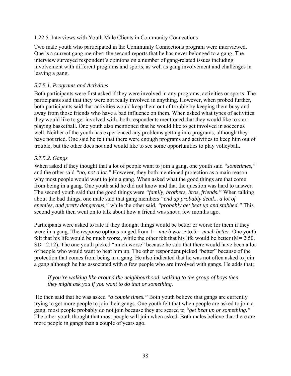## 1.22.5. Interviews with Youth Male Clients in Community Connections

Two male youth who participated in the Community Connections program were interviewed. One is a current gang member; the second reports that he has never belonged to a gang. The interview surveyed respondent's opinions on a number of gang-related issues including involvement with different programs and sports, as well as gang involvement and challenges in leaving a gang.

#### *5.7.5.1. Programs and Activities*

Both participants were first asked if they were involved in any programs, activities or sports. The participants said that they were not really involved in anything. However, when probed further, both participants said that activities would keep them out of trouble by keeping them busy and away from those friends who have a bad influence on them. When asked what types of activities they would like to get involved with, both respondents mentioned that they would like to start playing basketball. One youth also mentioned that he would like to get involved in soccer as well. Neither of the youth has experienced any problems getting into programs, although they have not tried. One said he felt that there were enough programs and activities to keep him out of trouble, but the other does not and would like to see some opportunities to play volleyball.

## *5.7.5.2. Gangs*

When asked if they thought that a lot of people want to join a gang, one youth said *"sometimes,"* and the other said *"no, not a lot."* However, they both mentioned protection as a main reason why most people would want to join a gang. When asked what the good things are that come from being in a gang. One youth said he did not know and that the question was hard to answer. The second youth said that the good things were *"family, brothers, bros, friends."* When talking about the bad things, one male said that gang members *"end up probably dead... a lot of enemies, and pretty dangerous,"* while the other said, *"probably get beat up and stabbed."* This second youth then went on to talk about how a friend was shot a few months ago.

Participants were asked to rate if they thought things would be better or worse for them if they were in a gang. The response options ranged from 1 = *much worse* to 5 = *much better.* One youth felt that his life would be much worse, while the other felt that his life would be better  $(M= 2.50)$ . SD= 2.12). The one youth picked "much worse" because he said that there would have been a lot of people who would want to beat him up. The other respondent picked "better" because of the protection that comes from being in a gang. He also indicated that he was not often asked to join a gang although he has associated with *a* few people who are involved with gangs. He adds that;

#### *If you're walking like around the neighbourhood, walking to the group of boys then they might ask you if you want to do that or something.*

He then said that he was asked *"a couple times."* Both youth believe that gangs are currently trying to get more people to join their gangs. One youth felt that when people are asked to join a gang, most people probably do not join because they are scared to *"get beat up or something."*  The other youth thought that most people will join when asked. Both males believe that there are more people in gangs than a couple of years ago.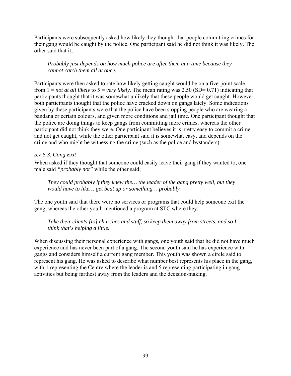Participants were subsequently asked how likely they thought that people committing crimes for their gang would be caught by the police. One participant said he did not think it was likely. The other said that it;

*Probably just depends on how much police are after them at a time because they cannot catch them all at once.*

Participants were then asked to rate how likely getting caught would be on a five-point scale from  $1 = not$  *at all likely* to  $5 = very$  *likely*. The mean rating was  $2.50$  (SD= 0.71) indicating that participants thought that it was somewhat unlikely that these people would get caught. However, both participants thought that the police have cracked down on gangs lately. Some indications given by these participants were that the police have been stopping people who are wearing a bandana or certain colours, and given more conditions and jail time. One participant thought that the police are doing things to keep gangs from committing more crimes, whereas the other participant did not think they were. One participant believes it is pretty easy to commit a crime and not get caught, while the other participant said it is somewhat easy, and depends on the crime and who might be witnessing the crime (such as the police and bystanders).

## *5.7.5.3. Gang Exit*

When asked if they thought that someone could easily leave their gang if they wanted to, one male said *"probably not"* while the other said;

*They could probably if they knew the… the leader of the gang pretty well, but they would have to like… get beat up or something… probably.* 

The one youth said that there were no services or programs that could help someone exit the gang, whereas the other youth mentioned a program at STC where they;

*Take their clients [to] churches and stuff, so keep them away from streets, and so I think that's helping a little.*

When discussing their personal experience with gangs, one youth said that he did not have much experience and has never been part of a gang. The second youth said he has experience with gangs and considers himself a current gang member. This youth was shown a circle said to represent his gang. He was asked to describe what number best represents his place in the gang, with 1 representing the Centre where the leader is and 5 representing participating in gang activities but being farthest away from the leaders and the decision-making.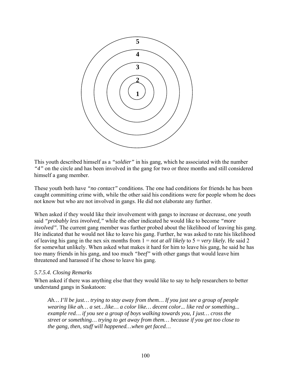

This youth described himself as a *"soldier"* in his gang, which he associated with the number *"4"* on the circle and has been involved in the gang for two or three months and still considered himself a gang member.

These youth both have *"no contact"* conditions. The one had conditions for friends he has been caught committing crime with, while the other said his conditions were for people whom he does not know but who are not involved in gangs. He did not elaborate any further.

When asked if they would like their involvement with gangs to increase or decrease, one youth said *"probably less involved,"* while the other indicated he would like to become *"more involved".* The current gang member was further probed about the likelihood of leaving his gang. He indicated that he would not like to leave his gang. Further, he was asked to rate his likelihood of leaving his gang in the nex six months from  $1 = not$  *at all likely* to  $5 = very$  *likely*. He said 2 for somewhat unlikely. When asked what makes it hard for him to leave his gang, he said he has too many friends in his gang, and too much *"beef"* with other gangs that would leave him threatened and harassed if he chose to leave his gang.

#### *5.7.5.4. Closing Remarks*

When asked if there was anything else that they would like to say to help researchers to better understand gangs in Saskatoon:

*Ah… I'll be just… trying to stay away from them… If you just see a group of people wearing like ah… a set…like… a color like… decent color... like red or something... example red… if you see a group of boys walking towards you, I just… cross the street or something… trying to get away from them… because if you get too close to the gang, then, stuff will happened…when get faced…*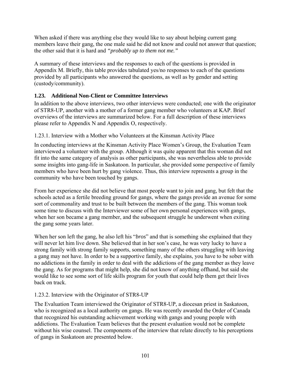When asked if there was anything else they would like to say about helping current gang members leave their gang, the one male said he did not know and could not answer that question; the other said that it is hard and *"probably up to them not me."* 

A summary of these interviews and the responses to each of the questions is provided in Appendix M. Briefly, this table provides tabulated yes/no responses to each of the questions provided by all participants who answered the questions, as well as by gender and setting (custody/community).

# **1.23. Additional Non-Client or Committee Interviews**

In addition to the above interviews, two other interviews were conducted; one with the originator of STR8-UP, another with a mother of a former gang member who volunteers at KAP. Brief overviews of the interviews are summarized below. For a full description of these interviews please refer to Appendix N and Appendix O, respectively.

# 1.23.1. Interview with a Mother who Volunteers at the Kinsman Activity Place

In conducting interviews at the Kinsman Activity Place Women's Group, the Evaluation Team interviewed a volunteer with the group. Although it was quite apparent that this woman did not fit into the same category of analysis as other participants, she was nevertheless able to provide some insights into gang-life in Saskatoon. In particular, she provided some perspective of family members who have been hurt by gang violence. Thus, this interview represents a group in the community who have been touched by gangs.

From her experience she did not believe that most people want to join and gang, but felt that the schools acted as a fertile breeding ground for gangs, where the gangs provide an avenue for some sort of commonality and trust to be built between the members of the gang. This woman took some time to discuss with the Interviewer some of her own personal experiences with gangs, when her son became a gang member, and the subsequent struggle he underwent when exiting the gang some years later.

When her son left the gang, he also left his "*bros*" and that is something she explained that they will never let him live down. She believed that in her son's case, he was very lucky to have a strong family with strong family supports, something many of the others struggling with leaving a gang may not have. In order to be a supportive family, she explains, you have to be sober with no addictions in the family in order to deal with the addictions of the gang member as they leave the gang. As for programs that might help, she did not know of anything offhand, but said she would like to see some sort of life skills program for youth that could help them get their lives back on track.

# 1.23.2. Interview with the Originator of STR8-UP

The Evaluation Team interviewed the Originator of STR8-UP, a diocesan priest in Saskatoon, who is recognized as a local authority on gangs. He was recently awarded the Order of Canada that recognized his outstanding achievement working with gangs and young people with addictions. The Evaluation Team believes that the present evaluation would not be complete without his wise counsel. The components of the interview that relate directly to his perceptions of gangs in Saskatoon are presented below.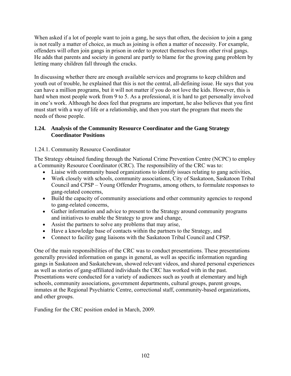When asked if a lot of people want to join a gang, he says that often, the decision to join a gang is not really a matter of choice, as much as joining is often a matter of necessity. For example, offenders will often join gangs in prison in order to protect themselves from other rival gangs. He adds that parents and society in general are partly to blame for the growing gang problem by letting many children fall through the cracks.

In discussing whether there are enough available services and programs to keep children and youth out of trouble, he explained that this is not the central, all-defining issue. He says that you can have a million programs, but it will not matter if you do not love the kids. However, this is hard when most people work from 9 to 5. As a professional, it is hard to get personally involved in one's work. Although he does feel that programs are important, he also believes that you first must start with a way of life or a relationship, and then you start the program that meets the needs of those people.

## **1.24. Analysis of the Community Resource Coordinator and the Gang Strategy Coordinator Positions**

# 1.24.1. Community Resource Coordinator

The Strategy obtained funding through the National Crime Prevention Centre (NCPC) to employ a Community Resource Coordinator (CRC). The responsibility of the CRC was to:

- Liaise with community based organizations to identify issues relating to gang activities,
- Work closely with schools, community associations, City of Saskatoon, Saskatoon Tribal Council and CPSP – Young Offender Programs, among others, to formulate responses to gang-related concerns,
- Build the capacity of community associations and other community agencies to respond to gang-related concerns,
- Gather information and advice to present to the Strategy around community programs and initiatives to enable the Strategy to grow and change,
- Assist the partners to solve any problems that may arise,
- Have a knowledge base of contacts within the partners to the Strategy, and
- Connect to facility gang liaisons with the Saskatoon Tribal Council and CPSP.

One of the main responsibilities of the CRC was to conduct presentations. These presentations generally provided information on gangs in general, as well as specific information regarding gangs in Saskatoon and Saskatchewan, showed relevant videos, and shared personal experiences as well as stories of gang-affiliated individuals the CRC has worked with in the past. Presentations were conducted for a variety of audiences such as youth at elementary and high schools, community associations, government departments, cultural groups, parent groups, inmates at the Regional Psychiatric Centre, correctional staff, community-based organizations, and other groups.

Funding for the CRC position ended in March, 2009.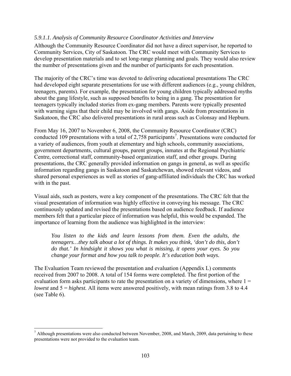#### *5.9.1.1. Analysis of Community Resource Coordinator Activities and Interview*

Although the Community Resource Coordinator did not have a direct supervisor, he reported to Community Services, City of Saskatoon. The CRC would meet with Community Services to develop presentation materials and to set long-range planning and goals. They would also review the number of presentations given and the number of participants for each presentation.

The majority of the CRC's time was devoted to delivering educational presentations The CRC had developed eight separate presentations for use with different audiences (e.g., young children, teenagers, parents). For example, the presentation for young children typically addressed myths about the gang lifestyle, such as supposed benefits to being in a gang. The presentation for teenagers typically included stories from ex-gang members. Parents were typically presented with warning signs that their child may be involved with gangs. Aside from presentations in Saskatoon, the CRC also delivered presentations in rural areas such as Colonsay and Hepburn.

From May 16, 2007 to November 6, 2008, the Community Resource Coordinator (CRC) conducted 109 presentations with a total of 2,[7](#page-118-0)58 participants<sup>7</sup>. Presentations were conducted for a variety of audiences, from youth at elementary and high schools, community associations, government departments, cultural groups, parent groups, inmates at the Regional Psychiatric Centre, correctional staff, community-based organization staff, and other groups. During presentations, the CRC generally provided information on gangs in general, as well as specific information regarding gangs in Saskatoon and Saskatchewan, showed relevant videos, and shared personal experiences as well as stories of gang-affiliated individuals the CRC has worked with in the past.

Visual aids, such as posters, were a key component of the presentations. The CRC felt that the visual presentation of information was highly effective in conveying his message. The CRC continuously updated and revised the presentations based on audience feedback. If audience members felt that a particular piece of information was helpful, this would be expanded. The importance of learning from the audience was highlighted in the interview:

*You listen to the kids and learn lessons from them. Even the adults, the teenagers…they talk about a lot of things. It makes you think, 'don't do this, don't do that.' In hindsight it shows you what is missing, it opens your eyes. So you change your format and how you talk to people. It's education both ways.* 

The Evaluation Team reviewed the presentation and evaluation (Appendix L) comments received from 2007 to 2008. A total of 154 forms were completed. The first portion of the evaluation form asks participants to rate the presentation on a variety of dimensions, where  $1 =$ *lowest* and  $5 = highest$ . All items were answered positively, with mean ratings from 3.8 to 4.4 (see Table 6).

 $\overline{a}$ 

<span id="page-118-0"></span> $<sup>7</sup>$  Although presentations were also conducted between November, 2008, and March, 2009, data pertaining to these</sup> presentations were not provided to the evaluation team.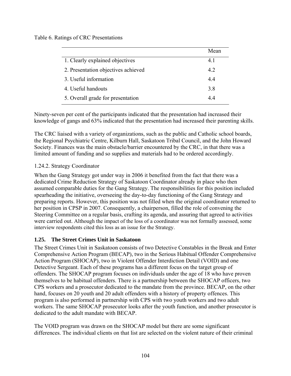Table 6. Ratings of CRC Presentations

|                                     | Mean |
|-------------------------------------|------|
| 1. Clearly explained objectives     | 41   |
| 2. Presentation objectives achieved | 42   |
| 3. Useful information               | 44   |
| 4. Useful handouts                  | 3.8  |
| 5. Overall grade for presentation   | 44   |

Ninety-seven per cent of the participants indicated that the presentation had increased their knowledge of gangs and 63% indicated that the presentation had increased their parenting skills.

The CRC liaised with a variety of organizations, such as the public and Catholic school boards, the Regional Psychiatric Centre, Kilburn Hall, Saskatoon Tribal Council, and the John Howard Society. Finances was the main obstacle/barrier encountered by the CRC, in that there was a limited amount of funding and so supplies and materials had to be ordered accordingly.

# 1.24.2. Strategy Coordinator

When the Gang Strategy got under way in 2006 it benefited from the fact that there was a dedicated Crime Reduction Strategy of Saskatoon Coordinator already in place who then assumed comparable duties for the Gang Strategy. The responsibilities for this position included spearheading the initiative, overseeing the day-to-day functioning of the Gang Strategy and preparing reports. However, this position was not filled when the original coordinator returned to her position in CPSP in 2007. Consequently, a chairperson, filled the role of convening the Steering Committee on a regular basis, crafting its agenda, and assuring that agreed to activities were carried out. Although the impact of the loss of a coordinator was not formally assessed, some interview respondents cited this loss as an issue for the Strategy.

## **1.25. The Street Crimes Unit in Saskatoon**

The Street Crimes Unit in Saskatoon consists of two Detective Constables in the Break and Enter Comprehensive Action Program (BECAP), two in the Serious Habitual Offender Comprehensive Action Program (SHOCAP), two in Violent Offender Interdiction Detail (VOID) and one Detective Sergeant. Each of these programs has a different focus on the target group of offenders. The SHOCAP program focuses on individuals under the age of 18 who have proven themselves to be habitual offenders. There is a partnership between the SHOCAP officers, two CPS workers and a prosecutor dedicated to the mandate from the province. BECAP, on the other hand, focuses on 20 youth and 20 adult offenders with a history of property offences. This program is also performed in partnership with CPS with two youth workers and two adult workers. The same SHOCAP prosecutor looks after the youth function, and another prosecutor is dedicated to the adult mandate with BECAP.

The VOID program was drawn on the SHOCAP model but there are some significant differences. The individual clients on that list are selected on the violent nature of their criminal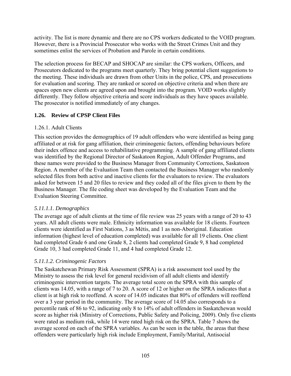activity. The list is more dynamic and there are no CPS workers dedicated to the VOID program. However, there is a Provincial Prosecutor who works with the Street Crimes Unit and they sometimes enlist the services of Probation and Parole in certain conditions.

The selection process for BECAP and SHOCAP are similar: the CPS workers, Officers, and Prosecutors dedicated to the programs meet quarterly. They bring potential client suggestions to the meeting. These individuals are drawn from other Units in the police, CPS, and prosecutions for evaluation and scoring. They are ranked or scored on objective criteria and when there are spaces open new clients are agreed upon and brought into the program. VOID works slightly differently. They follow objective criteria and score individuals as they have spaces available. The prosecutor is notified immediately of any changes.

# **1.26. Review of CPSP Client Files**

# 1.26.1. Adult Clients

This section provides the demographics of 19 adult offenders who were identified as being gang affiliated or at risk for gang affiliation, their criminogenic factors, offending behaviours before their index offence and access to rehabilitative programming. A sample of gang affiliated clients was identified by the Regional Director of Saskatoon Region, Adult Offender Programs, and these names were provided to the Business Manager from Community Corrections, Saskatoon Region. A member of the Evaluation Team then contacted the Business Manager who randomly selected files from both active and inactive clients for the evaluators to review. The evaluators asked for between 15 and 20 files to review and they coded all of the files given to them by the Business Manager. The file coding sheet was developed by the Evaluation Team and the Evaluation Steering Committee.

# *5.11.1.1. Demographics*

The average age of adult clients at the time of file review was 25 years with a range of 20 to 43 years. All adult clients were male. Ethnicity information was available for 18 clients. Fourteen clients were identified as First Nations, 3 as Métis, and 1 as non-Aboriginal. Education information (highest level of education completed) was available for all 19 clients. One client had completed Grade 6 and one Grade 8, 2 clients had completed Grade 9, 8 had completed Grade 10, 3 had completed Grade 11, and 4 had completed Grade 12.

# *5.11.1.2. Criminogenic Factors*

The Saskatchewan Primary Risk Assessment (SPRA) is a risk assessment tool used by the Ministry to assess the risk level for general recidivism of all adult clients and identify criminogenic intervention targets. The average total score on the SPRA with this sample of clients was 14.05, with a range of 7 to 20. A score of 12 or higher on the SPRA indicates that a client is at high risk to reoffend. A score of 14.05 indicates that 80% of offenders will reoffend over a 3 year period in the community. The average score of 14.05 also corresponds to a percentile rank of 86 to 92, indicating only 8 to 14% of adult offenders in Saskatchewan would score as higher risk (Ministry of Corrections, Public Safety and Policing, 2009). Only five clients were rated as medium risk, while 14 were rated high risk on the SPRA. Table 7 shows the average scored on each of the SPRA variables. As can be seen in the table, the areas that these offenders were particularly high risk include Employment, Family/Marital, Antisocial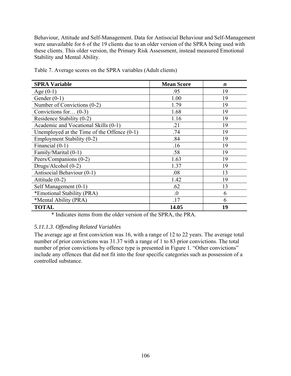Behaviour, Attitude and Self-Management. Data for Antisocial Behaviour and Self-Management were unavailable for 6 of the 19 clients due to an older version of the SPRA being used with these clients. This older version, the Primary Risk Assessment, instead measured Emotional Stability and Mental Ability.

| <b>SPRA Variable</b>                          | <b>Mean Score</b> | $\boldsymbol{n}$ |
|-----------------------------------------------|-------------------|------------------|
| Age $(0-1)$                                   | .95               | 19               |
| Gender $(0-1)$                                | 1.00              | 19               |
| Number of Convictions (0-2)                   | 1.79              | 19               |
| Convictions for $(0-3)$                       | 1.68              | 19               |
| Residence Stability (0-2)                     | 1.16              | 19               |
| Academic and Vocational Skills (0-1)          | .21               | 19               |
| Unemployed at the Time of the Offence $(0-1)$ | .74               | 19               |
| Employment Stability (0-2)                    | .84               | 19               |
| Financial (0-1)                               | .16               | 19               |
| Family/Marital (0-1)                          | .58               | 19               |
| Peers/Companions (0-2)                        | 1.63              | 19               |
| Drugs/Alcohol (0-2)                           | 1.37              | 19               |
| Antisocial Behaviour (0-1)                    | .08               | 13               |
| Attitude $(0-2)$                              | 1.42              | 19               |
| Self Management (0-1)                         | .62               | 13               |
| *Emotional Stability (PRA)                    | $\Omega$          | 6                |
| *Mental Ability (PRA)                         | .17               | 6                |
| <b>TOTAL</b>                                  | 14.05             | 19               |

Table 7. Average scores on the SPRA variables (Adult clients)

\* Indicates items from the older version of the SPRA, the PRA.

## *5.11.1.3. Offending Related Variables*

The average age at first conviction was 16, with a range of 12 to 22 years. The average total number of prior convictions was 31.37 with a range of 1 to 83 prior convictions. The total number of prior convictions by offence type is presented in Figure 1. "Other convictions" include any offences that did not fit into the four specific categories such as possession of a controlled substance.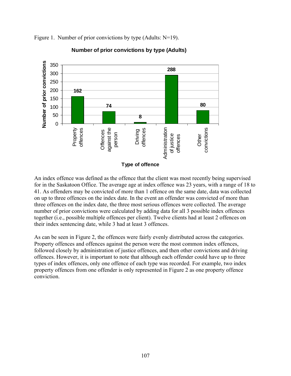

Figure 1. Number of prior convictions by type (Adults: N=19).

**Number of prior convictions by type (Adults)**

An index offence was defined as the offence that the client was most recently being supervised for in the Saskatoon Office. The average age at index offence was 23 years, with a range of 18 to 41. As offenders may be convicted of more than 1 offence on the same date, data was collected on up to three offences on the index date. In the event an offender was convicted of more than three offences on the index date, the three most serious offences were collected. The average number of prior convictions were calculated by adding data for all 3 possible index offences together (i.e., possible multiple offences per client). Twelve clients had at least 2 offences on their index sentencing date, while 3 had at least 3 offences.

As can be seen in Figure 2, the offences were fairly evenly distributed across the categories. Property offences and offences against the person were the most common index offences, followed closely by administration of justice offences, and then other convictions and driving offences. However, it is important to note that although each offender could have up to three types of index offences, only one offence of each type was recorded. For example, two index property offences from one offender is only represented in Figure 2 as one property offence conviction.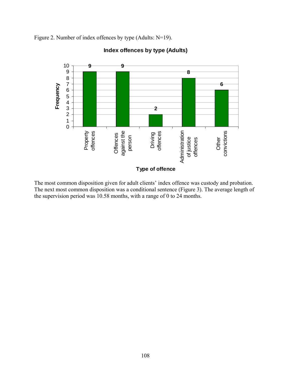Figure 2. Number of index offences by type (Adults: N=19).



# **Index offences by type (Adults)**

The most common disposition given for adult clients' index offence was custody and probation. The next most common disposition was a conditional sentence (Figure 3). The average length of the supervision period was 10.58 months, with a range of 0 to 24 months.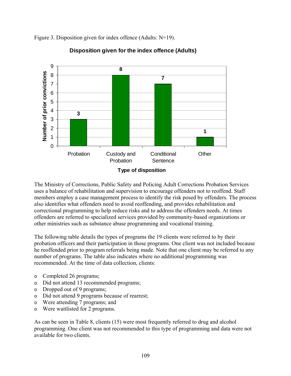Figure 3. Disposition given for index offence (Adults: N=19).



# **Disposition given for the index offence (Adults)**

The Ministry of Corrections, Public Safety and Policing Adult Corrections Probation Services uses a balance of rehabilitation and supervision to encourage offenders not to reoffend. Staff members employ a case management process to identify the risk posed by offenders. The process also identifies what offenders need to avoid reoffending, and provides rehabilitation and correctional programming to help reduce risks and to address the offenders needs. At times offenders are referred to specialized services provided by community-based organizations or other ministries such as substance abuse programming and vocational training.

The following table details the types of programs the 19 clients were referred to by their probation officers and their participation in those programs. One client was not included because he reoffended prior to program referrals being made. Note that one client may be referred to any number of programs. The table also indicates where no additional programming was recommended. At the time of data collection, clients:

- o Completed 26 programs;
- o Did not attend 13 recommended programs;
- o Dropped out of 9 programs;
- o Did not attend 9 programs because of rearrest;
- o Were attending 7 programs; and
- o Were waitlisted for 2 programs.

As can be seen in Table 8, clients (15) were most frequently referred to drug and alcohol programming. One client was not recommended to this type of programming and data were not available for two clients.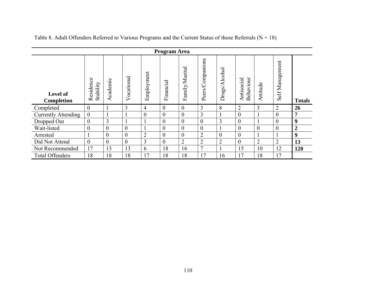|                               | Program Area           |                |                |                |                |                |                  |                |                             |                |                 |                  |
|-------------------------------|------------------------|----------------|----------------|----------------|----------------|----------------|------------------|----------------|-----------------------------|----------------|-----------------|------------------|
| <b>Level of</b><br>Completion | Residence<br>Stability | Academic       | Vocational     | Employment     | Financial      | Family/Marital | Peers/Companions | Drugs/Alcohol  | ehaviour<br>Antisocial<br>∞ | Attitude       | Self Management | <b>Totals</b>    |
| Completed                     | 0                      |                | 3              | $\overline{4}$ | $\theta$       | $\overline{0}$ | 3                | 8              | $\overline{2}$              | 3              | $\overline{2}$  | 26               |
| <b>Currently Attending</b>    | $\theta$               |                |                | $\overline{0}$ | $\theta$       | $\theta$       | $\overline{3}$   |                | $\theta$                    |                | $\theta$        | 7                |
| Dropped Out                   | $\overline{0}$         | 3              |                |                | $\overline{0}$ | $\overline{0}$ | $\theta$         | 3              | $\theta$                    |                | $\theta$        | 9                |
| Wait-listed                   | $\theta$               | $\mathbf{0}$   | $\overline{0}$ |                | $\overline{0}$ | $\mathbf{0}$   | $\overline{0}$   |                | $\theta$                    | $\overline{0}$ | $\theta$        | $\overline{2}$   |
| Arrested                      |                        | $\overline{0}$ | $\theta$       | $\overline{2}$ | $\theta$       | $\overline{0}$ | $\overline{2}$   | $\overline{0}$ | $\Omega$                    | -1             |                 | $\boldsymbol{9}$ |
| Did Not Attend                | $\overline{0}$         | $\overline{0}$ | $\theta$       | 3              | $\theta$       | $\overline{2}$ | $\overline{2}$   | $\overline{2}$ | $\theta$                    | $\overline{2}$ | $\overline{2}$  | 13               |
| Not Recommended               | 17                     | 13             | 13             | 6              | 18             | 16             | $\overline{7}$   |                | 15                          | 10             | 12              | 120              |
| <b>Total Offenders</b>        | 18                     | 18             | 18             | 17             | 18             | 18             | 17               | 16             | 17                          | 18             | 17              |                  |

Table 8. Adult Offenders Referred to Various Programs and the Current Status of those Referrals ( $N = 18$ )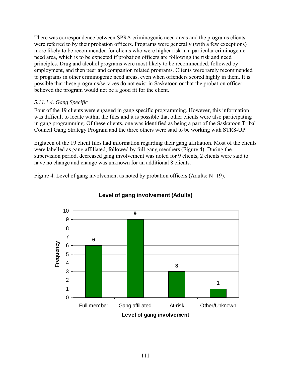There was correspondence between SPRA criminogenic need areas and the programs clients were referred to by their probation officers. Programs were generally (with a few exceptions) more likely to be recommended for clients who were higher risk in a particular criminogenic need area, which is to be expected if probation officers are following the risk and need principles. Drug and alcohol programs were most likely to be recommended, followed by employment, and then peer and companion related programs. Clients were rarely recommended to programs in other criminogenic need areas, even when offenders scored highly in them. It is possible that these programs/services do not exist in Saskatoon or that the probation officer believed the program would not be a good fit for the client.

# *5.11.1.4. Gang Specific*

Four of the 19 clients were engaged in gang specific programming. However, this information was difficult to locate within the files and it is possible that other clients were also participating in gang programming. Of these clients, one was identified as being a part of the Saskatoon Tribal Council Gang Strategy Program and the three others were said to be working with STR8-UP.

Eighteen of the 19 client files had information regarding their gang affiliation. Most of the clients were labelled as gang affiliated, followed by full gang members (Figure 4). During the supervision period, decreased gang involvement was noted for 9 clients, 2 clients were said to have no change and change was unknown for an additional 8 clients.

Figure 4. Level of gang involvement as noted by probation officers (Adults: N=19).



# **Level of gang involvement (Adults)**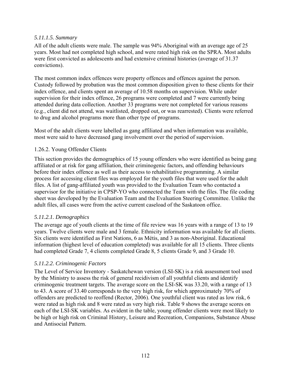# *5.11.1.5. Summary*

All of the adult clients were male. The sample was 94% Aboriginal with an average age of 25 years. Most had not completed high school, and were rated high risk on the SPRA. Most adults were first convicted as adolescents and had extensive criminal histories (average of 31.37 convictions).

The most common index offences were property offences and offences against the person. Custody followed by probation was the most common disposition given to these clients for their index offence, and clients spent an average of 10.58 months on supervision. While under supervision for their index offence, 26 programs were completed and 7 were currently being attended during data collection. Another 33 programs were not completed for various reasons (e.g., client did not attend, was waitlisted, dropped out, or was rearrested). Clients were referred to drug and alcohol programs more than other type of programs.

Most of the adult clients were labelled as gang affiliated and when information was available, most were said to have decreased gang involvement over the period of supervision.

## 1.26.2. Young Offender Clients

This section provides the demographics of 15 young offenders who were identified as being gang affiliated or at risk for gang affiliation, their criminogenic factors, and offending behaviours before their index offence as well as their access to rehabilitative programming. A similar process for accessing client files was employed for the youth files that were used for the adult files. A list of gang-affiliated youth was provided to the Evaluation Team who contacted a supervisor for the initiative in CPSP-YO who connected the Team with the files. The file coding sheet was developed by the Evaluation Team and the Evaluation Steering Committee. Unlike the adult files, all cases were from the active current caseload of the Saskatoon office.

## *5.11.2.1. Demographics*

The average age of youth clients at the time of file review was 16 years with a range of 13 to 19 years. Twelve clients were male and 3 female. Ethnicity information was available for all clients. Six clients were identified as First Nations, 6 as Métis, and 3 as non-Aboriginal. Educational information (highest level of education completed) was available for all 15 clients. Three clients had completed Grade 7, 4 clients completed Grade 8, 5 clients Grade 9, and 3 Grade 10.

## *5.11.2.2. Criminogenic Factors*

The Level of Service Inventory - Saskatchewan version (LSI-SK) is a risk assessment tool used by the Ministry to assess the risk of general recidivism of all youthful clients and identify criminogenic treatment targets. The average score on the LSI-SK was 33.20, with a range of 13 to 43. A score of 33.40 corresponds to the very high risk, for which approximately 70% of offenders are predicted to reoffend (Rector, 2006). One youthful client was rated as low risk, 6 were rated as high risk and 8 were rated as very high risk. Table 9 shows the average scores on each of the LSI-SK variables. As evident in the table, young offender clients were most likely to be high or high risk on Criminal History, Leisure and Recreation, Companions, Substance Abuse and Antisocial Pattern.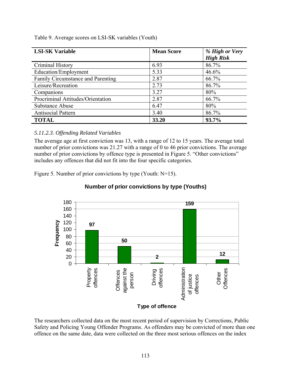| <b>LSI-SK Variable</b>            | <b>Mean Score</b> | % High or Very<br><b>High Risk</b> |
|-----------------------------------|-------------------|------------------------------------|
| Criminal History                  | 6.93              | 86.7%                              |
| Education/Employment              | 5.33              | 46.6%                              |
| Family Circumstance and Parenting | 2.87              | 66.7%                              |
| Leisure/Recreation                | 2.73              | 86.7%                              |
| Companions                        | 3.27              | 80%                                |
| Procriminal Attitudes/Orientation | 2.87              | 66.7%                              |
| Substance Abuse                   | 6.47              | 80%                                |
| Antisocial Pattern                | 3.40              | 86.7%                              |
| <b>TOTAL</b>                      | 33.20             | 93.7%                              |

Table 9. Average scores on LSI-SK variables (Youth)

# *5.11.2.3. Offending Related Variables*

The average age at first conviction was 13, with a range of 12 to 15 years. The average total number of prior convictions was 21.27 with a range of 0 to 46 prior convictions. The average number of prior convictions by offence type is presented in Figure 5. "Other convictions" includes any offences that did not fit into the four specific categories.

Figure 5. Number of prior convictions by type (Youth: N=15).



# **Number of prior convictions by type (Youths)**

The researchers collected data on the most recent period of supervision by Corrections, Public Safety and Policing Young Offender Programs. As offenders may be convicted of more than one offence on the same date, data were collected on the three most serious offences on the index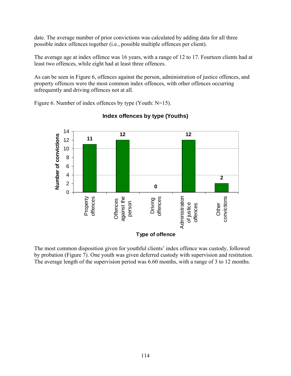date. The average number of prior convictions was calculated by adding data for all three possible index offences together (i.e., possible multiple offences per client).

The average age at index offence was 16 years, with a range of 12 to 17. Fourteen clients had at least two offences, while eight had at least three offences.

As can be seen in Figure 6, offences against the person, administration of justice offences, and property offences were the most common index offences, with other offences occurring infrequently and driving offences not at all.

Figure 6. Number of index offences by type (Youth: N=15).



# **Index offences by type (Youths)**

The most common disposition given for youthful clients' index offence was custody, followed by probation (Figure 7). One youth was given deferred custody with supervision and restitution. The average length of the supervision period was 6.60 months, with a range of 3 to 12 months.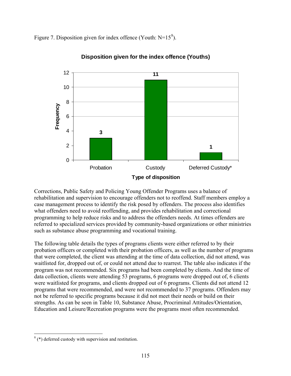Figure 7. Disposition given for index offence (Youth:  $N=15<sup>8</sup>$  $N=15<sup>8</sup>$  $N=15<sup>8</sup>$ ).



**Disposition given for the index offence (Youths)**

Corrections, Public Safety and Policing Young Offender Programs uses a balance of rehabilitation and supervision to encourage offenders not to reoffend. Staff members employ a case management process to identify the risk posed by offenders. The process also identifies what offenders need to avoid reoffending, and provides rehabilitation and correctional programming to help reduce risks and to address the offenders needs. At times offenders are referred to specialized services provided by community-based organizations or other ministries such as substance abuse programming and vocational training.

The following table details the types of programs clients were either referred to by their probation officers or completed with their probation officers, as well as the number of programs that were completed, the client was attending at the time of data collection, did not attend, was waitlisted for, dropped out of, or could not attend due to rearrest. The table also indicates if the program was not recommended. Six programs had been completed by clients. And the time of data collection, clients were attending 53 programs, 6 programs were dropped out of, 6 clients were waitlisted for programs, and clients dropped out of 6 programs. Clients did not attend 12 programs that were recommended, and were not recommended to 37 programs. Offenders may not be referred to specific programs because it did not meet their needs or build on their strengths. As can be seen in Table 10, Substance Abuse, Procriminal Attitudes/Orientation, Education and Leisure/Recreation programs were the programs most often recommended.

<u>.</u>

<span id="page-130-0"></span> $(*)$  deferred custody with supervision and restitution.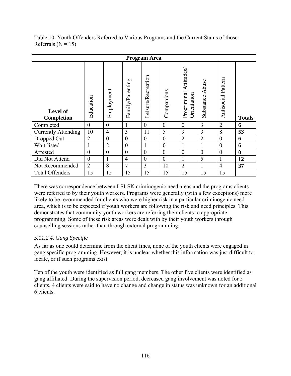| Table 10. Youth Offenders Referred to Various Programs and the Current Status of those |  |  |
|----------------------------------------------------------------------------------------|--|--|
| Referrals ( $N = 15$ )                                                                 |  |  |

| <b>Program Area</b>                  |                  |                |                  |                    |                  |                                         |                    |                       |               |
|--------------------------------------|------------------|----------------|------------------|--------------------|------------------|-----------------------------------------|--------------------|-----------------------|---------------|
| <b>Level of</b><br><b>Completion</b> | Education        | Employment     | Family/Parenting | Leisure/Recreation | Companions       | Attitudes<br>Procriminal<br>Orientation | Abuse<br>Substance | Pattern<br>Antisocial | <b>Totals</b> |
| Completed                            | $\theta$         | $\theta$       |                  | $\overline{0}$     | $\boldsymbol{0}$ | $\overline{0}$                          | 3                  | $\overline{2}$        | 6             |
| <b>Currently Attending</b>           | 10               | $\overline{4}$ | $\overline{3}$   | 11                 | 5                | 9                                       | 3                  | 8                     | 53            |
| Dropped Out                          | $\overline{2}$   | $\theta$       | $\theta$         | $\theta$           | $\boldsymbol{0}$ | $\overline{2}$                          | $\overline{2}$     | $\overline{0}$        | 6             |
| Wait-listed                          | 1                | $\overline{2}$ | $\overline{0}$   |                    | $\boldsymbol{0}$ | 1                                       | 1                  | $\theta$              | 6             |
| Arrested                             | $\overline{0}$   | $\overline{0}$ | $\overline{0}$   | $\theta$           | $\boldsymbol{0}$ | $\boldsymbol{0}$                        | $\overline{0}$     | $\theta$              | $\bf{0}$      |
| Did Not Attend                       | $\boldsymbol{0}$ | -1             | $\overline{4}$   | $\overline{0}$     | $\overline{0}$   | 1                                       | 5                  |                       | 12            |
| Not Recommended                      | $\overline{2}$   | 8              | $\tau$           | 3                  | 10               | $\overline{2}$                          | 1                  | $\overline{4}$        | 37            |
| <b>Total Offenders</b>               | 15               | 15             | 15               | 15                 | 15               | 15                                      | 15                 | 15                    |               |

There was correspondence between LSI-SK criminogenic need areas and the programs clients were referred to by their youth workers. Programs were generally (with a few exceptions) more likely to be recommended for clients who were higher risk in a particular criminogenic need area, which is to be expected if youth workers are following the risk and need principles. This demonstrates that community youth workers are referring their clients to appropriate programming. Some of these risk areas were dealt with by their youth workers through counselling sessions rather than through external programming.

# *5.11.2.4. Gang Specific*

As far as one could determine from the client fines, none of the youth clients were engaged in gang specific programming. However, it is unclear whether this information was just difficult to locate, or if such programs exist.

Ten of the youth were identified as full gang members. The other five clients were identified as gang affiliated. During the supervision period, decreased gang involvement was noted for 5 clients, 4 clients were said to have no change and change in status was unknown for an additional 6 clients.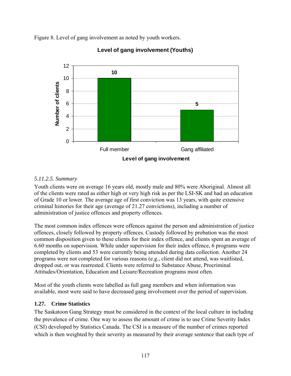Figure 8. Level of gang involvement as noted by youth workers.



# **Level of gang involvement (Youths)**

# *5.11.2.5. Summary*

Youth clients were on average 16 years old, mostly male and 80% were Aboriginal. Almost all of the clients were rated as either high or very high risk as per the LSI-SK and had an education of Grade 10 or lower. The average age of first conviction was 13 years, with quite extensive criminal histories for their age (average of 21.27 convictions), including a number of administration of justice offences and property offences.

The most common index offences were offences against the person and administration of justice offences, closely followed by property offences. Custody followed by probation was the most common disposition given to these clients for their index offence, and clients spent an average of 6.60 months on supervision. While under supervision for their index offence, 6 programs were completed by clients and 53 were currently being attended during data collection. Another 24 programs were not completed for various reasons (e.g., client did not attend, was waitlisted, dropped out, or was rearrested. Clients were referred to Substance Abuse, Procriminal Attitudes/Orientation, Education and Leisure/Recreation programs most often.

Most of the youth clients were labelled as full gang members and when information was available, most were said to have decreased gang involvement over the period of supervision.

# **1.27. Crime Statistics**

The Saskatoon Gang Strategy must be considered in the context of the local culture in including the prevalence of crime. One way to assess the amount of crime is to use Crime Severity Index (CSI) developed by Statistics Canada. The CSI is a measure of the number of crimes reported which is then weighted by their severity as measured by their average sentence that each type of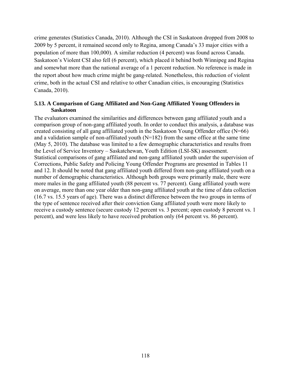crime generates (Statistics Canada, 2010). Although the CSI in Saskatoon dropped from 2008 to 2009 by 5 percent, it remained second only to Regina, among Canada's 33 major cities with a population of more than 100,000). A similar reduction (4 percent) was found across Canada. Saskatoon's Violent CSI also fell (6 percent), which placed it behind both Winnipeg and Regina and somewhat more than the national average of a 1 percent reduction. No reference is made in the report about how much crime might be gang-related. Nonetheless, this reduction of violent crime, both in the actual CSI and relative to other Canadian cities, is encouraging (Statistics Canada, 2010).

## **5.13. A Comparison of Gang Affiliated and Non-Gang Affiliated Young Offenders in Saskatoon**

The evaluators examined the similarities and differences between gang affiliated youth and a comparison group of non-gang affiliated youth. In order to conduct this analysis, a database was created consisting of all gang affiliated youth in the Saskatoon Young Offender office  $(N=66)$ and a validation sample of non-affiliated youth  $(N=182)$  from the same office at the same time (May 5, 2010). The database was limited to a few demographic characteristics and results from the Level of Service Inventory – Saskatchewan, Youth Edition (LSI-SK) assessment. Statistical comparisons of gang affiliated and non-gang affiliated youth under the supervision of Corrections, Public Safety and Policing Young Offender Programs are presented in Tables 11 and 12. It should be noted that gang affiliated youth differed from non-gang affiliated youth on a number of demographic characteristics. Although both groups were primarily male, there were more males in the gang affiliated youth (88 percent vs. 77 percent). Gang affiliated youth were on average, more than one year older than non-gang affiliated youth at the time of data collection (16.7 vs. 15.5 years of age). There was a distinct difference between the two groups in terms of the type of sentence received after their conviction Gang affiliated youth were more likely to receive a custody sentence (secure custody 12 percent vs. 3 percent; open custody 8 percent vs. 1 percent), and were less likely to have received probation only (64 percent vs. 86 percent).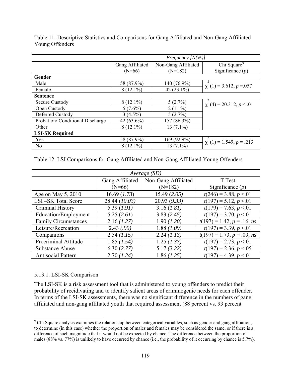|                                 | Frequency $[N(\%)]$ |                     |                              |  |  |  |
|---------------------------------|---------------------|---------------------|------------------------------|--|--|--|
|                                 | Gang Affiliated     | Non-Gang Affiliated | Chi Square <sup>9</sup>      |  |  |  |
|                                 | $(N=66)$            | $(N=182)$           | Significance $(p)$           |  |  |  |
| Gender                          |                     |                     |                              |  |  |  |
| Male                            | 58 (87.9%)          | 140 (76.9%)         | $\chi$ (1) = 3.612, p = 057  |  |  |  |
| Female                          | $8(12.1\%)$         | 42 $(23.1\%)$       |                              |  |  |  |
| <b>Sentence</b>                 |                     |                     |                              |  |  |  |
| Secure Custody                  | $8(12.1\%)$         | 5(2.7%)             | $\chi$ (4) = 20.312, p < .01 |  |  |  |
| Open Custody                    | $5(7.6\%)$          | $2(1.1\%)$          |                              |  |  |  |
| Deferred Custody                | $3(4.5\%)$          | 5(2.7%)             |                              |  |  |  |
| Probation/Conditional Discharge | 42 $(63.6\%)$       | 157 (86.3%)         |                              |  |  |  |
| Other                           | $8(12.1\%)$         | $13(7.1\%)$         |                              |  |  |  |
| <b>LSI-SK Required</b>          |                     |                     |                              |  |  |  |
| Yes                             | 58 (87.9%)          | 169 (92.9%)         | $\chi$ (1) = 1.549, p = .213 |  |  |  |
| N <sub>0</sub>                  | $8(12.1\%)$         | $13(7.1\%)$         |                              |  |  |  |

Table 11. Descriptive Statistics and Comparisons for Gang Affiliated and Non-Gang Affiliated Young Offenders

Table 12. LSI Comparisons for Gang Affiliated and Non-Gang Affiliated Young Offenders

| Average $(SD)$              |                 |                     |                              |  |  |
|-----------------------------|-----------------|---------------------|------------------------------|--|--|
|                             | Gang Affiliated | Non-Gang Affiliated | T Test                       |  |  |
|                             | $(N=66)$        | $(N=182)$           | Significance $(p)$           |  |  |
| Age on May 5, 2010          | 16.69 (1.73)    | 15.49(2.05)         | $t(246) = 3.88, p < 0.01$    |  |  |
| LSI-SK Total Score          | 28.44 (10.03)   | 20.93(9.33)         | $t(197) = 5.12, p < 0.01$    |  |  |
| Criminal History            | 5.39(1.91)      | 3.16 (1.81)         | $t(179) = 7.63, p < 01$      |  |  |
| Education/Employment        | 5.25(2.61)      | 3.83(2.45)          | $t(197) = 3.70, p < 0.01$    |  |  |
| <b>Family Circumstances</b> | 2.16(1.27)      | 1.90(1.20)          | $t(197) = 1.42, p = .16, ns$ |  |  |
| Leisure/Recreation          | 2.43(.90)       | 1.88(1.09)          | $t(197) = 3.39, p < 0.01$    |  |  |
| Companions                  | 2.54(1.15)      | 2.24(1.13)          | $t(197) = 1.73, p = .09, ns$ |  |  |
| Procriminal Attitude        | 1.85 (1.54)     | 1.25 (1.37)         | $t(197) = 2.73, p < 01$      |  |  |
| <b>Substance Abuse</b>      | 6.30(2.77)      | 5.17(3.22)          | $t(197) = 2.36, p < 0.05$    |  |  |
| Antisocial Pattern          | 2.70(1.24)      | 1.86(1.25)          | $t(197) = 4.39, p < 01$      |  |  |

## 5.13.1. LSI-SK Comparison

The LSI-SK is a risk assessment tool that is administered to young offenders to predict their probability of recidivating and to identify salient areas of criminogenic needs for each offender. In terms of the LSI-SK assessments, there was no significant difference in the numbers of gang affiliated and non-gang affiliated youth that required assessment (88 percent vs. 93 percent

<span id="page-134-0"></span><sup>&</sup>lt;sup>9</sup> Chi Square analysis examines the relationship between categorical variables, such as gender and gang affiliation, to determine (in this case) whether the proportion of males and females may be considered the same, or if there is a difference of such magnitude that it would not be expected by chance. The difference between the proportion of males (88% vs. 77%) is unlikely to have occurred by chance (i.e., the probability of it occurring by chance is 5.7%).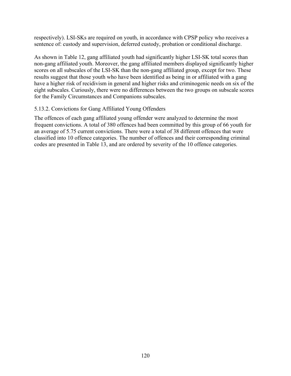respectively). LSI-SKs are required on youth, in accordance with CPSP policy who receives a sentence of: custody and supervision, deferred custody, probation or conditional discharge.

As shown in Table 12, gang affiliated youth had significantly higher LSI-SK total scores than non-gang affiliated youth. Moreover, the gang affiliated members displayed significantly higher scores on all subscales of the LSI-SK than the non-gang affiliated group, except for two. These results suggest that those youth who have been identified as being in or affiliated with a gang have a higher risk of recidivism in general and higher risks and criminogenic needs on six of the eight subscales. Curiously, there were no differences between the two groups on subscale scores for the Family Circumstances and Companions subscales.

## 5.13.2. Convictions for Gang Affiliated Young Offenders

The offences of each gang affiliated young offender were analyzed to determine the most frequent convictions. A total of 380 offences had been committed by this group of 66 youth for an average of 5.75 current convictions. There were a total of 38 different offences that were classified into 10 offence categories. The number of offences and their corresponding criminal codes are presented in Table 13, and are ordered by severity of the 10 offence categories.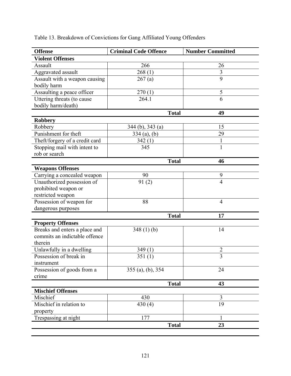| <b>Offense</b>                 | <b>Criminal Code Offence</b> | <b>Number Committed</b> |
|--------------------------------|------------------------------|-------------------------|
| <b>Violent Offenses</b>        |                              |                         |
| Assault                        | 266                          | 26                      |
| Aggravated assault             | 268(1)                       | $\overline{3}$          |
| Assault with a weapon causing  | 267(a)                       | $\overline{9}$          |
| bodily harm                    |                              |                         |
| Assaulting a peace officer     | 270(1)                       | 5                       |
| Uttering threats (to cause     | 264.1                        | 6                       |
| bodily harm/death)             |                              |                         |
|                                | <b>Total</b>                 | 49                      |
| <b>Robbery</b>                 |                              |                         |
| Robbery                        | 344 (b), 343 (a)             | 15                      |
| Punishment for theft           | $334$ (a), (b)               | 29                      |
| Theft/forgery of a credit card | 342(1)                       | $\mathbf{1}$            |
| Stopping mail with intent to   | 345                          | $\mathbf{1}$            |
| rob or search                  |                              |                         |
|                                | <b>Total</b>                 | 46                      |
| <b>Weapons Offenses</b>        |                              |                         |
| Carrying a concealed weapon    | 90                           | 9                       |
| Unauthorized possession of     | 91(2)                        | $\overline{4}$          |
| prohibited weapon or           |                              |                         |
| restricted weapon              |                              |                         |
| Possession of weapon for       | 88                           | 4                       |
| dangerous purposes             |                              |                         |
|                                | <b>Total</b>                 | 17                      |
| <b>Property Offenses</b>       |                              |                         |
| Breaks and enters a place and  | 348(1)(b)                    | 14                      |
| commits an indictable offence  |                              |                         |
| therein                        |                              |                         |
| Unlawfully in a dwelling       | 349(1)                       | $\overline{2}$          |
| Possession of break in         | 351(1)                       | $\overline{3}$          |
| instrument                     |                              |                         |
| Possession of goods from a     | $355$ (a), (b), $354$        | 24                      |
| crime                          |                              |                         |
|                                | <b>Total</b>                 | 43                      |
| <b>Mischief Offenses</b>       |                              |                         |
| Mischief                       | 430                          | $\overline{3}$          |
| Mischief in relation to        | 430(4)                       | 19                      |
| property                       |                              |                         |
| Trespassing at night           | 177                          | $\mathbf{1}$            |
|                                | <b>Total</b>                 | 23                      |

# Table 13. Breakdown of Convictions for Gang Affiliated Young Offenders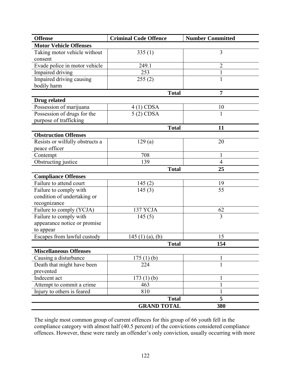| <b>Offense</b>                                                        | <b>Criminal Code Offence</b> | <b>Number Committed</b> |
|-----------------------------------------------------------------------|------------------------------|-------------------------|
| <b>Motor Vehicle Offenses</b>                                         |                              |                         |
| Taking motor vehicle without<br>consent                               | 335(1)                       | $\overline{3}$          |
| Evade police in motor vehicle                                         | 249.1                        | $\overline{c}$          |
| Impaired driving                                                      | 253                          | $\mathbf{1}$            |
| Impaired driving causing<br>bodily harm                               | 255(2)                       | $\mathbf{1}$            |
|                                                                       | <b>Total</b>                 | 7                       |
| Drug related                                                          |                              |                         |
| Possession of marijuana                                               | $4(1)$ CDSA                  | 10                      |
| Possession of drugs for the<br>purpose of trafficking                 | $5(2)$ CDSA                  | $\mathbf{1}$            |
|                                                                       | <b>Total</b>                 | 11                      |
| <b>Obstruction Offenses</b>                                           |                              |                         |
| Resists or wilfully obstructs a<br>peace officer                      | 129(a)                       | 20                      |
| Contempt                                                              | 708                          | $\mathbf{1}$            |
| Obstructing justice                                                   | 139                          | $\overline{4}$          |
|                                                                       | <b>Total</b>                 | 25                      |
| <b>Compliance Offenses</b>                                            |                              |                         |
| Failure to attend court                                               | 145(2)                       | 19                      |
| Failure to comply with<br>condition of undertaking or<br>recognizance | 145(3)                       | 55                      |
| Failure to comply (YCJA)                                              | 137 YCJA                     | 62                      |
| Failure to comply with<br>appearance notice or promise<br>to appear   | 145(5)                       | $\overline{3}$          |
| Escapes from lawful custody                                           | 145 (1) (a), (b)             | 15                      |
|                                                                       | <b>Total</b>                 | 154                     |
| <b>Miscellaneous Offenses</b>                                         |                              |                         |
| Causing a disturbance                                                 | 175(1)(b)                    | 1                       |
| Death that might have been<br>prevented                               | 224                          | $\mathbf{1}$            |
| Indecent act                                                          | 173(1)(b)                    | 1                       |
| Attempt to commit a crime                                             | 463                          |                         |
| Injury to others is feared                                            | 810                          | 1                       |
|                                                                       | <b>Total</b>                 | 5                       |
|                                                                       | <b>GRAND TOTAL</b>           | 380                     |

The single most common group of current offences for this group of 66 youth fell in the compliance category with almost half (40.5 percent) of the convictions considered compliance offences. However, these were rarely an offender's only conviction, usually occurring with more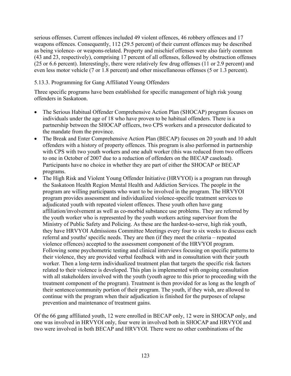serious offenses. Current offences included 49 violent offences, 46 robbery offences and 17 weapons offences. Consequently, 112 (29.5 percent) of their current offences may be described as being violence- or weapons-related. Property and mischief offenses were also fairly common (43 and 23, respectively), comprising 17 percent of all offenses, followed by obstruction offenses (25 or 6.6 percent). Interestingly, there were relatively few drug offenses (11 or 2.9 percent) and even less motor vehicle (7 or 1.8 percent) and other miscellaneous offenses (5 or 1.3 percent).

# 5.13.3. Programming for Gang Affiliated Young Offenders

Three specific programs have been established for specific management of high risk young offenders in Saskatoon.

- The Serious Habitual Offender Comprehensive Action Plan (SHOCAP) program focuses on individuals under the age of 18 who have proven to be habitual offenders. There is a partnership between the SHOCAP officers, two CPS workers and a prosecutor dedicated to the mandate from the province.
- The Break and Enter Comprehensive Action Plan (BECAP) focuses on 20 youth and 10 adult offenders with a history of property offences. This program is also performed in partnership with CPS with two youth workers and one adult worker (this was reduced from two officers to one in October of 2007 due to a reduction of offenders on the BECAP caseload). Participants have no choice in whether they are part of either the SHOCAP or BECAP programs.
- The High Risk and Violent Young Offender Initiative (HRVYOI) is a program run through the Saskatoon Health Region Mental Health and Addiction Services. The people in the program are willing participants who want to be involved in the program. The HRVYOI program provides assessment and individualized violence-specific treatment services to adjudicated youth with repeated violent offences. These youth often have gang affiliation/involvement as well as co-morbid substance use problems. They are referred by the youth worker who is represented by the youth workers acting supervisor from the Ministry of Public Safety and Policing. As these are the hardest-to-serve, high risk youth, they have HRVYOI Admissions Committee Meetings every four to six weeks to discuss each referral and youths' specific needs. They are then (if they meet the criteria – repeated violence offences) accepted to the assessment component of the HRVYOI program. Following some psychometric testing and clinical interviews focusing on specific patterns to their violence, they are provided verbal feedback with and in consultation with their youth worker. Then a long-term individualized treatment plan that targets the specific risk factors related to their violence is developed. This plan is implemented with ongoing consultation with all stakeholders involved with the youth (youth agree to this prior to proceeding with the treatment component of the program). Treatment is then provided for as long as the length of their sentence/community portion of their program. The youth, if they wish, are allowed to continue with the program when their adjudication is finished for the purposes of relapse prevention and maintenance of treatment gains.

Of the 66 gang affiliated youth, 12 were enrolled in BECAP only, 12 were in SHOCAP only, and one was involved in HRVYOI only, four were in involved both in SHOCAP and HRVYOI and two were involved in both BECAP and HRVYOI. There were no other combinations of the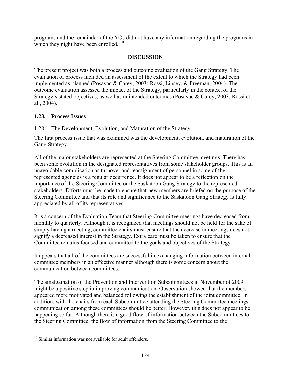programs and the remainder of the YOs did not have any information regarding the programs in which they night have been enrolled.<sup>10</sup>

# **DISCUSSION**

The present project was both a process and outcome evaluation of the Gang Strategy. The evaluation of process included an assessment of the extent to which the Strategy had been implemented as planned (Posavac & Carey, 2003; Rossi, Lipsey, & Freeman, 2004). The outcome evaluation assessed the impact of the Strategy, particularly in the context of the Strategy's stated objectives, as well as unintended outcomes (Posavac & Carey, 2003; Rossi et al., 2004).

## **1.28. Process Issues**

1.28.1. The Development, Evolution, and Maturation of the Strategy

The first process issue that was examined was the development, evolution, and maturation of the Gang Strategy.

All of the major stakeholders are represented at the Steering Committee meetings. There has been some evolution in the designated representatives from some stakeholder groups. This is an unavoidable complication as turnover and reassignment of personnel in some of the represented agencies is a regular occurrence. It does not appear to be a reflection on the importance of the Steering Committee or the Saskatoon Gang Strategy to the represented stakeholders. Efforts must be made to ensure that new members are briefed on the purpose of the Steering Committee and that its role and significance to the Saskatoon Gang Strategy is fully appreciated by all of its representatives.

It is a concern of the Evaluation Team that Steering Committee meetings have decreased from monthly to quarterly. Although it is recognized that meetings should not be held for the sake of simply having a meeting, committee chairs must ensure that the decrease in meetings does not signify a decreased interest in the Strategy. Extra care must be taken to ensure that the Committee remains focused and committed to the goals and objectives of the Strategy.

It appears that all of the committees are successful in exchanging information between internal committee members in an effective manner although there is some concern about the communication between committees.

The amalgamation of the Prevention and Intervention Subcommittees in November of 2009 might be a positive step in improving communication. Observation showed that the members appeared more motivated and balanced following the establishment of the joint committee. In addition, with the chairs from each Subcommittee attending the Steering Committee meetings, communication among these committees should be better. However, this does not appear to be happening so far. Although there is a good flow of information between the Subcommittees to the Steering Committee, the flow of information from the Steering Committee to the

 $\overline{a}$ 

<span id="page-139-0"></span><sup>&</sup>lt;sup>10</sup> Similar information was not available for adult offenders.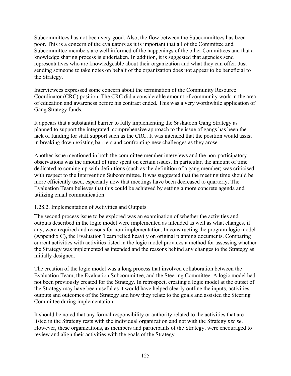Subcommittees has not been very good. Also, the flow between the Subcommittees has been poor. This is a concern of the evaluators as it is important that all of the Committee and Subcommittee members are well informed of the happenings of the other Committees and that a knowledge sharing process is undertaken. In addition, it is suggested that agencies send representatives who are knowledgeable about their organization and what they can offer. Just sending someone to take notes on behalf of the organization does not appear to be beneficial to the Strategy.

Interviewees expressed some concern about the termination of the Community Resource Coordinator (CRC) position. The CRC did a considerable amount of community work in the area of education and awareness before his contract ended. This was a very worthwhile application of Gang Strategy funds.

It appears that a substantial barrier to fully implementing the Saskatoon Gang Strategy as planned to support the integrated, comprehensive approach to the issue of gangs has been the lack of funding for staff support such as the CRC. It was intended that the position would assist in breaking down existing barriers and confronting new challenges as they arose.

Another issue mentioned in both the committee member interviews and the non-participatory observations was the amount of time spent on certain issues. In particular, the amount of time dedicated to coming up with definitions (such as the definition of a gang member) was criticised with respect to the Intervention Subcommittee. It was suggested that the meeting time should be more efficiently used, especially now that meetings have been decreased to quarterly. The Evaluation Team believes that this could be achieved by setting a more concrete agenda and utilizing email communication.

## 1.28.2. Implementation of Activities and Outputs

The second process issue to be explored was an examination of whether the activities and outputs described in the logic model were implemented as intended as well as what changes, if any, were required and reasons for non-implementation. In constructing the program logic model (Appendix C), the Evaluation Team relied heavily on original planning documents. Comparing current activities with activities listed in the logic model provides a method for assessing whether the Strategy was implemented as intended and the reasons behind any changes to the Strategy as initially designed.

The creation of the logic model was a long process that involved collaboration between the Evaluation Team, the Evaluation Subcommittee, and the Steering Committee. A logic model had not been previously created for the Strategy. In retrospect, creating a logic model at the outset of the Strategy may have been useful as it would have helped clearly outline the inputs, activities, outputs and outcomes of the Strategy and how they relate to the goals and assisted the Steering Committee during implementation.

It should be noted that any formal responsibility or authority related to the activities that are listed in the Strategy rests with the individual organization and not with the Strategy *per se*. However, these organizations, as members and participants of the Strategy, were encouraged to review and align their activities with the goals of the Strategy.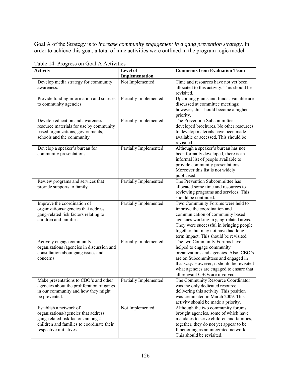Goal A of the Strategy is to *increase community engagement in a gang prevention strategy*. In order to achieve this goal, a total of nine activities were outlined in the program logic model.

| <b>Activity</b>                                                                                                                                                            | Level of<br>Implementation | <b>Comments from Evaluation Team</b>                                                                                                                                                                                                                                          |
|----------------------------------------------------------------------------------------------------------------------------------------------------------------------------|----------------------------|-------------------------------------------------------------------------------------------------------------------------------------------------------------------------------------------------------------------------------------------------------------------------------|
| Develop media strategy for community<br>awareness.                                                                                                                         | Not Implemented            | Time and resources have not yet been<br>allocated to this activity. This should be<br>revisited.                                                                                                                                                                              |
| Provide funding information and sources<br>to community agencies.                                                                                                          | Partially Implemented      | Upcoming grants and funds available are<br>discussed at committee meetings;<br>however, this should become a higher<br>priority.                                                                                                                                              |
| Develop education and awareness<br>resource materials for use by community<br>based organizations, governments,<br>schools and the community.                              | Partially Implemented      | The Prevention Subcommittee<br>developed brochures. No other resources<br>to develop materials have been made<br>available or accessed. This should be<br>revisited.                                                                                                          |
| Develop a speaker's bureau for<br>community presentations.                                                                                                                 | Partially Implemented      | Although a speaker's bureau has not<br>been formally developed, there is an<br>informal list of people available to<br>provide community presentations,<br>Moreover this list is not widely<br>publicised.                                                                    |
| Review programs and services that<br>provide supports to family.                                                                                                           | Partially Implemented      | The Prevention Subcommittee has<br>allocated some time and resources to<br>reviewing programs and services. This<br>should be continued.                                                                                                                                      |
| Improve the coordination of<br>organizations/agencies that address<br>gang-related risk factors relating to<br>children and families.                                      | Partially Implemented      | Two Community Forums were held to<br>improve the coordination and<br>communication of community based<br>agencies working in gang-related areas.<br>They were successful in bringing people<br>together, but may not have had long-<br>term impact. This should be revisited. |
| Actively engage community<br>organizations /agencies in discussion and<br>consultation about gang issues and<br>concerns.                                                  | Partially Implemented      | The two Community Forums have<br>helped to engage community<br>organizations and agencies. Also, CBO's<br>are on Subcommittees and engaged in<br>that way. However, it should be revisited<br>what agencies are engaged to ensure that<br>all relevant CBOs are involved.     |
| Make presentations to CBO's and other<br>agencies about the proliferation of gangs<br>in our community and how they might<br>be prevented.                                 | Partially Implemented      | The Community Resource Coordinator<br>was the only dedicated resource<br>delivering this activity. This position<br>was terminated in March 2009. This<br>activity should be made a priority.                                                                                 |
| Establish a network of<br>organizations/agencies that address<br>gang-related risk factors amongst<br>children and families to coordinate their<br>respective initiatives. | Not Implemented.           | Although the two community forums<br>brought agencies, some of which have<br>mandates to serve children and families,<br>together, they do not yet appear to be<br>functioning as an integrated network.<br>This should be revisited.                                         |

Table 14. Progress on Goal A Activities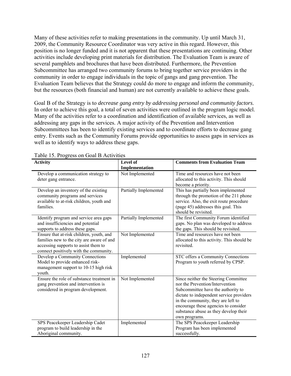Many of these activities refer to making presentations in the community. Up until March 31, 2009, the Community Resource Coordinator was very active in this regard. However, this position is no longer funded and it is not apparent that these presentations are continuing. Other activities include developing print materials for distribution. The Evaluation Team is aware of several pamphlets and brochures that have been distributed. Furthermore, the Prevention Subcommittee has arranged two community forums to bring together service providers in the community in order to engage individuals in the topic of gangs and gang prevention. The Evaluation Team believes that the Strategy could do more to engage and inform the community, but the resources (both financial and human) are not currently available to achieve these goals.

Goal B of the Strategy is to *decrease gang entry by addressing personal and community factors*. In order to achieve this goal, a total of seven activities were outlined in the program logic model. Many of the activities refer to a coordination and identification of available services, as well as addressing any gaps in the services. A major activity of the Prevention and Intervention Subcommittees has been to identify existing services and to coordinate efforts to decrease gang entry. Events such as the Community Forums provide opportunities to assess gaps in services as well as to identify ways to address these gaps.

| <b>Activity</b>                                                                                                                                                         | <b>Level of</b>       | <b>Comments from Evaluation Team</b>                                                                                                                                                                                                                                                              |
|-------------------------------------------------------------------------------------------------------------------------------------------------------------------------|-----------------------|---------------------------------------------------------------------------------------------------------------------------------------------------------------------------------------------------------------------------------------------------------------------------------------------------|
|                                                                                                                                                                         | Implementation        |                                                                                                                                                                                                                                                                                                   |
| Develop a communication strategy to<br>deter gang entrance.                                                                                                             | Not Implemented       | Time and resources have not been<br>allocated to this activity. This should<br>become a priority.                                                                                                                                                                                                 |
| Develop an inventory of the existing<br>community programs and services<br>available to at-risk children, youth and<br>families.                                        | Partially Implemented | This has partially been implemented<br>through the promotion of the 211 phone<br>service. Also, the exit route procedure<br>(page 45) addresses this goal. This<br>should be revisited.                                                                                                           |
| Identify program and service area gaps<br>and insufficiencies and potential<br>supports to address these gaps.                                                          | Partially Implemented | The first Community Forum identified<br>gaps. No plan was developed to address<br>the gaps. This should be revisited.                                                                                                                                                                             |
| Ensure that at-risk children, youth, and<br>families new to the city are aware of and<br>accessing supports to assist them to<br>connect positively with the community. | Not Implemented       | Time and resources have not been<br>allocated to this activity. This should be<br>revisited.                                                                                                                                                                                                      |
| Develop a Community Connections<br>Model to provide enhanced risk-<br>management support to 10-15 high risk<br>youth.                                                   | Implemented           | STC offers a Community Connections<br>Program to youth referred by CPSP.                                                                                                                                                                                                                          |
| Ensure the role of substance treatment in<br>gang prevention and intervention is<br>considered in program development.                                                  | Not Implemented       | Since neither the Steering Committee<br>nor the Prevention/Intervention<br>Subcommittee have the authority to<br>dictate to independent service providers<br>in the community, they are left to<br>encourage these agencies to consider<br>substance abuse as they develop their<br>own programs. |
| SPS Peacekeeper Leadership Cadet<br>program to build leadership in the<br>Aboriginal community.                                                                         | Implemented           | The SPS Peacekeeper Leadership<br>Program has been implemented<br>successfully.                                                                                                                                                                                                                   |

Table 15. Progress on Goal B Activities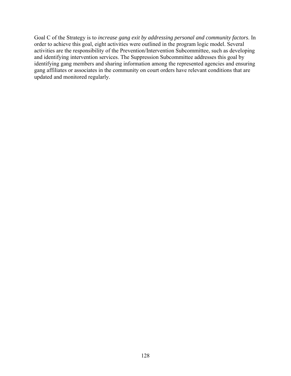Goal C of the Strategy is to *increase gang exit by addressing personal and community factors*. In order to achieve this goal, eight activities were outlined in the program logic model. Several activities are the responsibility of the Prevention/Intervention Subcommittee, such as developing and identifying intervention services. The Suppression Subcommittee addresses this goal by identifying gang members and sharing information among the represented agencies and ensuring gang affiliates or associates in the community on court orders have relevant conditions that are updated and monitored regularly.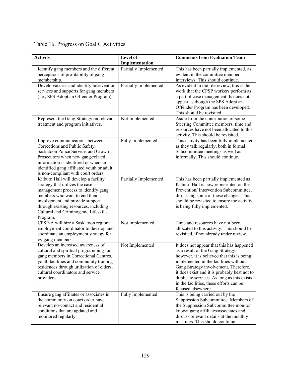# Table 16. Progress on Goal C Activities

| <b>Activity</b>                                                                                                                                                                                                                                                                 | Level of<br>Implementation   | <b>Comments from Evaluation Team</b>                                                                                                                                                                                                                                                                                                                                          |
|---------------------------------------------------------------------------------------------------------------------------------------------------------------------------------------------------------------------------------------------------------------------------------|------------------------------|-------------------------------------------------------------------------------------------------------------------------------------------------------------------------------------------------------------------------------------------------------------------------------------------------------------------------------------------------------------------------------|
| Identify gang members and the different<br>perceptions of profitability of gang<br>membership.                                                                                                                                                                                  | <b>Partially Implemented</b> | This has been partially implemented, as<br>evident in the committee member<br>interviews. This should continue.                                                                                                                                                                                                                                                               |
| Develop/access and identify intervention<br>services and supports for gang members<br>(i.e., SPS Adopt an Offender Program).                                                                                                                                                    | Partially Implemented        | As evident in the file review, this is the<br>work that the CPSP workers perform as<br>a part of case management. Is does not<br>appear as though the SPS Adopt an<br>Offender Program has been developed.<br>This should be revisited.                                                                                                                                       |
| Represent the Gang Strategy on relevant<br>treatment and program initiatives.                                                                                                                                                                                                   | Not Implemented              | Aside from the contribution of some<br>Steering Committee members, time and<br>resources have not been allocated to this<br>activity. This should be revisited.                                                                                                                                                                                                               |
| Improve communications between<br>Corrections and Public Safety,<br>Saskatoon Police Service, and Crown<br>Prosecutors when new gang-related<br>information is identified or when an<br>identified gang affiliated youth or adult<br>is non-compliant with court orders.        | Fully Implemented            | This activity has been fully implemented<br>as they talk regularly, both in formal<br>Subcommittee meetings as well as<br>informally. This should continue.                                                                                                                                                                                                                   |
| Kilburn Hall will develop a facility<br>strategy that utilizes the case<br>management process to identify gang<br>members who want to end their<br>involvement and provide support<br>through existing resources, including<br>Cultural and Criminogenic Lifeskills<br>Program. | Partially Implemented        | This has been partially implemented as<br>Kilburn Hall is now represented on the<br>Prevention/Intervention Subcommittee,<br>discussing some of these changes. This<br>should be revisited to ensure the activity<br>is being fully implemented.                                                                                                                              |
| CPSP-A will hire a Saskatoon regional<br>employment coordinator to develop and<br>coordinate an employment strategy for<br>ex-gang members.                                                                                                                                     | Not Implemented              | Time and resources have not been<br>allocated to this activity. This should be<br>revisited, if not already under review.                                                                                                                                                                                                                                                     |
| Develop an increased awareness of<br>cultural and spiritual programming for<br>gang members in Correctional Centres,<br>youth facilities and community training<br>residences through utilization of elders,<br>cultural coordinators and service<br>providers.                 | Not Implemented              | It does not appear that this has happened<br>as a result of the Gang Strategy;<br>however, it is believed that this is being<br>implemented in the facilities without<br>Gang Strategy involvement. Therefore,<br>it does exist and it is probably best not to<br>duplicate services. As long as this exists<br>in the facilities, these efforts can be<br>focused elsewhere. |
| Ensure gang affiliates or associates in<br>the community on court order have<br>relevant no-contact and residential<br>conditions that are updated and<br>monitored regularly.                                                                                                  | Fully Implemented            | This is being carried out by the<br>Suppression Subcommittee. Members of<br>the Suppression Subcommittee monitor<br>known gang affiliates/associates and<br>discuss relevant details at the monthly<br>meetings. This should continue.                                                                                                                                        |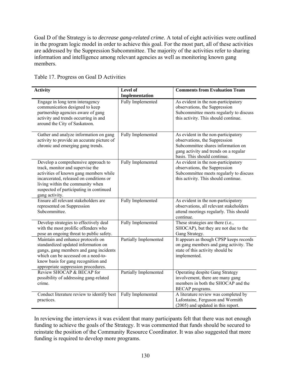Goal D of the Strategy is to *decrease gang-related crime.* A total of eight activities were outlined in the program logic model in order to achieve this goal. For the most part, all of these activities are addressed by the Suppression Subcommittee. The majority of the activities refer to sharing information and intelligence among relevant agencies as well as monitoring known gang members.

|  | Table 17. Progress on Goal D Activities |  |  |
|--|-----------------------------------------|--|--|
|--|-----------------------------------------|--|--|

| <b>Activity</b>                                                                                                                                                                                                                                               | Level of                     | <b>Comments from Evaluation Team</b>                                                                                                                                                |
|---------------------------------------------------------------------------------------------------------------------------------------------------------------------------------------------------------------------------------------------------------------|------------------------------|-------------------------------------------------------------------------------------------------------------------------------------------------------------------------------------|
|                                                                                                                                                                                                                                                               | Implementation               |                                                                                                                                                                                     |
| Engage in long term interagency<br>communication designed to keep<br>partnership agencies aware of gang<br>activity and trends occurring in and<br>around the City of Saskatoon.                                                                              | Fully Implemented            | As evident in the non-participatory<br>observations, the Suppression<br>Subcommittee meets regularly to discuss<br>this activity. This should continue.                             |
| Gather and analyze information on gang<br>activity to provide an accurate picture of<br>chronic and emerging gang trends.                                                                                                                                     | Fully Implemented            | As evident in the non-participatory<br>observations, the Suppression<br>Subcommittee shares information on<br>gang activity and trends on a regular<br>basis. This should continue. |
| Develop a comprehensive approach to<br>track, monitor and supervise the<br>activities of known gang members while<br>incarcerated, released on conditions or<br>living within the community when<br>suspected of participating in continued<br>gang activity. | Fully Implemented            | As evident in the non-participatory<br>observations, the Suppression<br>Subcommittee meets regularly to discuss<br>this activity. This should continue.                             |
| Ensure all relevant stakeholders are<br>represented on Suppression<br>Subcommittee.                                                                                                                                                                           | Fully Implemented            | As evident in the non-participatory<br>observations, all relevant stakeholders<br>attend meetings regularly. This should<br>continue.                                               |
| Develop strategies to effectively deal<br>with the most prolific offenders who<br>pose an ongoing threat to public safety.                                                                                                                                    | Fully Implemented            | These strategies are there (i.e.,<br>SHOCAP), but they are not due to the<br>Gang Strategy.                                                                                         |
| Maintain and enhance protocols on<br>standardized updated information on<br>gangs, gang members and gang incidents<br>which can be accessed on a need-to-<br>know basis for gang recognition and<br>appropriate suppression procedures.                       | <b>Partially Implemented</b> | It appears as though CPSP keeps records<br>on gang members and gang activity. The<br>state of this activity should be<br>implemented.                                               |
| Review SHOCAP & BECAP for<br>possibility of addressing gang-related<br>crime.                                                                                                                                                                                 | Partially Implemented        | <b>Operating despite Gang Strategy</b><br>involvement, there are many gang<br>members in both the SHOCAP and the<br><b>BECAP</b> programs.                                          |
| Conduct literature review to identify best<br>practices.                                                                                                                                                                                                      | Fully Implemented            | A literature review was completed by<br>Lafontaine, Ferguson and Wormith<br>(2005) and updated in this report.                                                                      |

In reviewing the interviews it was evident that many participants felt that there was not enough funding to achieve the goals of the Strategy. It was commented that funds should be secured to reinstate the position of the Community Resource Coordinator. It was also suggested that more funding is required to develop more programs.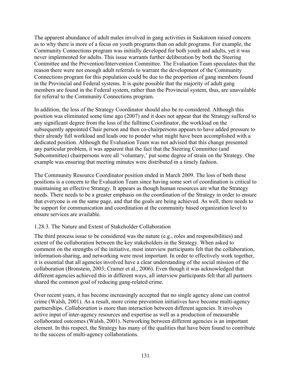The apparent abundance of adult males involved in gang activities in Saskatoon raised concern as to why there is more of a focus on youth programs than on adult programs. For example, the Community Connections program was initially developed for both youth and adults, yet it was never implemented for adults. This issue warrants further deliberation by both the Steering Committee and the Prevention/Intervention Committee. The Evaluation Team speculates that the reason there were not enough adult referrals to warrant the development of the Community Connections program for this population could be due to the proportion of gang members found in the Provincial and Federal systems. It is quite possible that the majority of adult gang members are found in the Federal system, rather than the Provincial system, thus, are unavailable for referral to the Community Connections program.

In addition, the loss of the Strategy Coordinator should also be re-considered. Although this position was eliminated some time ago (2007) and it does not appear that the Strategy suffered to any significant degree from the loss of the fulltime Coordinator, the workload on the subsequently appointed Chair person and then co-chairpersons appears to have added pressure to their already full workload and leads one to ponder what might have been accomplished with a dedicated position. Although the Evaluation Team was not advised that this change presented any particular problem, it was apparent that the fact that the Steering Committee (and Subcommittee) chairpersons were all 'voluntary,' put some degree of strain on the Strategy. One example was ensuring that meeting minutes were distributed in a timely fashion.

The Community Resource Coordinator position ended in March 2009. The loss of both these positions is a concern to the Evaluation Team since having some sort of coordination is critical to maintaining an effective Strategy. It appears as though human resources are what the Strategy needs. There needs to be a greater emphasis on the coordination of the Strategy in order to ensure that everyone is on the same page, and that the goals are being achieved. As well, there needs to be support for communication and coordination at the community based organization level to ensure services are available.

# 1.28.3. The Nature and Extent of Stakeholder Collaboration

The third process issue to be considered was the nature (e.g., roles and responsibilities) and extent of the collaboration between the key stakeholders in the Strategy. When asked to comment on the strengths of the initiative, most interview participants felt that the collaboration, information-sharing, and networking were most important. In order to effectively work together, it is essential that all agencies involved have a clear understanding of the social mission of the collaboration (Bronstein, 2003; Cramer et al., 2006). Even though it was acknowledged that different agencies achieved this in different ways, all interview participants felt that all partners shared the common goal of reducing gang-related crime.

Over recent years, it has become increasingly accepted that no single agency alone can control crime (Walsh, 2001). As a result, more crime prevention initiatives have become multi-agency partnerships. *Collaboration* is more than interaction between different agencies. It involves active input of inter-agency resources and expertise as well as a production of measurable collaborated outcomes (Walsh, 2001). Networking between different agencies is an important element. In this respect, the Strategy has many of the qualities that have been found to contribute to the success of multi-agency collaborations.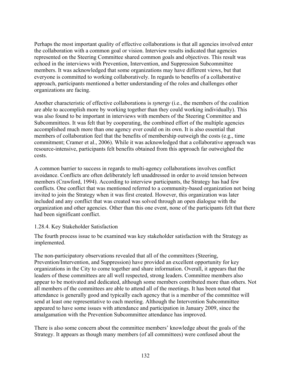Perhaps the most important quality of effective collaborations is that all agencies involved enter the collaboration with a common goal or vision. Interview results indicated that agencies represented on the Steering Committee shared common goals and objectives. This result was echoed in the interviews with Prevention, Intervention, and Suppression Subcommittee members. It was acknowledged that some organizations may have different views, but that everyone is committed to working collaboratively. In regards to benefits of a collaborative approach, participants mentioned a better understanding of the roles and challenges other organizations are facing.

Another characteristic of effective collaborations is *synergy* (i.e., the members of the coalition are able to accomplish more by working together than they could working individually). This was also found to be important in interviews with members of the Steering Committee and Subcommittees. It was felt that by cooperating, the combined effort of the multiple agencies accomplished much more than one agency ever could on its own. It is also essential that members of collaboration feel that the benefits of membership outweigh the costs (e.g., time commitment; Cramer et al., 2006). While it was acknowledged that a collaborative approach was resource-intensive, participants felt benefits obtained from this approach far outweighed the costs.

A common barrier to success in regards to multi-agency collaborations involves conflict avoidance. Conflicts are often deliberately left unaddressed in order to avoid tension between members (Crawford, 1994). According to interview participants, the Strategy has had few conflicts. One conflict that was mentioned referred to a community-based organization not being invited to join the Strategy when it was first created. However, this organization was later included and any conflict that was created was solved through an open dialogue with the organization and other agencies. Other than this one event, none of the participants felt that there had been significant conflict.

# 1.28.4. Key Stakeholder Satisfaction

The fourth process issue to be examined was key stakeholder satisfaction with the Strategy as implemented.

The non-participatory observations revealed that all of the committees (Steering, Prevention/Intervention, and Suppression) have provided an excellent opportunity for key organizations in the City to come together and share information. Overall, it appears that the leaders of these committees are all well respected, strong leaders. Committee members also appear to be motivated and dedicated, although some members contributed more than others. Not all members of the committees are able to attend all of the meetings. It has been noted that attendance is generally good and typically each agency that is a member of the committee will send at least one representative to each meeting. Although the Intervention Subcommittee appeared to have some issues with attendance and participation in January 2009, since the amalgamation with the Prevention Subcommittee attendance has improved.

There is also some concern about the committee members' knowledge about the goals of the Strategy. It appears as though many members (of all committees) were confused about the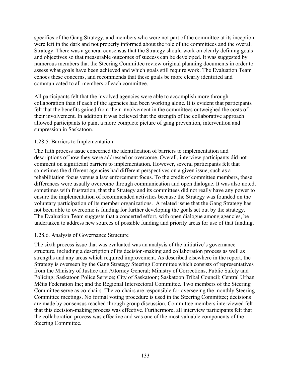specifics of the Gang Strategy, and members who were not part of the committee at its inception were left in the dark and not properly informed about the role of the committees and the overall Strategy. There was a general consensus that the Strategy should work on clearly defining goals and objectives so that measurable outcomes of success can be developed. It was suggested by numerous members that the Steering Committee review original planning documents in order to assess what goals have been achieved and which goals still require work. The Evaluation Team echoes these concerns, and recommends that these goals be more clearly identified and communicated to all members of each committee.

All participants felt that the involved agencies were able to accomplish more through collaboration than if each of the agencies had been working alone. It is evident that participants felt that the benefits gained from their involvement in the committees outweighed the costs of their involvement. In addition it was believed that the strength of the collaborative approach allowed participants to paint a more complete picture of gang prevention, intervention and suppression in Saskatoon.

#### 1.28.5. Barriers to Implementation

The fifth process issue concerned the identification of barriers to implementation and descriptions of how they were addressed or overcome. Overall, interview participants did not comment on significant barriers to implementation. However, several participants felt that sometimes the different agencies had different perspectives on a given issue, such as a rehabilitation focus versus a law enforcement focus. To the credit of committee members, these differences were usually overcome through communication and open dialogue. It was also noted, sometimes with frustration, that the Strategy and its committees did not really have any power to ensure the implementation of recommended activities because the Strategy was founded on the voluntary participation of its member organizations. A related issue that the Gang Strategy has not been able to overcome is funding for further developing the goals set out by the strategy. The Evaluation Team suggests that a concerted effort, with open dialogue among agencies, be undertaken to address new sources of possible funding and priority areas for use of that funding.

# 1.28.6. Analysis of Governance Structure

The sixth process issue that was evaluated was an analysis of the initiative's governance structure, including a description of its decision-making and collaboration process as well as strengths and any areas which required improvement. As described elsewhere in the report, the Strategy is overseen by the Gang Strategy Steering Committee which consists of representatives from the Ministry of Justice and Attorney General; Ministry of Corrections, Public Safety and Policing; Saskatoon Police Service; City of Saskatoon; Saskatoon Tribal Council; Central Urban Métis Federation Inc; and the Regional Intersectoral Committee. Two members of the Steering Committee serve as co-chairs. The co-chairs are responsible for overseeing the monthly Steering Committee meetings. No formal voting procedure is used in the Steering Committee; decisions are made by consensus reached through group discussion. Committee members interviewed felt that this decision-making process was effective. Furthermore, all interview participants felt that the collaboration process was effective and was one of the most valuable components of the Steering Committee.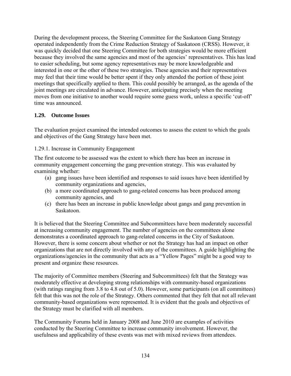During the development process, the Steering Committee for the Saskatoon Gang Strategy operated independently from the Crime Reduction Strategy of Saskatoon (CRSS). However, it was quickly decided that one Steering Committee for both strategies would be more efficient because they involved the same agencies and most of the agencies' representatives. This has lead to easier scheduling, but some agency representatives may be more knowledgeable and interested in one or the other of these two strategies. These agencies and their representatives may feel that their time would be better spent if they only attended the portion of these joint meetings that specifically applied to them. This could possibly be arranged, as the agenda of the joint meetings are circulated in advance. However, anticipating precisely when the meeting moves from one initiative to another would require some guess work, unless a specific 'cut-off' time was announced.

# **1.29. Outcome Issues**

The evaluation project examined the intended outcomes to assess the extent to which the goals and objectives of the Gang Strategy have been met.

#### 1.29.1. Increase in Community Engagement

The first outcome to be assessed was the extent to which there has been an increase in community engagement concerning the gang prevention strategy. This was evaluated by examining whether:

- (a) gang issues have been identified and responses to said issues have been identified by community organizations and agencies,
- (b) a more coordinated approach to gang-related concerns has been produced among community agencies, and
- (c) there has been an increase in public knowledge about gangs and gang prevention in Saskatoon.

It is believed that the Steering Committee and Subcommittees have been moderately successful at increasing community engagement. The number of agencies on the committees alone demonstrates a coordinated approach to gang-related concerns in the City of Saskatoon. However, there is some concern about whether or not the Strategy has had an impact on other organizations that are not directly involved with any of the committees. A guide highlighting the organizations/agencies in the community that acts as a "Yellow Pages" might be a good way to present and organize these resources.

The majority of Committee members (Steering and Subcommittees) felt that the Strategy was moderately effective at developing strong relationships with community-based organizations (with ratings ranging from 3.8 to 4.8 out of 5.0). However, some participants (on all committees) felt that this was not the role of the Strategy. Others commented that they felt that not all relevant community-based organizations were represented. It is evident that the goals and objectives of the Strategy must be clarified with all members.

The Community Forums held in January 2008 and June 2010 are examples of activities conducted by the Steering Committee to increase community involvement. However, the usefulness and applicability of these events was met with mixed reviews from attendees.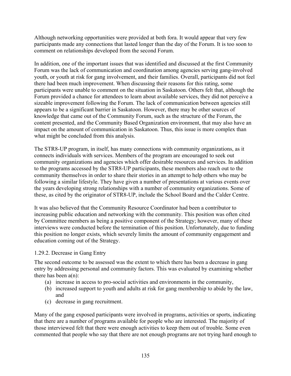Although networking opportunities were provided at both fora. It would appear that very few participants made any connections that lasted longer than the day of the Forum. It is too soon to comment on relationships developed from the second Forum.

In addition, one of the important issues that was identified and discussed at the first Community Forum was the lack of communication and coordination among agencies serving gang-involved youth, or youth at risk for gang involvement, and their families. Overall, participants did not feel there had been much improvement. When discussing their reasons for this rating, some participants were unable to comment on the situation in Saskatoon. Others felt that, although the Forum provided a chance for attendees to learn about available services, they did not perceive a sizeable improvement following the Forum. The lack of communication between agencies still appears to be a significant barrier in Saskatoon. However, there may be other sources of knowledge that came out of the Community Forum, such as the structure of the Forum, the content presented, and the Community Based Organization environment, that may also have an impact on the amount of communication in Saskatoon. Thus, this issue is more complex than what might be concluded from this analysis.

The STR8-UP program, in itself, has many connections with community organizations, as it connects individuals with services. Members of the program are encouraged to seek out community organizations and agencies which offer desirable resources and services. In addition to the programs accessed by the STR8-UP participants, these members also reach out to the community themselves in order to share their stories in an attempt to help others who may be following a similar lifestyle. They have given a number of presentations at various events over the years developing strong relationships with a number of community organizations. Some of these, as cited by the originator of STR8-UP, include the School Board and the Calder Centre.

It was also believed that the Community Resource Coordinator had been a contributor to increasing public education and networking with the community. This position was often cited by Committee members as being a positive component of the Strategy; however, many of these interviews were conducted before the termination of this position. Unfortunately, due to funding this position no longer exists, which severely limits the amount of community engagement and education coming out of the Strategy.

#### 1.29.2. Decrease in Gang Entry

The second outcome to be assessed was the extent to which there has been a decrease in gang entry by addressing personal and community factors. This was evaluated by examining whether there has been  $a(n)$ :

- (a) increase in access to pro-social activities and environments in the community,
- (b) increased support to youth and adults at risk for gang membership to abide by the law, and
- (c) decrease in gang recruitment.

Many of the gang exposed participants were involved in programs, activities or sports, indicating that there are a number of programs available for people who are interested. The majority of those interviewed felt that there were enough activities to keep them out of trouble. Some even commented that people who say that there are not enough programs are not trying hard enough to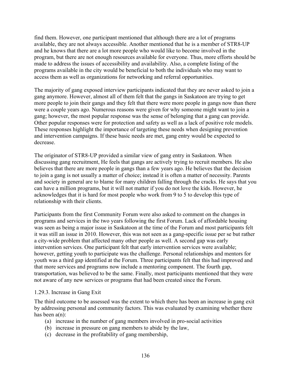find them. However, one participant mentioned that although there are a lot of programs available, they are not always accessible. Another mentioned that he is a member of STR8-UP and he knows that there are a lot more people who would like to become involved in the program, but there are not enough resources available for everyone. Thus, more efforts should be made to address the issues of accessibility and availability. Also, a complete listing of the programs available in the city would be beneficial to both the individuals who may want to access them as well as organizations for networking and referral opportunities.

The majority of gang exposed interview participants indicated that they are never asked to join a gang anymore. However, almost all of them felt that the gangs in Saskatoon are trying to get more people to join their gangs and they felt that there were more people in gangs now than there were a couple years ago. Numerous reasons were given for why someone might want to join a gang; however, the most popular response was the sense of belonging that a gang can provide. Other popular responses were for protection and safety as well as a lack of positive role models. These responses highlight the importance of targeting these needs when designing prevention and intervention campaigns. If these basic needs are met, gang entry would be expected to decrease.

The originator of STR8-UP provided a similar view of gang entry in Saskatoon. When discussing gang recruitment, He feels that gangs are actively trying to recruit members. He also believes that there are more people in gangs than a few years ago. He believes that the decision to join a gang is not usually a matter of choice; instead it is often a matter of necessity. Parents and society in general are to blame for many children falling through the cracks. He says that you can have a million programs, but it will not matter if you do not love the kids. However, he acknowledges that it is hard for most people who work from 9 to 5 to develop this type of relationship with their clients.

Participants from the first Community Forum were also asked to comment on the changes in programs and services in the two years following the first Forum. Lack of affordable housing was seen as being a major issue in Saskatoon at the time of the Forum and most participants felt it was still an issue in 2010. However, this was not seen as a gang-specific issue per se but rather a city-wide problem that affected many other people as well. A second gap was early intervention services. One participant felt that early intervention services were available; however, getting youth to participate was the challenge. Personal relationships and mentors for youth was a third gap identified at the Forum. Three participants felt that this had improved and that more services and programs now include a mentoring component. The fourth gap, transportation, was believed to be the same. Finally, most participants mentioned that they were not aware of any new services or programs that had been created since the Forum.

#### 1.29.3. Increase in Gang Exit

The third outcome to be assessed was the extent to which there has been an increase in gang exit by addressing personal and community factors. This was evaluated by examining whether there has been  $a(n)$ :

- (a) increase in the number of gang members involved in pro-social activities
- (b) increase in pressure on gang members to abide by the law,
- (c) decrease in the profitability of gang membership,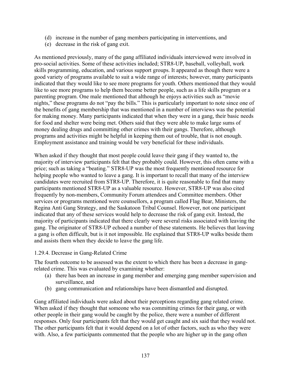- (d) increase in the number of gang members participating in interventions, and
- (e) decrease in the risk of gang exit.

As mentioned previously, many of the gang affiliated individuals interviewed were involved in pro-social activities. Some of these activities included; STR8-UP, baseball, volleyball, work skills programming, education, and various support groups. It appeared as though there were a good variety of programs available to suit a wide range of interests; however, many participants indicated that they would like to see more programs for youth. Others mentioned that they would like to see more programs to help them become better people, such as a life skills program or a parenting program. One male mentioned that although he enjoys activities such as "movie nights," these programs do not "pay the bills." This is particularly important to note since one of the benefits of gang membership that was mentioned in a number of interviews was the potential for making money. Many participants indicated that when they were in a gang, their basic needs for food and shelter were being met. Others said that they were able to make large sums of money dealing drugs and committing other crimes with their gangs. Therefore, although programs and activities might be helpful in keeping them out of trouble, that is not enough. Employment assistance and training would be very beneficial for these individuals.

When asked if they thought that most people could leave their gang if they wanted to, the majority of interview participants felt that they probably could. However, this often came with a price; such as taking a "beating." STR8-UP was the most frequently mentioned resource for helping people who wanted to leave a gang. It is important to recall that many of the interview candidates were recruited from STR8-UP. Therefore, it is quite reasonable to find that many participants mentioned STR8-UP as a valuable resource. However, STR8-UP was also cited frequently by non-members, Community Forum attendees and Committee members. Other services or programs mentioned were counsellors, a program called Flag Bear, Ministers, the Regina Anti Gang Strategy, and the Saskatoon Tribal Counsel. However, not one participant indicated that any of these services would help to decrease the risk of gang exit. Instead, the majority of participants indicated that there clearly were several risks associated with leaving the gang. The originator of STR8-UP echoed a number of these statements. He believes that leaving a gang is often difficult, but is it not impossible. He explained that STR8-UP walks beside them and assists them when they decide to leave the gang life.

#### 1.29.4. Decrease in Gang-Related Crime

The fourth outcome to be assessed was the extent to which there has been a decrease in gangrelated crime. This was evaluated by examining whether:

- (a) there has been an increase in gang member and emerging gang member supervision and surveillance, and
- (b) gang communication and relationships have been dismantled and disrupted.

Gang affiliated individuals were asked about their perceptions regarding gang related crime. When asked if they thought that someone who was committing crimes for their gang, or with other people in their gang would be caught by the police, there were a number of different responses. Only four participants felt that they would get caught and six said that they would not. The other participants felt that it would depend on a lot of other factors, such as who they were with. Also, a few participants commented that the people who are higher up in the gang often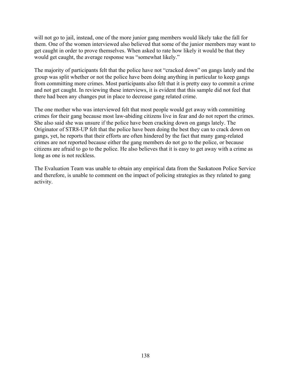will not go to jail, instead, one of the more junior gang members would likely take the fall for them. One of the women interviewed also believed that some of the junior members may want to get caught in order to prove themselves. When asked to rate how likely it would be that they would get caught, the average response was "somewhat likely."

The majority of participants felt that the police have not "cracked down" on gangs lately and the group was split whether or not the police have been doing anything in particular to keep gangs from committing more crimes. Most participants also felt that it is pretty easy to commit a crime and not get caught. In reviewing these interviews, it is evident that this sample did not feel that there had been any changes put in place to decrease gang related crime.

The one mother who was interviewed felt that most people would get away with committing crimes for their gang because most law-abiding citizens live in fear and do not report the crimes. She also said she was unsure if the police have been cracking down on gangs lately. The Originator of STR8-UP felt that the police have been doing the best they can to crack down on gangs, yet, he reports that their efforts are often hindered by the fact that many gang-related crimes are not reported because either the gang members do not go to the police, or because citizens are afraid to go to the police. He also believes that it is easy to get away with a crime as long as one is not reckless.

The Evaluation Team was unable to obtain any empirical data from the Saskatoon Police Service and therefore, is unable to comment on the impact of policing strategies as they related to gang activity.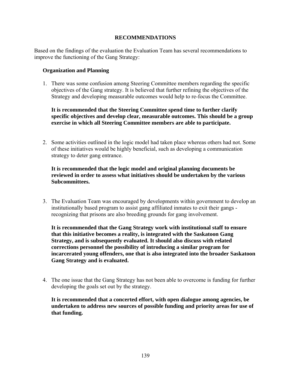### **RECOMMENDATIONS**

Based on the findings of the evaluation the Evaluation Team has several recommendations to improve the functioning of the Gang Strategy:

### **Organization and Planning**

1. There was some confusion among Steering Committee members regarding the specific objectives of the Gang strategy. It is believed that further refining the objectives of the Strategy and developing measurable outcomes would help to re-focus the Committee.

# **It is recommended that the Steering Committee spend time to further clarify specific objectives and develop clear, measurable outcomes. This should be a group exercise in which all Steering Committee members are able to participate.**

2. Some activities outlined in the logic model had taken place whereas others had not. Some of these initiatives would be highly beneficial, such as developing a communication strategy to deter gang entrance.

# **It is recommended that the logic model and original planning documents be reviewed in order to assess what initiatives should be undertaken by the various Subcommittees.**

3. The Evaluation Team was encouraged by developments within government to develop an institutionally based program to assist gang affiliated inmates to exit their gangs recognizing that prisons are also breeding grounds for gang involvement.

**It is recommended that the Gang Strategy work with institutional staff to ensure that this initiative becomes a reality, is integrated with the Saskatoon Gang Strategy, and is subsequently evaluated. It should also discuss with related corrections personnel the possibility of introducing a similar program for incarcerated young offenders, one that is also integrated into the broader Saskatoon Gang Strategy and is evaluated.** 

4. The one issue that the Gang Strategy has not been able to overcome is funding for further developing the goals set out by the strategy.

**It is recommended that a concerted effort, with open dialogue among agencies, be undertaken to address new sources of possible funding and priority areas for use of that funding.**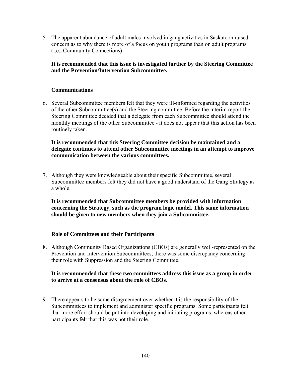5. The apparent abundance of adult males involved in gang activities in Saskatoon raised concern as to why there is more of a focus on youth programs than on adult programs (i.e., Community Connections).

# **It is recommended that this issue is investigated further by the Steering Committee and the Prevention/Intervention Subcommittee.**

# **Communications**

6. Several Subcommittee members felt that they were ill-informed regarding the activities of the other Subcommittee(s) and the Steering committee. Before the interim report the Steering Committee decided that a delegate from each Subcommittee should attend the monthly meetings of the other Subcommittee - it does not appear that this action has been routinely taken.

# **It is recommended that this Steering Committee decision be maintained and a delegate continues to attend other Subcommittee meetings in an attempt to improve communication between the various committees.**

7. Although they were knowledgeable about their specific Subcommittee, several Subcommittee members felt they did not have a good understand of the Gang Strategy as a whole.

**It is recommended that Subcommittee members be provided with information concerning the Strategy, such as the program logic model. This same information should be given to new members when they join a Subcommittee.** 

# **Role of Committees and their Participants**

8. Although Community Based Organizations (CBOs) are generally well-represented on the Prevention and Intervention Subcommittees, there was some discrepancy concerning their role with Suppression and the Steering Committee.

# **It is recommended that these two committees address this issue as a group in order to arrive at a consensus about the role of CBOs.**

9. There appears to be some disagreement over whether it is the responsibility of the Subcommittees to implement and administer specific programs. Some participants felt that more effort should be put into developing and initiating programs, whereas other participants felt that this was not their role.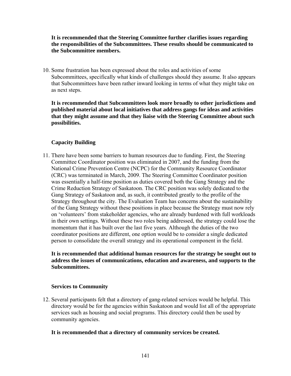**It is recommended that the Steering Committee further clarifies issues regarding the responsibilities of the Subcommittees. These results should be communicated to the Subcommittee members.** 

10. Some frustration has been expressed about the roles and activities of some Subcommittees, specifically what kinds of challenges should they assume. It also appears that Subcommittees have been rather inward looking in terms of what they might take on as next steps.

**It is recommended that Subcommittees look more broadly to other jurisdictions and published material about local initiatives that address gangs for ideas and activities that they might assume and that they liaise with the Steering Committee about such possibilities.** 

# **Capacity Building**

11. There have been some barriers to human resources due to funding. First, the Steering Committee Coordinator position was eliminated in 2007, and the funding from the National Crime Prevention Centre (NCPC) for the Community Resource Coordinator (CRC) was terminated in March, 2009. The Steering Committee Coordinator position was essentially a half-time position as duties covered both the Gang Strategy and the Crime Reduction Strategy of Saskatoon. The CRC position was solely dedicated to the Gang Strategy of Saskatoon and, as such, it contributed greatly to the profile of the Strategy throughout the city. The Evaluation Team has concerns about the sustainability of the Gang Strategy without these positions in place because the Strategy must now rely on 'volunteers' from stakeholder agencies, who are already burdened with full workloads in their own settings. Without these two roles being addressed, the strategy could lose the momentum that it has built over the last five years. Although the duties of the two coordinator positions are different, one option would be to consider a single dedicated person to consolidate the overall strategy and its operational component in the field.

### **It is recommended that additional human resources for the strategy be sought out to address the issues of communications, education and awareness, and supports to the Subcommittees.**

# **Services to Community**

12. Several participants felt that a directory of gang-related services would be helpful. This directory would be for the agencies within Saskatoon and would list all of the appropriate services such as housing and social programs. This directory could then be used by community agencies.

#### **It is recommended that a directory of community services be created.**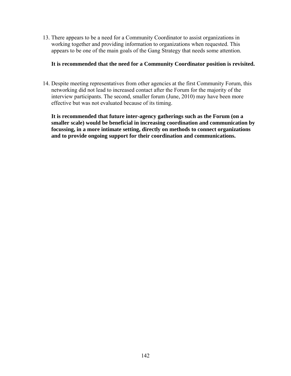13. There appears to be a need for a Community Coordinator to assist organizations in working together and providing information to organizations when requested. This appears to be one of the main goals of the Gang Strategy that needs some attention.

#### **It is recommended that the need for a Community Coordinator position is revisited.**

14. Despite meeting representatives from other agencies at the first Community Forum, this networking did not lead to increased contact after the Forum for the majority of the interview participants. The second, smaller forum (June, 2010) may have been more effective but was not evaluated because of its timing.

**It is recommended that future inter-agency gatherings such as the Forum (on a smaller scale) would be beneficial in increasing coordination and communication by focussing, in a more intimate setting, directly on methods to connect organizations and to provide ongoing support for their coordination and communications.**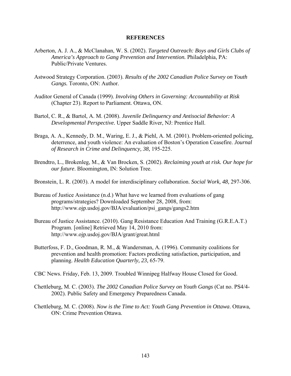#### **REFERENCES**

- Arberton, A. J. A., & McClanahan, W. S. (2002). *Targeted Outreach: Boys and Girls Clubs of America's Approach to Gang Prevention and Intervention.* Philadelphia, PA: Public/Private Ventures.
- Astwood Strategy Corporation. (2003). *Results of the 2002 Canadian Police Survey on Youth Gangs.* Toronto, ON: Author.
- Auditor General of Canada (1999). *Involving Others in Governing: Accountability at Risk*  (Chapter 23). Report to Parliament. Ottawa, ON.
- Bartol, C. R., & Bartol, A. M. (2008). *Juvenile Delinquency and Antisocial Behavior: A Developmental Perspective.* Upper Saddle River, NJ: Prentice Hall.
- Braga, A. A., Kennedy, D. M., Waring, E. J., & Piehl, A. M. (2001). Problem-oriented policing, deterrence, and youth violence: An evaluation of Boston's Operation Ceasefire. *Journal of Research in Crime and Delinquency, 38,* 195-225.
- Brendtro, L., Brokenleg, M., & Van Brocken, S. (2002). *Reclaiming youth at risk. Our hope for our future*. Bloomington, IN: Solution Tree.
- Bronstein, L. R. (2003). A model for interdisciplinary collaboration. *Social Work, 48,* 297-306.
- Bureau of Justice Assistance (n.d.) What have we learned from evaluations of gang programs/strategies? Downloaded September 28, 2008, from: http://www.ojp.usdoj.gov/BJA/evaluation/psi\_gangs/gangs2.htm
- Bureau of Justice Assistance. (2010). Gang Resistance Education And Training (G.R.E.A.T.) Program. [online] Retrieved May 14, 2010 from: http://www.ojp.usdoj.gov/BJA/grant/great.html
- Butterfoss, F. D., Goodman, R. M., & Wandersman, A. (1996). Community coalitions for prevention and health promotion: Factors predicting satisfaction, participation, and planning. *Health Education Quarterly, 23,* 65-79.
- CBC News. Friday, Feb. 13, 2009. Troubled Winnipeg Halfway House Closed for Good.
- Chettleburg, M. C. (2003). *The 2002 Canadian Police Survey on Youth Gangs* (Cat no. PS4/4- 2002). Public Safety and Emergency Preparedness Canada.
- Chettleburg, M. C. (2008). *Now is the Time to Act: Youth Gang Prevention in Ottawa*. Ottawa, ON: Crime Prevention Ottawa.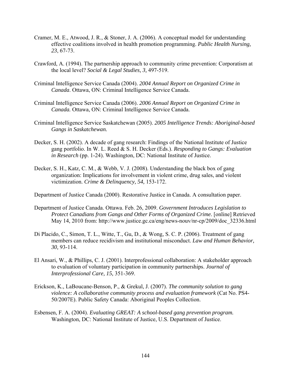- Cramer, M. E., Atwood, J. R., & Stoner, J. A. (2006). A conceptual model for understanding effective coalitions involved in health promotion programming. *Public Health Nursing, 23*, 67-73.
- Crawford, A. (1994). The partnership approach to community crime prevention: Corporatism at the local level? *Social & Legal Studies, 3,* 497-519.
- Criminal Intelligence Service Canada (2004). *2004 Annual Report on Organized Crime in Canada*. Ottawa, ON: Criminal Intelligence Service Canada.
- Criminal Intelligence Service Canada (2006). *2006 Annual Report on Organized Crime in Canada.* Ottawa, ON: Criminal Intelligence Service Canada.
- Criminal Intelligence Service Saskatchewan (2005). *2005 Intelligence Trends: Aboriginal-based Gangs in Saskatchewan.*
- Decker, S. H. (2002). A decade of gang research: Findings of the National Institute of Justice gang portfolio. In W. L. Reed & S. H. Decker (Eds.). *Responding to Gangs: Evaluation in Research* (pp. 1-24). Washington, DC: National Institute of Justice.
- Decker, S. H., Katz, C. M., & Webb, V. J. (2008). Understanding the black box of gang organization: Implications for involvement in violent crime, drug sales, and violent victimization. *Crime & Delinquency, 54,* 153-172.

Department of Justice Canada (2000). Restorative Justice in Canada. A consultation paper.

- Department of Justice Canada. Ottawa. Feb. 26, 2009. *Government Introduces Legislation to Protect Canadians from Gangs and Other Forms of Organized Crime.* [online] Retrieved May 14, 2010 from: http://www.justice.gc.ca/eng/news-nouv/nr-cp/2009/doc\_32336.html
- Di Placido, C., Simon, T. L., Witte, T., Gu, D., & Wong, S. C. P. (2006). Treatment of gang members can reduce recidivism and institutional misconduct. *Law and Human Behavior, 30,* 93-114.
- El Ansari, W., & Phillips, C. J. (2001). Interprofessional collaboration: A stakeholder approach to evaluation of voluntary participation in community partnerships. *Journal of Interprofessional Care, 15,* 351-369.
- Erickson, K., LaBoucane-Benson, P., & Grekul, J. (2007). *The community solution to gang violence: A collaborative community process and evaluation framework* (Cat No. PS4- 50/2007E). Public Safety Canada: Aboriginal Peoples Collection.
- Esbensen, F. A. (2004). *Evaluating GREAT: A school-based gang prevention program.*  Washington, DC: National Institute of Justice, U.S. Department of Justice.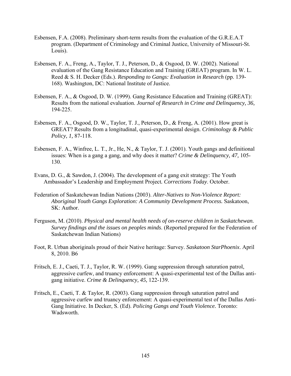- Esbensen, F.A. (2008). Preliminary short-term results from the evaluation of the G.R.E.A.T program. (Department of Criminology and Criminal Justice, University of Missouri-St. Louis).
- Esbensen, F. A., Freng, A., Taylor, T. J., Peterson, D., & Osgood, D. W. (2002). National evaluation of the Gang Resistance Education and Training (GREAT) program. In W. L. Reed & S. H. Decker (Eds.). *Responding to Gangs: Evaluation in Research* (pp. 139- 168). Washington, DC: National Institute of Justice.
- Esbensen, F. A., & Osgood, D. W. (1999). Gang Resistance Education and Training (GREAT): Results from the national evaluation. *Journal of Research in Crime and Delinquency, 36,*  194-225.
- Esbensen, F. A., Osgood, D. W., Taylor, T. J., Peterson, D., & Freng, A. (2001). How great is GREAT? Results from a longitudinal, quasi-experimental design. *Criminology & Public Policy, 1,* 87-118.
- Esbensen, F. A., Winfree, L. T., Jr., He, N., & Taylor, T. J. (2001). Youth gangs and definitional issues: When is a gang a gang, and why does it matter? *Crime & Delinquency, 47,* 105- 130.
- Evans, D. G., & Sawdon, J. (2004). The development of a gang exit strategy: The Youth Ambassador's Leadership and Employment Project*. Corrections Today*. October.
- Federation of Saskatchewan Indian Nations (2003). *Alter-Natives to Non-Violence Report: Aboriginal Youth Gangs Exploration: A Community Development Process.* Saskatoon, SK: Author.
- Ferguson, M. (2010). *Physical and mental health needs of on-reserve children in Saskatchewan. Survey findings and the issues on peoples minds*. (Reported prepared for the Federation of Saskatchewan Indian Nations)
- Foot, R. Urban aboriginals proud of their Native heritage: Survey. *Saskatoon StarPhoenix*. April 8, 2010. B6
- Fritsch, E. J., Caeti, T. J., Taylor, R. W. (1999). Gang suppression through saturation patrol, aggressive curfew, and truancy enforcement: A quasi-experimental test of the Dallas antigang initiative. *Crime & Delinquency, 45,* 122-139.
- Fritsch, E., Caeti, T. & Taylor, R. (2003). Gang suppression through saturation patrol and aggressive curfew and truancy enforcement: A quasi-experimental test of the Dallas Anti-Gang Initiative. In Decker, S. (Ed). *Policing Gangs and Youth Violence.* Toronto: Wadsworth.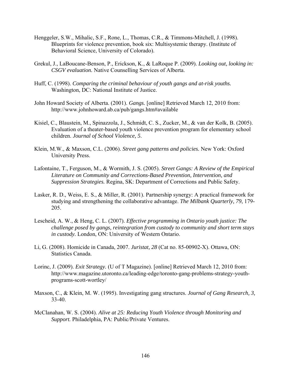- Henggeler, S.W., Mihalic, S.F., Rone, L., Thomas, C.R., & Timmons-Mitchell, J. (1998). Blueprints for violence prevention, book six: Multisystemic therapy. (Institute of Behavioral Science, University of Colorado).
- Grekul, J., LaBoucane-Benson, P., Erickson, K., & LaRoque P. (2009). *Looking out, looking in: CSGV evaluation.* Native Counselling Services of Alberta.
- Huff, C. (1998). *Comparing the criminal behaviour of youth gangs and at-risk youths.*  Washington, DC: National Institute of Justice.
- John Howard Society of Alberta. (2001). *Gangs.* [online] Retrieved March 12, 2010 from: http://www.johnhoward.ab.ca/pub/gangs.htm#available
- Kisiel, C., Blaustein, M., Spinazzola, J., Schmidt, C. S., Zucker, M., & van der Kolk, B. (2005). Evaluation of a theater-based youth violence prevention program for elementary school children. *Journal of School Violence, 5*.
- Klein, M.W., & Maxson, C.L. (2006). *Street gang patterns and policies.* New York: Oxford University Press.
- Lafontaine, T., Ferguson, M., & Wormith, J. S. (2005). *Street Gangs: A Review of the Empirical Literature on Community and Corrections-Based Prevention, Intervention, and Suppression Strategies.* Regina, SK: Department of Corrections and Public Safety.
- Lasker, R. D., Weiss, E. S., & Miller, R. (2001). Partnership synergy: A practical framework for studying and strengthening the collaborative advantage. *The Milbank Quarterly, 79*, 179- 205.
- Lescheid, A. W., & Heng, C. L. (2007). *Effective programming in Ontario youth justice: The challenge posed by gangs, reintegration from custody to community and short term stays in custody.* London, ON: University of Western Ontario.
- Li, G. (2008). Homicide in Canada, 2007. *Juristat, 28* (Cat no. 85-00902-X). Ottawa, ON: Statistics Canada.
- Lorinc, J. (2009). *Exit Strategy.* (U of T Magazine). [online] Retrieved March 12, 2010 from: http://www.magazine.utoronto.ca/leading-edge/toronto-gang-problems-strategy-youthprograms-scott-wortley/
- Maxson, C., & Klein, M. W. (1995). Investigating gang structures. *Journal of Gang Research, 3,*  33-40.
- McClanahan, W. S. (2004). *Alive at 25: Reducing Youth Violence through Monitoring and Support.* Philadelphia, PA: Public/Private Ventures.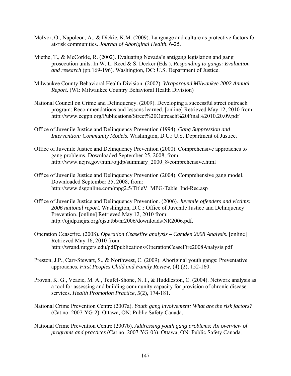- McIvor, O., Napoleon, A., & Dickie, K.M. (2009). Language and culture as protective factors for at-risk communities. *Journal of Aboriginal Health*, 6-25.
- Miethe, T., & McCorkle, R. (2002). Evaluating Nevada's antigang legislation and gang prosecution units. In W. L. Reed & S. Decker (Eds.), *Responding to gangs: Evaluation and research* (pp.169-196). Washington, DC: U.S. Department of Justice.
- Milwaukee County Behavioral Health Division. (2002). *Wraparound Milwaukee 2002 Annual Report*. (WI: Milwaukee Country Behavioral Health Division)
- National Council on Crime and Delinquency. (2009). Developing a successful street outreach program: Recommendations and lessons learned. [online] Retrieved May 12, 2010 from: http://www.ccgpn.org/Publications/Street%20Outreach%20Final%2010.20.09.pdf
- Office of Juvenile Justice and Delinquency Prevention (1994). *Gang Suppression and Intervention: Community Models.* Washington, D.C.: U.S. Department of Justice.
- Office of Juvenile Justice and Delinquency Prevention (2000). Comprehensive approaches to gang problems. Downloaded September 25, 2008, from: http://www.ncjrs.gov/html/ojjdp/summary\_2000\_8/comprehensive.html
- Office of Juvenile Justice and Delinquency Prevention (2004). Comprehensive gang model. Downloaded September 25, 2008, from: http://www.dsgonline.com/mpg2.5/TitleV\_MPG-Table\_Ind-Rec.asp
- Office of Juvenile Justice and Delinquency Prevention. (2006). *Juvenile offenders and victims: 2006 national report.* Washington, D.C.: Office of Juvenile Justice and Delinquency Prevention. [online] Retrieved May 12, 2010 from: http://ojjdp.ncjrs.org/ojstatbb/nr2006/downloads/NR2006.pdf.
- Operation Ceasefire. (2008). *Operation Ceasefire analysis Camden 2008 Analysis*. [online] Retrieved May 16, 2010 from: http://wrand.rutgers.edu/pdf/publications/OperationCeaseFire2008Analysis.pdf
- Preston, J.P., Carr-Stewart, S., & Northwest, C. (2009). Aboriginal youth gangs: Preventative approaches*. First Peoples Child and Family Review*, (4) (2), 152-160.
- Provan, K. G., Veazie, M. A., Teufel-Shone, N. I., & Huddleston, C. (2004). Network analysis as a tool for assessing and building community capacity for provision of chronic disease services. *Health Promotion Practice, 5*(2), 174-181.
- National Crime Prevention Centre (2007a). *Youth gang involvement: What are the risk factors?*  (Cat no. 2007-YG-2). Ottawa, ON: Public Safety Canada.
- National Crime Prevention Centre (2007b). *Addressing youth gang problems: An overview of programs and practices* (Cat no. 2007-YG-03). Ottawa, ON: Public Safety Canada.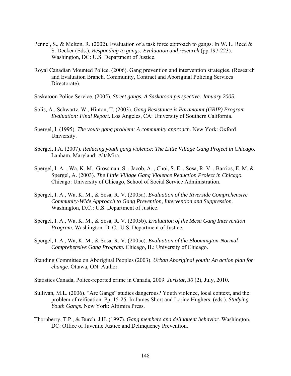- Pennel, S., & Melton, R. (2002). Evaluation of a task force approach to gangs. In W. L. Reed & S. Decker (Eds.), *Responding to gangs: Evaluation and research* (pp.197-223). Washington, DC: U.S. Department of Justice.
- Royal Canadian Mounted Police. (2006). Gang prevention and intervention strategies. (Research and Evaluation Branch. Community, Contract and Aboriginal Policing Services Directorate).
- Saskatoon Police Service. (2005). *Street gangs. A Saskatoon perspective. January 2005*.
- Solis, A., Schwartz, W., Hinton, T. (2003). *Gang Resistance is Paramount (GRIP) Program Evaluation: Final Report.* Los Angeles, CA: University of Southern California.
- Spergel, I. (1995). *The youth gang problem: A community approach.* New York: Oxford University.
- Spergel, I.A. (2007). *Reducing youth gang violence: The Little Village Gang Project in Chicag*o. Lanham, Maryland: AltaMira.
- Spergel, I. A. , Wa, K. M., Grossman, S. , Jacob, A. , Choi, S. E. , Sosa, R. V. , Barrios, E. M. & Spergel, A. (2003). *The Little Village Gang Violence Reduction Project in Chicago.*  Chicago: University of Chicago, School of Social Service Administration.
- Spergel, I. A., Wa, K. M., & Sosa, R. V. (2005a). *Evaluation of the Riverside Comprehensive Community-Wide Approach to Gang Prevention, Intervention and Suppression.*  Washington, D.C.: U.S. Department of Justice.
- Spergel, I. A., Wa, K. M., & Sosa, R. V. (2005b). *Evaluation of the Mesa Gang Intervention Program.* Washington. D. C.: U.S. Department of Justice.
- Spergel, I. A., Wa, K. M., & Sosa, R. V. (2005c). *Evaluation of the Bloomington-Normal Comprehensive Gang Program.* Chicago, IL: University of Chicago.
- Standing Committee on Aboriginal Peoples (2003). *Urban Aboriginal youth: An action plan for change.* Ottawa, ON: Author.

Statistics Canada, Police-reported crime in Canada, 2009. *Juristat*, *30* (2), July, 2010.

- Sullivan, M.L. (2006). "Are Gangs" studies dangerous? Youth violence, local context, and the problem of reification. Pp. 15-25. In James Short and Lorine Hughers. (eds.). *Studying Youth Gangs*. New York: Altimira Press.
- Thornberry, T.P., & Burch, J.H. (1997). *Gang members and delinquent behavior*. Washington, DC: Office of Juvenile Justice and Delinquency Prevention.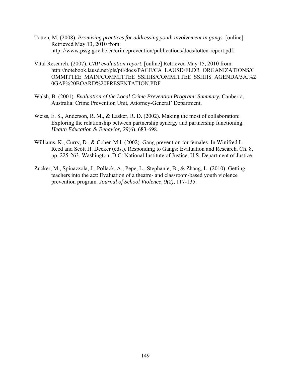- Totten, M. (2008). *Promising practices for addressing youth involvement in gangs.* [online] Retrieved May 13, 2010 from: http: //www.pssg.gov.bc.ca/crimeprevention/publications/docs/totten-report.pdf.
- Vital Research. (2007). *GAP evaluation report*. [online] Retrieved May 15, 2010 from: http://notebook.lausd.net/pls/ptl/docs/PAGE/CA\_LAUSD/FLDR\_ORGANIZATIONS/C OMMITTEE\_MAIN/COMMITTEE\_SSHHS/COMMITTEE\_SSHHS\_AGENDA/5A.%2 0GAP%20BOARD%20PRESENTATION.PDF
- Walsh, B. (2001). *Evaluation of the Local Crime Prevention Program: Summary.* Canberra, Australia: Crime Prevention Unit, Attorney-General' Department.
- Weiss, E. S., Anderson, R. M., & Lasker, R. D. (2002). Making the most of collaboration: Exploring the relationship between partnership synergy and partnership functioning. *Health Education & Behavior, 29*(6), 683-698.
- Williams, K., Curry, D., & Cohen M.I. (2002). Gang prevention for females. In Winifred L. Reed and Scott H. Decker (eds.). Responding to Gangs: Evaluation and Research. Ch. 8, pp. 225-263. Washington, D.C: National Institute of Justice, U.S. Department of Justice.
- Zucker, M., Spinazzola, J., Pollack, A., Pepe, L., Stephanie, B., & Zhang, L. (2010). Getting teachers into the act: Evaluation of a theatre- and classroom-based youth violence prevention program. *Journal of School Violence, 9(2)*, 117-135.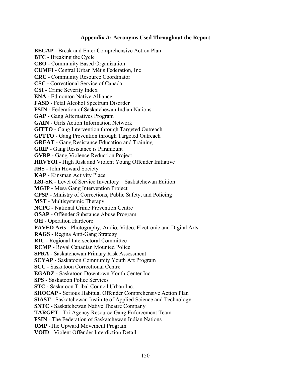### **Appendix A: Acronyms Used Throughout the Report**

**BECAP -** Break and Enter Comprehensive Action Plan **BTC -** Breaking the Cycle **CBO -** Community Based Organization **CUMFI -** Central Urban Métis Federation, Inc **CRC -** Community Resource Coordinator **CSC -** Correctional Service of Canada **CSI -** Crime Severity Index **ENA -** Edmonton Native Alliance **FASD -** Fetal Alcohol Spectrum Disorder **FSIN -** Federation of Saskatchewan Indian Nations **GAP -** Gang Alternatives Program **GAIN -** Girls Action Information Network **GITTO -** Gang Intervention through Targeted Outreach **GPTTO -** Gang Prevention through Targeted Outreach **GREAT -** Gang Resistance Education and Training **GRIP -** Gang Resistance is Paramount **GVRP -** Gang Violence Reduction Project **HRVYOI -** High Risk and Violent Young Offender Initiative **JHS -** John Howard Society **KAP -** Kinsman Activity Place **LSI-SK -** Level of Service Inventory – Saskatchewan Edition **MGIP -** Mesa Gang Intervention Project **CPSP -** Ministry of Corrections, Public Safety, and Policing **MST -** Multisystemic Therapy **NCPC -** National Crime Prevention Centre **OSAP -** Offender Substance Abuse Program **OH -** Operation Hardcore **PAVED Arts -** Photography, Audio, Video, Electronic and Digital Arts **RAGS -** Regina Anti-Gang Strategy **RIC -** Regional Intersectoral Committee **RCMP -** Royal Canadian Mounted Police **SPRA -** Saskatchewan Primary Risk Assessment **SCYAP -** Saskatoon Community Youth Art Program **SCC -** Saskatoon Correctional Centre **EGADZ -** Saskatoon Downtown Youth Center Inc. **SPS -** Saskatoon Police Services **STC -** Saskatoon Tribal Council Urban Inc. **SHOCAP -** Serious Habitual Offender Comprehensive Action Plan **SIAST** - Saskatchewan Institute of Applied Science and Technology **SNTC** - Saskatchewan Native Theatre Company **TARGET** - Tri-Agency Resource Gang Enforcement Team **FSIN** - The Federation of Saskatchewan Indian Nations **UMP** -The Upward Movement Program **VOID** - Violent Offender Interdiction Detail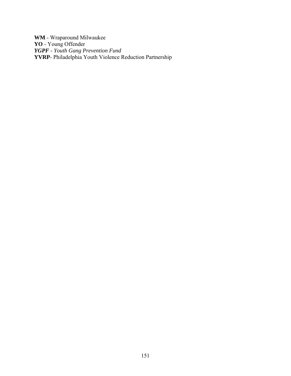**WM** - Wraparound Milwaukee **YO** - Young Offender *YGPF - Youth Gang Prevention Fund*  **YVRP**- Philadelphia Youth Violence Reduction Partnership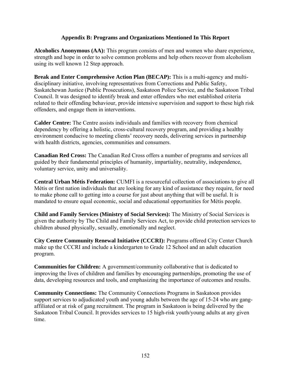### **Appendix B: Programs and Organizations Mentioned In This Report**

**Alcoholics Anonymous (AA):** This program consists of men and women who share experience, strength and hope in order to solve common problems and help others recover from alcoholism using its well known 12 Step approach.

**Break and Enter Comprehensive Action Plan (BECAP):** This is a multi-agency and multidisciplinary initiative, involving representatives from Corrections and Public Safety, Saskatchewan Justice (Public Prosecutions), Saskatoon Police Service, and the Saskatoon Tribal Council. It was designed to identify break and enter offenders who met established criteria related to their offending behaviour, provide intensive supervision and support to these high risk offenders, and engage them in interventions.

**Calder Centre:** The Centre assists individuals and families with recovery from chemical dependency by offering a holistic, cross-cultural recovery program, and providing a healthy environment conducive to meeting clients' recovery needs, delivering services in partnership with health districts, agencies, communities and consumers.

**Canadian Red Cross:** The Canadian Red Cross offers a number of programs and services all guided by their fundamental principles of humanity, impartiality, neutrality, independence, voluntary service, unity and universality.

**Central Urban Métis Federation:** CUMFI is a resourceful collection of associations to give all Métis or first nation individuals that are looking for any kind of assistance they require, for need to make phone call to getting into a course for just about anything that will be useful. It is mandated to ensure equal economic, social and educational opportunities for Métis people.

**Child and Family Services (Ministry of Social Services):** The Ministry of Social Services is given the authority by The Child and Family Services Act, to provide child protection services to children abused physically, sexually, emotionally and neglect.

**City Centre Community Renewal Initiative (CCCRI):** Programs offered City Center Church make up the CCCRI and include a kindergarten to Grade 12 School and an adult education program.

**Communities for Children:** A government/community collaborative that is dedicated to improving the lives of children and families by encouraging partnerships, promoting the use of data, developing resources and tools, and emphasizing the importance of outcomes and results.

**Community Connections:** The Community Connections Programs in Saskatoon provides support services to adjudicated youth and young adults between the age of 15-24 who are gangaffiliated or at risk of gang recruitment. The program in Saskatoon is being delivered by the Saskatoon Tribal Council. It provides services to 15 high-risk youth/young adults at any given time.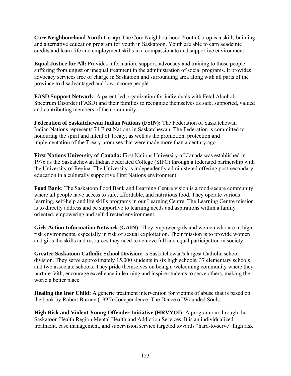**Core Neighbourhood Youth Co-op:** The Core Neighbourhood Youth Co-op is a skills building and alternative education program for youth in Saskatoon. Youth are able to earn academic credits and learn life and employment skills in a compassionate and supportive environment.

**Equal Justice for All:** Provides information, support, advocacy and training to those people suffering from unjust or unequal treatment in the administration of social programs. It provides advocacy services free of charge in Saskatoon and surrounding area along with all parts of the province to disadvantaged and low income people.

**FASD Support Network:** A parent-led organization for individuals with Fetal Alcohol Spectrum Disorder (FASD) and their families to recognize themselves as safe, supported, valued and contributing members of the community.

**Federation of Saskatchewan Indian Nations (FSIN):** The Federation of Saskatchewan Indian Nations represents 74 First Nations in Saskatchewan. The Federation is committed to honouring the spirit and intent of Treaty, as well as the promotion, protection and implementation of the Treaty promises that were made more than a century ago.

**First Nations University of Canada:** First Nations University of Canada was established in 1976 as the Saskatchewan Indian Federated College (SIFC) through a federated partnership with the University of Regina. The University is independently administered offering post-secondary education in a culturally supportive First Nations environment.

**Food Bank:** The Saskatoon Food Bank and Learning Centre vision is a food-secure community where all people have access to safe, affordable, and nutritious food. They operate various learning, self-help and life skills programs in our Learning Centre. The Learning Centre mission is to directly address and be supportive to learning needs and aspirations within a family oriented, empowering and self-directed environment.

Girls Action Information Network (GAIN): They empower girls and women who are in high risk environments, especially in risk of sexual exploitation. Their mission is to provide women and girls the skills and resources they need to achieve full and equal participation in society.

**Greater Saskatoon Catholic School Division:** is Saskatchewan's largest Catholic school division. They serve approximately 15,000 students in six high schools, 37 elementary schools and two associate schools. They pride themselves on being a welcoming community where they nurture faith, encourage excellence in learning and inspire students to serve others, making the world a better place.

**Healing the Iner Child:** A generic treatment intervention for victims of abuse that is based on the book by Robert Burney (1995) Codependence: The Dance of Wounded Souls.

**High Risk and Violent Young Offender Initiative (HRVYOI):** A program ran through the Saskatoon Health Region Mental Health and Addiction Services. It is an individualized treatment, case management, and supervision service targeted towards "hard-to-serve" high risk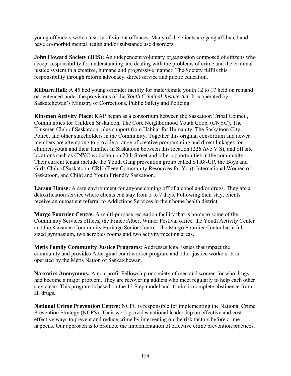young offenders with a history of violent offences. Many of the clients are gang affiliated and have co-morbid mental health and/or substance use disorders.

**John Howard Society (JHS):** An independent voluntary organization composed of citizens who accept responsibility for understanding and dealing with the problems of crime and the criminal justice system in a creative, humane and progressive manner. The Society fulfils this responsibility through reform advocacy, direct service and public education.

**Kilburn Hall:** A 45 bed young offender facility for male/female youth 12 to 17 held on remand or sentenced under the provisions of the *Youth Criminal Justice Act*. It is operated by Saskatchewan's Ministry of Corrections, Public Safety and Policing.

**Kinsmen Activity Place:** KAP began as a consortium between the Saskatoon Tribal Council, Communities for Children Saskatoon, The Core Neighborhood Youth Coop, (CNYC), The Kinsmen Club of Saskatoon, plus support from Habitat for Humanity, The Saskatoon City Police, and other stakeholders in the Community. Together this original consortium and newer members are attempting to provide a range of creative programming and direct linkages for children/youth and their families in Saskatoon between this location (226 Ave V S), and off site locations such as CNYC workshop on 20th Street and other opportunities in the community. Their current tenant include the Youth Gang prevention group called STR8-UP, the Boys and Girls Club of Saskatoon, CRU (Teen Community Resources for You), International Women of Saskatoon, and Child and Youth Friendly Saskatoon.

**Larson House:** A safe environment for anyone coming off of alcohol and/or drugs. They are a detoxification service where clients can stay from 5 to 7 days. Following their stay, clients receive an outpatient referral to Addictions Services in their home health district

**Margo Fournier Centre:** A multi-purpose recreation facility that is home to some of the Community Services offices, the Prince Albert Winter Festival office, the Youth Activity Center and the Kinsmen Community Heritage Senior Centre. The Margo Fournier Center has a full sized gymnasium, two aerobics rooms and two activity/meeting areas.

**Métis Family Community Justice Programs**: Addresses legal issues that impact the community and provides Aboriginal court worker program and other justice workers. It is operated by the Métis Nation of Saskatchewan.

**Narcotics Anonymous:** A non-profit Fellowship or society of men and women for who drugs had become a major problem. They are recovering addicts who meet regularly to help each other stay clean. This program is based on the 12 Step model and its aim is complete abstinence from all drugs.

**National Crime Prevention Centre:** NCPC is responsible for implementing the National Crime Prevention Strategy (NCPS). Their work provides national leadership on effective and costeffective ways to prevent and reduce crime by intervening on the risk factors before crime happens. Our approach is to promote the implementation of effective crime prevention practices.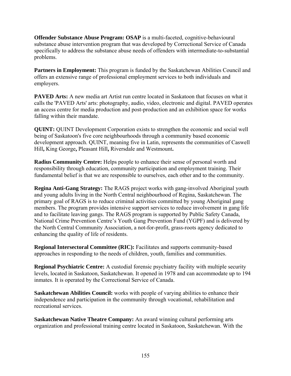**Offender Substance Abuse Program: OSAP** is a multi-faceted, cognitive-behavioural substance abuse intervention program that was developed by Correctional Service of Canada specifically to address the substance abuse needs of offenders with intermediate-to-substantial problems.

Partners in Employment: This program is funded by the Saskatchewan Abilities Council and offers an extensive range of professional employment services to both individuals and employers.

**PAVED Arts:** A new media art Artist run centre located in Saskatoon that focuses on what it calls the 'PAVED Arts' arts: photography, audio, video, electronic and digital. PAVED operates an access centre for media production and post-production and an exhibition space for works falling within their mandate.

**QUINT:** QUINT Development Corporation exists to strengthen the economic and social well being of Saskatoon's five core neighbourhoods through a community based economic development approach. QUINT, meaning five in Latin, represents the communities of Caswell Hill**,** King George**,** Pleasant Hill**,** Riversdale and Westmount**.** 

**Radius Community Centre:** Helps people to enhance their sense of personal worth and responsibility through education, community participation and employment training. Their fundamental belief is that we are responsible to ourselves, each other and to the community.

**Regina Anti-Gang Strategy:** The RAGS project works with gang-involved Aboriginal youth and young adults living in the North Central neighbourhood of Regina, Saskatchewan. The primary goal of RAGS is to reduce criminal activities committed by young Aboriginal gang members. The program provides intensive support services to reduce involvement in gang life and to facilitate leaving gangs. The RAGS program is supported by Public Safety Canada, National Crime Prevention Centre's Youth Gang Prevention Fund (YGPF) and is delivered by the North Central Community Association, a not-for-profit, grass-roots agency dedicated to enhancing the quality of life of residents.

**Regional Intersectoral Committee (RIC):** Facilitates and supports community-based approaches in responding to the needs of children, youth, families and communities.

**Regional Psychiatric Centre:** A custodial forensic psychiatry facility with multiple security levels, located in Saskatoon, Saskatchewan. It opened in 1978 and can accommodate up to 194 inmates. It is operated by the Correctional Service of Canada.

**Saskatchewan Abilities Council:** works with people of varying abilities to enhance their independence and participation in the community through vocational, rehabilitation and recreational services.

**Saskatchewan Native Theatre Company:** An award winning cultural performing arts organization and professional [training](http://www.sntc.ca/net/DesktopDefault.aspx?tabindex=0&tabid=204) centre located in Saskatoon, Saskatchewan. With the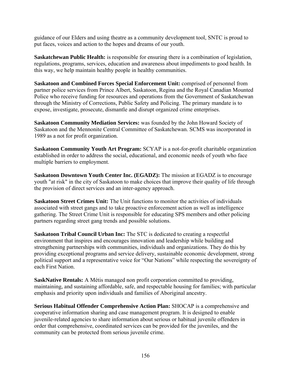guidance of our Elders and using theatre as a community development tool, SNTC is proud to put faces, voices and action to the hopes and dreams of our youth.

**Saskatchewan Public Health:** is responsible for ensuring there is a combination of legislation, regulations, programs, services, education and awareness about impediments to good health. In this way, we help maintain healthy people in healthy communities.

**Saskatoon and Combined Forces Special Enforcement Unit:** comprised of personnel from partner police services from Prince Albert, Saskatoon, Regina and the Royal Canadian Mounted Police who receive funding for resources and operations from the Government of Saskatchewan through the Ministry of Corrections, Public Safety and Policing. The primary mandate is to expose, investigate, prosecute, dismantle and disrupt organized crime enterprises.

**Saskatoon Community Mediation Services:** was founded by the John Howard Society of Saskatoon and the Mennonite Central Committee of Saskatchewan. SCMS was incorporated in 1989 as a not for profit organization.

**Saskatoon Community Youth Art Program:** SCYAP is a not-for-profit charitable organization established in order to address the social, educational, and economic needs of youth who face multiple barriers to employment.

**Saskatoon Downtown Youth Center Inc. (EGADZ):** The mission at EGADZ is to encourage youth "at risk" in the city of Saskatoon to make choices that improve their quality of life through the provision of direct services and an inter-agency approach.

**Saskatoon Street Crimes Unit:** The Unit functions to monitor the activities of individuals associated with street gangs and to take proactive enforcement action as well as intelligence gathering. The Street Crime Unit is responsible for educating SPS members and other policing partners regarding street gang trends and possible solutions.

**Saskatoon Tribal Council Urban Inc:** The STC is dedicated to creating a respectful environment that inspires and encourages innovation and leadership while building and strengthening partnerships with communities, individuals and organizations. They do this by providing exceptional programs and service delivery, sustainable economic development, strong political support and a representative voice for "Our Nations" while respecting the sovereignty of each First Nation.

**SaskNative Rentals:** A Métis managed non profit corporation committed to providing, maintaining, and sustaining affordable, safe, and respectable housing for families; with particular emphasis and priority upon individuals and families of Aboriginal ancestry.

**Serious Habitual Offender Comprehensive Action Plan:** SHOCAP is a comprehensive and cooperative information sharing and case management program. It is designed to enable juvenile-related agencies to share information about serious or habitual juvenile offenders in order that comprehensive, coordinated services can be provided for the juveniles, and the community can be protected from serious juvenile crime.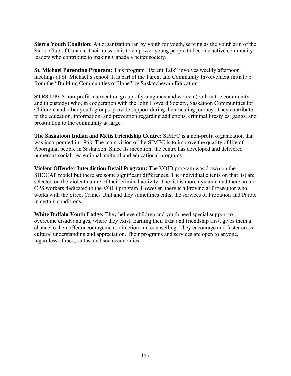**Sierra Youth Coalition:** An organization ran by youth for youth, serving as the youth arm of the Sierra Club of Canada. Their mission is to empower young people to become active community leaders who contribute to making Canada a better society.

**St. Michael Parenting Program:** This program "Parent Talk" involves weekly afternoon meetings at St. Michael's school. It is part of the Parent and Community Involvement initiative from the "Building Communities of Hope" by Saskatchewan Education.

**STR8-UP:** A non-profit intervention group of young men and women (both in the community and in custody) who, in cooperation with the John Howard Society, Saskatoon Communities for Children, and other youth groups, provide support during their healing journey. They contribute to the education, information, and prevention regarding addictions, criminal lifestyles, gangs, and prostitution to the community at large.

**The Saskatoon Indian and Métis Friendship Centre:** SIMFC is a non-profit organization that was incorporated in 1968. The main vision of the SIMFC is to improve the quality of life of Aboriginal people in Saskatoon. Since its inception, the centre has developed and delivered numerous social, recreational, cultural and educational programs.

**Violent Offender Interdiction Detail Program:** The VOID program was drawn on the SHOCAP model but there are some significant differences. The individual clients on that list are selected on the violent nature of their criminal activity. The list is more dynamic and there are no CPS workers dedicated to the VOID program. However, there is a Provincial Prosecutor who works with the Street Crimes Unit and they sometimes enlist the services of Probation and Parole in certain conditions.

**White Buffalo Youth Lodge:** They believe children and youth need special support to overcome disadvantages, where they exist. Earning their trust and friendship first, gives them a chance to then offer encouragement, direction and counselling. They encourage and foster crosscultural understanding and appreciation. Their programs and services are open to anyone, regardless of race, status, and socioeconomics.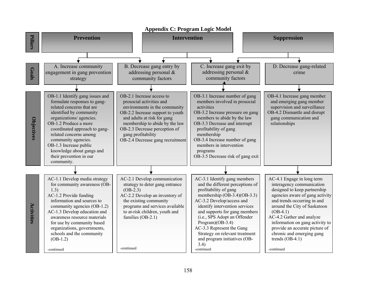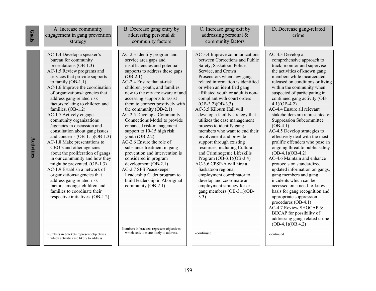| Goals      | A. Increase community<br>engagement in gang prevention<br>strategy                                                                                                                                                                                                                                                                                                                                                                                                                                                                                                                                                                                                                                                                                                                                                                                                                                                                                | B. Decrease gang entry by<br>addressing personal &<br>community factors                                                                                                                                                                                                                                                                                                                                                                                                                                                                                                                                                                                                                                                                                                                                                                    | C. Increase gang exit by<br>addressing personal $\&$<br>community factors                                                                                                                                                                                                                                                                                                                                                                                                                                                                                                                                                                                                                                                                                                                                                   | D. Decrease gang-related<br>crime                                                                                                                                                                                                                                                                                                                                                                                                                                                                                                                                                                                                                                                                                                                                                                                                                                                                                                                                     |
|------------|---------------------------------------------------------------------------------------------------------------------------------------------------------------------------------------------------------------------------------------------------------------------------------------------------------------------------------------------------------------------------------------------------------------------------------------------------------------------------------------------------------------------------------------------------------------------------------------------------------------------------------------------------------------------------------------------------------------------------------------------------------------------------------------------------------------------------------------------------------------------------------------------------------------------------------------------------|--------------------------------------------------------------------------------------------------------------------------------------------------------------------------------------------------------------------------------------------------------------------------------------------------------------------------------------------------------------------------------------------------------------------------------------------------------------------------------------------------------------------------------------------------------------------------------------------------------------------------------------------------------------------------------------------------------------------------------------------------------------------------------------------------------------------------------------------|-----------------------------------------------------------------------------------------------------------------------------------------------------------------------------------------------------------------------------------------------------------------------------------------------------------------------------------------------------------------------------------------------------------------------------------------------------------------------------------------------------------------------------------------------------------------------------------------------------------------------------------------------------------------------------------------------------------------------------------------------------------------------------------------------------------------------------|-----------------------------------------------------------------------------------------------------------------------------------------------------------------------------------------------------------------------------------------------------------------------------------------------------------------------------------------------------------------------------------------------------------------------------------------------------------------------------------------------------------------------------------------------------------------------------------------------------------------------------------------------------------------------------------------------------------------------------------------------------------------------------------------------------------------------------------------------------------------------------------------------------------------------------------------------------------------------|
| Activities | AC-1.4 Develop a speaker's<br>bureau for community<br>presentations (OB-1.3)<br>AC-1.5 Review programs and<br>services that provide supports<br>to family $(OB-1.1)$<br>AC-1.6 Improve the coordination<br>of organizations/agencies that<br>address gang-related risk<br>factors relating to children and<br>families. (OB-1.2)<br>AC-1.7 Actively engage<br>community organizations<br>/agencies in discussion and<br>consultation about gang issues<br>and concerns $(OB-1.1)(OB-1.3)$<br>AC-1.8 Make presentations to<br>CBO's and other agencies<br>about the proliferation of gangs<br>in our community and how they<br>might be prevented. (OB-1.3)<br>AC-1.9 Establish a network of<br>organizations/agencies that<br>address gang-related risk<br>factors amongst children and<br>families to coordinate their<br>respective initiatives. (OB-1.2)<br>Numbers in brackets represent objectives<br>which activities are likely to address | AC-2.3 Identify program and<br>service area gaps and<br>insufficiencies and potential<br>supports to address these gaps<br>$(OB-2.1)$<br>AC-2.4 Ensure that at-risk<br>children, youth, and families<br>new to the city are aware of and<br>accessing supports to assist<br>them to connect positively with<br>the community $(OB-2.1)$<br>AC-2.5 Develop a Community<br>Connections Model to provide<br>enhanced risk-management<br>support to 10-15 high risk<br>youth $(OB-2.2)$<br>AC-2.6 Ensure the role of<br>substance treatment in gang<br>prevention and intervention is<br>considered in program<br>development (OB-2.1)<br>AC-2.7 SPS Peacekeeper<br>Leadership Cadet program to<br>build leadership in Aboriginal<br>community (OB-2.1)<br>Numbers in brackets represent objectives<br>which activities are likely to address. | AC-3.4 Improve communications<br>between Corrections and Public<br>Safety, Saskatoon Police<br>Service, and Crown<br>Prosecutors when new gang-<br>related information is identified<br>or when an identified gang<br>affiliated youth or adult is non-<br>compliant with court orders<br>$(OB-3.2)(OB-3.3)$<br>AC-3.5 Kilburn Hall will<br>develop a facility strategy that<br>utilizes the case management<br>process to identify gang<br>members who want to end their<br>involvement and provide<br>support through existing<br>resources, including Cultural<br>and Criminogenic Lifeskills<br>Program (OB-3.1)(OB-3.4)<br>AC-3.6 CPSP-A will hire a<br>Saskatoon regional<br>employment coordinator to<br>develop and coordinate an<br>employment strategy for ex-<br>gang members (OB-3.1)(OB-<br>3.3)<br>-continued | AC-4.3 Develop a<br>comprehensive approach to<br>track, monitor and supervise<br>the activities of known gang<br>members while incarcerated,<br>released on conditions or living<br>within the community when<br>suspected of participating in<br>continued gang activity (OB-<br>$4.1)(OB-4.2)$<br>AC-4.4 Ensure all relevant<br>stakeholders are represented on<br>Suppression Subcommittee<br>$(OB-4.1)$<br>AC-4.5 Develop strategies to<br>effectively deal with the most<br>prolific offenders who pose an<br>ongoing threat to public safety<br>$(OB-4.1)(OB-4.2)$<br>AC-4.6 Maintain and enhance<br>protocols on standardized<br>updated information on gangs,<br>gang members and gang<br>incidents which can be<br>accessed on a need-to-know<br>basis for gang recognition and<br>appropriate suppression<br>procedures (OB-4.1)<br>AC-4.7 Review SHOCAP &<br>BECAP for possibility of<br>addressing gang-related crime<br>$(OB-4.1)(OB.4.2)$<br>-continued |

I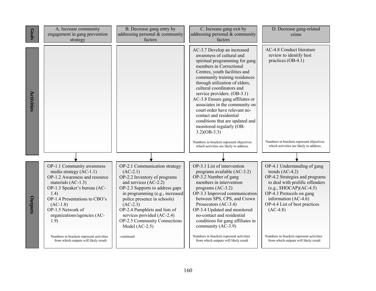| Goals      | A. Increase community<br>engagement in gang prevention<br>strategy                                                                                                                                                                                                | B. Decrease gang entry by<br>addressing personal $&$ community<br>factors                                                                                                                                                                                                                                                                  | C. Increase gang exit by<br>addressing personal & community<br>factors                                                                                                                                                                                                                                                                                                                                                                                                                                                                                                                          | D. Decrease gang-related<br>crime                                                                                                                                                                                                                     |
|------------|-------------------------------------------------------------------------------------------------------------------------------------------------------------------------------------------------------------------------------------------------------------------|--------------------------------------------------------------------------------------------------------------------------------------------------------------------------------------------------------------------------------------------------------------------------------------------------------------------------------------------|-------------------------------------------------------------------------------------------------------------------------------------------------------------------------------------------------------------------------------------------------------------------------------------------------------------------------------------------------------------------------------------------------------------------------------------------------------------------------------------------------------------------------------------------------------------------------------------------------|-------------------------------------------------------------------------------------------------------------------------------------------------------------------------------------------------------------------------------------------------------|
| Activities |                                                                                                                                                                                                                                                                   |                                                                                                                                                                                                                                                                                                                                            | AC-3.7 Develop an increased<br>awareness of cultural and<br>spiritual programming for gang<br>members in Correctional<br>Centres, youth facilities and<br>community training residences<br>through utilization of elders,<br>cultural coordinators and<br>service providers. (OB-3.1)<br>AC-3.8 Ensure gang affiliates or<br>associates in the community on<br>court order have relevant no-<br>contact and residential<br>conditions that are updated and<br>monitored regularly (OB-<br>$3.2)(OB-3.3)$<br>Numbers in brackets represent objectives<br>which activities are likely to address. | AC-4.8 Conduct literature<br>review to identify best<br>practices (OB-4.1)<br>Numbers in brackets represent objectives<br>which activities are likely to address.                                                                                     |
|            |                                                                                                                                                                                                                                                                   |                                                                                                                                                                                                                                                                                                                                            |                                                                                                                                                                                                                                                                                                                                                                                                                                                                                                                                                                                                 |                                                                                                                                                                                                                                                       |
| Outputs    | OP-1.1 Community awareness<br>media strategy $(AC-1.1)$<br>OP-1.2 Awareness and resource<br>materials (AC-1.3)<br>OP-1.3 Speaker's bureau (AC-<br>1.4)<br>OP-1.4 Presentations to CBO's<br>$(AC-1.8)$<br>OP-1.5 Network of<br>organizations/agencies (AC-<br>1.9) | OP-2.1 Communication strategy<br>$(AC-2.1)$<br>OP-2.2 Inventory of programs<br>and services (AC-2.2)<br>OP-2.3 Supports to address gaps<br>in programming (e.g., increased<br>police presence in schools)<br>$(AC-2.3)$<br>OP-2.4 Pamphlets and lists of<br>services provided (AC-2.4)<br>OP-2.5 Community Connections<br>Model $(AC-2.5)$ | OP-3.1 List of intervention<br>programs available (AC-3.2)<br>OP-3.2 Number of gang<br>members in intervention<br>programs $(AC-3.2)$<br>OP-3.3 Improved communication<br>between SPS, CPS, and Crown<br>Prosecutors (AC-3.4)<br>OP-3.4 Updated and monitored<br>no-contact and residential<br>conditions for gang affiliates in<br>community (AC-3.9)                                                                                                                                                                                                                                          | OP-4.1 Understanding of gang<br>trends $(AC-4.2)$<br>OP-4.2 Strategies and programs<br>to deal with prolific offenders<br>$(e.g., SHOCAP)(AC-4.5)$<br>OP-4.3 Protocols on gang<br>information (AC-4.6)<br>OP-4.4 List of best practices<br>$(AC-4.8)$ |
|            | Numbers in brackets represent activities<br>from which outputs will likely result.                                                                                                                                                                                | -continued                                                                                                                                                                                                                                                                                                                                 | Numbers in brackets represent activities<br>from which outputs will likely result                                                                                                                                                                                                                                                                                                                                                                                                                                                                                                               | Numbers in brackets represent activities<br>from which outputs will likely result                                                                                                                                                                     |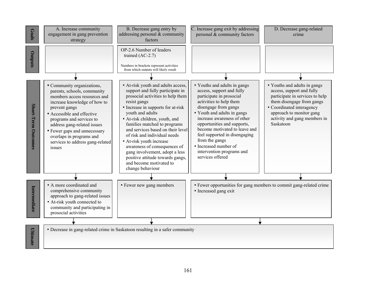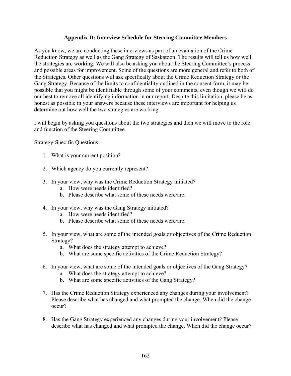#### **Appendix D: Interview Schedule for Steering Committee Members**

As you know, we are conducting these interviews as part of an evaluation of the Crime Reduction Strategy as well as the Gang Strategy of Saskatoon. The results will tell us how well the strategies are working. We will also be asking you about the Steering Committee's process and possible areas for improvement. Some of the questions are more general and refer to both of the Strategies. Other questions will ask specifically about the Crime Reduction Strategy or the Gang Strategy. Because of the limits to confidentiality outlined in the consent form, it may be possible that you might be identifiable through some of your comments, even though we will do our best to remove all identifying information in our report. Despite this limitation, please be as honest as possible in your answers because these interviews are important for helping us determine out how well the two strategies are working.

I will begin by asking you questions about the two strategies and then we will move to the role and function of the Steering Committee.

Strategy-Specific Questions:

- 1. What is your current position?
- 2. Which agency do you currently represent?
- 3. In your view, why was the Crime Reduction Strategy initiated?
	- a. How were needs identified?
	- b. Please describe what some of these needs were/are.
- 4. In your view, why was the Gang Strategy initiated?
	- a. How were needs identified?
	- b. Please describe what some of these needs were/are.
- 5. In your view, what are some of the intended goals or objectives of the Crime Reduction Strategy?
	- a. What does the strategy attempt to achieve?
	- b. What are some specific activities of the Crime Reduction Strategy?
- 6. In your view, what are some of the intended goals or objectives of the Gang Strategy?
	- a. What does the strategy attempt to achieve?
	- b. What are some specific activities of the Gang Strategy?
- 7. Has the Crime Reduction Strategy experienced any changes during your involvement? Please describe what has changed and what prompted the change. When did the change occur?
- 8. Has the Gang Strategy experienced any changes during your involvement? Please describe what has changed and what prompted the change. When did the change occur?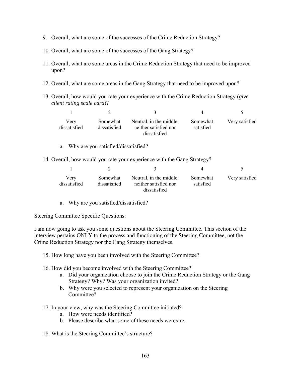- 9. Overall, what are some of the successes of the Crime Reduction Strategy?
- 10. Overall, what are some of the successes of the Gang Strategy?
- 11. Overall, what are some areas in the Crime Reduction Strategy that need to be improved upon?
- 12. Overall, what are some areas in the Gang Strategy that need to be improved upon?
- 13. Overall, how would you rate your experience with the Crime Reduction Strategy (*give client rating scale card*)?

| Very<br>dissatisfied | Somewhat<br>dissatisfied | Neutral, in the middle,<br>neither satisfied nor<br>dissatisfied | Somewhat<br>satisfied | Very satisfied |
|----------------------|--------------------------|------------------------------------------------------------------|-----------------------|----------------|

- a. Why are you satisfied/dissatisfied?
- 14. Overall, how would you rate your experience with the Gang Strategy?

| Very<br>dissatisfied | Somewhat<br>dissatisfied | Neutral, in the middle,<br>neither satisfied nor<br>dissatisfied | Somewhat<br>satisfied | Very satisfied |
|----------------------|--------------------------|------------------------------------------------------------------|-----------------------|----------------|

a. Why are you satisfied/dissatisfied?

Steering Committee Specific Questions:

I am now going to ask you some questions about the Steering Committee. This section of the interview pertains ONLY to the process and functioning of the Steering Committee, not the Crime Reduction Strategy nor the Gang Strategy themselves.

- 15. How long have you been involved with the Steering Committee?
- 16. How did you become involved with the Steering Committee?
	- a. Did your organization choose to join the Crime Reduction Strategy or the Gang Strategy? Why? Was your organization invited?
	- b. Why were you selected to represent your organization on the Steering Committee?
- 17. In your view, why was the Steering Committee initiated?
	- a. How were needs identified?
	- b. Please describe what some of these needs were/are.
- 18. What is the Steering Committee's structure?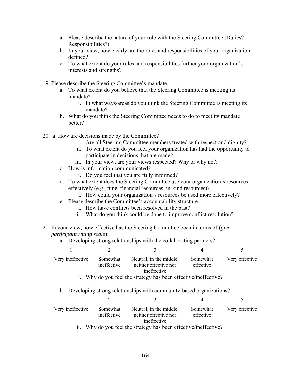- a. Please describe the nature of your role with the Steering Committee (Duties? Responsibilities?)
- b. In your view, how clearly are the roles and responsibilities of your organization defined?
- c. To what extent do your roles and responsibilities further your organization's interests and strengths?
- 19. Please describe the Steering Committee's mandate.
	- a. To what extent do you believe that the Steering Committee is meeting its mandate?
		- i. In what ways/areas do you think the Steering Committee is meeting its mandate?
	- b. What do you think the Steering Committee needs to do to meet its mandate better?
- 20. a. How are decisions made by the Committee?
	- i. Are all Steering Committee members treated with respect and dignity?
	- ii. To what extent do you feel your organization has had the opportunity to participate in decisions that are made?
	- iii. In your view, are your views respected? Why or why not?
	- c. How is information communicated?
		- i. Do you feel that you are fully informed?
	- d. To what extent does the Steering Committee use your organization's resources effectively (e.g., time, financial resources, in-kind resources)?
		- i. How could your organization's resources be used more effectively?
	- e. Please describe the Committee's accountability structure.
		- i. How have conflicts been resolved in the past?
		- ii. What do you think could be done to improve conflict resolution?
- 21. In your view, how effective has the Steering Committee been in terms of (*give participant rating scale*):
	- a. Developing strong relationships with the collaborating partners?

| Very ineffective | Somewhat<br>ineffective | Neutral, in the middle,<br>neither effective nor<br>ineffective | Somewhat<br>effective | Very effective |
|------------------|-------------------------|-----------------------------------------------------------------|-----------------------|----------------|
|                  |                         | i. Why do you feel the strategy has been effective/ineffective? |                       |                |

b. Developing strong relationships with community-based organizations?

| Very ineffective | Somewhat<br>ineffective | Neutral, in the middle,<br>neither effective nor<br>ineffective | Somewhat<br>effective | Very effective |
|------------------|-------------------------|-----------------------------------------------------------------|-----------------------|----------------|
|                  |                         |                                                                 |                       |                |

ii. Why do you feel the strategy has been effective/ineffective?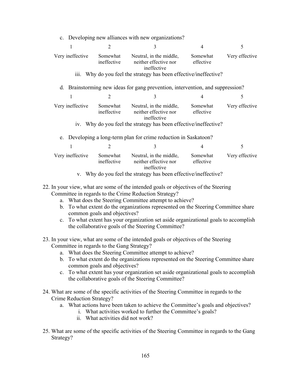|                          |                         | c. Developing new alliances with new organizations?                                                                             |                       |                |
|--------------------------|-------------------------|---------------------------------------------------------------------------------------------------------------------------------|-----------------------|----------------|
| 1                        | $\overline{2}$          | 3                                                                                                                               | 4                     | 5              |
| Very ineffective<br>111. | Somewhat<br>ineffective | Neutral, in the middle,<br>neither effective nor<br>ineffective<br>Why do you feel the strategy has been effective/ineffective? | Somewhat<br>effective | Very effective |
|                          |                         |                                                                                                                                 |                       |                |
|                          |                         | d. Brainstorming new ideas for gang prevention, intervention, and suppression?                                                  |                       |                |
| 1                        | $\overline{2}$          | 3                                                                                                                               | 4                     | 5              |
| Very ineffective         | Somewhat<br>ineffective | Neutral, in the middle,<br>neither effective nor<br>ineffective                                                                 | Somewhat<br>effective | Very effective |
|                          |                         | iv. Why do you feel the strategy has been effective/ineffective?                                                                |                       |                |
|                          |                         | e. Developing a long-term plan for crime reduction in Saskatoon?                                                                |                       |                |
| 1                        | $\overline{2}$          | 3                                                                                                                               | 4                     | 5              |
| Very ineffective         | Somewhat<br>ineffective | Neutral, in the middle,<br>neither effective nor<br>ineffective                                                                 | Somewhat<br>effective | Very effective |
|                          |                         | v. Why do you feel the strategy has been effective/ineffective?                                                                 |                       |                |

22. In your view, what are some of the intended goals or objectives of the Steering Committee in regards to the Crime Reduction Strategy?

- a. What does the Steering Committee attempt to achieve?
- b. To what extent do the organizations represented on the Steering Committee share common goals and objectives?
- c. To what extent has your organization set aside organizational goals to accomplish the collaborative goals of the Steering Committee?
- 23. In your view, what are some of the intended goals or objectives of the Steering Committee in regards to the Gang Strategy?
	- a. What does the Steering Committee attempt to achieve?
	- b. To what extent do the organizations represented on the Steering Committee share common goals and objectives?
	- c. To what extent has your organization set aside organizational goals to accomplish the collaborative goals of the Steering Committee?
- 24. What are some of the specific activities of the Steering Committee in regards to the Crime Reduction Strategy?
	- a. What actions have been taken to achieve the Committee's goals and objectives?
		- i. What activities worked to further the Committee's goals?
			- ii. What activities did not work?
- 25. What are some of the specific activities of the Steering Committee in regards to the Gang Strategy?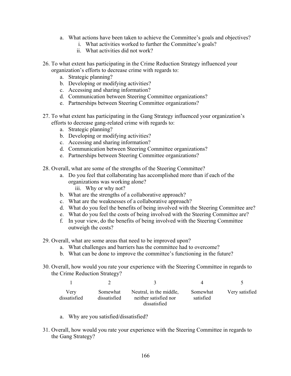- a. What actions have been taken to achieve the Committee's goals and objectives?
	- i. What activities worked to further the Committee's goals?
	- ii. What activities did not work?
- 26. To what extent has participating in the Crime Reduction Strategy influenced your organization's efforts to decrease crime with regards to:
	- a. Strategic planning?
	- b. Developing or modifying activities?
	- c. Accessing and sharing information?
	- d. Communication between Steering Committee organizations?
	- e. Partnerships between Steering Committee organizations?
- 27. To what extent has participating in the Gang Strategy influenced your organization's efforts to decrease gang-related crime with regards to:
	- a. Strategic planning?
	- b. Developing or modifying activities?
	- c. Accessing and sharing information?
	- d. Communication between Steering Committee organizations?
	- e. Partnerships between Steering Committee organizations?
- 28. Overall, what are some of the strengths of the Steering Committee?
	- a. Do you feel that collaborating has accomplished more than if each of the organizations was working alone? iii. Why or why not?
	- b. What are the strengths of a collaborative approach?
	-
	- c. What are the weaknesses of a collaborative approach?
	- d. What do you feel the benefits of being involved with the Steering Committee are?
	- e. What do you feel the costs of being involved with the Steering Committee are?
	- f. In your view, do the benefits of being involved with the Steering Committee outweigh the costs?
- 29. Overall, what are some areas that need to be improved upon?
	- a. What challenges and barriers has the committee had to overcome?
	- b. What can be done to improve the committee's functioning in the future?
- 30. Overall, how would you rate your experience with the Steering Committee in regards to the Crime Reduction Strategy?

| Very<br>dissatisfied | Somewhat<br>dissatisfied | Neutral, in the middle,<br>neither satisfied nor<br>dissatisfied | Somewhat<br>satisfied | Very satisfied |
|----------------------|--------------------------|------------------------------------------------------------------|-----------------------|----------------|

- a. Why are you satisfied/dissatisfied?
- 31. Overall, how would you rate your experience with the Steering Committee in regards to the Gang Strategy?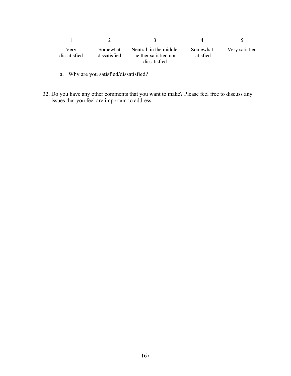| Very<br>dissatisfied | Somewhat<br>dissatisfied | Neutral, in the middle,<br>neither satisfied nor<br>dissatisfied | Somewhat<br>satisfied | Very satisfied |
|----------------------|--------------------------|------------------------------------------------------------------|-----------------------|----------------|

- a. Why are you satisfied/dissatisfied?
- 32. Do you have any other comments that you want to make? Please feel free to discuss any issues that you feel are important to address.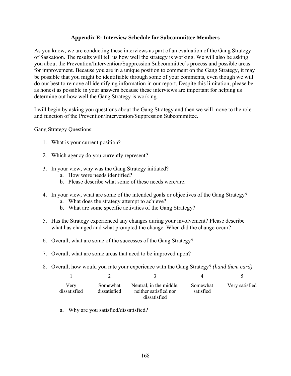### **Appendix E: Interview Schedule for Subcommittee Members**

As you know, we are conducting these interviews as part of an evaluation of the Gang Strategy of Saskatoon. The results will tell us how well the strategy is working. We will also be asking you about the Prevention/Intervention/Suppression Subcommittee's process and possible areas for improvement. Because you are in a unique position to comment on the Gang Strategy, it may be possible that you might be identifiable through some of your comments, even though we will do our best to remove all identifying information in our report. Despite this limitation, please be as honest as possible in your answers because these interviews are important for helping us determine out how well the Gang Strategy is working.

I will begin by asking you questions about the Gang Strategy and then we will move to the role and function of the Prevention/Intervention/Suppression Subcommittee.

Gang Strategy Questions:

- 1. What is your current position?
- 2. Which agency do you currently represent?
- 3. In your view, why was the Gang Strategy initiated?
	- a. How were needs identified?
	- b. Please describe what some of these needs were/are.
- 4. In your view, what are some of the intended goals or objectives of the Gang Strategy?
	- a. What does the strategy attempt to achieve?
	- b. What are some specific activities of the Gang Strategy?
- 5. Has the Strategy experienced any changes during your involvement? Please describe what has changed and what prompted the change. When did the change occur?
- 6. Overall, what are some of the successes of the Gang Strategy?
- 7. Overall, what are some areas that need to be improved upon?
- 8. Overall, how would you rate your experience with the Gang Strategy? *(hand them card)*

| Verv<br>dissatisfied | Somewhat<br>dissatisfied | Neutral, in the middle,<br>neither satisfied nor<br>dissatisfied | Somewhat<br>satisfied | Very satisfied |
|----------------------|--------------------------|------------------------------------------------------------------|-----------------------|----------------|

a. Why are you satisfied/dissatisfied?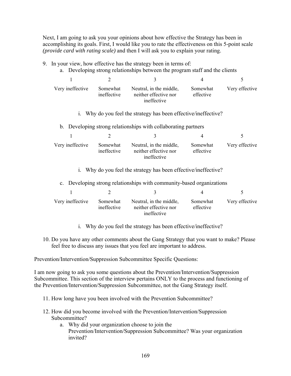Next, I am going to ask you your opinions about how effective the Strategy has been in accomplishing its goals. First, I would like you to rate the effectiveness on this 5-point scale *(provide card with rating scale)* and then I will ask you to explain your rating.

- 9. In your view, how effective has the strategy been in terms of:
	- a. Developing strong relationships between the program staff and the clients

| Very ineffective | Somewhat<br>ineffective | Neutral, in the middle,<br>neither effective nor<br>ineffective | Somewhat<br>effective | Very effective |
|------------------|-------------------------|-----------------------------------------------------------------|-----------------------|----------------|

- i. Why do you feel the strategy has been effective/ineffective?
- b. Developing strong relationships with collaborating partners

| Very ineffective | Somewhat<br>ineffective | Neutral, in the middle,<br>neither effective nor<br>ineffective | Somewhat<br>effective | Very effective |
|------------------|-------------------------|-----------------------------------------------------------------|-----------------------|----------------|

i. Why do you feel the strategy has been effective/ineffective?

c. Developing strong relationships with community-based organizations

| Very ineffective | Somewhat<br>ineffective | Neutral, in the middle,<br>neither effective nor<br>ineffective | Somewhat<br>effective | Very effective |
|------------------|-------------------------|-----------------------------------------------------------------|-----------------------|----------------|

- i. Why do you feel the strategy has been effective/ineffective?
- 10. Do you have any other comments about the Gang Strategy that you want to make? Please feel free to discuss any issues that you feel are important to address.

Prevention/Intervention/Suppression Subcommittee Specific Questions:

I am now going to ask you some questions about the Prevention/Intervention/Suppression Subcommittee. This section of the interview pertains ONLY to the process and functioning of the Prevention/Intervention/Suppression Subcommittee, not the Gang Strategy itself.

- 11. How long have you been involved with the Prevention Subcommittee?
- 12. How did you become involved with the Prevention/Intervention/Suppression Subcommittee?
	- a. Why did your organization choose to join the Prevention/Intervention/Suppression Subcommittee? Was your organization invited?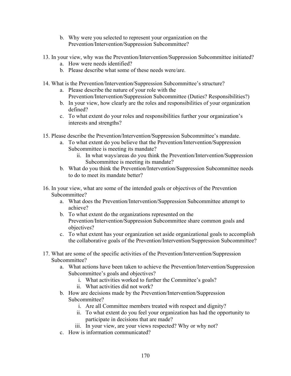- b. Why were you selected to represent your organization on the Prevention/Intervention/Suppression Subcommittee?
- 13. In your view, why was the Prevention/Intervention/Suppression Subcommittee initiated?
	- a. How were needs identified?
	- b. Please describe what some of these needs were/are.
- 14. What is the Prevention/Intervention/Suppression Subcommittee's structure?
	- a. Please describe the nature of your role with the Prevention/Intervention/Suppression Subcommittee (Duties? Responsibilities?)
	- b. In your view, how clearly are the roles and responsibilities of your organization defined?
	- c. To what extent do your roles and responsibilities further your organization's interests and strengths?
- 15. Please describe the Prevention/Intervention/Suppression Subcommittee's mandate.
	- a. To what extent do you believe that the Prevention/Intervention/Suppression Subcommittee is meeting its mandate?
		- ii. In what ways/areas do you think the Prevention/Intervention/Suppression Subcommittee is meeting its mandate?
	- b. What do you think the Prevention/Intervention/Suppression Subcommittee needs to do to meet its mandate better?
- 16. In your view, what are some of the intended goals or objectives of the Prevention Subcommittee?
	- a. What does the Prevention/Intervention/Suppression Subcommittee attempt to achieve?
	- b. To what extent do the organizations represented on the Prevention/Intervention/Suppression Subcommittee share common goals and objectives?
	- c. To what extent has your organization set aside organizational goals to accomplish the collaborative goals of the Prevention/Intervention/Suppression Subcommittee?
- 17. What are some of the specific activities of the Prevention/Intervention/Suppression Subcommittee?
	- a. What actions have been taken to achieve the Prevention/Intervention/Suppression Subcommittee's goals and objectives?
		- i. What activities worked to further the Committee's goals?
		- ii. What activities did not work?
	- b. How are decisions made by the Prevention/Intervention/Suppression Subcommittee?
		- i. Are all Committee members treated with respect and dignity?
		- ii. To what extent do you feel your organization has had the opportunity to participate in decisions that are made?
		- iii. In your view, are your views respected? Why or why not?
	- c. How is information communicated?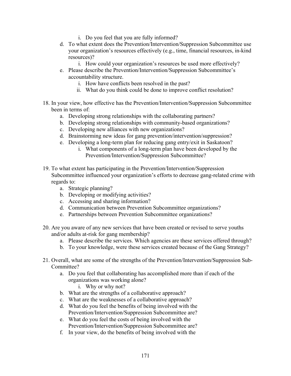- i. Do you feel that you are fully informed?
- d. To what extent does the Prevention/Intervention/Suppression Subcommittee use your organization's resources effectively (e.g., time, financial resources, in-kind resources)?
	- i. How could your organization's resources be used more effectively?
- e. Please describe the Prevention/Intervention/Suppression Subcommittee's accountability structure.
	- i. How have conflicts been resolved in the past?
	- ii. What do you think could be done to improve conflict resolution?
- 18. In your view, how effective has the Prevention/Intervention/Suppression Subcommittee been in terms of:
	- a. Developing strong relationships with the collaborating partners?
	- b. Developing strong relationships with community-based organizations?
	- c. Developing new alliances with new organizations?
	- d. Brainstorming new ideas for gang prevention/intervention/suppression?
	- e. Developing a long-term plan for reducing gang entry/exit in Saskatoon?
		- i. What components of a long-term plan have been developed by the Prevention/Intervention/Suppression Subcommittee?
- 19. To what extent has participating in the Prevention/Intervention/Suppression Subcommittee influenced your organization's efforts to decrease gang-related crime with regards to:
	- a. Strategic planning?
	- b. Developing or modifying activities?
	- c. Accessing and sharing information?
	- d. Communication between Prevention Subcommittee organizations?
	- e. Partnerships between Prevention Subcommittee organizations?
- 20. Are you aware of any new services that have been created or revised to serve youths and/or adults at-risk for gang membership?
	- a. Please describe the services. Which agencies are these services offered through?
	- b. To your knowledge, were these services created because of the Gang Strategy?
- 21. Overall, what are some of the strengths of the Prevention/Intervention/Suppression Sub-Committee?
	- a. Do you feel that collaborating has accomplished more than if each of the organizations was working alone?
		- i. Why or why not?
	- b. What are the strengths of a collaborative approach?
	- c. What are the weaknesses of a collaborative approach?
	- d. What do you feel the benefits of being involved with the Prevention/Intervention/Suppression Subcommittee are?
	- e. What do you feel the costs of being involved with the Prevention/Intervention/Suppression Subcommittee are?
	- f. In your view, do the benefits of being involved with the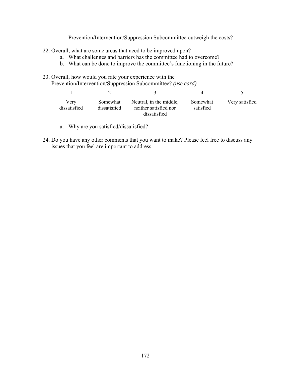Prevention/Intervention/Suppression Subcommittee outweigh the costs?

- 22. Overall, what are some areas that need to be improved upon?
	- a. What challenges and barriers has the committee had to overcome?
	- b. What can be done to improve the committee's functioning in the future?
- 23. Overall, how would you rate your experience with the Prevention/Intervention/Suppression Subcommittee? *(use card)*

| Verv<br>dissatisfied | Somewhat<br>dissatisfied | Neutral, in the middle,<br>neither satisfied nor<br>dissatisfied | Somewhat<br>satisfied | Very satisfied |
|----------------------|--------------------------|------------------------------------------------------------------|-----------------------|----------------|

- a. Why are you satisfied/dissatisfied?
- 24. Do you have any other comments that you want to make? Please feel free to discuss any issues that you feel are important to address.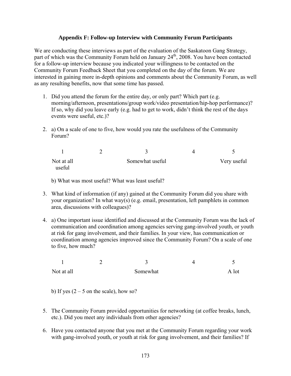# **Appendix F: Follow-up Interview with Community Forum Participants**

We are conducting these interviews as part of the evaluation of the Saskatoon Gang Strategy, part of which was the Community Forum held on January  $24<sup>th</sup>$ , 2008. You have been contacted for a follow-up interview because you indicated your willingness to be contacted on the Community Forum Feedback Sheet that you completed on the day of the forum. We are interested in gaining more in-depth opinions and comments about the Community Forum, as well as any resulting benefits, now that some time has passed.

- 1. Did you attend the forum for the entire day, or only part? Which part (e.g. morning/afternoon, presentations/group work/video presentation/hip-hop performance)? If so, why did you leave early (e.g. had to get to work, didn't think the rest of the days events were useful, etc.)?
- 2. a) On a scale of one to five, how would you rate the usefulness of the Community Forum?

| Not at all | Somewhat useful | Very useful |
|------------|-----------------|-------------|
| useful     |                 |             |

b) What was most useful? What was least useful?

- 3. What kind of information (if any) gained at the Community Forum did you share with your organization? In what way(s) (e.g. email, presentation, left pamphlets in common area, discussions with colleagues)?
- 4. a) One important issue identified and discussed at the Community Forum was the lack of communication and coordination among agencies serving gang-involved youth, or youth at risk for gang involvement, and their families. In your view, has communication or coordination among agencies improved since the Community Forum? On a scale of one to five, how much?

| Not at all | Somewhat | A lot |
|------------|----------|-------|

b) If yes  $(2 - 5$  on the scale), how so?

- 5. The Community Forum provided opportunities for networking (at coffee breaks, lunch, etc.). Did you meet any individuals from other agencies?
- 6. Have you contacted anyone that you met at the Community Forum regarding your work with gang-involved youth, or youth at risk for gang involvement, and their families? If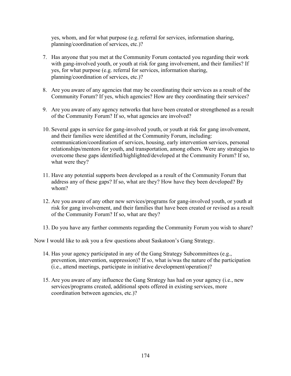yes, whom, and for what purpose (e.g. referral for services, information sharing, planning/coordination of services, etc.)?

- 7. Has anyone that you met at the Community Forum contacted you regarding their work with gang-involved youth, or youth at risk for gang involvement, and their families? If yes, for what purpose (e.g. referral for services, information sharing, planning/coordination of services, etc.)?
- 8. Are you aware of any agencies that may be coordinating their services as a result of the Community Forum? If yes, which agencies? How are they coordinating their services?
- 9. Are you aware of any agency networks that have been created or strengthened as a result of the Community Forum? If so, what agencies are involved?
- 10. Several gaps in service for gang-involved youth, or youth at risk for gang involvement, and their families were identified at the Community Forum, including: communication/coordination of services, housing, early intervention services, personal relationships/mentors for youth, and transportation, among others. Were any strategies to overcome these gaps identified/highlighted/developed at the Community Forum? If so, what were they?
- 11. Have any potential supports been developed as a result of the Community Forum that address any of these gaps? If so, what are they? How have they been developed? By whom?
- 12. Are you aware of any other new services/programs for gang-involved youth, or youth at risk for gang involvement, and their families that have been created or revised as a result of the Community Forum? If so, what are they?
- 13. Do you have any further comments regarding the Community Forum you wish to share?

Now I would like to ask you a few questions about Saskatoon's Gang Strategy.

- 14. Has your agency participated in any of the Gang Strategy Subcommittees (e.g., prevention, intervention, suppression)? If so, what is/was the nature of the participation (i.e., attend meetings, participate in initiative development/operation)?
- 15. Are you aware of any influence the Gang Strategy has had on your agency (i.e., new services/programs created, additional spots offered in existing services, more coordination between agencies, etc.)?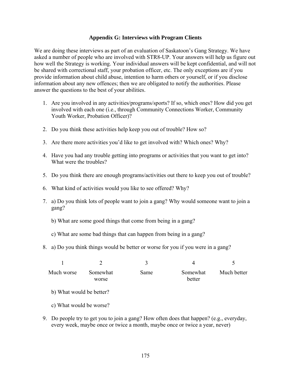### **Appendix G: Interviews with Program Clients**

We are doing these interviews as part of an evaluation of Saskatoon's Gang Strategy. We have asked a number of people who are involved with STR8-UP. Your answers will help us figure out how well the Strategy is working. Your individual answers will be kept confidential, and will not be shared with correctional staff, your probation officer, etc. The only exceptions are if you provide information about child abuse, intention to harm others or yourself, or if you disclose information about any new offences; then we are obligated to notify the authorities. Please answer the questions to the best of your abilities.

- 1. Are you involved in any activities/programs/sports? If so, which ones? How did you get involved with each one (i.e., through Community Connections Worker, Community Youth Worker, Probation Officer)?
- 2. Do you think these activities help keep you out of trouble? How so?
- 3. Are there more activities you'd like to get involved with? Which ones? Why?
- 4. Have you had any trouble getting into programs or activities that you want to get into? What were the troubles?
- 5. Do you think there are enough programs/activities out there to keep you out of trouble?
- 6. What kind of activities would you like to see offered? Why?
- 7. a) Do you think lots of people want to join a gang? Why would someone want to join a gang?
	- b) What are some good things that come from being in a gang?
	- c) What are some bad things that can happen from being in a gang?
- 8. a) Do you think things would be better or worse for you if you were in a gang?

| Much worse | Somewhat<br>worse | Same | Somewhat<br>better | Much better |
|------------|-------------------|------|--------------------|-------------|

- b) What would be better?
- c) What would be worse?
- 9. Do people try to get you to join a gang? How often does that happen? (e.g., everyday, every week, maybe once or twice a month, maybe once or twice a year, never)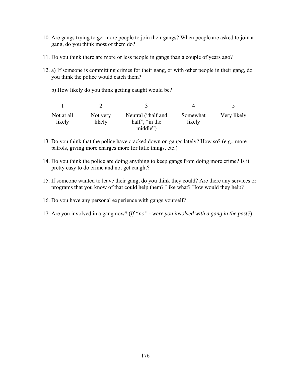- 10. Are gangs trying to get more people to join their gangs? When people are asked to join a gang, do you think most of them do?
- 11. Do you think there are more or less people in gangs than a couple of years ago?
- 12. a) If someone is committing crimes for their gang, or with other people in their gang, do you think the police would catch them?
	- b) How likely do you think getting caught would be?

|                      |                    |                                      | $\Delta$           |             |
|----------------------|--------------------|--------------------------------------|--------------------|-------------|
| Not at all<br>likely | Not very<br>likely | Neutral ("half and<br>half", "in the | Somewhat<br>likely | Very likely |
|                      |                    | middle")                             |                    |             |

- 13. Do you think that the police have cracked down on gangs lately? How so? (e.g., more patrols, giving more charges more for little things, etc.)
- 14. Do you think the police are doing anything to keep gangs from doing more crime? Is it pretty easy to do crime and not get caught?
- 15. If someone wanted to leave their gang, do you think they could? Are there any services or programs that you know of that could help them? Like what? How would they help?
- 16. Do you have any personal experience with gangs yourself?
- 17. Are you involved in a gang now? (*If "no" were you involved with a gang in the past?*)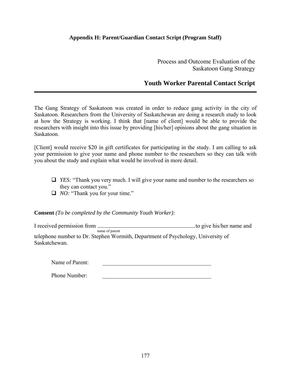# **Appendix H: Parent/Guardian Contact Script (Program Staff)**

Process and Outcome Evaluation of the Saskatoon Gang Strategy

# **Youth Worker Parental Contact Script**

The Gang Strategy of Saskatoon was created in order to reduce gang activity in the city of Saskatoon. Researchers from the University of Saskatchewan are doing a research study to look at how the Strategy is working. I think that [name of client] would be able to provide the researchers with insight into this issue by providing [his/her] opinions about the gang situation in Saskatoon.

[Client] would receive \$20 in gift certificates for participating in the study. I am calling to ask your permission to give your name and phone number to the researchers so they can talk with you about the study and explain what would be involved in more detail.

- *YES:* "Thank you very much. I will give your name and number to the researchers so they can contact you."
- *NO:* "Thank you for your time."

**Consent** *(To be completed by the Community Youth Worker):*

I received permission from name of parent to give his/her name and telephone number to Dr. Stephen Wormith, Department of Psychology, University of Saskatchewan.

Name of Parent:

Phone Number: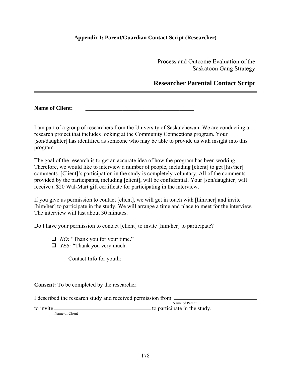# **Appendix I: Parent/Guardian Contact Script (Researcher)**

Process and Outcome Evaluation of the Saskatoon Gang Strategy

# **Researcher Parental Contact Script**

Name of Client:

I am part of a group of researchers from the University of Saskatchewan. We are conducting a research project that includes looking at the Community Connections program. Your [son/daughter] has identified as someone who may be able to provide us with insight into this program.

The goal of the research is to get an accurate idea of how the program has been working. Therefore, we would like to interview a number of people, including [client] to get [his/her] comments. [Client]'s participation in the study is completely voluntary. All of the comments provided by the participants, including [client], will be confidential. Your [son/daughter] will receive a \$20 Wal-Mart gift certificate for participating in the interview.

If you give us permission to contact [client], we will get in touch with [him/her] and invite [him/her] to participate in the study. We will arrange a time and place to meet for the interview. The interview will last about 30 minutes.

Do I have your permission to contact [client] to invite [him/her] to participate?

 $\mathcal{L}_\text{max}$  and  $\mathcal{L}_\text{max}$  and  $\mathcal{L}_\text{max}$  and  $\mathcal{L}_\text{max}$  and  $\mathcal{L}_\text{max}$  and  $\mathcal{L}_\text{max}$ 

- *NO:* "Thank you for your time."
- *YES:* "Thank you very much.

Contact Info for youth:

**Consent:** To be completed by the researcher:

I described the research study and received permission from

to invite

Name of Parent to participate in the study.

l,

Name of Client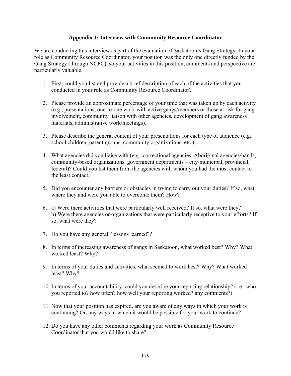### **Appendix J: Interview with Community Resource Coordinator**

We are conducting this interview as part of the evaluation of Saskatoon's Gang Strategy. In your role as Community Resource Coordinator, your position was the only one directly funded by the Gang Strategy (through NCPC), so your activities in this position, comments and perspective are particularly valuable.

- 1. First, could you list and provide a brief description of each of the activities that you conducted in your role as Community Resource Coordinator?
- 2. Please provide an approximate percentage of your time that was taken up by each activity (e.g., presentations, one-to-one work with active gangs/members or those at risk for gang involvement, community liaison with other agencies, development of gang awareness materials, administrative work/meetings).
- 3. Please describe the general content of your presentations for each type of audience (e.g., school children, parent groups, community organizations, etc.).
- 4. What agencies did you liaise with (e.g., correctional agencies, Aboriginal agencies/bands, community-based organizations, government departments – city/municipal, provincial, federal)? Could you list them from the agencies with whom you had the most contact to the least contact.
- 5. Did you encounter any barriers or obstacles in trying to carry out your duties? If so, what where they and were you able to overcome them? How?
- 6. a) Were there activities that were particularly well received? If so, what were they? b) Were there agencies or organizations that were particularly receptive to your efforts? If so, what were they?
- 7. Do you have any general "lessons learned"?
- 8. In terms of increasing awareness of gangs in Saskatoon, what worked best? Why? What worked least? Why?
- 9. In terms of your duties and activities, what seemed to work best? Why? What worked least? Why?
- 10. In terms of your accountability, could you describe your reporting relationship? (i.e., who you reported to? how often? how well your reporting worked? any comments?)
- 11. Now that your position has expired, are you aware of any ways in which your work is continuing? Or, any ways in which it would be possible for your work to continue?
- 12. Do you have any other comments regarding your work as Community Resource Coordinator that you would like to share?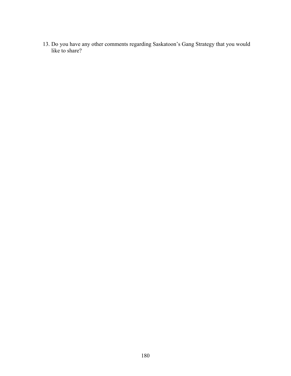13. Do you have any other comments regarding Saskatoon's Gang Strategy that you would like to share?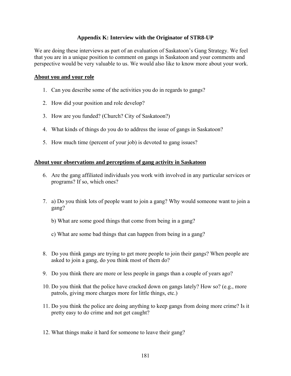### **Appendix K: Interview with the Originator of STR8-UP**

We are doing these interviews as part of an evaluation of Saskatoon's Gang Strategy. We feel that you are in a unique position to comment on gangs in Saskatoon and your comments and perspective would be very valuable to us. We would also like to know more about your work.

#### **About you and your role**

- 1. Can you describe some of the activities you do in regards to gangs?
- 2. How did your position and role develop?
- 3. How are you funded? (Church? City of Saskatoon?)
- 4. What kinds of things do you do to address the issue of gangs in Saskatoon?
- 5. How much time (percent of your job) is devoted to gang issues?

### **About your observations and perceptions of gang activity in Saskatoon**

- 6. Are the gang affiliated individuals you work with involved in any particular services or programs? If so, which ones?
- 7. a) Do you think lots of people want to join a gang? Why would someone want to join a gang?
	- b) What are some good things that come from being in a gang?
	- c) What are some bad things that can happen from being in a gang?
- 8. Do you think gangs are trying to get more people to join their gangs? When people are asked to join a gang, do you think most of them do?
- 9. Do you think there are more or less people in gangs than a couple of years ago?
- 10. Do you think that the police have cracked down on gangs lately? How so? (e.g., more patrols, giving more charges more for little things, etc.)
- 11. Do you think the police are doing anything to keep gangs from doing more crime? Is it pretty easy to do crime and not get caught?
- 12. What things make it hard for someone to leave their gang?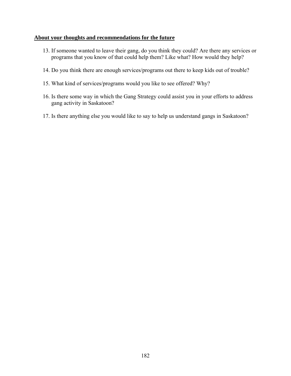### **About your thoughts and recommendations for the future**

- 13. If someone wanted to leave their gang, do you think they could? Are there any services or programs that you know of that could help them? Like what? How would they help?
- 14. Do you think there are enough services/programs out there to keep kids out of trouble?
- 15. What kind of services/programs would you like to see offered? Why?
- 16. Is there some way in which the Gang Strategy could assist you in your efforts to address gang activity in Saskatoon?
- 17. Is there anything else you would like to say to help us understand gangs in Saskatoon?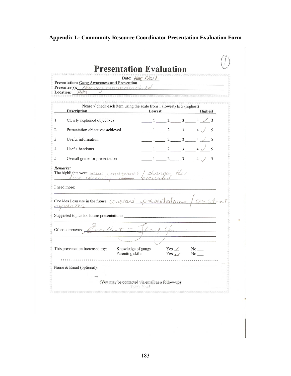# **Appendix L: Community Resource Coordinator Presentation Evaluation Form**

|    | <b>Presentation: Gang Awareness and Prevention</b><br>Presenter(s): Harvey Shunderch.<br>Location: $PAS$ | Date: $\frac{\partial \psi}{\partial y}$ Nov 1 |        |                                              |                                                                     |
|----|----------------------------------------------------------------------------------------------------------|------------------------------------------------|--------|----------------------------------------------|---------------------------------------------------------------------|
|    | Please $\sqrt{\ }$ check each item using the scale from 1 (lowest) to 5 (highest)<br><b>Description</b>  |                                                | Lowest |                                              | <b>Highest</b>                                                      |
| 1. | Clearly explained objectives                                                                             |                                                |        |                                              | $1 \t2 \t3 \t4 \t/ 5$                                               |
| 2. | Presentation objectives achieved                                                                         |                                                |        |                                              | $\frac{1}{2}$ $\frac{2}{3}$ $\frac{4}{1}$ $\frac{1}{5}$             |
| 3. | Useful information                                                                                       |                                                |        |                                              | $1 \t2 \t3 \t4 \t5$                                                 |
| 4. | Useful handouts                                                                                          |                                                |        |                                              | $1\frac{2}{3}$ $4\frac{3}{5}$                                       |
| 5. | Overall grade for presentation                                                                           |                                                |        |                                              | $1\quad 2\quad 3\quad 4\quad 5$                                     |
|    | The highlights were: $_{\text{min}}$ (material) changes that                                             |                                                |        |                                              |                                                                     |
|    | One idea I can use in the future: Constant present of constant                                           |                                                |        |                                              |                                                                     |
|    | upreates<br>Suggested topics for future presentations:                                                   |                                                |        |                                              | .<br>1980 - Paul Barbara, meny an <mark>glicki me</mark> ny alam ka |
|    | veellent<br>Other comments: $\mathbb{Z}$                                                                 |                                                |        |                                              |                                                                     |
|    | This presentation increased my:                                                                          | Knowledge of gangs<br>Parenting skills         |        | $Yes \swarrow No \dots$<br>$Yes \t\t\t\t No$ |                                                                     |
|    | Name & Email (optional):                                                                                 |                                                |        |                                              |                                                                     |
|    |                                                                                                          |                                                |        |                                              |                                                                     |

Ī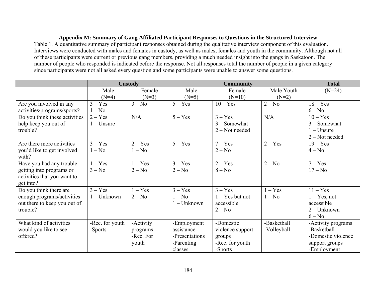# **Appendix M: Summary of Gang Affiliated Participant Responses to Questions in the Structured Interview**

Table 1. A quantitative summary of participant responses obtained during the qualitative interview component of this evaluation. Interviews were conducted with males and females in custody, as well as males, females and youth in the community. Although not all of these participants were current or previous gang members, providing a much needed insight into the gangs in Saskatoon. The number of people who responded is indicated before the response. Not all responses total the number of people in a given category since participants were not all asked every question and some participants were unable to answer some questions.

|                               | Custody         |           | <b>Community</b> |                   |             | <b>Total</b>       |
|-------------------------------|-----------------|-----------|------------------|-------------------|-------------|--------------------|
|                               | Male            | Female    | Male             | Female            | Male Youth  | $(N=24)$           |
|                               | $(N=4)$         | $(N=3)$   | $(N=5)$          | $(N=10)$          | $(N=2)$     |                    |
| Are you involved in any       | $3 - Yes$       | $3 - No$  | $5 - Yes$        | $10 - Yes$        | $2 - No$    | $18 - Yes$         |
| activities/programs/sports?   | $1 - No$        |           |                  |                   |             | $6 - No$           |
| Do you think these activities | $2 - Yes$       | N/A       | $5 - Yes$        | $3 - Yes$         | N/A         | $10 - Yes$         |
| help keep you out of          | $1 -$ Unsure    |           |                  | $3 -$ Somewhat    |             | $3 -$ Somewhat     |
| trouble?                      |                 |           |                  | $2 - Not needed$  |             | $1 -$ Unsure       |
|                               |                 |           |                  |                   |             | $2 - Not needed$   |
| Are there more activities     | $3 - Yes$       | $2 - Yes$ | $5 - Yes$        | $7 - Yes$         | $2 - Yes$   | $19 - Yes$         |
| you'd like to get involved    | $1 - No$        | $1 - No$  |                  | $2 - No$          |             | $4 - No$           |
| with?                         |                 |           |                  |                   |             |                    |
| Have you had any trouble      | $1 - Yes$       | $1 - Yes$ | $3 - Yes$        | $2 - Yes$         | $2 - No$    | $7 - Yes$          |
| getting into programs or      | $3 - No$        | $2 - No$  | $2 - No$         | $8 - No$          |             | $17 - No$          |
| activities that you want to   |                 |           |                  |                   |             |                    |
| get into?                     |                 |           |                  |                   |             |                    |
| Do you think there are        | $3 - Yes$       | $1 - Yes$ | $3 - Yes$        | $3 - Yes$         | $1 - Yes$   | $11 - Yes$         |
| enough programs/activities    | $1 - Unknown$   | $2 - No$  | $1 - No$         | $1 - Yes$ but not | $1 - No$    | $1 - Yes$ , not    |
| out there to keep you out of  |                 |           | $1 - Unknown$    | accessible        |             | accessible         |
| trouble?                      |                 |           |                  | $2 - No$          |             | $2 - Unknown$      |
|                               |                 |           |                  |                   |             | $6 - No$           |
| What kind of activities       | -Rec. for youth | -Activity | -Employment      | -Domestic         | -Basketball | -Activity programs |
| would you like to see         | -Sports         | programs  | assistance       | violence support  | -Volleyball | -Basketball        |
| offered?                      |                 | -Rec. For | -Presentations   | groups            |             | -Domestic violence |
|                               |                 | youth     | -Parenting       | -Rec. for youth   |             | support groups     |
|                               |                 |           | classes          | -Sports           |             | -Employment        |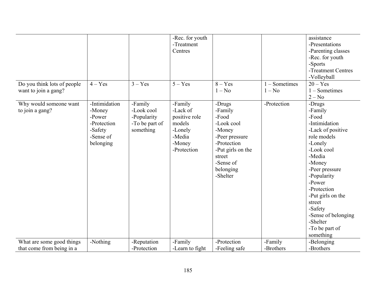| Do you think lots of people<br>want to join a gang?    | $4 - Yes$                                                                             | $3 - Yes$                                                           | -Rec. for youth<br>-Treatment<br>Centres<br>$5 - Yes$                                        | $8 - Yes$<br>$1 - No$                                                                                                                                    | - Sometimes<br>$1 - No$ | assistance<br>-Presentations<br>-Parenting classes<br>-Rec. for youth<br>-Sports<br>-Treatment Centres<br>-Volleyball<br>$20 - Yes$<br>$1 -$ Sometimes<br>$2 - No$                                                                                                                                 |
|--------------------------------------------------------|---------------------------------------------------------------------------------------|---------------------------------------------------------------------|----------------------------------------------------------------------------------------------|----------------------------------------------------------------------------------------------------------------------------------------------------------|-------------------------|----------------------------------------------------------------------------------------------------------------------------------------------------------------------------------------------------------------------------------------------------------------------------------------------------|
| Why would someone want<br>to join a gang?              | -Intimidation<br>-Money<br>-Power<br>-Protection<br>-Safety<br>-Sense of<br>belonging | -Family<br>-Look cool<br>-Popularity<br>-To be part of<br>something | -Family<br>-Lack of<br>positive role<br>models<br>-Lonely<br>-Media<br>-Money<br>-Protection | -Drugs<br>-Family<br>-Food<br>-Look cool<br>-Money<br>-Peer pressure<br>-Protection<br>-Put girls on the<br>street<br>-Sense of<br>belonging<br>-Shelter | -Protection             | -Drugs<br>-Family<br>-Food<br>-Intimidation<br>-Lack of positive<br>role models<br>-Lonely<br>-Look cool<br>-Media<br>-Money<br>-Peer pressure<br>-Popularity<br>-Power<br>-Protection<br>-Put girls on the<br>street<br>-Safety<br>-Sense of belonging<br>-Shelter<br>-To be part of<br>something |
| What are some good things<br>that come from being in a | -Nothing                                                                              | -Reputation<br>-Protection                                          | -Family<br>-Learn to fight                                                                   | -Protection<br>-Feeling safe                                                                                                                             | -Family<br>-Brothers    | -Belonging<br>-Brothers                                                                                                                                                                                                                                                                            |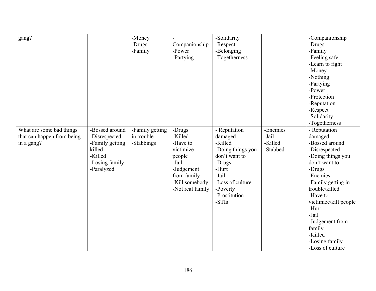| gang?                      |                 | -Money                        |                   | -Solidarity        |          | -Companionship            |
|----------------------------|-----------------|-------------------------------|-------------------|--------------------|----------|---------------------------|
|                            |                 | -Drugs                        | Companionship     | -Respect           |          | -Drugs                    |
|                            |                 | -Family                       | -Power            | -Belonging         |          | -Family                   |
|                            |                 |                               | -Partying         | -Togetherness      |          | -Feeling safe             |
|                            |                 |                               |                   |                    |          | -Learn to fight           |
|                            |                 |                               |                   |                    |          | -Money                    |
|                            |                 |                               |                   |                    |          | -Nothing                  |
|                            |                 |                               |                   |                    |          | -Partying                 |
|                            |                 |                               |                   |                    |          | -Power                    |
|                            |                 |                               |                   |                    |          | -Protection               |
|                            |                 |                               |                   |                    |          | -Reputation               |
|                            |                 |                               |                   |                    |          | -Respect                  |
|                            |                 |                               |                   |                    |          | -Solidarity               |
|                            |                 |                               |                   |                    |          | -Togetherness             |
|                            | -Bossed around  |                               |                   |                    | -Enemies |                           |
| What are some bad things   |                 | -Family getting<br>in trouble | -Drugs<br>-Killed | - Reputation       | -Jail    | - Reputation              |
| that can happen from being | -Disrespected   |                               |                   | damaged<br>-Killed |          | damaged<br>-Bossed around |
| in a gang?                 | -Family getting | -Stabbings                    | -Have to          |                    | -Killed  |                           |
|                            | killed          |                               | victimize         | -Doing things you  | -Stabbed | -Disrespected             |
|                            | -Killed         |                               | people            | don't want to      |          | -Doing things you         |
|                            | -Losing family  |                               | -Jail             | -Drugs             |          | don't want to             |
|                            | -Paralyzed      |                               | -Judgement        | -Hurt              |          | -Drugs                    |
|                            |                 |                               | from family       | -Jail              |          | -Enemies                  |
|                            |                 |                               | -Kill somebody    | -Loss of culture   |          | -Family getting in        |
|                            |                 |                               | -Not real family  | -Poverty           |          | trouble/killed            |
|                            |                 |                               |                   | -Prostitution      |          | -Have to                  |
|                            |                 |                               |                   | -STIs              |          | victimize/kill people     |
|                            |                 |                               |                   |                    |          | -Hurt                     |
|                            |                 |                               |                   |                    |          | -Jail                     |
|                            |                 |                               |                   |                    |          | -Judgement from           |
|                            |                 |                               |                   |                    |          | family                    |
|                            |                 |                               |                   |                    |          | -Killed                   |
|                            |                 |                               |                   |                    |          | -Losing family            |
|                            |                 |                               |                   |                    |          | -Loss of culture          |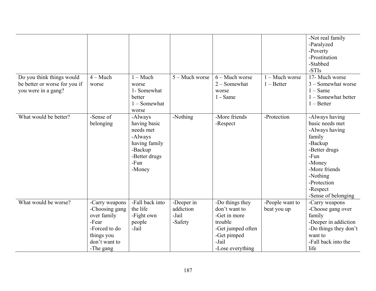|                                                                                   |                                                                                                                       |                                                                                                                |                                             |                                                                                                                              |                                | -Not real family<br>-Paralyzed<br>-Poverty<br>-Prostitution<br>-Stabbed<br>-STIs                                                                                                           |
|-----------------------------------------------------------------------------------|-----------------------------------------------------------------------------------------------------------------------|----------------------------------------------------------------------------------------------------------------|---------------------------------------------|------------------------------------------------------------------------------------------------------------------------------|--------------------------------|--------------------------------------------------------------------------------------------------------------------------------------------------------------------------------------------|
| Do you think things would<br>be better or worse for you if<br>you were in a gang? | $4 - Much$<br>worse                                                                                                   | $1 - Much$<br>worse<br>1- Somewhat<br>better<br>$1 -$ Somewhat<br>worse                                        | $5 -$ Much worse                            | $6 -$ Much worse<br>$2 -$ Somewhat<br>worse<br>1 - Same                                                                      | - Much worse<br>$1 - Better$   | 17- Much worse<br>3 - Somewhat worse<br>$1 - Same$<br>$1 -$ Somewhat better<br>$1 - Better$                                                                                                |
| What would be better?                                                             | -Sense of<br>belonging                                                                                                | -Always<br>having basic<br>needs met<br>-Always<br>having family<br>-Backup<br>-Better drugs<br>-Fun<br>-Money | -Nothing                                    | -More friends<br>-Respect                                                                                                    | -Protection                    | -Always having<br>basic needs met<br>-Always having<br>family<br>-Backup<br>-Better drugs<br>-Fun<br>-Money<br>-More friends<br>-Nothing<br>-Protection<br>-Respect<br>-Sense of belonging |
| What would be worse?                                                              | -Carry weapons<br>-Choosing gang<br>over family<br>-Fear<br>-Forced to do<br>things you<br>don't want to<br>-The gang | -Fall back into<br>the life<br>-Fight own<br>people<br>-Jail                                                   | -Deeper in<br>addiction<br>-Jail<br>-Safety | -Do things they<br>don't want to<br>-Get in more<br>trouble<br>-Get jumped often<br>-Get pimped<br>-Jail<br>-Lose everything | -People want to<br>beat you up | -Carry weapons<br>-Choose gang over<br>family<br>-Deeper in addiction<br>-Do things they don't<br>want to<br>-Fall back into the<br>life                                                   |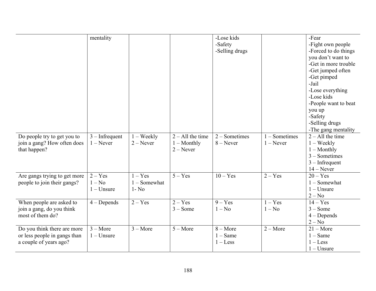|                              | mentality        |                     |                    | -Lose kids      |             | -Fear                |
|------------------------------|------------------|---------------------|--------------------|-----------------|-------------|----------------------|
|                              |                  |                     |                    | -Safety         |             | -Fight own people    |
|                              |                  |                     |                    | -Selling drugs  |             | -Forced to do things |
|                              |                  |                     |                    |                 |             | you don't want to    |
|                              |                  |                     |                    |                 |             | -Get in more trouble |
|                              |                  |                     |                    |                 |             | -Get jumped often    |
|                              |                  |                     |                    |                 |             | -Get pimped          |
|                              |                  |                     |                    |                 |             | -Jail                |
|                              |                  |                     |                    |                 |             | -Lose everything     |
|                              |                  |                     |                    |                 |             | -Lose kids           |
|                              |                  |                     |                    |                 |             | -People want to beat |
|                              |                  |                     |                    |                 |             | you up               |
|                              |                  |                     |                    |                 |             | -Safety              |
|                              |                  |                     |                    |                 |             | -Selling drugs       |
|                              |                  |                     |                    |                 |             | -The gang mentality  |
| Do people try to get you to  | $3$ – Infrequent | $1 - \text{Weekly}$ | $2 - All$ the time | $2 - Sometimes$ | - Sometimes | $2 - All$ the time   |
| join a gang? How often does  | $1 -$ Never      | $2 -$ Never         | $1 -$ Monthly      | $8 -$ Never     | $1 -$ Never | $1 - \text{Weekly}$  |
| that happen?                 |                  |                     | $2 - Never$        |                 |             | $1 -$ Monthly        |
|                              |                  |                     |                    |                 |             | $3 - Sometimes$      |
|                              |                  |                     |                    |                 |             | $3$ – Infrequent     |
|                              |                  |                     |                    |                 |             | $14 - Never$         |
| Are gangs trying to get more | $2 - Yes$        | $1 - Yes$           | $5 - Yes$          | $10 - Yes$      | $2 - Yes$   | $20 - Yes$           |
| people to join their gangs?  | $1 - No$         | $1 -$ Somewhat      |                    |                 |             | $1 -$ Somewhat       |
|                              | $1 -$ Unsure     | $1 - No$            |                    |                 |             | $1 -$ Unsure         |
|                              |                  |                     |                    |                 |             | $2 - No$             |
| When people are asked to     | $4 - Depends$    | $2 - Yes$           | $2 - Yes$          | $9 - Yes$       | $- Yes$     | $14 - Yes$           |
| join a gang, do you think    |                  |                     | $3 - Some$         | $1 - No$        | $1 - No$    | $3 - Some$           |
| most of them do?             |                  |                     |                    |                 |             | $4 - Depends$        |
|                              |                  |                     |                    |                 |             | $2 - No$             |
| Do you think there are more  | $3 - More$       | $3 - More$          | $5 - \text{More}$  | $8 - More$      | $2 - More$  | $21 - More$          |
| or less people in gangs than | $1 -$ Unsure     |                     |                    | $1 - Same$      |             | $1 - Same$           |
| a couple of years ago?       |                  |                     |                    | $1 -$ Less      |             | $1 -$ Less           |
|                              |                  |                     |                    |                 |             | $1 -$ Unsure         |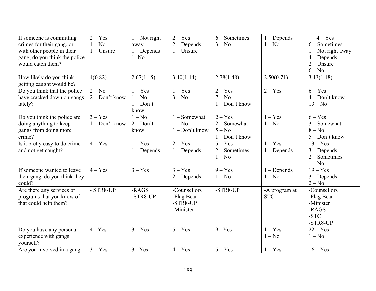| If someone is committing      | $2 - Yes$        | $1 - Not right$ | $2 - Yes$        | $6 - Sometimes$  | $1 - Depends$ | $4 - Yes$            |
|-------------------------------|------------------|-----------------|------------------|------------------|---------------|----------------------|
| crimes for their gang, or     | $1 - No$         | away            | $2 - Depends$    | $3 - No$         | $1 - No$      | $6 - Sometimes$      |
| with other people in their    | $1 -$ Unsure     | $1 - Depends$   | $1 -$ Unsure     |                  |               | $1 - Not$ right away |
| gang, do you think the police |                  | $1 - No$        |                  |                  |               | $4 - Depends$        |
| would catch them?             |                  |                 |                  |                  |               | $2 -$ Unsure         |
|                               |                  |                 |                  |                  |               | $6 - No$             |
| How likely do you think       | 4(0.82)          | 2.67(1.15)      | 3.40(1.14)       | 2.78(1.48)       | 2.50(0.71)    | 3.13(1.18)           |
| getting caught would be?      |                  |                 |                  |                  |               |                      |
| Do you think that the police  | $2 - No$         | $1 - Yes$       | $1 - Yes$        | $2 - Yes$        | $2 - Yes$     | $6 - Yes$            |
| have cracked down on gangs    | 2 - Don't know   | $1 - No$        | $3 - No$         | $7 - No$         |               | $4 - Don't know$     |
| lately?                       |                  | $1 - Don't$     |                  | $1 - Don't know$ |               | $13 - No$            |
|                               |                  | know            |                  |                  |               |                      |
| Do you think the police are   | $3 - Yes$        | $1 - No$        | $1 -$ Somewhat   | $2 - Yes$        | $1 - Yes$     | $6 - Yes$            |
| doing anything to keep        | $1 - Don't know$ | $2 - Don't$     | $1 - No$         | $2 -$ Somewhat   | $1 - No$      | $3 -$ Somewhat       |
| gangs from doing more         |                  | know            | $1 - Don't know$ | $5 - No$         |               | $8 - No$             |
| crime?                        |                  |                 |                  | $1 - Don't know$ |               | 5 - Don't know       |
| Is it pretty easy to do crime | $4 - Yes$        | $1 - Yes$       | $2 - Yes$        | $5 - Yes$        | $1 - Yes$     | $13 - Yes$           |
| and not get caught?           |                  | $1 - Depends$   | $1 - Depends$    | $2 - Sometimes$  | $1 - Depends$ | $3 - Depends$        |
|                               |                  |                 |                  | $1 - No$         |               | $2 - Sometimes$      |
|                               |                  |                 |                  |                  |               | $1 - No$             |
| If someone wanted to leave    | $4 - Yes$        | $3 - Yes$       | $3 - Yes$        | $9 - Yes$        | $1 - Depends$ | $19 - Yes$           |
| their gang, do you think they |                  |                 | $2 - Depends$    | $1 - No$         | $1 - No$      | $3 - Depends$        |
| could?                        |                  |                 |                  |                  |               | $2 - No$             |
| Are there any services or     | - STR8-UP        | -RAGS           | -Counsellors     | -STR8-UP         | -A program at | -Counsellors         |
| programs that you know of     |                  | -STR8-UP        | -Flag Bear       |                  | <b>STC</b>    | -Flag Bear           |
| that could help them?         |                  |                 | -STR8-UP         |                  |               | -Minister            |
|                               |                  |                 | -Minister        |                  |               | -RAGS                |
|                               |                  |                 |                  |                  |               | -STC                 |
|                               |                  |                 |                  |                  |               | -STR8-UP             |
| Do you have any personal      | $4 - Yes$        | $3 - Yes$       | $5 - Yes$        | $9 - Yes$        | $1 - Yes$     | $22 - Yes$           |
| experience with gangs         |                  |                 |                  |                  | $1 - No$      | $1 - No$             |
| yourself?                     |                  |                 |                  |                  |               |                      |
| Are you involved in a gang    | $3 - Yes$        | $3 - Yes$       | $4 - Yes$        | $5 - Yes$        | $1 - Yes$     | $16 - Yes$           |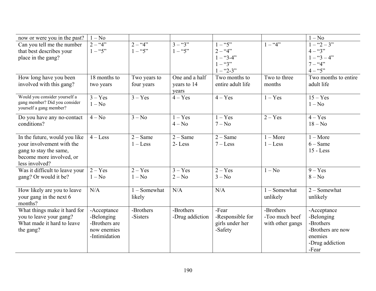| now or were you in the past?   | $1 - No$      |                |                 |                   |                  | $1 - No$             |
|--------------------------------|---------------|----------------|-----------------|-------------------|------------------|----------------------|
| Can you tell me the number     | $2 - 4$       | $2 - 4$        | $3 - 3$         | $-$ "5"           | $1 -$ "4"        | $1 - 2 - 3$          |
| that best describes your       | $1 -$ "5"     | $1 -$ "5"      | $1 -$ "5"       | $2 - 4$           |                  | $4 - 3$              |
| place in the gang?             |               |                |                 | $1 -$ "3-4"       |                  | $1 - 3 - 4$ "        |
|                                |               |                |                 | $1 -$ "3"         |                  | $7 - 4$              |
|                                |               |                |                 | $1 - 2 - 3$ "     |                  | $4 - 5$              |
| How long have you been         | 18 months to  | Two years to   | One and a half  | Two months to     | Two to three     | Two months to entire |
| involved with this gang?       | two years     | four years     | years to 14     | entire adult life | months           | adult life           |
|                                |               |                | years           |                   |                  |                      |
| Would you consider yourself a  | $3 - Yes$     | $3 - Yes$      | $4 - Yes$       | $4 - Yes$         | $1 - Yes$        | $15 - Yes$           |
| gang member? Did you consider  | $1 - No$      |                |                 |                   |                  | $1 - No$             |
| yourself a gang member?        |               |                |                 |                   |                  |                      |
| Do you have any no-contact     | $4 - No$      | $3 - No$       | $1 - Yes$       | $1 - Yes$         | $2 - Yes$        | $4 - Yes$            |
| conditions?                    |               |                | $4 - No$        | $7 - No$          |                  | $18 - No$            |
|                                |               |                |                 |                   |                  |                      |
| In the future, would you like  | $4 - Less$    | $2 - Same$     | $2 - Same$      | $2 - Same$        | $1 - More$       | $1 - \text{More}$    |
| your involvement with the      |               | $1 -$ Less     | 2-Less          | $7 - Less$        | $1 -$ Less       | $6 - Same$           |
| gang to stay the same,         |               |                |                 |                   |                  | $15 - Less$          |
| become more involved, or       |               |                |                 |                   |                  |                      |
| less involved?                 |               |                |                 |                   |                  |                      |
| Was it difficult to leave your | $2 - Yes$     | $2 - Yes$      | $3 - Yes$       | $2 - Yes$         | $1 - No$         | $9 - Yes$            |
| gang? Or would it be?          | $1 - No$      | $1 - No$       | $2 - No$        | $3 - No$          |                  | $8 - No$             |
|                                |               |                |                 |                   |                  |                      |
| How likely are you to leave    | N/A           | $1 -$ Somewhat | N/A             | N/A               | $1 -$ Somewhat   | $2 -$ Somewhat       |
| your gang in the next 6        |               | likely         |                 |                   | unlikely         | unlikely             |
| months?                        |               |                |                 |                   |                  |                      |
| What things make it hard for   | -Acceptance   | -Brothers      | -Brothers       | -Fear             | -Brothers        | -Acceptance          |
| you to leave your gang?        | -Belonging    | -Sisters       | -Drug addiction | -Responsible for  | -Too much beef   | -Belonging           |
| What made it hard to leave     | -Brothers are |                |                 | girls under her   | with other gangs | -Brothers            |
| the gang?                      | now enemies   |                |                 | -Safety           |                  | -Brothers are now    |
|                                | -Intimidation |                |                 |                   |                  | enemies              |
|                                |               |                |                 |                   |                  | -Drug addiction      |
|                                |               |                |                 |                   |                  | -Fear                |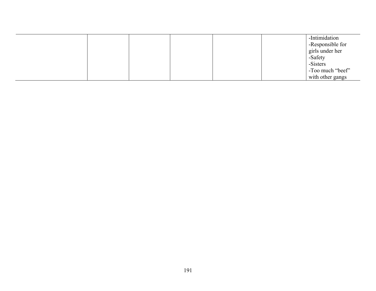|  |  |  | -Intimidation    |
|--|--|--|------------------|
|  |  |  | -Responsible for |
|  |  |  | girls under her  |
|  |  |  | -Safety          |
|  |  |  | -Sisters         |
|  |  |  | -Too much "beef" |
|  |  |  | with other gangs |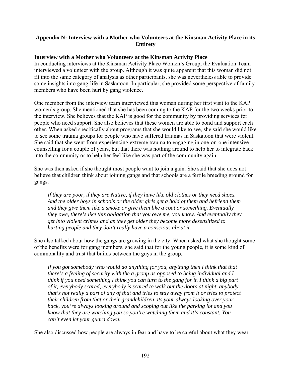# **Appendix N: Interview with a Mother who Volunteers at the Kinsman Activity Place in its Entirety**

# **Interview with a Mother who Volunteers at the Kinsman Activity Place**

In conducting interviews at the Kinsman Activity Place Women's Group, the Evaluation Team interviewed a volunteer with the group. Although it was quite apparent that this woman did not fit into the same category of analysis as other participants, she was nevertheless able to provide some insights into gang-life in Saskatoon. In particular, she provided some perspective of family members who have been hurt by gang violence.

One member from the interview team interviewed this woman during her first visit to the KAP women's group. She mentioned that she has been coming to the KAP for the two weeks prior to the interview. She believes that the KAP is good for the community by providing services for people who need support. She also believes that these women are able to bond and support each other. When asked specifically about programs that she would like to see, she said she would like to see some trauma groups for people who have suffered traumas in Saskatoon that were violent. She said that she went from experiencing extreme trauma to engaging in one-on-one intensive counselling for a couple of years, but that there was nothing around to help her to integrate back into the community or to help her feel like she was part of the community again.

She was then asked if she thought most people want to join a gain. She said that she does not believe that children think about joining gangs and that schools are a fertile breeding ground for gangs.

*If they are poor, if they are Native, if they have like old clothes or they need shoes. And the older boys in schools or the older girls get a hold of them and befriend them and they give them like a smoke or give them like a coat or something. Eventually they owe, there's like this obligation that you owe me, you know. And eventually they get into violent crimes and as they get older they become more desensitized to hurting people and they don't really have a conscious about it.* 

She also talked about how the gangs are growing in the city. When asked what she thought some of the benefits were for gang members, she said that for the young people, it is some kind of commonality and trust that builds between the guys in the group.

*If you got somebody who would do anything for you, anything then I think that that there's a feeling of security with the a group as opposed to being individual and I think if you need something I think you can turn to the gang for it. I think a big part of it, everybody scared, everybody is scared to walk out the doors at night, anybody that's not really a part of any of that and tries to stay away from it or tries to protect their children from that or their grandchildren, its your always looking over your back, you're always looking around and scoping out like the parking lot and you know that they are watching you so you're watching them and it's constant. You can't even let your guard down.* 

She also discussed how people are always in fear and have to be careful about what they wear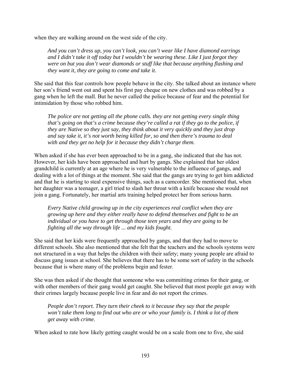when they are walking around on the west side of the city.

*And you can't dress up, you can't look, you can't wear like I have diamond earrings and I didn't take it off today but I wouldn't be wearing these. Like I just forgot they were on but you don't wear diamonds or stuff like that because anything flashing and they want it, they are going to come and take it.* 

She said that this fear controls how people behave in the city. She talked about an instance where her son's friend went out and spent his first pay cheque on new clothes and was robbed by a gang when he left the mall. But he never called the police because of fear and the potential for intimidation by those who robbed him.

*The police are not getting all the phone calls. they are not getting every single thing that's going on that's a crime because they're called a rat if they go to the police, if they are Native so they just say, they think about it very quickly and they just drop and say take it, it's not worth being killed for, so and then there's trauma to deal with and they get no help for it because they didn't charge them.* 

When asked if she has ever been approached to be in a gang, she indicated that she has not. However, her kids have been approached and hurt by gangs. She explained that her oldest grandchild is currently at an age where he is very vulnerable to the influence of gangs, and dealing with a lot of things at the moment. She said that the gangs are trying to get him addicted and that he is starting to steal expensive things, such as a camcorder. She mentioned that, when her daughter was a teenager, a girl tried to slash her throat with a knife because she would not join a gang. Fortunately, her martial arts training helped protect her from serious harm.

*Every Native child growing up in the city experiences real conflict when they are growing up here and they either really have to defend themselves and fight to be an individual or you have to get through those teen years and they are going to be fighting all the way through life ... and my kids fought.* 

She said that her kids were frequently approached by gangs, and that they had to move to different schools. She also mentioned that she felt that the teachers and the schools systems were not structured in a way that helps the children with their safety; many young people are afraid to discuss gang issues at school. She believes that there has to be some sort of safety in the schools because that is where many of the problems begin and fester.

She was then asked if she thought that someone who was committing crimes for their gang, or with other members of their gang would get caught. She believed that most people get away with their crimes largely because people live in fear and do not report the crimes.

*People don't report. They turn their cheek to it because they say that the people won't take them long to find out who are or who your family is. I think a lot of them get away with crime.* 

When asked to rate how likely getting caught would be on a scale from one to five, she said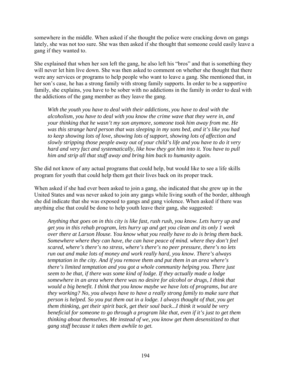somewhere in the middle. When asked if she thought the police were cracking down on gangs lately, she was not too sure. She was then asked if she thought that someone could easily leave a gang if they wanted to.

She explained that when her son left the gang, he also left his "bros" and that is something they will never let him live down. She was then asked to comment on whether she thought that there were any services or programs to help people who want to leave a gang. She mentioned that, in her son's case, he has a strong family with strong family supports. In order to be a supportive family, she explains, you have to be sober with no addictions in the family in order to deal with the addictions of the gang member as they leave the gang.

*With the youth you have to deal with their addictions, you have to deal with the alcoholism, you have to deal with you know the crime wave that they were in, and your thinking that he wasn't my son anymore, someone took him away from me. He was this strange hard person that was sleeping in my sons bed, and it's like you had to keep showing lots of love, showing lots of support, showing lots of affection and slowly stripping those people away out of your child's life and you have to do it very hard and very fact and systematically, like how they got him into it. You have to pull him and strip all that stuff away and bring him back to humanity again.* 

She did not know of any actual programs that could help, but would like to see a life skills program for youth that could help them get their lives back on its proper track.

When asked if she had ever been asked to join a gang, she indicated that she grew up in the United States and was never asked to join any gangs while living south of the border, although she did indicate that she was exposed to gangs and gang violence. When asked if there was anything else that could be done to help youth leave their gang, she suggested:

*Anything that goes on in this city is like fast, rush rush, you know. Lets hurry up and get you in this rehab program, lets hurry up and get you clean and its only 1 week over there at Larson House. You know what you really have to do is bring them back. Somewhere where they can have, the can have peace of mind. where they don't feel scared, where's there's no stress, where's there's no peer pressure, there's no lets run out and make lots of money and work really hard, you know. There's always temptation in the city. And if you remove them and put them in an area where's there's limited temptation and you got a whole community helping you. There just seem to be that, if there was some kind of lodge. If they actually made a lodge somewhere in an area where there was no desire for alcohol or drugs, I think that would a big benefit. I think that you know maybe we have lots of programs, but are they working? No, you always have to have a really strong family to make sure that person is helped. So you put them out in a lodge. I always thought of that, you get them thinking, get their spirit back, get their soul back...I think it would be very beneficial for someone to go through a program like that, even if it's just to get them thinking about themselves. Me instead of we, you know get them desensitized to that gang stuff because it takes them awhile to get.*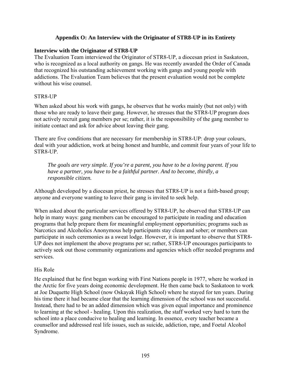## **Appendix O: An Interview with the Originator of STR8-UP in its Entirety**

#### **Interview with the Originator of STR8-UP**

The Evaluation Team interviewed the Originator of STR8-UP, a diocesan priest in Saskatoon, who is recognized as a local authority on gangs. He was recently awarded the Order of Canada that recognized his outstanding achievement working with gangs and young people with addictions. The Evaluation Team believes that the present evaluation would not be complete without his wise counsel.

#### STR8-UP

When asked about his work with gangs, he observes that he works mainly (but not only) with those who are ready to leave their gang. However, he stresses that the STR8-UP program does not actively recruit gang members per se; rather, it is the responsibility of the gang member to initiate contact and ask for advice about leaving their gang.

There are five conditions that are necessary for membership in STR8-UP: drop your colours, deal with your addiction, work at being honest and humble, and commit four years of your life to STR8-UP.

*The goals are very simple. If you're a parent, you have to be a loving parent. If you have a partner, you have to be a faithful partner. And to become, thirdly, a responsible citizen.* 

Although developed by a diocesan priest, he stresses that STR8-UP is not a faith-based group; anyone and everyone wanting to leave their gang is invited to seek help.

When asked about the particular services offered by STR8-UP, he observed that STR8-UP can help in many ways: gang members can be encouraged to participate in reading and education programs that help prepare them for meaningful employment opportunities; programs such as Narcotics and Alcoholics Anonymous help participants stay clean and sober; or members can participate in such ceremonies as a sweat lodge. However, it is important to observe that STR8- UP does not implement the above programs per se; rather, STR8-UP encourages participants to actively seek out those community organizations and agencies which offer needed programs and services.

#### His Role

He explained that he first began working with First Nations people in 1977, where he worked in the Arctic for five years doing economic development. He then came back to Saskatoon to work at Joe Duquette High School (now Oskayak High School) where he stayed for ten years. During his time there it had became clear that the learning dimension of the school was not successful. Instead, there had to be an added dimension which was given equal importance and prominence to learning at the school - healing. Upon this realization, the staff worked very hard to turn the school into a place conducive to healing and learning. In essence, every teacher became a counsellor and addressed real life issues, such as suicide, addiction, rape, and Foetal Alcohol Syndrome.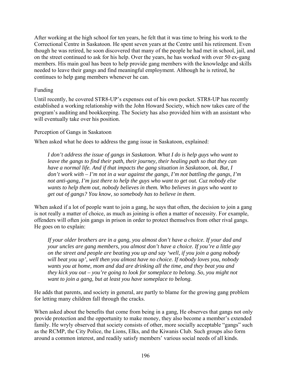After working at the high school for ten years, he felt that it was time to bring his work to the Correctional Centre in Saskatoon. He spent seven years at the Centre until his retirement. Even though he was retired, he soon discovered that many of the people he had met in school, jail, and on the street continued to ask for his help. Over the years, he has worked with over 50 ex-gang members. His main goal has been to help provide gang members with the knowledge and skills needed to leave their gangs and find meaningful employment. Although he is retired, he continues to help gang members whenever he can.

# Funding

Until recently, he covered STR8-UP's expenses out of his own pocket. STR8-UP has recently established a working relationship with the John Howard Society, which now takes care of the program's auditing and bookkeeping. The Society has also provided him with an assistant who will eventually take over his position.

# Perception of Gangs in Saskatoon

When asked what he does to address the gang issue in Saskatoon, explained:

*I don't address the issue of gangs in Saskatoon. What I do is help guys who want to leave the gangs to find their path, their journey, their healing path so that they can have a normal life. And if that impacts the gang situation in Saskatoon, ok. But, I don't work with – I'm not in a war against the gangs, I'm not battling the gangs, I'm not anti-gang, I'm just there to help the guys who want to get out. Cuz nobody else wants to help them out, nobody believes in them. Who believes in guys who want to get out of gangs? You know, so somebody has to believe in them*.

When asked if a lot of people want to join a gang, he says that often, the decision to join a gang is not really a matter of choice, as much as joining is often a matter of necessity. For example, offenders will often join gangs in prison in order to protect themselves from other rival gangs. He goes on to explain:

*If your older brothers are in a gang, you almost don't have a choice. If your dad and your uncles are gang members, you almost don't have a choice. If you're a little guy on the street and people are beating you up and say 'well, if you join a gang nobody will beat you up', well then you almost have no choice. If nobody loves you, nobody wants you at home, mom and dad are drinking all the time, and they beat you and they kick you out – you're going to look for someplace to belong. So, you might not want to join a gang, but at least you have someplace to belong.* 

He adds that parents, and society in general, are partly to blame for the growing gang problem for letting many children fall through the cracks.

When asked about the benefits that come from being in a gang. He observes that gangs not only provide protection and the opportunity to make money, they also become a member's extended family. He wryly observed that society consists of other, more socially acceptable "gangs" such as the RCMP, the City Police, the Lions, Elks, and the Kiwanis Club. Such groups also form around a common interest, and readily satisfy members' various social needs of all kinds.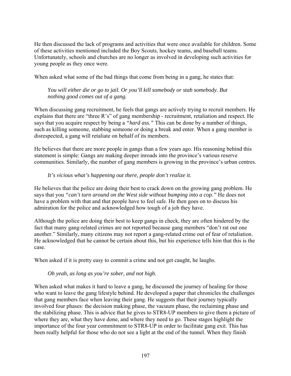He then discussed the lack of programs and activities that were once available for children. Some of these activities mentioned included the Boy Scouts, hockey teams, and baseball teams. Unfortunately, schools and churches are no longer as involved in developing such activities for young people as they once were.

When asked what some of the bad things that come from being in a gang, he states that:

# *You will either die or go to jail. Or you'll kill somebody or stab somebody. But nothing good comes out of a gang.*

When discussing gang recruitment, he feels that gangs are actively trying to recruit members. He explains that there are "three R's" of gang membership - recruitment, retaliation and respect. He says that you acquire respect by being a *"hard ass."* This can be done by a number of things, such as killing someone, stabbing someone or doing a break and enter. When a gang member is disrespected, a gang will retaliate on behalf of its members.

He believes that there are more people in gangs than a few years ago. His reasoning behind this statement is simple: Gangs are making deeper inroads into the province's various reserve communities. Similarly, the number of gang members is growing in the province's urban centres.

# *It's vicious what's happening out there, people don't realize it.*

He believes that the police are doing their best to crack down on the growing gang problem. He says that you "*can't turn around on the West side without bumping into a cop.*" He does not have a problem with that and that people have to feel safe. He then goes on to discuss his admiration for the police and acknowledged how tough of a job they have.

Although the police are doing their best to keep gangs in check, they are often hindered by the fact that many gang-related crimes are not reported because gang members "don't rat out one another." Similarly, many citizens may not report a gang-related crime out of fear of retaliation. He acknowledged that he cannot be certain about this, but his experience tells him that this is the case.

When asked if it is pretty easy to commit a crime and not get caught, he laughs.

# *Oh yeah, as long as you're sober, and not high.*

When asked what makes it hard to leave a gang, he discussed the journey of healing for those who want to leave the gang lifestyle behind. He developed a paper that chronicles the challenges that gang members face when leaving their gang. He suggests that their journey typically involved four phases: the decision making phase, the vacuum phase, the reclaiming phase and the stabilizing phase. This is advice that he gives to STR8-UP members to give them a picture of where they are, what they have done, and where they need to go. These stages highlight the importance of the four year commitment to STR8-UP in order to facilitate gang exit. This has been really helpful for those who do not see a light at the end of the tunnel. When they finish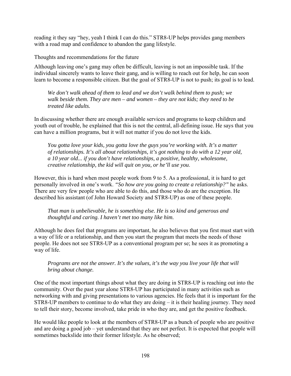reading it they say "hey, yeah I think I can do this." STR8-UP helps provides gang members with a road map and confidence to abandon the gang lifestyle.

Thoughts and recommendations for the future

Although leaving one's gang may often be difficult, leaving is not an impossible task. If the individual sincerely wants to leave their gang, and is willing to reach out for help, he can soon learn to become a responsible citizen. But the goal of STR8-UP is not to push; its goal is to lead.

*We don't walk ahead of them to lead and we don't walk behind them to push; we walk beside them. They are men – and women – they are not kids; they need to be treated like adults.* 

In discussing whether there are enough available services and programs to keep children and youth out of trouble, he explained that this is not the central, all-defining issue. He says that you can have a million programs, but it will not matter if you do not love the kids.

*You gotta love your kids, you gotta love the guys you're working with. It's a matter of relationships. It's all about relationships, it's got nothing to do with a 12 year old, a 10 year old... if you don't have relationships, a positive, healthy, wholesome, creative relationship, the kid will quit on you, or he'll use you*.

However, this is hard when most people work from 9 to 5. As a professional, it is hard to get personally involved in one's work. *"So how are you going to create a relationship?"* he asks. There are very few people who are able to do this, and those who do are the exception. He described his assistant (of John Howard Society and STR8-UP) as one of these people.

*That man is unbelievable, he is something else. He is so kind and generous and thoughtful and caring. I haven't met too many like him.* 

Although he does feel that programs are important, he also believes that you first must start with a way of life or a relationship, and then you start the program that meets the needs of those people. He does not see STR8-UP as a conventional program per se; he sees it as promoting a way of life.

*Programs are not the answer. It's the values, it's the way you live your life that will bring about change.* 

One of the most important things about what they are doing in STR8-UP is reaching out into the community. Over the past year alone STR8-UP has participated in many activities such as networking with and giving presentations to various agencies. He feels that it is important for the STR8-UP members to continue to do what they are doing – it is their healing journey. They need to tell their story, become involved, take pride in who they are, and get the positive feedback.

He would like people to look at the members of STR8-UP as a bunch of people who are positive and are doing a good job – yet understand that they are not perfect. It is expected that people will sometimes backslide into their former lifestyle. As he observed;